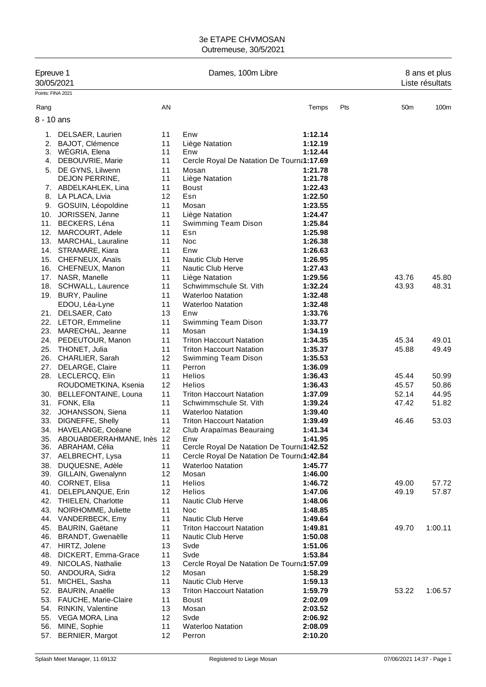|                   | Epreuve 1<br>30/05/2021                    |          | Dames, 100m Libre                                                  |                    |     | 8 ans et plus<br>Liste résultats |                |  |
|-------------------|--------------------------------------------|----------|--------------------------------------------------------------------|--------------------|-----|----------------------------------|----------------|--|
| Points: FINA 2021 |                                            |          |                                                                    |                    |     |                                  |                |  |
| Rang              |                                            | AN       |                                                                    | Temps              | Pts | 50 <sub>m</sub>                  | 100m           |  |
| 8 - 10 ans        |                                            |          |                                                                    |                    |     |                                  |                |  |
|                   |                                            |          |                                                                    |                    |     |                                  |                |  |
| 1.                | DELSAER, Laurien                           | 11       | Enw                                                                | 1:12.14            |     |                                  |                |  |
| 2.                | <b>BAJOT, Clémence</b>                     | 11       | Liège Natation                                                     | 1:12.19            |     |                                  |                |  |
|                   | 3. WEGRIA, Elena                           | 11<br>11 | Enw<br>Cercle Royal De Natation De Tourna1:17.69                   | 1:12.44            |     |                                  |                |  |
|                   | 4. DEBOUVRIE, Marie                        | 11       | Mosan                                                              | 1:21.78            |     |                                  |                |  |
| 5.                | DE GYNS, Lilwenn<br>DEJON PERRINE,         | 11       | Liège Natation                                                     | 1:21.78            |     |                                  |                |  |
|                   | 7. ABDELKAHLEK, Lina                       | 11       | Boust                                                              | 1:22.43            |     |                                  |                |  |
|                   | 8. LA PLACA, Livia                         | 12       | Esn                                                                | 1:22.50            |     |                                  |                |  |
|                   | 9. GOSUIN, Léopoldine                      | 11       | Mosan                                                              | 1:23.55            |     |                                  |                |  |
|                   | 10. JORISSEN, Janne                        | 11       | Liège Natation                                                     | 1:24.47            |     |                                  |                |  |
|                   | 11. BECKERS, Léna                          | 11       | Swimming Team Dison                                                | 1:25.84            |     |                                  |                |  |
|                   | 12. MARCOURT, Adele                        | 11       | Esn                                                                | 1:25.98            |     |                                  |                |  |
|                   | 13. MARCHAL, Lauraline                     | 11       | Noc                                                                | 1:26.38            |     |                                  |                |  |
|                   | 14. STRAMARE, Kiara                        | 11       | Enw                                                                | 1:26.63            |     |                                  |                |  |
|                   | 15. CHEFNEUX, Anaïs                        | 11       | <b>Nautic Club Herve</b>                                           | 1:26.95            |     |                                  |                |  |
|                   | 16. CHEFNEUX, Manon                        | 11       | Nautic Club Herve                                                  | 1:27.43            |     |                                  |                |  |
|                   | 17. NASR, Manelle                          | 11       | Liège Natation                                                     | 1:29.56            |     | 43.76                            | 45.80          |  |
|                   | 18. SCHWALL, Laurence                      | 11       | Schwimmschule St. Vith                                             | 1:32.24            |     | 43.93                            | 48.31          |  |
|                   | 19. BURY, Pauline                          | 11       | <b>Waterloo Natation</b>                                           | 1:32.48            |     |                                  |                |  |
|                   | EDOU, Léa-Lyne                             | 11       | <b>Waterloo Natation</b>                                           | 1:32.48            |     |                                  |                |  |
|                   | 21. DELSAER, Cato                          | 13       | Enw                                                                | 1:33.76            |     |                                  |                |  |
|                   | 22. LETOR, Emmeline                        | 11       | Swimming Team Dison                                                | 1:33.77            |     |                                  |                |  |
|                   | 23. MARECHAL, Jeanne                       | 11       | Mosan                                                              | 1:34.19            |     |                                  |                |  |
|                   | 24. PEDEUTOUR, Manon<br>25. THONET, Julia  | 11<br>11 | <b>Triton Haccourt Natation</b><br><b>Triton Haccourt Natation</b> | 1:34.35            |     | 45.34                            | 49.01<br>49.49 |  |
|                   |                                            | 12       |                                                                    | 1:35.37<br>1:35.53 |     | 45.88                            |                |  |
|                   | 26. CHARLIER, Sarah<br>27. DELARGE, Claire | 11       | Swimming Team Dison<br>Perron                                      | 1:36.09            |     |                                  |                |  |
|                   | 28. LECLERCQ, Elin                         | 11       | Helios                                                             | 1:36.43            |     | 45.44                            | 50.99          |  |
|                   | ROUDOMETKINA, Ksenia                       | 12       | <b>Helios</b>                                                      | 1:36.43            |     | 45.57                            | 50.86          |  |
|                   | 30. BELLEFONTAINE, Louna                   | 11       | <b>Triton Haccourt Natation</b>                                    | 1:37.09            |     | 52.14                            | 44.95          |  |
|                   | 31. FONK, Ella                             | 11       | Schwimmschule St. Vith                                             | 1:39.24            |     | 47.42                            | 51.82          |  |
|                   | 32. JOHANSSON, Siena                       | 11       | <b>Waterloo Natation</b>                                           | 1:39.40            |     |                                  |                |  |
| 33.               | DIGNEFFE, Shelly                           | 11       | <b>Triton Haccourt Natation</b>                                    | 1:39.49            |     | 46.46                            | 53.03          |  |
| 34.               | HAVELANGE, Océane                          | 12       | Club Arapaïmas Beauraing                                           | 1:41.34            |     |                                  |                |  |
|                   | 35. ABOUABDERRAHMANE, Inès 12              |          | Enw                                                                | 1:41.95            |     |                                  |                |  |
|                   | 36. ABRAHAM, Célia                         | 11       | Cercle Royal De Natation De Tourna1:42.52                          |                    |     |                                  |                |  |
|                   | 37. AELBRECHT, Lysa                        | 11       | Cercle Royal De Natation De Tourna1:42.84                          |                    |     |                                  |                |  |
|                   | 38. DUQUESNE, Adèle                        | 11       | <b>Waterloo Natation</b>                                           | 1:45.77            |     |                                  |                |  |
|                   | 39. GILLAIN, Gwenalynn                     | 12       | Mosan                                                              | 1:46.00            |     |                                  |                |  |
|                   | 40. CORNET, Elisa<br>41. DELEPLANQUE, Erin | 11<br>12 | Helios<br>Helios                                                   | 1:46.72<br>1:47.06 |     | 49.00<br>49.19                   | 57.72<br>57.87 |  |
|                   | 42. THIELEN, Charlotte                     | 11       | <b>Nautic Club Herve</b>                                           | 1:48.06            |     |                                  |                |  |
|                   | 43. NOIRHOMME, Juliette                    | 11       | Noc                                                                | 1:48.85            |     |                                  |                |  |
|                   | 44. VANDERBECK, Emy                        | 11       | Nautic Club Herve                                                  | 1:49.64            |     |                                  |                |  |
|                   | 45. BAURIN, Gaëtane                        | 11       | <b>Triton Haccourt Natation</b>                                    | 1:49.81            |     | 49.70                            | 1:00.11        |  |
|                   | 46. BRANDT, Gwenaëlle                      | 11       | Nautic Club Herve                                                  | 1:50.08            |     |                                  |                |  |
|                   | 47. HIRTZ, Jolene                          | 13       | Svde                                                               | 1:51.06            |     |                                  |                |  |
|                   | 48. DICKERT, Emma-Grace                    | 11       | Svde                                                               | 1:53.84            |     |                                  |                |  |
|                   | 49. NICOLAS, Nathalie                      | 13       | Cercle Royal De Natation De Tourna1:57.09                          |                    |     |                                  |                |  |
|                   | 50. ANDOURA, Sidra                         | 12       | Mosan                                                              | 1:58.29            |     |                                  |                |  |
| 51.               | MICHEL, Sasha                              | 11       | Nautic Club Herve                                                  | 1:59.13            |     |                                  |                |  |
|                   | 52. BAURIN, Anaëlle                        | 13       | <b>Triton Haccourt Natation</b>                                    | 1:59.79            |     | 53.22                            | 1:06.57        |  |
|                   | 53. FAUCHE, Marie-Claire                   | 11       | <b>Boust</b>                                                       | 2:02.09            |     |                                  |                |  |
|                   | 54. RINKIN, Valentine                      | 13       | Mosan                                                              | 2:03.52            |     |                                  |                |  |
|                   | 55. VEGA MORA, Lina                        | 12       | Svde                                                               | 2:06.92            |     |                                  |                |  |
|                   | 56. MINE, Sophie                           | 11       | <b>Waterloo Natation</b>                                           | 2:08.09            |     |                                  |                |  |
| 57.               | <b>BERNIER, Margot</b>                     | 12       | Perron                                                             | 2:10.20            |     |                                  |                |  |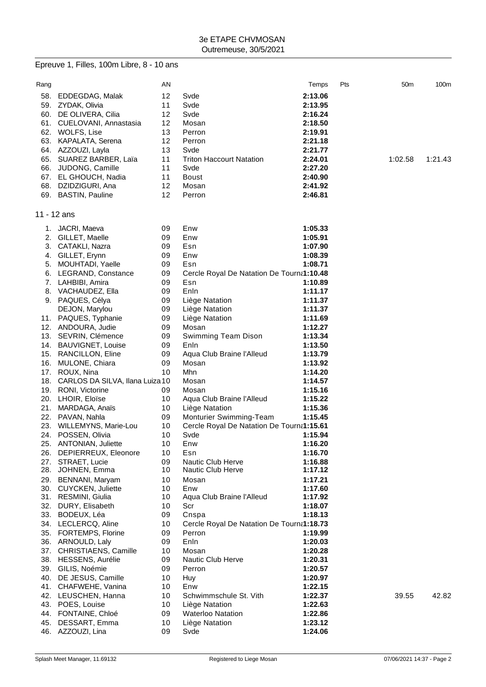|             | Epreuve 1, Filles, 100m Libre, 8 - 10 ans |    |                                           |         |     |                 |                  |
|-------------|-------------------------------------------|----|-------------------------------------------|---------|-----|-----------------|------------------|
| Rang        |                                           | AN |                                           | Temps   | Pts | 50 <sub>m</sub> | 100 <sub>m</sub> |
| 58.         | EDDEGDAG, Malak                           | 12 | Svde                                      | 2:13.06 |     |                 |                  |
|             | 59. ZYDAK, Olivia                         | 11 | Svde                                      | 2:13.95 |     |                 |                  |
|             | 60. DE OLIVERA, Cilia                     | 12 | Svde                                      | 2:16.24 |     |                 |                  |
|             | 61. CUELOVANI, Annastasia                 | 12 | Mosan                                     | 2:18.50 |     |                 |                  |
|             | 62. WOLFS, Lise                           | 13 | Perron                                    | 2:19.91 |     |                 |                  |
|             | 63. KAPALATA, Serena                      | 12 | Perron                                    | 2:21.18 |     |                 |                  |
|             | 64. AZZOUZI, Layla                        | 13 | Svde                                      | 2:21.77 |     |                 |                  |
|             | 65. SUAREZ BARBER, Laïa                   | 11 | <b>Triton Haccourt Natation</b>           | 2:24.01 |     | 1:02.58         | 1:21.43          |
|             | 66. JUDONG, Camille                       | 11 | Svde                                      | 2:27.20 |     |                 |                  |
|             | 67. EL GHOUCH, Nadia                      | 11 | <b>Boust</b>                              | 2:40.90 |     |                 |                  |
|             | 68. DZIDZIGURI, Ana                       | 12 | Mosan                                     | 2:41.92 |     |                 |                  |
|             | 69. BASTIN, Pauline                       | 12 | Perron                                    | 2:46.81 |     |                 |                  |
| 11 - 12 ans |                                           |    |                                           |         |     |                 |                  |
| 1.          | JACRI, Maeva                              | 09 | Enw                                       | 1:05.33 |     |                 |                  |
|             | 2. GILLET, Maelle                         | 09 | Enw                                       | 1:05.91 |     |                 |                  |
|             | 3. CATAKLI, Nazra                         | 09 | Esn                                       | 1:07.90 |     |                 |                  |
|             | 4. GILLET, Erynn                          | 09 | Enw                                       | 1:08.39 |     |                 |                  |
|             | 5. MOUHTADI, Yaelle                       | 09 | Esn                                       | 1:08.71 |     |                 |                  |
|             | 6. LEGRAND, Constance                     | 09 | Cercle Royal De Natation De Tourna1:10.48 |         |     |                 |                  |
|             | 7. LAHBIBI, Amira                         | 09 | Esn                                       | 1:10.89 |     |                 |                  |
|             | 8. VACHAUDEZ, Ella                        | 09 | Enln                                      | 1:11.17 |     |                 |                  |
|             | 9. PAQUES, Célya                          | 09 | Liège Natation                            | 1:11.37 |     |                 |                  |
|             | DEJON, Marylou                            | 09 | Liège Natation                            | 1:11.37 |     |                 |                  |
|             | 11. PAQUES, Typhanie                      | 09 | Liège Natation                            | 1:11.69 |     |                 |                  |
|             | 12. ANDOURA, Judie                        | 09 | Mosan                                     | 1:12.27 |     |                 |                  |
|             | 13. SEVRIN, Clémence                      | 09 | Swimming Team Dison                       | 1:13.34 |     |                 |                  |
|             | 14. BAUVIGNET, Louise                     | 09 | Enln                                      | 1:13.50 |     |                 |                  |
|             | 15. RANCILLON, Eline                      | 09 | Aqua Club Braine l'Alleud                 | 1:13.79 |     |                 |                  |
| 16.         | MULONE, Chiara                            | 09 | Mosan                                     | 1:13.92 |     |                 |                  |
|             | 17. ROUX, Nina                            | 10 | Mhn                                       | 1:14.20 |     |                 |                  |
|             | 18. CARLOS DA SILVA, Ilana Luiza 10       |    | Mosan                                     | 1:14.57 |     |                 |                  |
|             | 19. RONI, Victorine                       | 09 | Mosan                                     | 1:15.16 |     |                 |                  |
|             | 20. LHOIR, Eloïse                         | 10 | Aqua Club Braine l'Alleud                 | 1:15.22 |     |                 |                  |
| 21.         | MARDAGA, Anaïs                            | 10 | Liège Natation                            | 1:15.36 |     |                 |                  |
|             | 22. PAVAN, Nahla                          | 09 | Monturier Swimming-Team                   | 1:15.45 |     |                 |                  |
|             | 23. WILLEMYNS, Marie-Lou                  | 10 | Cercle Royal De Natation De Tourna1:15.61 |         |     |                 |                  |
|             | 24. POSSEN, Olivia                        | 10 | Svde                                      | 1:15.94 |     |                 |                  |
|             | 25. ANTONIAN, Juliette                    | 10 | Enw                                       | 1:16.20 |     |                 |                  |
| 26.         | DEPIERREUX, Eleonore                      | 10 | Esn                                       | 1:16.70 |     |                 |                  |
| 27.         | STRAET, Lucie                             | 09 | Nautic Club Herve                         | 1:16.88 |     |                 |                  |
| 28.         | JOHNEN, Emma                              | 10 | Nautic Club Herve                         | 1:17.12 |     |                 |                  |
|             | 29. BENNANI, Maryam                       | 10 | Mosan                                     | 1:17.21 |     |                 |                  |
|             | 30. CUYCKEN, Juliette                     | 10 | Enw                                       | 1:17.60 |     |                 |                  |
|             | 31. RESMINI, Giulia                       | 10 | Aqua Club Braine l'Alleud                 | 1:17.92 |     |                 |                  |
|             | 32. DURY, Elisabeth                       | 10 | Scr                                       | 1:18.07 |     |                 |                  |
|             | 33. BODEUX, Léa                           | 09 | Cnspa                                     | 1:18.13 |     |                 |                  |
|             | 34. LECLERCQ, Aline                       | 10 | Cercle Royal De Natation De Tourna1:18.73 |         |     |                 |                  |
|             | 35. FORTEMPS, Florine                     | 09 | Perron                                    | 1:19.99 |     |                 |                  |
|             | 36. ARNOULD, Laly                         | 09 | Enln                                      | 1:20.03 |     |                 |                  |
|             | 37. CHRISTIAENS, Camille                  | 10 | Mosan                                     | 1:20.28 |     |                 |                  |
|             | 38. HESSENS, Aurélie                      | 09 | Nautic Club Herve                         | 1:20.31 |     |                 |                  |
|             | 39. GILIS, Noémie                         | 09 | Perron                                    | 1:20.57 |     |                 |                  |
|             | 40. DE JESUS, Camille                     | 10 | Huy                                       | 1:20.97 |     |                 |                  |
|             | 41. CHAFWEHE, Vanina                      | 10 | Enw                                       | 1:22.15 |     |                 |                  |
|             | 42. LEUSCHEN, Hanna                       | 10 | Schwimmschule St. Vith                    | 1:22.37 |     | 39.55           | 42.82            |
|             | 43. POES, Louise                          | 10 | Liège Natation                            | 1:22.63 |     |                 |                  |
|             | 44. FONTAINE, Chloé                       | 09 | <b>Waterloo Natation</b>                  | 1:22.86 |     |                 |                  |
| 45.         | DESSART, Emma                             | 10 | Liège Natation                            | 1:23.12 |     |                 |                  |
|             | 46. AZZOUZI, Lina                         | 09 | Svde                                      | 1:24.06 |     |                 |                  |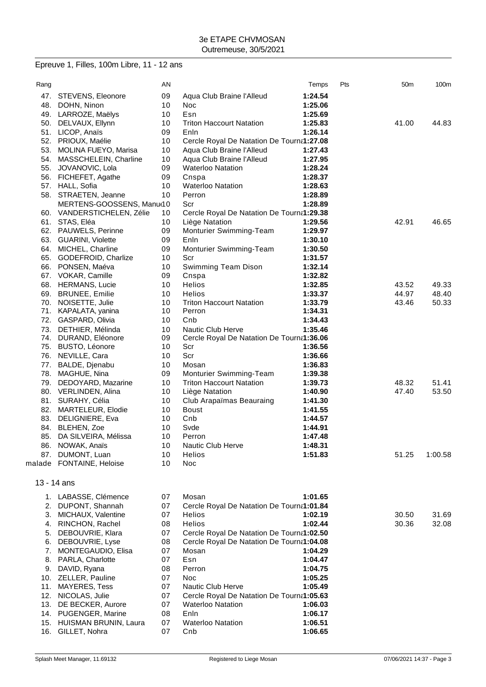## Epreuve 1, Filles, 100m Libre, 11 - 12 ans

| Rang     |                                        | AN       |                                                    | Temps   | Pts | 50 <sub>m</sub> | 100m    |
|----------|----------------------------------------|----------|----------------------------------------------------|---------|-----|-----------------|---------|
|          | 47. STEVENS, Eleonore                  | 09       | Aqua Club Braine l'Alleud                          | 1:24.54 |     |                 |         |
|          | 48. DOHN, Ninon                        | 10       | Noc                                                | 1:25.06 |     |                 |         |
|          | 49. LARROZE, Maëlys                    | 10       | Esn                                                | 1:25.69 |     |                 |         |
|          | 50. DELVAUX, Ellynn                    | 10       | <b>Triton Haccourt Natation</b>                    | 1:25.83 |     | 41.00           | 44.83   |
|          | 51. LICOP, Anaïs                       | 09       | Enln                                               | 1:26.14 |     |                 |         |
|          | 52. PRIOUX, Maélie                     | 10       | Cercle Royal De Natation De Tourna1:27.08          |         |     |                 |         |
|          | 53. MOLINA FUEYO, Marisa               | 10       | Aqua Club Braine l'Alleud                          | 1:27.43 |     |                 |         |
|          | 54. MASSCHELEIN, Charline              | 10       | Aqua Club Braine l'Alleud                          | 1:27.95 |     |                 |         |
|          | 55. JOVANOVIC, Lola                    | 09       | <b>Waterloo Natation</b>                           | 1:28.24 |     |                 |         |
|          | 56. FICHEFET, Agathe                   | 09       | Cnspa                                              | 1:28.37 |     |                 |         |
|          | 57. HALL, Sofia                        | 10       | <b>Waterloo Natation</b>                           | 1:28.63 |     |                 |         |
|          | 58. STRAETEN, Jeanne                   | 10       | Perron                                             | 1:28.89 |     |                 |         |
|          | MERTENS-GOOSSENS, Manu(10              |          | Scr                                                | 1:28.89 |     |                 |         |
|          | 60. VANDERSTICHELEN, Zélie             | 10       | Cercle Royal De Natation De Tourna1:29.38          |         |     |                 |         |
|          | 61. STAS, Eléa                         | 10       | Liège Natation                                     | 1:29.56 |     | 42.91           | 46.65   |
|          | 62. PAUWELS, Perinne                   | 09       | Monturier Swimming-Team                            | 1:29.97 |     |                 |         |
|          | 63. GUARINI, Violette                  | 09       | Enln                                               | 1:30.10 |     |                 |         |
|          | 64. MICHEL, Charline                   | 09       | Monturier Swimming-Team                            | 1:30.50 |     |                 |         |
|          | 65. GODEFROID, Charlize                | 10       | Scr                                                | 1:31.57 |     |                 |         |
|          | 66. PONSEN, Maéva                      | 10       | Swimming Team Dison                                | 1:32.14 |     |                 |         |
|          | 67. VOKAR, Camille                     | 09       | Cnspa                                              | 1:32.82 |     |                 |         |
|          | 68. HERMANS, Lucie                     | 10       | <b>Helios</b>                                      | 1:32.85 |     | 43.52           | 49.33   |
|          | 69. BRUNEE, Emilie                     | 10       | Helios                                             | 1:33.37 |     | 44.97           | 48.40   |
|          | 70. NOISETTE, Julie                    | 10       | <b>Triton Haccourt Natation</b>                    | 1:33.79 |     | 43.46           | 50.33   |
|          | 71. KAPALATA, yanina                   | 10       | Perron                                             | 1:34.31 |     |                 |         |
|          | 72. GASPARD, Olivia                    | 10       | Cnb                                                | 1:34.43 |     |                 |         |
|          | 73. DETHIER, Mélinda                   | 10       | Nautic Club Herve                                  | 1:35.46 |     |                 |         |
|          | 74. DURAND, Eléonore                   | 09       | Cercle Royal De Natation De Tourna1:36.06          |         |     |                 |         |
|          | 75. BUSTO, Léonore                     | 10       | Scr                                                | 1:36.56 |     |                 |         |
|          | 76. NEVILLE, Cara                      | 10       | Scr                                                | 1:36.66 |     |                 |         |
|          | 77. BALDE, Djenabu                     | 10       | Mosan                                              | 1:36.83 |     |                 |         |
|          | 78. MAGHUE, Nina                       | 09       | Monturier Swimming-Team                            | 1:39.38 |     |                 |         |
|          | 79. DEDOYARD, Mazarine                 | 10       | <b>Triton Haccourt Natation</b>                    | 1:39.73 |     | 48.32           | 51.41   |
|          | 80. VERLINDEN, Alina                   | 10       | Liège Natation                                     | 1:40.90 |     | 47.40           | 53.50   |
|          | 81. SURAHY, Célia                      | 10       | Club Arapaïmas Beauraing                           | 1:41.30 |     |                 |         |
|          | 82. MARTELEUR, Elodie                  | 10       | <b>Boust</b>                                       | 1:41.55 |     |                 |         |
|          | 83. DELIGNIERE, Eva                    | 10       | Cnb                                                | 1:44.57 |     |                 |         |
|          | 84. BLEHEN, Zoe                        | 10       | Svde                                               | 1:44.91 |     |                 |         |
|          | 85. DA SILVEIRA, Mélissa               | 10       | Perron                                             | 1:47.48 |     |                 |         |
|          | 86. NOWAK, Anaïs                       | 10       | Nautic Club Herve                                  | 1:48.31 |     |                 |         |
| 87.      | DUMONT, Luan                           | 10       | <b>Helios</b>                                      | 1:51.83 |     | 51.25           | 1:00.58 |
|          | malade FONTAINE, Heloise               | 10       | <b>Noc</b>                                         |         |     |                 |         |
|          |                                        |          |                                                    |         |     |                 |         |
|          | $13 - 14$ ans                          |          |                                                    |         |     |                 |         |
|          | 1. LABASSE, Clémence                   | 07       | Mosan                                              | 1:01.65 |     |                 |         |
|          | 2. DUPONT, Shannah                     | 07       | Cercle Royal De Natation De Tourna1:01.84          |         |     |                 |         |
|          | 3. MICHAUX, Valentine                  | 07       | <b>Helios</b>                                      | 1:02.19 |     | 30.50           |         |
|          |                                        | 08       | <b>Helios</b>                                      |         |     |                 | 31.69   |
| 5.       | 4. RINCHON, Rachel<br>DEBOUVRIE, Klara | 07       | Cercle Royal De Natation De Tourna1:02.50          | 1:02.44 |     | 30.36           | 32.08   |
|          |                                        |          |                                                    |         |     |                 |         |
| 6.<br>7. | DEBOUVRIE, Lyse<br>MONTEGAUDIO, Elisa  | 08<br>07 | Cercle Royal De Natation De Tourna1:04.08<br>Mosan | 1:04.29 |     |                 |         |
| 8.       |                                        | 07       | Esn                                                | 1:04.47 |     |                 |         |
|          | PARLA, Charlotte<br>9. DAVID, Ryana    | 08       | Perron                                             | 1:04.75 |     |                 |         |
|          | 10. ZELLER, Pauline                    | 07       | <b>Noc</b>                                         | 1:05.25 |     |                 |         |
| 11.      | <b>MAYERES, Tess</b>                   | 07       | Nautic Club Herve                                  | 1:05.49 |     |                 |         |
| 12.      | NICOLAS, Julie                         | 07       | Cercle Royal De Natation De Tourna1:05.63          |         |     |                 |         |
|          | 13. DE BECKER, Aurore                  | 07       | <b>Waterloo Natation</b>                           | 1:06.03 |     |                 |         |
|          | 14. PUGENGER, Marine                   | 08       | Enln                                               | 1:06.17 |     |                 |         |
|          |                                        |          |                                                    |         |     |                 |         |

15. HUISMAN BRUNIN, Laura 07 Waterloo Natation **1:06.51** 16. GILLET, Nohra 07 Cnb **1:06.65**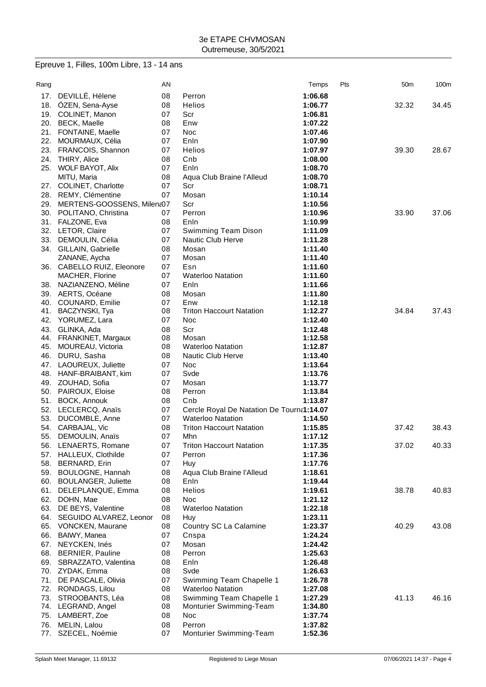# Epreuve 1, Filles, 100m Libre, 13 - 14 ans

| Rang       |                                      | AN       |                                           | Temps              | Pts | 50 <sub>m</sub> | 100m  |
|------------|--------------------------------------|----------|-------------------------------------------|--------------------|-----|-----------------|-------|
| 17.        | DEVILLÉ, Hélene                      | 08       | Perron                                    | 1:06.68            |     |                 |       |
| 18.        | ÖZEN, Sena-Ayse                      | 08       | Helios                                    | 1:06.77            |     | 32.32           | 34.45 |
|            | 19. COLINET, Manon                   | 07       | Scr                                       | 1:06.81            |     |                 |       |
|            | 20. BECK, Maelle                     | 08       | Enw                                       | 1:07.22            |     |                 |       |
|            | 21. FONTAINE, Maelle                 | 07       | <b>Noc</b>                                | 1:07.46            |     |                 |       |
| 22.        | MOURMAUX, Célia                      | 07       | Enln                                      | 1:07.90            |     |                 |       |
| 23.        | FRANCOIS, Shannon                    | 07       | Helios                                    | 1:07.97            |     | 39.30           | 28.67 |
| 24.        | <b>THIRY, Alice</b>                  | 08       | Cnb                                       | 1:08.00            |     |                 |       |
|            | 25. WOLF BAYOT, Alix                 | 07       | Enln                                      | 1:08.70            |     |                 |       |
|            | MITU, Maria                          | 08       | Aqua Club Braine l'Alleud                 | 1:08.70            |     |                 |       |
|            | 27. COLINET, Charlotte               | 07       | Scr                                       | 1:08.71            |     |                 |       |
|            | 28. REMY, Clémentine                 | 07       | Mosan                                     | 1:10.14            |     |                 |       |
| 29.        | MERTENS-GOOSSENS, Milena07           |          | Scr                                       | 1:10.56            |     |                 |       |
| 30.        | POLITANO, Christina                  | 07       | Perron                                    | 1:10.96            |     | 33.90           | 37.06 |
| 31.        | FALZONE, Eva                         | 08       | Enln                                      | 1:10.99            |     |                 |       |
|            | 32. LETOR, Claire                    | 07       | Swimming Team Dison                       | 1:11.09            |     |                 |       |
| 33.        | DEMOULIN, Célia                      | 07       | Nautic Club Herve                         | 1:11.28            |     |                 |       |
|            | 34. GILLAIN, Gabrielle               | 08       | Mosan                                     | 1:11.40            |     |                 |       |
|            | ZANANE, Aycha                        | 07       | Mosan                                     | 1:11.40            |     |                 |       |
|            | 36. CABELLO RUIZ, Eleonore           | 07       | Esn                                       | 1:11.60            |     |                 |       |
|            | MACHER, Florine                      | 07       | <b>Waterloo Natation</b>                  | 1:11.60            |     |                 |       |
| 38.        | NAZIANZENO, Méline                   | 07       | Enln                                      | 1:11.66            |     |                 |       |
|            | 39. AERTS, Océane                    | 08       | Mosan                                     | 1:11.80            |     |                 |       |
|            | 40. COUNARD, Emilie                  | 07       | Enw                                       | 1:12.18            |     |                 |       |
| 41.        | BACZYNSKI, Tya                       | 08       | <b>Triton Haccourt Natation</b>           | 1:12.27            |     | 34.84           | 37.43 |
| 42.        | YORUMEZ, Lara                        | 07       | Noc                                       | 1:12.40            |     |                 |       |
| 43.        | GLINKA, Ada                          | 08       | Scr                                       | 1:12.48            |     |                 |       |
| 44.        | FRANKINET, Margaux                   | 08       | Mosan                                     | 1:12.58            |     |                 |       |
| 45.        | MOUREAU, Victoria                    | 08       | <b>Waterloo Natation</b>                  | 1:12.87            |     |                 |       |
| 46.        | DURU, Sasha                          | 08       | Nautic Club Herve                         | 1:13.40            |     |                 |       |
| 47.<br>48. | LAOUREUX, Juliette                   | 07<br>07 | Noc<br>Svde                               | 1:13.64            |     |                 |       |
| 49.        | HANF-BRAIBANT, kim                   | 07       | Mosan                                     | 1:13.76            |     |                 |       |
|            | ZOUHAD, Sofia<br>50. PAIROUX, Eloise | 08       | Perron                                    | 1:13.77<br>1:13.84 |     |                 |       |
| 51.        | <b>BOCK, Annouk</b>                  | 08       | Cnb                                       | 1:13.87            |     |                 |       |
|            | 52. LECLERCQ, Anaïs                  | 07       | Cercle Royal De Natation De Tourna1:14.07 |                    |     |                 |       |
| 53.        | DUCOMBLE, Anne                       | 07       | <b>Waterloo Natation</b>                  | 1:14.50            |     |                 |       |
| 54.        | CARBAJAL, Vic                        | 08       | <b>Triton Haccourt Natation</b>           | 1:15.85            |     | 37.42           | 38.43 |
| 55.        | DEMOULIN, Anaïs                      | 07       | Mhn                                       | 1:17.12            |     |                 |       |
|            | 56. LENAERTS, Romane                 | 07       | <b>Triton Haccourt Natation</b>           | 1:17.35            |     | 37.02           | 40.33 |
| 57.        | HALLEUX, Clothilde                   | 07       | Perron                                    | 1:17.36            |     |                 |       |
| 58.        | BERNARD, Erin                        | 07       | Huy                                       | 1:17.76            |     |                 |       |
| 59.        | BOULOGNE, Hannah                     | 08       | Aqua Club Braine l'Alleud                 | 1:18.61            |     |                 |       |
| 60.        | <b>BOULANGER, Juliette</b>           | 08       | Enln                                      | 1:19.44            |     |                 |       |
| 61.        | DELEPLANQUE, Emma                    | 08       | Helios                                    | 1:19.61            |     | 38.78           | 40.83 |
| 62.        | DOHN, Mae                            | 08       | Noc                                       | 1:21.12            |     |                 |       |
| 63.        | DE BEYS, Valentine                   | 08       | <b>Waterloo Natation</b>                  | 1:22.18            |     |                 |       |
| 64.        | SEGUIDO ALVAREZ, Leonor              | 08       | Huy                                       | 1:23.11            |     |                 |       |
|            | 65. VONCKEN, Maurane                 | 08       | Country SC La Calamine                    | 1:23.37            |     | 40.29           | 43.08 |
| 66.        | BAIWY, Manea                         | 07       | Cnspa                                     | 1:24.24            |     |                 |       |
| 67.        | NEYCKEN, Inés                        | 07       | Mosan                                     | 1:24.42            |     |                 |       |
|            | 68. BERNIER, Pauline                 | 08       | Perron                                    | 1:25.63            |     |                 |       |
|            | 69. SBRAZZATO, Valentina             | 08       | Enln                                      | 1:26.48            |     |                 |       |
|            | 70. ZYDAK, Emma                      | 08       | Svde                                      | 1:26.63            |     |                 |       |
| 71.        | DE PASCALE, Olivia                   | 07       | Swimming Team Chapelle 1                  | 1:26.78            |     |                 |       |
|            | 72. RONDAGS, Lilou                   | 08       | <b>Waterloo Natation</b>                  | 1:27.08            |     |                 |       |
| 73.        | STROOBANTS, Léa                      | 08       | Swimming Team Chapelle 1                  | 1:27.29            |     | 41.13           | 46.16 |
|            | 74. LEGRAND, Angel                   | 08       | Monturier Swimming-Team                   | 1:34.80            |     |                 |       |
|            | 75. LAMBERT, Zoe                     | 08       | Noc                                       | 1:37.74            |     |                 |       |
| 76.        | MELIN, Lalou                         | 08       | Perron                                    | 1:37.82            |     |                 |       |
| 77.        | SZECEL, Noémie                       | 07       | Monturier Swimming-Team                   | 1:52.36            |     |                 |       |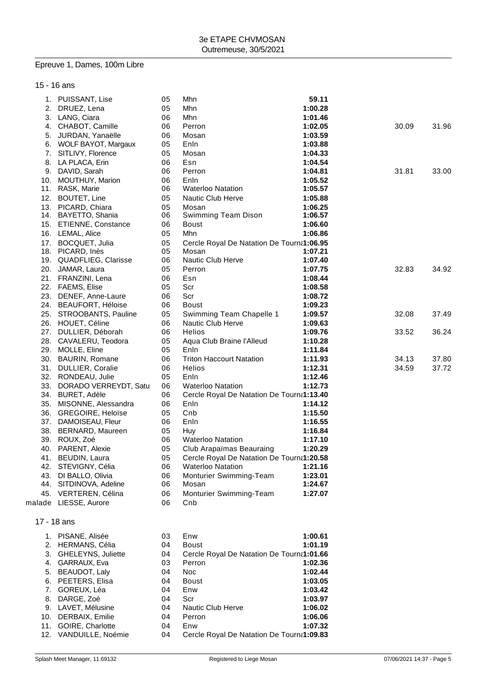#### Epreuve 1, Dames, 100m Libre

#### 15 - 16 ans

|     | 1. PUISSANT, Lise<br>2. DRUEZ, Lena | 05<br>05 | Mhn<br>Mhn                                | 59.11<br>1:00.28 |       |       |
|-----|-------------------------------------|----------|-------------------------------------------|------------------|-------|-------|
|     | 3. LANG, Ciara                      | 06       | Mhn                                       | 1:01.46          |       |       |
|     | 4. CHABOT, Camille                  | 06       | Perron                                    | 1:02.05          | 30.09 | 31.96 |
|     |                                     | 06       | Mosan                                     | 1:03.59          |       |       |
|     | 5. JURDAN, Yanaëlle                 |          |                                           |                  |       |       |
|     | 6. WOLF BAYOT, Margaux              | 05       | Enln                                      | 1:03.88          |       |       |
|     | 7. SITLIVY, Florence                | 05       | Mosan                                     | 1:04.33          |       |       |
|     | 8. LA PLACA, Erin                   | 06       | Esn                                       | 1:04.54          |       |       |
|     | 9. DAVID, Sarah                     | 06       | Perron                                    | 1:04.81          | 31.81 | 33.00 |
|     | 10. MOUTHUY, Marion                 | 06       | Enln                                      | 1:05.52          |       |       |
|     | 11. RASK, Marie                     | 06       | <b>Waterloo Natation</b>                  | 1:05.57          |       |       |
|     | 12. BOUTET, Line                    | 05       | Nautic Club Herve                         | 1:05.88          |       |       |
|     | 13. PICARD, Chiara                  | 05       | Mosan                                     | 1:06.25          |       |       |
|     | 14. BAYETTO, Shania                 | 06       | Swimming Team Dison                       | 1:06.57          |       |       |
|     | 15. ETIENNE, Constance              | 06       | Boust                                     | 1:06.60          |       |       |
|     | 16. LEMAL, Alice                    | 05       | Mhn                                       | 1:06.86          |       |       |
|     | 17. BOCQUET, Julia                  | 05       | Cercle Royal De Natation De Tourna1:06.95 |                  |       |       |
|     | 18. PICARD, Inès                    | 05       | Mosan                                     | 1:07.21          |       |       |
|     | 19. QUADFLIEG, Clarisse             | 06       | Nautic Club Herve                         | 1:07.40          |       |       |
|     | 20. JAMAR, Laura                    | 05       | Perron                                    | 1:07.75          | 32.83 | 34.92 |
|     | 21. FRANZINI, Lena                  | 06       | Esn                                       | 1:08.44          |       |       |
|     | 22. FAEMS, Elise                    | 05       | Scr                                       | 1:08.58          |       |       |
|     | 23. DENEF, Anne-Laure               | 06       | Scr                                       | 1:08.72          |       |       |
|     | 24. BEAUFORT, Héloise               | 06       | <b>Boust</b>                              | 1:09.23          |       |       |
|     | 25. STROOBANTS, Pauline             | 05       | Swimming Team Chapelle 1                  | 1:09.57          | 32.08 | 37.49 |
|     | 26. HOUET, Céline                   | 06       | Nautic Club Herve                         | 1:09.63          |       |       |
|     | 27. DULLIER, Déborah                | 06       | <b>Helios</b>                             | 1:09.76          | 33.52 | 36.24 |
|     | 28. CAVALERU, Teodora               | 05       | Aqua Club Braine l'Alleud                 | 1:10.28          |       |       |
|     | 29. MOLLE, Eline                    | 05       | Enln                                      | 1:11.84          |       |       |
|     | 30. BAURIN, Romane                  | 06       | <b>Triton Haccourt Natation</b>           | 1:11.93          | 34.13 | 37.80 |
|     | 31. DULLIER, Coralie                | 06       | Helios                                    | 1:12.31          | 34.59 | 37.72 |
|     | 32. RONDEAU, Julie                  | 05       | Enln                                      | 1:12.46          |       |       |
|     | 33. DORADO VERREYDT, Satu           | 06       | <b>Waterloo Natation</b>                  | 1:12.73          |       |       |
|     | 34. BURET, Adèle                    | 06       | Cercle Royal De Natation De Tourna1:13.40 |                  |       |       |
|     | 35. MISONNE, Alessandra             | 06       | Enln                                      | 1:14.12          |       |       |
|     | 36. GREGOIRE, Heloïse               | 05       | Cnb                                       | 1:15.50          |       |       |
|     | 37. DAMOISEAU, Fleur                | 06       | Enln                                      | 1:16.55          |       |       |
|     | 38. BERNARD, Maureen                | 05       | Huy                                       | 1:16.84          |       |       |
|     | 39. ROUX, Zoé                       | 06       | <b>Waterloo Natation</b>                  | 1:17.10          |       |       |
|     | 40. PARENT, Alexie                  | 05       | Club Arapaïmas Beauraing                  | 1:20.29          |       |       |
| 41. | BEUDIN, Laura                       | 05       | Cercle Royal De Natation De Tourna1:20.58 |                  |       |       |
|     | 42. STEVIGNY, Célia                 | 06       | <b>Waterloo Natation</b>                  | 1:21.16          |       |       |
|     | 43. DI BALLO, Olivia                | 06       | Monturier Swimming-Team                   | 1:23.01          |       |       |
|     | 44. SITDINOVA, Adeline              | 06       | Mosan                                     | 1:24.67          |       |       |
|     | 45. VERTEREN, Célina                | 06       | Monturier Swimming-Team                   | 1:27.07          |       |       |
|     | malade LIESSE, Aurore               | 06       | Cnb                                       |                  |       |       |
|     | 17 - 18 ans                         |          |                                           |                  |       |       |
|     |                                     |          |                                           |                  |       |       |
|     | 1. PISANE, Alisée                   | 03       | Enw                                       | 1:00.61          |       |       |
|     | 2. HERMANS, Célia                   | 04       | <b>Boust</b>                              | 1:01.19          |       |       |
|     | 3. GHELEYNS, Juliette               | 04       | Cercle Royal De Natation De Tourna1:01.66 |                  |       |       |
|     | 4. GARRAUX, Eva                     | 03       | Perron                                    | 1:02.36          |       |       |
|     | 5. BEAUDOT, Laly                    | 04       | Noc                                       | 1:02.44          |       |       |
|     | 6. PEETERS, Elisa                   | 04       | <b>Boust</b>                              | 1:03.05          |       |       |
|     | 7. GOREUX, Léa                      | 04       | Enw                                       | 1:03.42          |       |       |
| 8.  | DARGE, Zoé                          | 04       | Scr                                       | 1:03.97          |       |       |
|     | 9. LAVET, Mélusine                  | 04       | Nautic Club Herve                         | 1:06.02          |       |       |

- 9. LAVET, Mélusine **1:06.02**<br>10. DERBAIX, Emilie **1:06.06** 04 Perron **1:06.06** 1:06.06 10. DERBAIX, Emilie 04 Perron **1:06.06**
- 11. GOIRE, Charlotte 04 Enw **1:07.32** 12. VANDUILLE, Noémie 04 Cercle Royal De Natation De Tourna1:09.83
-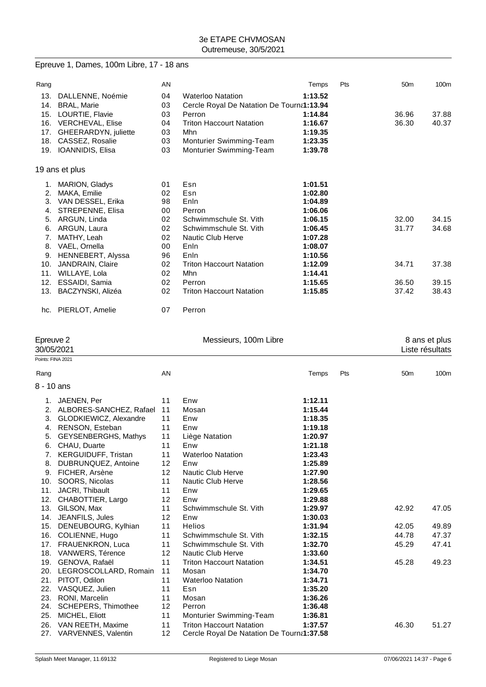## Epreuve 1, Dames, 100m Libre, 17 - 18 ans

| Rang      |                         | AN |                                           | Temps   | Pts | 50 <sub>m</sub> | 100m          |
|-----------|-------------------------|----|-------------------------------------------|---------|-----|-----------------|---------------|
| 13.       | DALLENNE, Noémie        | 04 | <b>Waterloo Natation</b>                  | 1:13.52 |     |                 |               |
| 14.       | <b>BRAL, Marie</b>      | 03 | Cercle Royal De Natation De Tourna1:13.94 |         |     |                 |               |
| 15.       | LOURTIE, Flavie         | 03 | Perron                                    | 1:14.84 |     | 36.96           | 37.88         |
| 16.       | <b>VERCHEVAL, Elise</b> | 04 | <b>Triton Haccourt Natation</b>           | 1:16.67 |     | 36.30           | 40.37         |
| 17.       | GHEERARDYN, juliette    | 03 | Mhn                                       | 1:19.35 |     |                 |               |
| 18.       | CASSEZ, Rosalie         | 03 | Monturier Swimming-Team                   | 1:23.35 |     |                 |               |
| 19.       | IOANNIDIS, Elisa        | 03 | Monturier Swimming-Team                   | 1:39.78 |     |                 |               |
|           | 19 ans et plus          |    |                                           |         |     |                 |               |
| 1.        | MARION, Gladys          | 01 | Esn                                       | 1:01.51 |     |                 |               |
| 2.        | MAKA, Emilie            | 02 | Esn                                       | 1:02.80 |     |                 |               |
| 3.        | VAN DESSEL, Erika       | 98 | Enln                                      | 1:04.89 |     |                 |               |
| 4.        | STREPENNE, Elisa        | 00 | Perron                                    | 1:06.06 |     |                 |               |
| 5.        | ARGUN, Linda            | 02 | Schwimmschule St. Vith                    | 1:06.15 |     | 32.00           | 34.15         |
| 6.        | ARGUN, Laura            | 02 | Schwimmschule St. Vith                    | 1:06.45 |     | 31.77           | 34.68         |
| 7.        | MATHY, Leah             | 02 | Nautic Club Herve                         | 1:07.28 |     |                 |               |
| 8.        | VAEL, Ornella           | 00 | Enln                                      | 1:08.07 |     |                 |               |
| 9.        | HENNEBERT, Alyssa       | 96 | Enln                                      | 1:10.56 |     |                 |               |
| 10.       | <b>JANDRAIN, Claire</b> | 02 | <b>Triton Haccourt Natation</b>           | 1:12.09 |     | 34.71           | 37.38         |
| 11.       | WILLAYE, Lola           | 02 | Mhn                                       | 1:14.41 |     |                 |               |
| 12.       | ESSAIDI, Samia          | 02 | Perron                                    | 1:15.65 |     | 36.50           | 39.15         |
| 13.       | BACZYNSKI, Alizéa       | 02 | <b>Triton Haccourt Natation</b>           | 1:15.85 |     | 37.42           | 38.43         |
|           | hc. PIERLOT, Amelie     | 07 | Perron                                    |         |     |                 |               |
| Epreuve 2 |                         |    | Messieurs, 100m Libre                     |         |     |                 | 8 ans et plus |

|            | $-$ pivuiv $-$<br>30/05/2021 |                   |                                           |         |     | o ano or prao<br>Liste résultats |       |  |
|------------|------------------------------|-------------------|-------------------------------------------|---------|-----|----------------------------------|-------|--|
|            | Points: FINA 2021            |                   |                                           |         |     |                                  |       |  |
| Rang       |                              | AN                |                                           | Temps   | Pts | 50 <sub>m</sub>                  | 100m  |  |
| 8 - 10 ans |                              |                   |                                           |         |     |                                  |       |  |
| 1.         | JAENEN, Per                  | 11                | Enw                                       | 1:12.11 |     |                                  |       |  |
| 2.         | ALBORES-SANCHEZ, Rafael      | 11                | Mosan                                     | 1:15.44 |     |                                  |       |  |
| 3.         | GLODKIEWICZ, Alexandre       | 11                | Enw                                       | 1:18.35 |     |                                  |       |  |
| 4.         | RENSON, Esteban              | 11                | Enw                                       | 1:19.18 |     |                                  |       |  |
| 5.         | GEYSENBERGHS, Mathys         | 11                | Liège Natation                            | 1:20.97 |     |                                  |       |  |
| 6.         | CHAU, Duarte                 | 11                | Enw                                       | 1:21.18 |     |                                  |       |  |
| 7.         | <b>KERGUIDUFF, Tristan</b>   | 11                | <b>Waterloo Natation</b>                  | 1:23.43 |     |                                  |       |  |
| 8.         | DUBRUNQUEZ, Antoine          | 12 <sup>2</sup>   | Enw                                       | 1:25.89 |     |                                  |       |  |
| 9.         | FICHER, Arsène               | 12 <sup>2</sup>   | Nautic Club Herve                         | 1:27.90 |     |                                  |       |  |
| 10.        | SOORS, Nicolas               | 11                | <b>Nautic Club Herve</b>                  | 1:28.56 |     |                                  |       |  |
| 11.        | JACRI, Thibault              | 11                | Enw                                       | 1:29.65 |     |                                  |       |  |
| 12.        | CHABOTTIER, Largo            | 12 <sup>2</sup>   | Enw                                       | 1:29.88 |     |                                  |       |  |
| 13.        | GILSON, Max                  | 11                | Schwimmschule St. Vith                    | 1:29.97 |     | 42.92                            | 47.05 |  |
| 14.        | JEANFILS, Jules              | $12 \overline{ }$ | Enw                                       | 1:30.03 |     |                                  |       |  |
| 15.        | DENEUBOURG, Kylhian          | 11                | <b>Helios</b>                             | 1:31.94 |     | 42.05                            | 49.89 |  |
| 16.        | COLIENNE, Hugo               | 11                | Schwimmschule St. Vith                    | 1:32.15 |     | 44.78                            | 47.37 |  |
|            | 17. FRAUENKRON, Luca         | 11                | Schwimmschule St. Vith                    | 1:32.70 |     | 45.29                            | 47.41 |  |
| 18.        | VANWERS, Térence             | 12 <sup>2</sup>   | Nautic Club Herve                         | 1:33.60 |     |                                  |       |  |
| 19.        | GENOVA, Rafaël               | 11                | <b>Triton Haccourt Natation</b>           | 1:34.51 |     | 45.28                            | 49.23 |  |
| 20.        | LEGROSCOLLARD, Romain        | 11                | Mosan                                     | 1:34.70 |     |                                  |       |  |
| 21.        | PITOT, Odilon                | 11                | <b>Waterloo Natation</b>                  | 1:34.71 |     |                                  |       |  |
| 22.        | VASQUEZ, Julien              | 11                | Esn                                       | 1:35.20 |     |                                  |       |  |
| 23.        | RONI, Marcelin               | 11                | Mosan                                     | 1:36.26 |     |                                  |       |  |
| 24.        | <b>SCHEPERS, Thimothee</b>   | 12 <sup>2</sup>   | Perron                                    | 1:36.48 |     |                                  |       |  |
| 25.        | MICHEL, Eliott               | 11                | Monturier Swimming-Team                   | 1:36.81 |     |                                  |       |  |
| 26.        | VAN REETH, Maxime            | 11                | <b>Triton Haccourt Natation</b>           | 1:37.57 |     | 46.30                            | 51.27 |  |
|            | 27. VARVENNES, Valentin      | 12                | Cercle Royal De Natation De Tourna1:37.58 |         |     |                                  |       |  |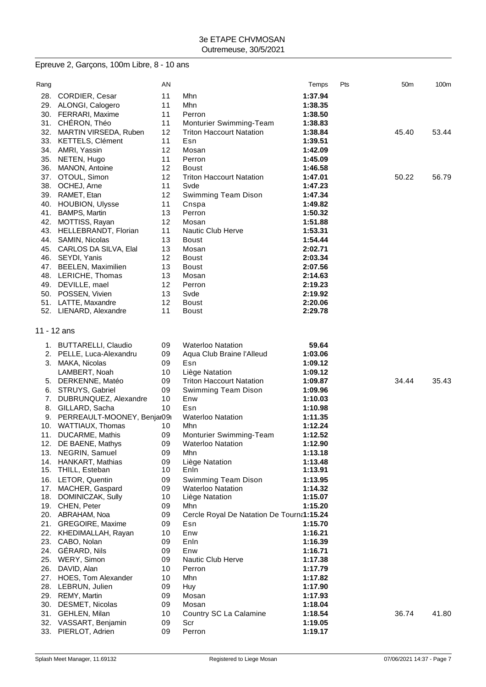# Epreuve 2, Garçons, 100m Libre, 8 - 10 ans

| Rang |                                        | AN |                                           | Temps   | Pts | 50 <sub>m</sub> | 100m  |
|------|----------------------------------------|----|-------------------------------------------|---------|-----|-----------------|-------|
| 28.  | CORDIER, Cesar                         | 11 | Mhn                                       | 1:37.94 |     |                 |       |
| 29.  | ALONGI, Calogero                       | 11 | Mhn                                       | 1:38.35 |     |                 |       |
| 30.  | FERRARI, Maxime                        | 11 | Perron                                    | 1:38.50 |     |                 |       |
|      | 31. CHÉRON, Théo                       | 11 | Monturier Swimming-Team                   | 1:38.83 |     |                 |       |
| 32.  | MARTIN VIRSEDA, Ruben                  | 12 | <b>Triton Haccourt Natation</b>           | 1:38.84 |     | 45.40           | 53.44 |
| 33.  | KETTELS, Clément                       | 11 | Esn                                       | 1:39.51 |     |                 |       |
| 34.  | AMRI, Yassin                           | 12 | Mosan                                     | 1:42.09 |     |                 |       |
| 35.  | NETEN, Hugo                            | 11 | Perron                                    | 1:45.09 |     |                 |       |
| 36.  | MANON, Antoine                         | 12 | <b>Boust</b>                              | 1:46.58 |     |                 |       |
| 37.  | OTOUL, Simon                           | 12 | <b>Triton Haccourt Natation</b>           | 1:47.01 |     | 50.22           | 56.79 |
| 38.  | OCHEJ, Arne                            | 11 | Svde                                      | 1:47.23 |     |                 |       |
| 39.  | RAMET, Etan                            | 12 | <b>Swimming Team Dison</b>                | 1:47.34 |     |                 |       |
| 40.  | HOUBION, Ulysse                        | 11 | Cnspa                                     | 1:49.82 |     |                 |       |
| 41.  | <b>BAMPS, Martin</b>                   | 13 | Perron                                    | 1:50.32 |     |                 |       |
| 42.  | MOTTISS, Rayan                         | 12 | Mosan                                     | 1:51.88 |     |                 |       |
| 43.  | HELLEBRANDT, Florian                   | 11 | Nautic Club Herve                         | 1:53.31 |     |                 |       |
| 44.  | SAMIN, Nicolas                         | 13 | <b>Boust</b>                              | 1:54.44 |     |                 |       |
| 45.  | CARLOS DA SILVA, Elal                  | 13 | Mosan                                     | 2:02.71 |     |                 |       |
| 46.  | SEYDI, Yanis                           | 12 | <b>Boust</b>                              | 2:03.34 |     |                 |       |
| 47.  | <b>BEELEN, Maximilien</b>              | 13 | <b>Boust</b>                              | 2:07.56 |     |                 |       |
|      | 48. LERICHE, Thomas                    | 13 | Mosan                                     | 2:14.63 |     |                 |       |
| 49.  | DEVILLE, mael                          | 12 | Perron                                    | 2:19.23 |     |                 |       |
| 50.  | POSSEN, Vivien                         | 13 | Svde                                      | 2:19.92 |     |                 |       |
| 51.  | LATTE, Maxandre                        | 12 | <b>Boust</b>                              | 2:20.06 |     |                 |       |
|      | 52. LIENARD, Alexandre                 | 11 | <b>Boust</b>                              | 2:29.78 |     |                 |       |
|      | 11 - 12 ans                            |    |                                           |         |     |                 |       |
|      |                                        | 09 | <b>Waterloo Natation</b>                  | 59.64   |     |                 |       |
| 2.   | 1. BUTTARELLI, Claudio                 | 09 |                                           | 1:03.06 |     |                 |       |
| 3.   | PELLE, Luca-Alexandru<br>MAKA, Nicolas | 09 | Aqua Club Braine l'Alleud<br>Esn          | 1:09.12 |     |                 |       |
|      | LAMBERT, Noah                          | 10 | Liège Natation                            | 1:09.12 |     |                 |       |
| 5.   | DERKENNE, Matéo                        | 09 | <b>Triton Haccourt Natation</b>           | 1:09.87 |     | 34.44           | 35.43 |
| 6.   | STRUYS, Gabriel                        | 09 | Swimming Team Dison                       | 1:09.96 |     |                 |       |
| 7.   | DUBRUNQUEZ, Alexandre                  | 10 | Enw                                       | 1:10.03 |     |                 |       |
| 8.   | GILLARD, Sacha                         | 10 | Esn                                       | 1:10.98 |     |                 |       |
| 9.   | PERREAULT-MOONEY, Benjar09             |    | <b>Waterloo Natation</b>                  | 1:11.35 |     |                 |       |
| 10.  | WATTIAUX, Thomas                       | 10 | Mhn                                       | 1:12.24 |     |                 |       |
| 11.  | DUCARME, Mathis                        | 09 | Monturier Swimming-Team                   | 1:12.52 |     |                 |       |
|      | 12. DE BAENE, Mathys                   | 09 | <b>Waterloo Natation</b>                  | 1:12.90 |     |                 |       |
| 13.  | NEGRIN, Samuel                         | 09 | Mhn                                       | 1:13.18 |     |                 |       |
| 14.  | HANKART, Mathias                       | 09 | Liège Natation                            | 1:13.48 |     |                 |       |
|      | 15. THILL, Esteban                     | 10 | Enln                                      | 1:13.91 |     |                 |       |
| 16.  | LETOR, Quentin                         | 09 | <b>Swimming Team Dison</b>                | 1:13.95 |     |                 |       |
| 17.  | MACHER, Gaspard                        | 09 | <b>Waterloo Natation</b>                  | 1:14.32 |     |                 |       |
| 18.  | DOMINICZAK, Sully                      | 10 | Liège Natation                            | 1:15.07 |     |                 |       |
|      | 19. CHEN, Peter                        | 09 | Mhn                                       | 1:15.20 |     |                 |       |
|      | 20. ABRAHAM, Noa                       | 09 | Cercle Royal De Natation De Tourna1:15.24 |         |     |                 |       |
|      | 21. GREGOIRE, Maxime                   | 09 | Esn                                       | 1:15.70 |     |                 |       |
| 22.  | KHEDIMALLAH, Rayan                     | 10 | Enw                                       | 1:16.21 |     |                 |       |
|      | 23. CABO, Nolan                        | 09 | Enln                                      | 1:16.39 |     |                 |       |
| 24.  | GÉRARD, Nils                           | 09 | Enw                                       | 1:16.71 |     |                 |       |
|      | 25. WERY, Simon                        | 09 | <b>Nautic Club Herve</b>                  | 1:17.38 |     |                 |       |
| 26.  | DAVID, Alan                            | 10 | Perron                                    | 1:17.79 |     |                 |       |
| 27.  | HOES, Tom Alexander                    | 10 | Mhn                                       | 1:17.82 |     |                 |       |
| 28.  | LEBRUN, Julien                         | 09 | Huy                                       | 1:17.90 |     |                 |       |
| 29.  | REMY, Martin                           | 09 | Mosan                                     | 1:17.93 |     |                 |       |
| 30.  | DESMET, Nicolas                        | 09 | Mosan                                     | 1:18.04 |     |                 |       |
| 31.  | GEHLEN, Milan                          | 10 | Country SC La Calamine                    | 1:18.54 |     | 36.74           | 41.80 |
|      | 32. VASSART, Benjamin                  | 09 | Scr                                       | 1:19.05 |     |                 |       |
| 33.  | PIERLOT, Adrien                        | 09 | Perron                                    | 1:19.17 |     |                 |       |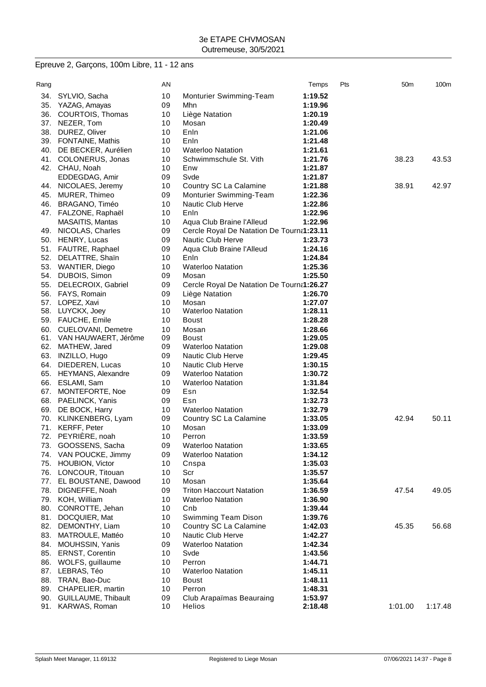# Epreuve 2, Garçons, 100m Libre, 11 - 12 ans

| Rang |                          | AN |                                           | Temps   | Pts | 50 <sub>m</sub> | 100m    |
|------|--------------------------|----|-------------------------------------------|---------|-----|-----------------|---------|
| 34.  | SYLVIO, Sacha            | 10 | Monturier Swimming-Team                   | 1:19.52 |     |                 |         |
| 35.  | YAZAG, Amayas            | 09 | Mhn.                                      | 1:19.96 |     |                 |         |
| 36.  | COURTOIS, Thomas         | 10 | Liège Natation                            | 1:20.19 |     |                 |         |
| 37.  | NEZER, Tom               | 10 | Mosan                                     | 1:20.49 |     |                 |         |
| 38.  | DUREZ, Oliver            | 10 | Enln                                      | 1:21.06 |     |                 |         |
| 39.  | FONTAINE, Mathis         | 10 | Enln                                      | 1:21.48 |     |                 |         |
| 40.  | DE BECKER, Aurélien      | 10 | <b>Waterloo Natation</b>                  | 1:21.61 |     |                 |         |
| 41.  | COLONERUS, Jonas         | 10 | Schwimmschule St. Vith                    | 1:21.76 |     | 38.23           | 43.53   |
|      | 42. CHAU, Noah           | 10 | Enw                                       | 1:21.87 |     |                 |         |
|      | EDDEGDAG, Amir           | 09 | Svde                                      | 1:21.87 |     |                 |         |
|      | 44. NICOLAES, Jeremy     | 10 | Country SC La Calamine                    | 1:21.88 |     | 38.91           | 42.97   |
| 45.  | MURER, Thimeo            | 09 | Monturier Swimming-Team                   | 1:22.36 |     |                 |         |
| 46.  | BRAGANO, Timéo           | 10 | Nautic Club Herve                         | 1:22.86 |     |                 |         |
|      | 47. FALZONE, Raphaël     | 10 | Enln                                      | 1:22.96 |     |                 |         |
|      | MASAITIS, Mantas         | 10 | Aqua Club Braine l'Alleud                 | 1:22.96 |     |                 |         |
|      | 49. NICOLAS, Charles     | 09 | Cercle Royal De Natation De Tourna1:23.11 |         |     |                 |         |
| 50.  | HENRY, Lucas             | 09 | <b>Nautic Club Herve</b>                  | 1:23.73 |     |                 |         |
| 51.  | FAUTRE, Raphael          | 09 | Aqua Club Braine l'Alleud                 | 1:24.16 |     |                 |         |
| 52.  | DELATTRE, Shain          | 10 | Enln                                      | 1:24.84 |     |                 |         |
| 53.  | <b>WANTIER, Diego</b>    | 10 | <b>Waterloo Natation</b>                  | 1:25.36 |     |                 |         |
| 54.  | DUBOIS, Simon            | 09 | Mosan                                     | 1:25.50 |     |                 |         |
| 55.  | DELECROIX, Gabriel       | 09 | Cercle Royal De Natation De Tourna1:26.27 |         |     |                 |         |
| 56.  | FAYS, Romain             | 09 | Liège Natation                            | 1:26.70 |     |                 |         |
| 57.  | LOPEZ, Xavi              | 10 | Mosan                                     | 1:27.07 |     |                 |         |
|      | 58. LUYCKX, Joey         | 10 | <b>Waterloo Natation</b>                  | 1:28.11 |     |                 |         |
|      | 59. FAUCHE, Emile        | 10 | <b>Boust</b>                              | 1:28.28 |     |                 |         |
|      | 60. CUELOVANI, Demetre   | 10 | Mosan                                     | 1:28.66 |     |                 |         |
|      | 61. VAN HAUWAERT, Jérôme | 09 | Boust                                     | 1:29.05 |     |                 |         |
| 62.  | MATHEW, Jared            | 09 | <b>Waterloo Natation</b>                  | 1:29.08 |     |                 |         |
| 63.  | INZILLO, Hugo            | 09 | <b>Nautic Club Herve</b>                  | 1:29.45 |     |                 |         |
| 64.  | DIEDEREN, Lucas          | 10 | <b>Nautic Club Herve</b>                  | 1:30.15 |     |                 |         |
|      | 65. HEYMANS, Alexandre   | 09 | <b>Waterloo Natation</b>                  | 1:30.72 |     |                 |         |
| 66.  | ESLAMI, Sam              | 10 | <b>Waterloo Natation</b>                  | 1:31.84 |     |                 |         |
| 67.  | MONTEFORTE, Noe          | 09 | Esn                                       | 1:32.54 |     |                 |         |
| 68.  | PAELINCK, Yanis          | 09 | Esn                                       | 1:32.73 |     |                 |         |
| 69.  | DE BOCK, Harry           | 10 | <b>Waterloo Natation</b>                  | 1:32.79 |     |                 |         |
| 70.  | KLINKENBERG, Lyam        | 09 | Country SC La Calamine                    | 1:33.05 |     | 42.94           | 50.11   |
| 71.  | <b>KERFF, Peter</b>      | 10 | Mosan                                     | 1:33.09 |     |                 |         |
| 72.  | PEYRIÈRE, noah           | 10 | Perron                                    | 1:33.59 |     |                 |         |
| 73.  | GOOSSENS, Sacha          | 09 | <b>Waterloo Natation</b>                  | 1:33.65 |     |                 |         |
|      | 74. VAN POUCKE, Jimmy    | 09 | <b>Waterloo Natation</b>                  | 1:34.12 |     |                 |         |
| 75.  | <b>HOUBION, Victor</b>   | 10 | Cnspa                                     | 1:35.03 |     |                 |         |
| 76.  | LONCOUR, Titouan         | 10 | Scr                                       | 1:35.57 |     |                 |         |
|      | 77. EL BOUSTANE, Dawood  | 10 | Mosan                                     | 1:35.64 |     |                 |         |
| 78.  | DIGNEFFE, Noah           | 09 | <b>Triton Haccourt Natation</b>           | 1:36.59 |     | 47.54           | 49.05   |
| 79.  | KOH, William             | 10 | <b>Waterloo Natation</b>                  | 1:36.90 |     |                 |         |
| 80.  | CONROTTE, Jehan          | 10 | Cnb                                       | 1:39.44 |     |                 |         |
| 81.  | DOCQUIER, Mat            | 10 | Swimming Team Dison                       | 1:39.76 |     |                 |         |
| 82.  | DEMONTHY, Liam           | 10 | Country SC La Calamine                    | 1:42.03 |     | 45.35           | 56.68   |
| 83.  | MATROULE, Mattéo         | 10 | Nautic Club Herve                         | 1:42.27 |     |                 |         |
| 84.  | MOUHSSIN, Yanis          | 09 | <b>Waterloo Natation</b>                  | 1:42.34 |     |                 |         |
| 85.  | <b>ERNST, Corentin</b>   | 10 | Svde                                      | 1:43.56 |     |                 |         |
| 86.  | WOLFS, guillaume         | 10 | Perron                                    | 1:44.71 |     |                 |         |
| 87.  | LEBRAS, Téo              | 10 | <b>Waterloo Natation</b>                  | 1:45.11 |     |                 |         |
| 88.  | TRAN, Bao-Duc            | 10 | <b>Boust</b>                              | 1:48.11 |     |                 |         |
|      | 89. CHAPELIER, martin    | 10 | Perron                                    | 1:48.31 |     |                 |         |
| 90.  | GUILLAUME, Thibault      | 09 | Club Arapaïmas Beauraing                  | 1:53.97 |     |                 |         |
|      | 91. KARWAS, Roman        | 10 | Helios                                    | 2:18.48 |     | 1:01.00         | 1:17.48 |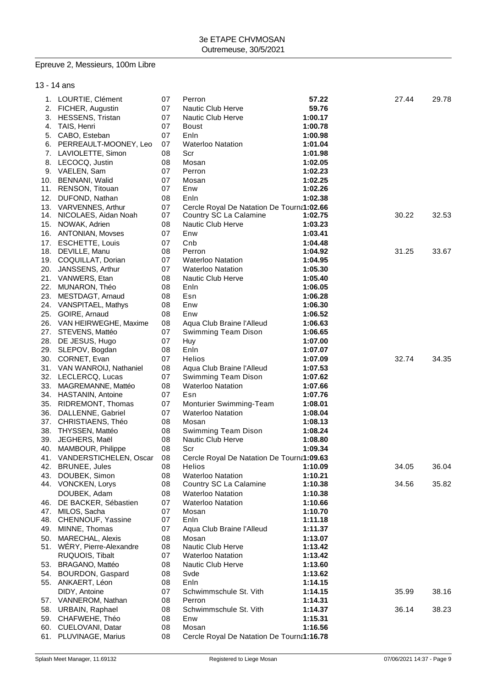# Epreuve 2, Messieurs, 100m Libre

13 - 14 ans

| 1. LOURTIE, Clément           | 07 | Perron                                    | 57.22   | 27.44 | 29.78 |
|-------------------------------|----|-------------------------------------------|---------|-------|-------|
| 2. FICHER, Augustin           | 07 | Nautic Club Herve                         | 59.76   |       |       |
| 3. HESSENS, Tristan           | 07 | Nautic Club Herve                         | 1:00.17 |       |       |
| 4. TAIS, Henri                | 07 | <b>Boust</b>                              | 1:00.78 |       |       |
| 5. CABO, Esteban              | 07 | Enln                                      | 1:00.98 |       |       |
| 6. PERREAULT-MOONEY, Leo      | 07 | <b>Waterloo Natation</b>                  | 1:01.04 |       |       |
| 7. LAVIOLETTE, Simon          | 08 | Scr                                       | 1:01.98 |       |       |
| 8. LECOCQ, Justin             | 08 | Mosan                                     | 1:02.05 |       |       |
| 9. VAELEN, Sam                | 07 | Perron                                    | 1:02.23 |       |       |
| 10. BENNANI, Walid            | 07 | Mosan                                     | 1:02.25 |       |       |
| 11. RENSON, Titouan           | 07 | Enw                                       | 1:02.26 |       |       |
| 12. DUFOND, Nathan            | 08 | Enln                                      | 1:02.38 |       |       |
| 13. VARVENNES, Arthur         | 07 | Cercle Royal De Natation De Tourna1:02.66 |         |       |       |
| 14. NICOLAES, Aidan Noah      | 07 | Country SC La Calamine                    | 1:02.75 | 30.22 | 32.53 |
| 15. NOWAK, Adrien             | 08 | Nautic Club Herve                         | 1:03.23 |       |       |
| 16. ANTONIAN, Movses          | 07 | Enw                                       | 1:03.41 |       |       |
| 17. ESCHETTE, Louis           | 07 | Cnb                                       | 1:04.48 |       |       |
| 18. DEVILLE, Manu             | 08 | Perron                                    | 1:04.92 | 31.25 | 33.67 |
| 19. COQUILLAT, Dorian         | 07 | <b>Waterloo Natation</b>                  | 1:04.95 |       |       |
| 20. JANSSENS, Arthur          | 07 | <b>Waterloo Natation</b>                  | 1:05.30 |       |       |
| 21. VANWERS, Etan             | 08 | Nautic Club Herve                         | 1:05.40 |       |       |
|                               |    |                                           |         |       |       |
| 22. MUNARON, Théo             | 08 | Enln                                      | 1:06.05 |       |       |
| 23. MESTDAGT, Arnaud          | 08 | Esn                                       | 1:06.28 |       |       |
| 24. VANSPITAEL, Mathys        | 08 | Enw                                       | 1:06.30 |       |       |
| 25. GOIRE, Arnaud             | 08 | Enw                                       | 1:06.52 |       |       |
| 26. VAN HEIRWEGHE, Maxime     | 08 | Agua Club Braine l'Alleud                 | 1:06.63 |       |       |
| 27. STEVENS, Mattéo           | 07 | Swimming Team Dison                       | 1:06.65 |       |       |
| 28. DE JESUS, Hugo            | 07 | Huy                                       | 1:07.00 |       |       |
| 29. SLEPOV, Bogdan            | 08 | Enln                                      | 1:07.07 |       |       |
| 30. CORNET, Evan              | 07 | Helios                                    | 1:07.09 | 32.74 | 34.35 |
| 31. VAN WANROIJ, Nathaniel    | 08 | Aqua Club Braine l'Alleud                 | 1:07.53 |       |       |
| 32. LECLERCQ, Lucas           | 07 | Swimming Team Dison                       | 1:07.62 |       |       |
| 33. MAGREMANNE, Mattéo        | 08 | <b>Waterloo Natation</b>                  | 1:07.66 |       |       |
| 34. HASTANIN, Antoine         | 07 | Esn                                       | 1:07.76 |       |       |
| 35. RIDREMONT, Thomas         | 07 | Monturier Swimming-Team                   | 1:08.01 |       |       |
| 36. DALLENNE, Gabriel         | 07 | <b>Waterloo Natation</b>                  | 1:08.04 |       |       |
| 37. CHRISTIAENS, Théo         | 08 | Mosan                                     | 1:08.13 |       |       |
| 38. THYSSEN, Mattéo           | 08 | Swimming Team Dison                       | 1:08.24 |       |       |
| 39. JEGHERS, Maël             | 08 | Nautic Club Herve                         | 1:08.80 |       |       |
| 40. MAMBOUR, Philippe         | 08 | Scr                                       | 1:09.34 |       |       |
| 41. VANDERSTICHELEN, Oscar 08 |    | Cercle Royal De Natation De Tourna1:09.63 |         |       |       |
| 42. BRUNEE, Jules             | 08 | Helios                                    | 1:10.09 | 34.05 | 36.04 |
| 43. DOUBEK, Simon             | 08 | <b>Waterloo Natation</b>                  | 1:10.21 |       |       |
| 44. VONCKEN, Lorys            | 08 | Country SC La Calamine                    | 1:10.38 | 34.56 | 35.82 |
| DOUBEK, Adam                  | 08 | <b>Waterloo Natation</b>                  | 1:10.38 |       |       |
| 46. DE BACKER, Sébastien      | 07 | <b>Waterloo Natation</b>                  | 1:10.66 |       |       |
| 47. MILOS, Sacha              | 07 | Mosan                                     | 1:10.70 |       |       |
| 48. CHENNOUF, Yassine         | 07 | Enln                                      | 1:11.18 |       |       |
| 49. MINNE, Thomas             | 07 | Aqua Club Braine l'Alleud                 | 1:11.37 |       |       |
| 50. MARECHAL, Alexis          | 08 | Mosan                                     | 1:13.07 |       |       |
| 51. WERY, Pierre-Alexandre    | 08 | Nautic Club Herve                         | 1:13.42 |       |       |
| RUQUOIS, Tibalt               | 07 | <b>Waterloo Natation</b>                  | 1:13.42 |       |       |
| 53. BRAGANO, Mattéo           | 08 | Nautic Club Herve                         | 1:13.60 |       |       |
| 54. BOURDON, Gaspard          | 08 | Svde                                      | 1:13.62 |       |       |
| 55. ANKAERT, Léon             | 08 | Enln                                      | 1:14.15 |       |       |
| DIDY, Antoine                 | 07 | Schwimmschule St. Vith                    | 1:14.15 | 35.99 | 38.16 |
| 57. VANNEROM, Nathan          | 08 | Perron                                    | 1:14.31 |       |       |
| 58. URBAIN, Raphael           | 08 | Schwimmschule St. Vith                    | 1:14.37 | 36.14 | 38.23 |
|                               |    | Enw                                       |         |       |       |
| 59. CHAFWEHE, Théo            | 08 | Mosan                                     | 1:15.31 |       |       |
| 60. CUELOVANI, Datar          | 08 |                                           | 1:16.56 |       |       |
| 61. PLUVINAGE, Marius         | 08 | Cercle Royal De Natation De Tourna1:16.78 |         |       |       |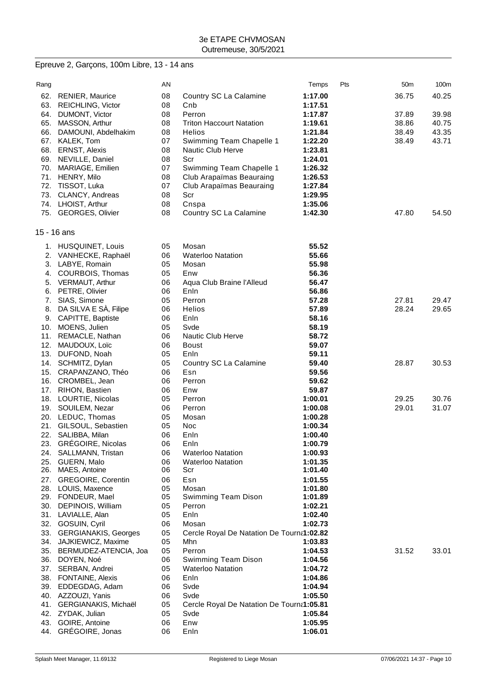# Epreuve 2, Garçons, 100m Libre, 13 - 14 ans

| Rang       |                                            | AN       |                                           | Temps              | Pts | 50 <sub>m</sub> | 100m  |
|------------|--------------------------------------------|----------|-------------------------------------------|--------------------|-----|-----------------|-------|
| 62.        | <b>RENIER, Maurice</b>                     | 08       | Country SC La Calamine                    | 1:17.00            |     | 36.75           | 40.25 |
| 63.        | <b>REICHLING, Victor</b>                   | 08       | Cnb                                       | 1:17.51            |     |                 |       |
| 64.        | DUMONT, Victor                             | 08       | Perron                                    | 1:17.87            |     | 37.89           | 39.98 |
| 65.        | MASSON, Arthur                             | 08       | <b>Triton Haccourt Natation</b>           | 1:19.61            |     | 38.86           | 40.75 |
| 66.        | DAMOUNI, Abdelhakim                        | 08       | <b>Helios</b>                             | 1:21.84            |     | 38.49           | 43.35 |
| 67.        | KALEK, Tom                                 | 07       | Swimming Team Chapelle 1                  | 1:22.20            |     | 38.49           | 43.71 |
| 68.        | <b>ERNST, Alexis</b>                       | 08       | Nautic Club Herve                         | 1:23.81            |     |                 |       |
| 69.        | NEVILLE, Daniel                            | 08       | Scr                                       | 1:24.01            |     |                 |       |
| 70.        | MARIAGE, Emilien                           | 07       | Swimming Team Chapelle 1                  | 1:26.32            |     |                 |       |
|            | 71. HENRY, Milo                            | 08       | Club Arapaïmas Beauraing                  | 1:26.53            |     |                 |       |
| 72.<br>73. | TISSOT, Luka                               | 07<br>08 | Club Arapaïmas Beauraing<br>Scr           | 1:27.84            |     |                 |       |
|            | CLANCY, Andreas<br>74. LHOIST, Arthur      | 08       | Cnspa                                     | 1:29.95<br>1:35.06 |     |                 |       |
|            | 75. GEORGES, Olivier                       | 08       | Country SC La Calamine                    | 1:42.30            |     | 47.80           | 54.50 |
|            | 15 - 16 ans                                |          |                                           |                    |     |                 |       |
|            |                                            |          | Mosan                                     |                    |     |                 |       |
|            | 1. HUSQUINET, Louis                        | 05<br>06 |                                           | 55.52<br>55.66     |     |                 |       |
| 3.         | 2. VANHECKE, Raphaël<br>LABYE, Romain      | 05       | <b>Waterloo Natation</b><br>Mosan         | 55.98              |     |                 |       |
| 4.         | COURBOIS, Thomas                           | 05       | Enw                                       | 56.36              |     |                 |       |
| 5.         | VERMAUT, Arthur                            | 06       | Aqua Club Braine l'Alleud                 | 56.47              |     |                 |       |
| 6.         | PETRE, Olivier                             | 06       | Enln                                      | 56.86              |     |                 |       |
| 7.         | SIAS, Simone                               | 05       | Perron                                    | 57.28              |     | 27.81           | 29.47 |
| 8.         | DA SILVA E SÀ, Filipe                      | 06       | Helios                                    | 57.89              |     | 28.24           | 29.65 |
| 9.         | CAPITTE, Baptiste                          | 06       | Enln                                      | 58.16              |     |                 |       |
| 10.        | MOENS, Julien                              | 05       | Svde                                      | 58.19              |     |                 |       |
| 11.        | REMACLE, Nathan                            | 06       | <b>Nautic Club Herve</b>                  | 58.72              |     |                 |       |
| 12.        | MAUDOUX, Loïc                              | 06       | <b>Boust</b>                              | 59.07              |     |                 |       |
| 13.        | DUFOND, Noah                               | 05       | Enln                                      | 59.11              |     |                 |       |
| 14.        | SCHMITZ, Dylan                             | 05       | Country SC La Calamine                    | 59.40              |     | 28.87           | 30.53 |
| 15.        | CRAPANZANO, Théo                           | 06       | Esn                                       | 59.56              |     |                 |       |
| 16.        | CROMBEL, Jean                              | 06       | Perron                                    | 59.62              |     |                 |       |
| 17.        | RIHON, Bastien                             | 06       | Enw                                       | 59.87              |     |                 |       |
|            | 18. LOURTIE, Nicolas                       | 05       | Perron                                    | 1:00.01            |     | 29.25           | 30.76 |
|            | 19. SOUILEM, Nezar                         | 06       | Perron                                    | 1:00.08            |     | 29.01           | 31.07 |
|            | 20. LEDUC, Thomas                          | 05       | Mosan                                     | 1:00.28            |     |                 |       |
| 21.        | GILSOUL, Sebastien                         | 05       | Noc                                       | 1:00.34            |     |                 |       |
| 22.        | SALIBBA, Milan                             | 06       | Enln                                      | 1:00.40            |     |                 |       |
| 24.        | 23. GRÉGOIRE, Nicolas<br>SALLMANN, Tristan | 06<br>06 | Enln<br><b>Waterloo Natation</b>          | 1:00.79<br>1:00.93 |     |                 |       |
| 25.        | GUERN, Malo                                | 06       | <b>Waterloo Natation</b>                  | 1:01.35            |     |                 |       |
| 26.        | MAES, Antoine                              | 06       | Scr                                       | 1:01.40            |     |                 |       |
| 27.        | <b>GREGOIRE, Corentin</b>                  | 06       | Esn                                       | 1:01.55            |     |                 |       |
| 28.        | LOUIS, Maxence                             | 05       | Mosan                                     | 1:01.80            |     |                 |       |
|            | 29. FONDEUR, Mael                          | 05       | Swimming Team Dison                       | 1:01.89            |     |                 |       |
| 30.        | DEPINOIS, William                          | 05       | Perron                                    | 1:02.21            |     |                 |       |
|            | 31. LAVIALLE, Alan                         | 05       | Enln                                      | 1:02.40            |     |                 |       |
|            | 32. GOSUIN, Cyril                          | 06       | Mosan                                     | 1:02.73            |     |                 |       |
| 33.        | <b>GERGIANAKIS, Georges</b>                | 05       | Cercle Royal De Natation De Tourna1:02.82 |                    |     |                 |       |
| 34.        | JAJKIEWICZ, Maxime                         | 05       | Mhn                                       | 1:03.83            |     |                 |       |
| 35.        | BERMUDEZ-ATENCIA, Joa                      | 05       | Perron                                    | 1:04.53            |     | 31.52           | 33.01 |
| 36.        | DOYEN, Noé                                 | 06       | Swimming Team Dison                       | 1:04.56            |     |                 |       |
|            | 37. SERBAN, Andrei                         | 05       | <b>Waterloo Natation</b>                  | 1:04.72            |     |                 |       |
|            | 38. FONTAINE, Alexis                       | 06       | Enln                                      | 1:04.86            |     |                 |       |
| 39.        | EDDEGDAG, Adam                             | 06<br>06 | Svde<br>Svde                              | 1:04.94<br>1:05.50 |     |                 |       |
| 41.        | 40. AZZOUZI, Yanis<br>GERGIANAKIS, Michaël | 05       | Cercle Royal De Natation De Tourna1:05.81 |                    |     |                 |       |
|            | 42. ZYDAK, Julian                          | 05       | Svde                                      | 1:05.84            |     |                 |       |
| 43.        | GOIRE, Antoine                             | 06       | Enw                                       | 1:05.95            |     |                 |       |
|            | 44. GRÉGOIRE, Jonas                        | 06       | Enln                                      | 1:06.01            |     |                 |       |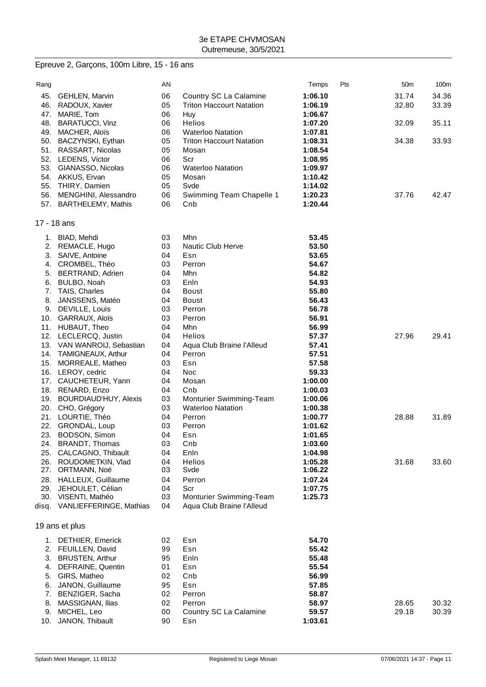# Epreuve 2, Garçons, 100m Libre, 15 - 16 ans

| Rang  |                         | AN |                                 | Temps   | Pts | 50 <sub>m</sub> | 100m  |
|-------|-------------------------|----|---------------------------------|---------|-----|-----------------|-------|
| 45.   | <b>GEHLEN, Marvin</b>   | 06 | Country SC La Calamine          | 1:06.10 |     | 31.74           | 34.36 |
| 46.   | RADOUX, Xavier          | 05 | <b>Triton Haccourt Natation</b> | 1:06.19 |     | 32.80           | 33.39 |
| 47.   | MARIE, Tom              | 06 | Huy                             | 1:06.67 |     |                 |       |
| 48.   | <b>BARATUCCI, Vinz</b>  | 06 | Helios                          | 1:07.20 |     | 32.09           | 35.11 |
| 49.   | MACHER, Aloïs           | 06 | <b>Waterloo Natation</b>        | 1:07.81 |     |                 |       |
| 50.   | BACZYNSKI, Eythan       | 05 | <b>Triton Haccourt Natation</b> | 1:08.31 |     | 34.38           | 33.93 |
| 51.   | RASSART, Nicolas        | 05 | Mosan                           | 1:08.54 |     |                 |       |
| 52.   | LEDENS, Victor          | 06 | Scr                             | 1:08.95 |     |                 |       |
| 53.   | GIANASSO, Nicolas       | 06 | <b>Waterloo Natation</b>        | 1:09.97 |     |                 |       |
|       | 54. AKKUS, Ervan        | 05 | Mosan                           | 1:10.42 |     |                 |       |
| 55.   | THIRY, Damien           | 05 | Svde                            | 1:14.02 |     |                 |       |
| 56.   | MENGHINI, Alessandro    | 06 | Swimming Team Chapelle 1        | 1:20.23 |     | 37.76           | 42.47 |
|       | 57. BARTHELEMY, Mathis  | 06 | Cnb                             | 1:20.44 |     |                 |       |
|       | 17 - 18 ans             |    |                                 |         |     |                 |       |
|       | 1. BIAD, Mehdi          | 03 | Mhn                             | 53.45   |     |                 |       |
| 2.    | REMACLE, Hugo           | 03 | Nautic Club Herve               | 53.50   |     |                 |       |
| 3.    | SAIVE, Antoine          | 04 | Esn                             | 53.65   |     |                 |       |
|       | 4. CROMBEL, Théo        | 03 | Perron                          | 54.67   |     |                 |       |
| 5.    | BERTRAND, Adrien        | 04 | Mhn                             | 54.82   |     |                 |       |
| 6.    | BULBO, Noah             | 03 | Enln                            | 54.93   |     |                 |       |
| 7.    | TAIS, Charles           | 04 | <b>Boust</b>                    | 55.80   |     |                 |       |
| 8.    | JANSSENS, Matéo         | 04 | <b>Boust</b>                    | 56.43   |     |                 |       |
|       | 9. DEVILLE, Louis       | 03 | Perron                          | 56.78   |     |                 |       |
|       | 10. GARRAUX, Aloïs      | 03 | Perron                          | 56.91   |     |                 |       |
|       | 11. HUBAUT, Theo        | 04 | Mhn                             | 56.99   |     |                 |       |
| 12.   | LECLERCQ, Justin        | 04 | <b>Helios</b>                   | 57.37   |     | 27.96           | 29.41 |
| 13.   | VAN WANROIJ, Sebastian  | 04 | Aqua Club Braine l'Alleud       | 57.41   |     |                 |       |
| 14.   | TAMIGNEAUX, Arthur      | 04 | Perron                          | 57.51   |     |                 |       |
| 15.   | MORREALE, Matheo        | 03 | Esn                             | 57.58   |     |                 |       |
|       | 16. LEROY, cedric       | 04 | Noc                             | 59.33   |     |                 |       |
|       | 17. CAUCHETEUR, Yann    | 04 | Mosan                           | 1:00.00 |     |                 |       |
|       | 18. RENARD, Enzo        | 04 | Cnb                             | 1:00.03 |     |                 |       |
| 19.   | BOURDIAUD'HUY, Alexis   | 03 | Monturier Swimming-Team         | 1:00.06 |     |                 |       |
|       | 20. CHO, Grégory        | 03 | <b>Waterloo Natation</b>        | 1:00.38 |     |                 |       |
| 21.   | LOURTIE, Théo           | 04 | Perron                          | 1:00.77 |     | 28.88           | 31.89 |
|       | 22. GRONDAL, Loup       | 03 | Perron                          | 1:01.62 |     |                 |       |
| 23.   | BODSON, Simon           | 04 | Esn                             | 1:01.65 |     |                 |       |
|       | 24. BRANDT, Thomas      | 03 | Cnb                             | 1:03.60 |     |                 |       |
| 25.   | CALCAGNO, Thibault      | 04 | Enln                            | 1:04.98 |     |                 |       |
| 26.   | ROUDOMETKIN, Vlad       | 04 | <b>Helios</b>                   | 1:05.28 |     | 31.68           | 33.60 |
|       | 27. ORTMANN, Noé        | 03 | Svde                            | 1:06.22 |     |                 |       |
|       | 28. HALLEUX, Guillaume  | 04 | Perron                          | 1:07.24 |     |                 |       |
| 29.   | JEHOULET, Célian        | 04 | Scr                             | 1:07.75 |     |                 |       |
| 30.   | VISENTI, Mathéo         | 03 | Monturier Swimming-Team         | 1:25.73 |     |                 |       |
| disq. | VANLIEFFERINGE, Mathias | 04 | Aqua Club Braine l'Alleud       |         |     |                 |       |
|       | 19 ans et plus          |    |                                 |         |     |                 |       |
|       | 1. DETHIER, Emerick     | 02 | Esn                             | 54.70   |     |                 |       |
|       | 2. FEUILLEN, David      | 99 | Esn                             | 55.42   |     |                 |       |
| 3.    | <b>BRUSTEN, Arthur</b>  | 95 | Enln                            | 55.48   |     |                 |       |
| 4.    | DEFRAINE, Quentin       | 01 | Esn                             | 55.54   |     |                 |       |
| 5.    | GIRS, Matheo            | 02 | Cnb                             | 56.99   |     |                 |       |
| 6.    | JANON, Guillaume        | 95 | Esn                             | 57.85   |     |                 |       |
| 7.    | BENZIGER, Sacha         | 02 | Perron                          | 58.87   |     |                 |       |
| 8.    | MASSIGNAN, Ilias        | 02 | Perron                          | 58.97   |     | 28.65           | 30.32 |
| 9.    | MICHEL, Leo             | 00 | Country SC La Calamine          | 59.57   |     | 29.18           | 30.39 |
|       | 10. JANON, Thibault     | 90 | Esn                             | 1:03.61 |     |                 |       |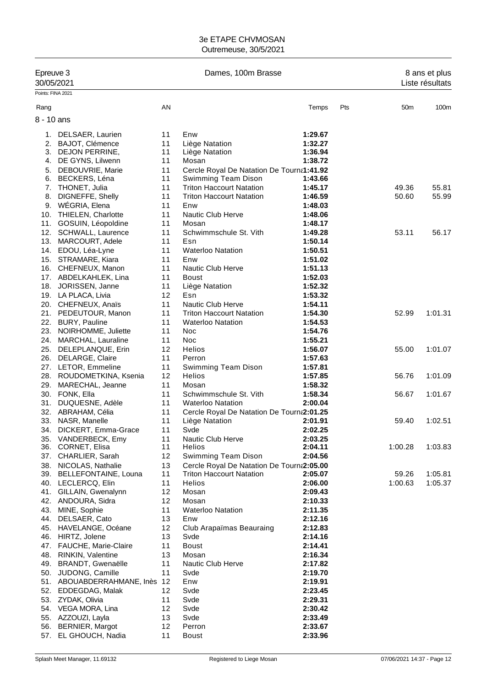| Epreuve 3<br>30/05/2021 |                                             |          | Dames, 100m Brasse                                                           | 8 ans et plus<br>Liste résultats |     |                 |         |
|-------------------------|---------------------------------------------|----------|------------------------------------------------------------------------------|----------------------------------|-----|-----------------|---------|
| Points: FINA 2021       |                                             |          |                                                                              |                                  |     |                 |         |
| Rang                    |                                             | AN       |                                                                              | Temps                            | Pts | 50 <sub>m</sub> | 100m    |
| $8 - 10$ ans            |                                             |          |                                                                              |                                  |     |                 |         |
|                         |                                             | 11       | Enw                                                                          |                                  |     |                 |         |
| 1.<br>2.                | DELSAER, Laurien<br>BAJOT, Clémence         | 11       | Liège Natation                                                               | 1:29.67<br>1:32.27               |     |                 |         |
|                         | 3. DEJON PERRINE,                           | 11       | Liège Natation                                                               | 1:36.94                          |     |                 |         |
| 4.                      | DE GYNS, Lilwenn                            | 11       | Mosan                                                                        | 1:38.72                          |     |                 |         |
| 5.                      | DEBOUVRIE, Marie                            | 11       | Cercle Royal De Natation De Tourna1:41.92                                    |                                  |     |                 |         |
| 6.                      | BECKERS, Léna                               | 11       | Swimming Team Dison                                                          | 1:43.66                          |     |                 |         |
|                         | 7. THONET, Julia                            | 11       | <b>Triton Haccourt Natation</b>                                              | 1:45.17                          |     | 49.36           | 55.81   |
| 8.                      | DIGNEFFE, Shelly                            | 11       | <b>Triton Haccourt Natation</b>                                              | 1:46.59                          |     | 50.60           | 55.99   |
| 9.                      | WÉGRIA, Elena                               | 11       | Enw                                                                          | 1:48.03                          |     |                 |         |
|                         | 10. THIELEN, Charlotte                      | 11       | Nautic Club Herve                                                            | 1:48.06                          |     |                 |         |
|                         | 11. GOSUIN, Léopoldine                      | 11       | Mosan                                                                        | 1:48.17                          |     |                 |         |
|                         | 12. SCHWALL, Laurence                       | 11       | Schwimmschule St. Vith                                                       | 1:49.28                          |     | 53.11           | 56.17   |
|                         | 13. MARCOURT, Adele                         | 11       | Esn                                                                          | 1:50.14                          |     |                 |         |
|                         | 14. EDOU, Léa-Lyne                          | 11       | <b>Waterloo Natation</b>                                                     | 1:50.51                          |     |                 |         |
|                         | 15. STRAMARE, Kiara                         | 11       | Enw                                                                          | 1:51.02                          |     |                 |         |
|                         | 16. CHEFNEUX, Manon                         | 11       | Nautic Club Herve                                                            | 1:51.13                          |     |                 |         |
|                         | 17. ABDELKAHLEK, Lina                       | 11       | <b>Boust</b>                                                                 | 1:52.03                          |     |                 |         |
|                         | 18. JORISSEN, Janne                         | 11       | Liège Natation                                                               | 1:52.32                          |     |                 |         |
|                         | 19. LA PLACA, Livia                         | 12<br>11 | Esn<br>Nautic Club Herve                                                     | 1:53.32<br>1:54.11               |     |                 |         |
|                         | 20. CHEFNEUX, Anaïs<br>21. PEDEUTOUR, Manon | 11       | <b>Triton Haccourt Natation</b>                                              | 1:54.30                          |     | 52.99           | 1:01.31 |
| 22.                     | <b>BURY, Pauline</b>                        | 11       | <b>Waterloo Natation</b>                                                     | 1:54.53                          |     |                 |         |
|                         | 23. NOIRHOMME, Juliette                     | 11       | <b>Noc</b>                                                                   | 1:54.76                          |     |                 |         |
|                         | 24. MARCHAL, Lauraline                      | 11       | <b>Noc</b>                                                                   | 1:55.21                          |     |                 |         |
|                         | 25. DELEPLANQUE, Erin                       | 12       | Helios                                                                       | 1:56.07                          |     | 55.00           | 1:01.07 |
| 26.                     | DELARGE, Claire                             | 11       | Perron                                                                       | 1:57.63                          |     |                 |         |
|                         | 27. LETOR, Emmeline                         | 11       | Swimming Team Dison                                                          | 1:57.81                          |     |                 |         |
|                         | 28. ROUDOMETKINA, Ksenia                    | 12       | <b>Helios</b>                                                                | 1:57.85                          |     | 56.76           | 1:01.09 |
| 29.                     | MARECHAL, Jeanne                            | 11       | Mosan                                                                        | 1:58.32                          |     |                 |         |
|                         | 30. FONK, Ella                              | 11       | Schwimmschule St. Vith                                                       | 1:58.34                          |     | 56.67           | 1:01.67 |
| 31.                     | DUQUESNE, Adèle                             | 11       | <b>Waterloo Natation</b>                                                     | 2:00.04                          |     |                 |         |
|                         | 32. ABRAHAM, Célia                          | 11       | Cercle Royal De Natation De Tourn 2:01.25                                    |                                  |     |                 |         |
| 33.                     | NASR, Manelle                               | 11       | Liège Natation                                                               | 2:01.91                          |     | 59.40           | 1:02.51 |
| 34.                     | DICKERT, Emma-Grace                         | 11       | Svde                                                                         | 2:02.25                          |     |                 |         |
|                         | 35. VANDERBECK, Emy                         | 11       | Nautic Club Herve                                                            | 2:03.25                          |     |                 |         |
|                         | 36. CORNET, Elisa                           | 11<br>12 | <b>Helios</b>                                                                | 2:04.11<br>2:04.56               |     | 1:00.28         | 1:03.83 |
|                         | 37. CHARLIER, Sarah<br>NICOLAS, Nathalie    |          | Swimming Team Dison                                                          |                                  |     |                 |         |
| 38.<br>39.              | BELLEFONTAINE, Louna                        | 13<br>11 | Cercle Royal De Natation De Tourna2:05.00<br><b>Triton Haccourt Natation</b> | 2:05.07                          |     | 59.26           | 1:05.81 |
|                         | 40. LECLERCQ, Elin                          | 11       | Helios                                                                       | 2:06.00                          |     | 1:00.63         | 1:05.37 |
|                         | 41. GILLAIN, Gwenalynn                      | 12       | Mosan                                                                        | 2:09.43                          |     |                 |         |
|                         | 42. ANDOURA, Sidra                          | 12       | Mosan                                                                        | 2:10.33                          |     |                 |         |
| 43.                     | MINE, Sophie                                | 11       | <b>Waterloo Natation</b>                                                     | 2:11.35                          |     |                 |         |
| 44.                     | DELSAER, Cato                               | 13       | Enw                                                                          | 2:12.16                          |     |                 |         |
| 45.                     | HAVELANGE, Océane                           | 12       | Club Arapaïmas Beauraing                                                     | 2:12.83                          |     |                 |         |
| 46.                     | HIRTZ, Jolene                               | 13       | Svde                                                                         | 2:14.16                          |     |                 |         |
|                         | 47. FAUCHE, Marie-Claire                    | 11       | <b>Boust</b>                                                                 | 2:14.41                          |     |                 |         |
|                         | 48. RINKIN, Valentine                       | 13       | Mosan                                                                        | 2:16.34                          |     |                 |         |
| 49.                     | <b>BRANDT, Gwenaëlle</b>                    | 11       | Nautic Club Herve                                                            | 2:17.82                          |     |                 |         |
|                         | 50. JUDONG, Camille                         | 11       | Svde                                                                         | 2:19.70                          |     |                 |         |
|                         | 51. ABOUABDERRAHMANE, Inès 12               |          | Enw                                                                          | 2:19.91                          |     |                 |         |
|                         | 52. EDDEGDAG, Malak                         | 12       | Svde                                                                         | 2:23.45                          |     |                 |         |
|                         | 53. ZYDAK, Olivia                           | 11       | Svde                                                                         | 2:29.31                          |     |                 |         |
|                         | 54. VEGA MORA, Lina<br>55. AZZOUZI, Layla   | 12<br>13 | Svde<br>Svde                                                                 | 2:30.42<br>2:33.49               |     |                 |         |
| 56.                     | <b>BERNIER, Margot</b>                      | 12       | Perron                                                                       | 2:33.67                          |     |                 |         |
|                         | 57. EL GHOUCH, Nadia                        | 11       | <b>Boust</b>                                                                 | 2:33.96                          |     |                 |         |
|                         |                                             |          |                                                                              |                                  |     |                 |         |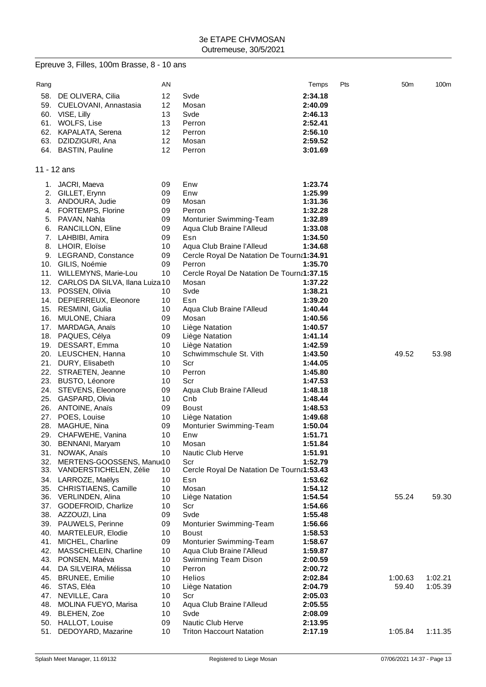# Epreuve 3, Filles, 100m Brasse, 8 - 10 ans

| Rang |                                   | ΑN       |                                           | Temps   | Pts | 50m     | 100m    |
|------|-----------------------------------|----------|-------------------------------------------|---------|-----|---------|---------|
| 58.  | DE OLIVERA, Cilia                 | 12       | Svde                                      | 2:34.18 |     |         |         |
| 59.  | CUELOVANI, Annastasia             | 12       | Mosan                                     | 2:40.09 |     |         |         |
|      |                                   | 13       | Svde                                      |         |     |         |         |
|      | 60. VISE, Lilly                   |          |                                           | 2:46.13 |     |         |         |
| 61.  | WOLFS, Lise                       | 13       | Perron                                    | 2:52.41 |     |         |         |
| 62.  | KAPALATA, Serena                  | 12       | Perron                                    | 2:56.10 |     |         |         |
| 63.  | DZIDZIGURI, Ana                   | 12       | Mosan                                     | 2:59.52 |     |         |         |
|      | 64. BASTIN, Pauline               | 12       | Perron                                    | 3:01.69 |     |         |         |
|      |                                   |          |                                           |         |     |         |         |
|      | 11 - 12 ans                       |          |                                           |         |     |         |         |
|      |                                   |          |                                           |         |     |         |         |
| 1.   | JACRI, Maeva                      | 09       | Enw                                       | 1:23.74 |     |         |         |
| 2.   | GILLET, Erynn                     | 09       | Enw                                       | 1:25.99 |     |         |         |
| 3.   | ANDOURA, Judie                    | 09       | Mosan                                     | 1:31.36 |     |         |         |
| 4.   | <b>FORTEMPS, Florine</b>          | 09       | Perron                                    | 1:32.28 |     |         |         |
| 5.   | PAVAN, Nahla                      | 09       | Monturier Swimming-Team                   | 1:32.89 |     |         |         |
| 6.   | RANCILLON, Eline                  | 09       | Aqua Club Braine l'Alleud                 | 1:33.08 |     |         |         |
| 7.   | LAHBIBI, Amira                    | 09       | Esn                                       | 1:34.50 |     |         |         |
| 8.   | LHOIR, Eloïse                     | 10       | Aqua Club Braine l'Alleud                 | 1:34.68 |     |         |         |
| 9.   | LEGRAND, Constance                | 09       | Cercle Royal De Natation De Tourna1:34.91 |         |     |         |         |
| 10.  | GILIS, Noémie                     | 09       | Perron                                    | 1:35.70 |     |         |         |
| 11.  | WILLEMYNS, Marie-Lou              | 10       | Cercle Royal De Natation De Tourna1:37.15 |         |     |         |         |
| 12.  | CARLOS DA SILVA, Ilana Luiza 10   |          | Mosan                                     | 1:37.22 |     |         |         |
| 13.  | POSSEN, Olivia                    | 10       | Svde                                      | 1:38.21 |     |         |         |
| 14.  | DEPIERREUX, Eleonore              | 10       | Esn                                       | 1:39.20 |     |         |         |
|      | 15. RESMINI, Giulia               | 10       | Aqua Club Braine l'Alleud                 | 1:40.44 |     |         |         |
| 16.  | MULONE, Chiara                    | 09       | Mosan                                     | 1:40.56 |     |         |         |
| 17.  | MARDAGA, Anaïs                    | 10       | Liège Natation                            | 1:40.57 |     |         |         |
| 18.  | PAQUES, Célya                     | 09       | Liège Natation                            | 1:41.14 |     |         |         |
| 19.  | DESSART, Emma                     | 10       | Liège Natation                            | 1:42.59 |     |         |         |
|      | 20. LEUSCHEN, Hanna               | 10       | Schwimmschule St. Vith                    | 1:43.50 |     | 49.52   | 53.98   |
| 21.  |                                   | 10       | Scr                                       |         |     |         |         |
|      | DURY, Elisabeth                   |          |                                           | 1:44.05 |     |         |         |
|      | 22. STRAETEN, Jeanne              | 10       | Perron                                    | 1:45.80 |     |         |         |
| 23.  | <b>BUSTO, Léonore</b>             | 10       | Scr                                       | 1:47.53 |     |         |         |
| 24.  | STEVENS, Eleonore                 | 09       | Aqua Club Braine l'Alleud                 | 1:48.18 |     |         |         |
| 25.  | GASPARD, Olivia                   | 10       | Cnb                                       | 1:48.44 |     |         |         |
| 26.  | ANTOINE, Anaïs                    | 09       | <b>Boust</b>                              | 1:48.53 |     |         |         |
| 27.  | POES, Louise                      | 10       | Liège Natation                            | 1:49.68 |     |         |         |
| 28.  | MAGHUE, Nina                      | 09       | Monturier Swimming-Team                   | 1:50.04 |     |         |         |
|      | 29. CHAFWEHE, Vanina              | 10       | Enw                                       | 1:51.71 |     |         |         |
| 30.  | BENNANI, Maryam                   | 10       | Mosan                                     | 1:51.84 |     |         |         |
| 31.  | NOWAK, Anaïs                      | 10       | Nautic Club Herve                         | 1:51.91 |     |         |         |
| 32.  | MERTENS-GOOSSENS, Manu(10         |          | Scr                                       | 1:52.79 |     |         |         |
|      | 33. VANDERSTICHELEN, Zélie        | 10       | Cercle Royal De Natation De Tourna1:53.43 |         |     |         |         |
| 34.  | LARROZE, Maëlys                   | 10       | Esn                                       | 1:53.62 |     |         |         |
|      | 35. CHRISTIAENS, Camille          | 10       | Mosan                                     | 1:54.12 |     |         |         |
|      | 36. VERLINDEN, Alina              | 10       | Liège Natation                            | 1:54.54 |     | 55.24   | 59.30   |
|      | 37. GODEFROID, Charlize           | 10       | Scr                                       | 1:54.66 |     |         |         |
|      | 38. AZZOUZI, Lina                 | 09       | Svde                                      | 1:55.48 |     |         |         |
|      | 39. PAUWELS, Perinne              | 09       | Monturier Swimming-Team                   | 1:56.66 |     |         |         |
| 40.  | MARTELEUR, Elodie                 | 10       | <b>Boust</b>                              | 1:58.53 |     |         |         |
| 41.  | MICHEL, Charline                  | 09       | Monturier Swimming-Team                   | 1:58.67 |     |         |         |
| 42.  | MASSCHELEIN, Charline             | 10       | Aqua Club Braine l'Alleud                 | 1:59.87 |     |         |         |
| 43.  | PONSEN, Maéva                     | 10       | Swimming Team Dison                       | 2:00.59 |     |         |         |
| 44.  | DA SILVEIRA, Mélissa              | 10       | Perron                                    | 2:00.72 |     |         |         |
|      | 45. BRUNEE, Emilie                | 10       | <b>Helios</b>                             | 2:02.84 |     | 1:00.63 | 1:02.21 |
| 46.  | STAS, Eléa                        | 10       | Liège Natation                            | 2:04.79 |     | 59.40   | 1:05.39 |
| 47.  | NEVILLE, Cara                     | 10       | Scr                                       | 2:05.03 |     |         |         |
| 48.  | MOLINA FUEYO, Marisa              | 10       | Aqua Club Braine l'Alleud                 | 2:05.55 |     |         |         |
|      |                                   |          | Svde                                      |         |     |         |         |
| 49.  | BLEHEN, Zoe<br>50. HALLOT, Louise | 10<br>09 | Nautic Club Herve                         | 2:08.09 |     |         |         |
|      |                                   |          |                                           | 2:13.95 |     |         |         |
| 51.  | DEDOYARD, Mazarine                | 10       | <b>Triton Haccourt Natation</b>           | 2:17.19 |     | 1:05.84 | 1:11.35 |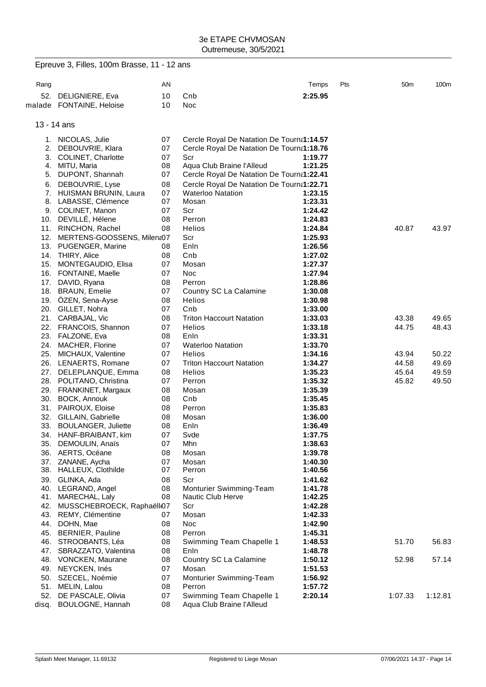|      | Epreuve 3, Filles, 100m Brasse, 11 - 12 ans |          |                                           |                    |     |                 |         |
|------|---------------------------------------------|----------|-------------------------------------------|--------------------|-----|-----------------|---------|
| Rang |                                             | AN       |                                           | Temps              | Pts | 50 <sub>m</sub> | 100m    |
|      | 52. DELIGNIERE, Eva                         | 10       | Cnb                                       | 2:25.95            |     |                 |         |
|      | malade FONTAINE, Heloise                    | 10       | Noc                                       |                    |     |                 |         |
|      | 13 - 14 ans                                 |          |                                           |                    |     |                 |         |
|      | 1. NICOLAS, Julie                           | 07       | Cercle Royal De Natation De Tourna1:14.57 |                    |     |                 |         |
|      | 2. DEBOUVRIE, Klara                         | 07       | Cercle Royal De Natation De Tourna1:18.76 |                    |     |                 |         |
|      | 3. COLINET, Charlotte                       | 07       | Scr                                       | 1:19.77            |     |                 |         |
| 4.   | MITU, Maria                                 | 08       | Aqua Club Braine l'Alleud                 | 1:21.25            |     |                 |         |
|      | 5. DUPONT, Shannah                          | 07       | Cercle Royal De Natation De Tourna1:22.41 |                    |     |                 |         |
|      | 6. DEBOUVRIE, Lyse                          | 08       | Cercle Royal De Natation De Tourna1:22.71 |                    |     |                 |         |
|      | 7. HUISMAN BRUNIN, Laura                    | 07       | <b>Waterloo Natation</b>                  | 1:23.15            |     |                 |         |
|      | 8. LABASSE, Clémence                        | 07       | Mosan                                     | 1:23.31            |     |                 |         |
|      | 9. COLINET, Manon                           | 07       | Scr                                       | 1:24.42            |     |                 |         |
|      | 10. DEVILLÉ, Hélene                         | 08       | Perron                                    | 1:24.83            |     |                 |         |
|      | 11. RINCHON, Rachel                         | 08       | Helios                                    | 1:24.84            |     | 40.87           | 43.97   |
|      | 12. MERTENS-GOOSSENS, Milen&07              |          | Scr                                       | 1:25.93            |     |                 |         |
|      | 13. PUGENGER, Marine                        | 08       | Enln                                      | 1:26.56            |     |                 |         |
|      | 14. THIRY, Alice                            | 08       | Cnb                                       | 1:27.02            |     |                 |         |
|      | 15. MONTEGAUDIO, Elisa                      | 07       | Mosan<br><b>Noc</b>                       | 1:27.37            |     |                 |         |
|      | 16. FONTAINE, Maelle<br>17. DAVID, Ryana    | 07       | Perron                                    | 1:27.94            |     |                 |         |
|      | 18. BRAUN, Emelie                           | 08<br>07 |                                           | 1:28.86            |     |                 |         |
|      | 19. ÖZEN, Sena-Ayse                         | 08       | Country SC La Calamine<br>Helios          | 1:30.08<br>1:30.98 |     |                 |         |
|      | 20. GILLET, Nohra                           | 07       | Cnb                                       | 1:33.00            |     |                 |         |
|      | 21. CARBAJAL, Vic                           | 08       | <b>Triton Haccourt Natation</b>           | 1:33.03            |     | 43.38           | 49.65   |
|      | 22. FRANCOIS, Shannon                       | 07       | Helios                                    | 1:33.18            |     | 44.75           | 48.43   |
|      | 23. FALZONE, Eva                            | 08       | Enln                                      | 1:33.31            |     |                 |         |
|      | 24. MACHER, Florine                         | 07       | <b>Waterloo Natation</b>                  | 1:33.70            |     |                 |         |
|      | 25. MICHAUX, Valentine                      | 07       | Helios                                    | 1:34.16            |     | 43.94           | 50.22   |
|      | 26. LENAERTS, Romane                        | 07       | <b>Triton Haccourt Natation</b>           | 1:34.27            |     | 44.58           | 49.69   |
|      | 27. DELEPLANQUE, Emma                       | 08       | Helios                                    | 1:35.23            |     | 45.64           | 49.59   |
|      | 28. POLITANO, Christina                     | 07       | Perron                                    | 1:35.32            |     | 45.82           | 49.50   |
|      | 29. FRANKINET, Margaux                      | 08       | Mosan                                     | 1:35.39            |     |                 |         |
|      | 30. BOCK, Annouk                            | 08       | Cnb                                       | 1:35.45            |     |                 |         |
|      | 31. PAIROUX, Eloise                         | 08       | Perron                                    | 1:35.83            |     |                 |         |
|      | 32. GILLAIN, Gabrielle                      | 08       | Mosan                                     | 1:36.00            |     |                 |         |
|      | 33. BOULANGER, Juliette                     | 08       | Enln                                      | 1:36.49            |     |                 |         |
|      | 34. HANF-BRAIBANT, kim                      | 07       | Svde                                      | 1:37.75            |     |                 |         |
|      | 35. DEMOULIN, Anaïs                         | 07       | Mhn                                       | 1:38.63            |     |                 |         |
|      | 36. AERTS, Océane                           | 08       | Mosan                                     | 1:39.78            |     |                 |         |
|      | 37. ZANANE, Aycha                           | 07       | Mosan                                     | 1:40.30            |     |                 |         |
|      | 38. HALLEUX, Clothilde                      | 07       | Perron                                    | 1:40.56            |     |                 |         |
|      | 39. GLINKA, Ada                             | 08       | Scr                                       | 1:41.62            |     |                 |         |
|      | 40. LEGRAND, Angel                          | 08       | Monturier Swimming-Team                   | 1:41.78            |     |                 |         |
|      | 41. MARECHAL, Laly                          | 08       | Nautic Club Herve                         | 1:42.25            |     |                 |         |
|      | 42. MUSSCHEBROECK, Raphaëll07               |          | Scr                                       | 1:42.28            |     |                 |         |
|      | 43. REMY, Clémentine                        | 07       | Mosan                                     | 1:42.33            |     |                 |         |
|      | 44. DOHN, Mae                               | 08       | Noc                                       | 1:42.90            |     |                 |         |
|      | 45. BERNIER, Pauline                        | 08       | Perron                                    | 1:45.31            |     |                 |         |
|      | 46. STROOBANTS, Léa                         | 08       | Swimming Team Chapelle 1                  | 1:48.53            |     | 51.70           | 56.83   |
|      | 47. SBRAZZATO, Valentina                    | 08       | Enln                                      | 1:48.78            |     |                 |         |
|      | 48. VONCKEN, Maurane                        | 08       | Country SC La Calamine                    | 1:50.12            |     | 52.98           | 57.14   |
| 49.  | NEYCKEN, Inés                               | 07       | Mosan                                     | 1:51.53            |     |                 |         |
| 50.  | SZECEL, Noémie                              | 07       | Monturier Swimming-Team                   | 1:56.92            |     |                 |         |
| 51.  | MELIN, Lalou                                | 08       | Perron                                    | 1:57.72            |     |                 |         |
| 52.  | DE PASCALE, Olivia                          | 07       | Swimming Team Chapelle 1                  | 2:20.14            |     | 1:07.33         | 1:12.81 |
|      | disq. BOULOGNE, Hannah                      | 08       | Aqua Club Braine l'Alleud                 |                    |     |                 |         |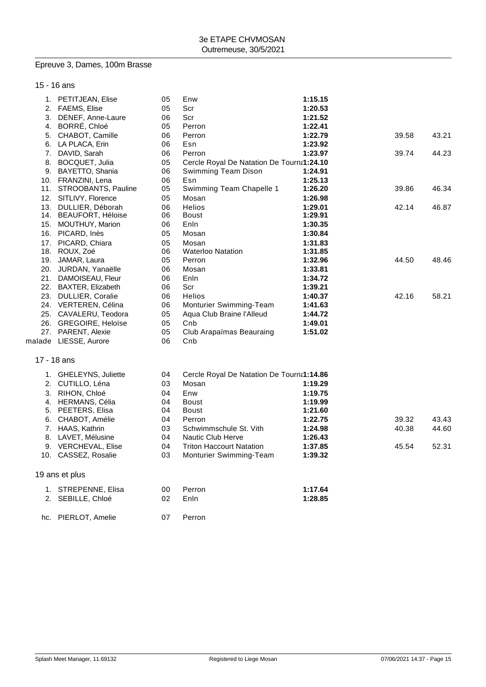#### Epreuve 3, Dames, 100m Brasse

15 - 16 ans

| 1. PETITJEAN, Elise     | 05       | Enw                                       | 1:15.15 |       |       |
|-------------------------|----------|-------------------------------------------|---------|-------|-------|
| 2. FAEMS, Elise         | 05       | Scr                                       | 1:20.53 |       |       |
| 3. DENEF, Anne-Laure    | 06       | Scr                                       | 1:21.52 |       |       |
| 4. BORRÉ, Chloé         | 05       | Perron                                    | 1:22.41 |       |       |
| 5. CHABOT, Camille      | 06       | Perron                                    | 1:22.79 | 39.58 | 43.21 |
| 6. LA PLACA, Erin       | 06       | Esn                                       | 1:23.92 |       |       |
| 7. DAVID, Sarah         | 06       | Perron                                    | 1:23.97 | 39.74 | 44.23 |
| 8. BOCQUET, Julia       | 05       | Cercle Royal De Natation De Tourna1:24.10 |         |       |       |
| 9. BAYETTO, Shania      | 06       | Swimming Team Dison                       | 1:24.91 |       |       |
| 10. FRANZINI, Lena      | 06       | Esn                                       | 1:25.13 |       |       |
| 11. STROOBANTS, Pauline | 05       | Swimming Team Chapelle 1                  | 1:26.20 | 39.86 | 46.34 |
| 12. SITLIVY, Florence   | 05       | Mosan                                     | 1:26.98 |       |       |
| 13. DULLIER, Déborah    | 06       | <b>Helios</b>                             | 1:29.01 | 42.14 | 46.87 |
| 14. BEAUFORT, Héloise   | 06       | <b>Boust</b>                              | 1:29.91 |       |       |
| 15. MOUTHUY, Marion     | 06       | Enln                                      | 1:30.35 |       |       |
| 16. PICARD, Inès        | 05       | Mosan                                     | 1:30.84 |       |       |
| 17. PICARD, Chiara      | 05       | Mosan                                     | 1:31.83 |       |       |
| 18. ROUX, Zoé           | 06       | <b>Waterloo Natation</b>                  | 1:31.85 |       |       |
| 19. JAMAR, Laura        | 05       | Perron                                    | 1:32.96 | 44.50 | 48.46 |
| 20. JURDAN, Yanaëlle    | 06       | Mosan                                     | 1:33.81 |       |       |
| 21. DAMOISEAU, Fleur    | 06       | Enln                                      | 1:34.72 |       |       |
| 22. BAXTER, Elizabeth   | 06       | Scr                                       | 1:39.21 |       |       |
| 23. DULLIER, Coralie    | 06       | Helios                                    | 1:40.37 | 42.16 | 58.21 |
| 24. VERTEREN, Célina    | 06       | Monturier Swimming-Team                   | 1:41.63 |       |       |
| 25. CAVALERU, Teodora   | 05       | Aqua Club Braine l'Alleud                 | 1:44.72 |       |       |
| 26. GREGOIRE, Heloïse   | 05       | Cnb                                       | 1:49.01 |       |       |
| 27. PARENT, Alexie      | 05       | Club Arapaïmas Beauraing                  | 1:51.02 |       |       |
|                         | 06       | Cnb                                       |         |       |       |
| malade LIESSE, Aurore   |          |                                           |         |       |       |
|                         |          |                                           |         |       |       |
| 17 - 18 ans             |          |                                           |         |       |       |
| 1. GHELEYNS, Juliette   | 04       | Cercle Royal De Natation De Tourna1:14.86 |         |       |       |
| 2. CUTILLO, Léna        | 03       | Mosan                                     | 1:19.29 |       |       |
| 3. RIHON, Chloé         | 04       | Enw                                       | 1:19.75 |       |       |
| 4. HERMANS, Célia       | 04       | <b>Boust</b>                              | 1:19.99 |       |       |
| 5. PEETERS, Elisa       | 04       | <b>Boust</b>                              | 1:21.60 |       |       |
| 6. CHABOT, Amélie       | 04       | Perron                                    | 1:22.75 | 39.32 | 43.43 |
| 7. HAAS, Kathrin        | 03       | Schwimmschule St. Vith                    | 1:24.98 | 40.38 | 44.60 |
| 8. LAVET, Mélusine      | 04       | <b>Nautic Club Herve</b>                  | 1:26.43 |       |       |
| 9. VERCHEVAL, Elise     | 04       | <b>Triton Haccourt Natation</b>           | 1:37.85 | 45.54 | 52.31 |
| 10. CASSEZ, Rosalie     | 03       | Monturier Swimming-Team                   | 1:39.32 |       |       |
|                         |          |                                           |         |       |       |
| 19 ans et plus          |          |                                           |         |       |       |
|                         |          |                                           |         |       |       |
| 1. STREPENNE, Elisa     | 00<br>02 | Perron<br>Enln                            | 1:17.64 |       |       |
| 2. SEBILLE, Chloé       |          |                                           | 1:28.85 |       |       |
| hc. PIERLOT, Amelie     | 07       | Perron                                    |         |       |       |
|                         |          |                                           |         |       |       |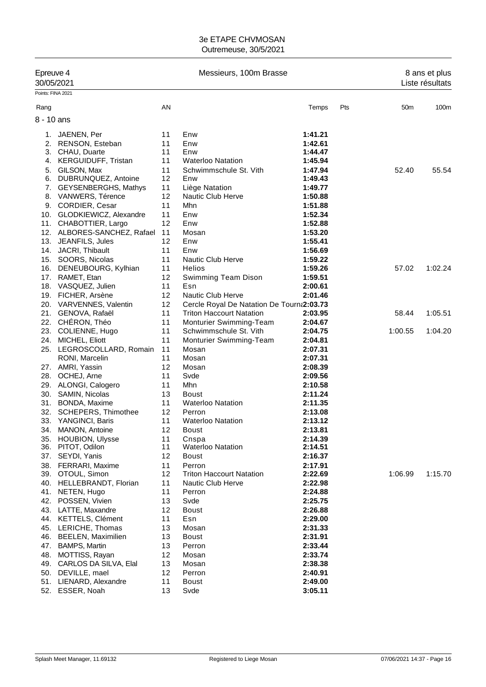| Epreuve 4<br>30/05/2021   |                                        |          | Messieurs, 100m Brasse                    | 8 ans et plus<br>Liste résultats |     |                 |         |
|---------------------------|----------------------------------------|----------|-------------------------------------------|----------------------------------|-----|-----------------|---------|
| Points: FINA 2021<br>Rang |                                        | AN       |                                           | Temps                            | Pts | 50 <sub>m</sub> | 100m    |
| 8 - 10 ans                |                                        |          |                                           |                                  |     |                 |         |
|                           |                                        |          |                                           |                                  |     |                 |         |
| 1.                        | JAENEN, Per                            | 11       | Enw                                       | 1:41.21                          |     |                 |         |
| 2.                        | RENSON, Esteban                        | 11       | Enw                                       | 1:42.61                          |     |                 |         |
| 4.                        | 3. CHAU, Duarte<br>KERGUIDUFF, Tristan | 11<br>11 | Enw<br><b>Waterloo Natation</b>           | 1:44.47<br>1:45.94               |     |                 |         |
| 5.                        | GILSON, Max                            | 11       | Schwimmschule St. Vith                    | 1:47.94                          |     | 52.40           | 55.54   |
| 6.                        | DUBRUNQUEZ, Antoine                    | 12       | Enw                                       | 1:49.43                          |     |                 |         |
| 7.                        | GEYSENBERGHS, Mathys                   | 11       | Liège Natation                            | 1:49.77                          |     |                 |         |
| 8.                        | VANWERS, Térence                       | 12       | Nautic Club Herve                         | 1:50.88                          |     |                 |         |
|                           | 9. CORDIER, Cesar                      | 11       | Mhn                                       | 1:51.88                          |     |                 |         |
|                           | 10. GLODKIEWICZ, Alexandre             | 11       | Enw                                       | 1:52.34                          |     |                 |         |
|                           | 11. CHABOTTIER, Largo                  | 12       | Enw                                       | 1:52.88                          |     |                 |         |
|                           | 12. ALBORES-SANCHEZ, Rafael            | 11       | Mosan                                     | 1:53.20                          |     |                 |         |
|                           | 13. JEANFILS, Jules                    | 12       | Enw                                       | 1:55.41                          |     |                 |         |
|                           | 14. JACRI, Thibault                    | 11       | Enw                                       | 1:56.69                          |     |                 |         |
|                           | 15. SOORS, Nicolas                     | 11       | <b>Nautic Club Herve</b>                  | 1:59.22                          |     |                 |         |
|                           | 16. DENEUBOURG, Kylhian                | 11       | Helios                                    | 1:59.26                          |     | 57.02           | 1:02.24 |
|                           | 17. RAMET, Etan                        | 12       | Swimming Team Dison                       | 1:59.51                          |     |                 |         |
|                           | 18. VASQUEZ, Julien                    | 11       | Esn                                       | 2:00.61                          |     |                 |         |
|                           | 19. FICHER, Arsène                     | 12       | <b>Nautic Club Herve</b>                  | 2:01.46                          |     |                 |         |
|                           | 20. VARVENNES, Valentin                | 12       | Cercle Royal De Natation De Tourna2:03.73 |                                  |     |                 |         |
|                           | 21. GENOVA, Rafaël                     | 11       | <b>Triton Haccourt Natation</b>           | 2:03.95                          |     | 58.44           | 1:05.51 |
|                           | 22. CHÉRON, Théo                       | 11       | Monturier Swimming-Team                   | 2:04.67                          |     |                 |         |
|                           | 23. COLIENNE, Hugo                     | 11       | Schwimmschule St. Vith                    | 2:04.75                          |     | 1:00.55         | 1:04.20 |
|                           | 24. MICHEL, Eliott                     | 11       | Monturier Swimming-Team                   | 2:04.81                          |     |                 |         |
|                           | 25. LEGROSCOLLARD, Romain              | 11       | Mosan                                     | 2:07.31                          |     |                 |         |
|                           | RONI, Marcelin                         | 11       | Mosan                                     | 2:07.31                          |     |                 |         |
|                           | 27. AMRI, Yassin                       | 12       | Mosan                                     | 2:08.39                          |     |                 |         |
|                           | 28. OCHEJ, Arne                        | 11       | Svde                                      | 2:09.56                          |     |                 |         |
|                           | 29. ALONGI, Calogero                   | 11<br>13 | Mhn<br><b>Boust</b>                       | 2:10.58<br>2:11.24               |     |                 |         |
| 31.                       | 30. SAMIN, Nicolas                     | 11       | <b>Waterloo Natation</b>                  | 2:11.35                          |     |                 |         |
| 32.                       | BONDA, Maxime<br>SCHEPERS, Thimothee   | 12       | Perron                                    | 2:13.08                          |     |                 |         |
| 33.                       | YANGINCI, Baris                        | 11       | <b>Waterloo Natation</b>                  | 2:13.12                          |     |                 |         |
|                           | 34. MANON, Antoine                     | 12       | Boust                                     | 2:13.81                          |     |                 |         |
|                           | 35. HOUBION, Ulysse                    | 11       | Cnspa                                     | 2:14.39                          |     |                 |         |
| 36.                       | PITOT, Odilon                          | 11       | <b>Waterloo Natation</b>                  | 2:14.51                          |     |                 |         |
|                           | 37. SEYDI, Yanis                       | 12       | <b>Boust</b>                              | 2:16.37                          |     |                 |         |
|                           | 38. FERRARI, Maxime                    | 11       | Perron                                    | 2:17.91                          |     |                 |         |
|                           | 39. OTOUL, Simon                       | 12       | <b>Triton Haccourt Natation</b>           | 2:22.69                          |     | 1:06.99         | 1:15.70 |
|                           | 40. HELLEBRANDT, Florian               | 11       | Nautic Club Herve                         | 2:22.98                          |     |                 |         |
|                           | 41. NETEN, Hugo                        | 11       | Perron                                    | 2:24.88                          |     |                 |         |
| 42.                       | POSSEN, Vivien                         | 13       | Svde                                      | 2:25.75                          |     |                 |         |
|                           | 43. LATTE, Maxandre                    | 12       | <b>Boust</b>                              | 2:26.88                          |     |                 |         |
|                           | 44. KETTELS, Clément                   | 11       | Esn                                       | 2:29.00                          |     |                 |         |
|                           | 45. LERICHE, Thomas                    | 13       | Mosan                                     | 2:31.33                          |     |                 |         |
|                           | 46. BEELEN, Maximilien                 | 13       | <b>Boust</b>                              | 2:31.91                          |     |                 |         |
| 47.                       | <b>BAMPS, Martin</b>                   | 13       | Perron                                    | 2:33.44                          |     |                 |         |
| 48.                       | MOTTISS, Rayan                         | 12       | Mosan                                     | 2:33.74                          |     |                 |         |
|                           | 49. CARLOS DA SILVA, Elal              | 13       | Mosan                                     | 2:38.38                          |     |                 |         |
| 50.                       | DEVILLE, mael                          | 12       | Perron                                    | 2:40.91                          |     |                 |         |
|                           | 51. LIENARD, Alexandre                 | 11       | <b>Boust</b>                              | 2:49.00                          |     |                 |         |
|                           | 52. ESSER, Noah                        | 13       | Svde                                      | 3:05.11                          |     |                 |         |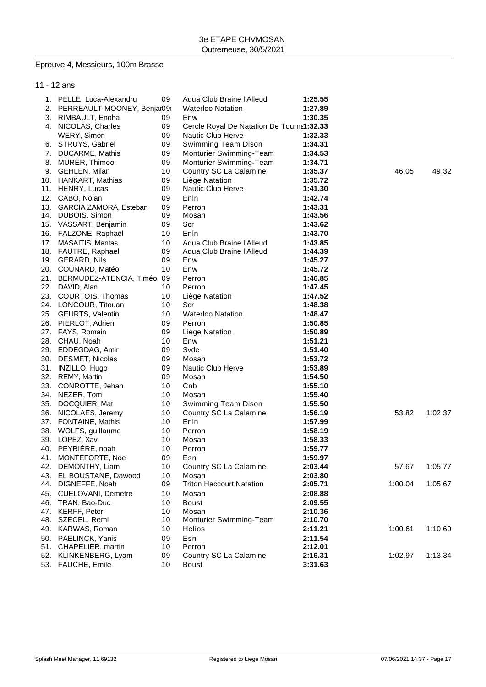## Epreuve 4, Messieurs, 100m Brasse

|     | 11 - 12 ans                      |          |                                           |                    |         |         |
|-----|----------------------------------|----------|-------------------------------------------|--------------------|---------|---------|
|     | 1. PELLE, Luca-Alexandru         | 09       | Aqua Club Braine l'Alleud                 | 1:25.55            |         |         |
|     | 2. PERREAULT-MOONEY, Benjar09i   |          | <b>Waterloo Natation</b>                  | 1:27.89            |         |         |
| 3.  | RIMBAULT, Enoha                  | 09       | Enw                                       | 1:30.35            |         |         |
|     | 4. NICOLAS, Charles              | 09       | Cercle Royal De Natation De Tourna1:32.33 |                    |         |         |
|     | WERY, Simon                      | 09       | <b>Nautic Club Herve</b>                  | 1:32.33            |         |         |
|     | 6. STRUYS, Gabriel               | 09       | Swimming Team Dison                       | 1:34.31            |         |         |
| 7.  | DUCARME, Mathis                  | 09       | Monturier Swimming-Team                   | 1:34.53            |         |         |
| 8.  | MURER, Thimeo                    | 09       | Monturier Swimming-Team                   | 1:34.71            |         |         |
|     | 9. GEHLEN, Milan                 | 10       | Country SC La Calamine                    | 1:35.37            | 46.05   | 49.32   |
|     | 10. HANKART, Mathias             | 09       | Liège Natation                            | 1:35.72            |         |         |
|     | 11. HENRY, Lucas                 | 09       | Nautic Club Herve                         | 1:41.30            |         |         |
| 12. | CABO, Nolan                      | 09       | Enln                                      | 1:42.74            |         |         |
|     | 13. GARCIA ZAMORA, Esteban       | 09       | Perron                                    | 1:43.31            |         |         |
|     | 14. DUBOIS, Simon                | 09       | Mosan                                     | 1:43.56            |         |         |
|     | 15. VASSART, Benjamin            | 09       | Scr                                       | 1:43.62            |         |         |
|     | 16. FALZONE, Raphaël             | 10       | Enln                                      | 1:43.70            |         |         |
| 17. | MASAITIS, Mantas                 | 10       | Aqua Club Braine l'Alleud                 | 1:43.85            |         |         |
|     | 18. FAUTRE, Raphael              | 09       | Aqua Club Braine l'Alleud                 | 1:44.39            |         |         |
|     | 19. GÉRARD, Nils                 | 09       | Enw                                       | 1:45.27            |         |         |
|     | 20. COUNARD, Matéo               | 10       | Enw                                       | 1:45.72            |         |         |
|     | 21. BERMUDEZ-ATENCIA, Timéo 09   |          | Perron                                    | 1:46.85            |         |         |
|     | 22. DAVID, Alan                  | 10       | Perron                                    | 1:47.45            |         |         |
|     | 23. COURTOIS, Thomas             | 10       | Liège Natation                            | 1:47.52            |         |         |
|     | 24. LONCOUR, Titouan             | 10       | Scr                                       | 1:48.38            |         |         |
|     | 25. GEURTS, Valentin             | 10       | <b>Waterloo Natation</b>                  | 1:48.47            |         |         |
|     | 26. PIERLOT, Adrien              | 09       | Perron                                    | 1:50.85            |         |         |
|     | 27. FAYS, Romain                 | 09       | Liège Natation                            | 1:50.89            |         |         |
|     | 28. CHAU, Noah                   | 10       | Enw                                       | 1:51.21            |         |         |
|     | 29. EDDEGDAG, Amir               | 09       | Svde                                      | 1:51.40            |         |         |
| 30. | DESMET, Nicolas                  | 09       | Mosan                                     | 1:53.72            |         |         |
|     | 31. INZILLO, Hugo                | 09       | <b>Nautic Club Herve</b>                  | 1:53.89            |         |         |
| 32. | REMY, Martin                     | 09       | Mosan                                     | 1:54.50            |         |         |
| 33. | CONROTTE, Jehan                  | 10       | Cnb                                       | 1:55.10            |         |         |
|     | 34. NEZER, Tom                   | 10       | Mosan                                     | 1:55.40            |         |         |
| 35. | DOCQUIER, Mat                    | 10       | Swimming Team Dison                       | 1:55.50            |         |         |
| 36. | NICOLAES, Jeremy                 | 10       | Country SC La Calamine                    | 1:56.19            | 53.82   | 1:02.37 |
|     | 37. FONTAINE, Mathis             | 10       | Enln                                      | 1:57.99            |         |         |
| 38. | WOLFS, guillaume                 | 10       | Perron                                    | 1:58.19            |         |         |
|     | 39. LOPEZ, Xavi                  | 10       | Mosan                                     | 1:58.33            |         |         |
|     | 40. PEYRIÈRE, noah               | 10       | Perron                                    | 1:59.77            |         |         |
| 41. | MONTEFORTE, Noe                  | 09       | Esn                                       | 1:59.97            |         |         |
| 42. | DEMONTHY, Liam                   | 10       | Country SC La Calamine                    | 2:03.44            | 57.67   | 1:05.77 |
|     | 43. EL BOUSTANE, Dawood          | 10<br>09 | Mosan<br><b>Triton Haccourt Natation</b>  | 2:03.80            |         | 1:05.67 |
|     | 44. DIGNEFFE, Noah               |          |                                           | 2:05.71            | 1:00.04 |         |
|     | 45. CUELOVANI, Demetre           | 10       | Mosan                                     | 2:08.88            |         |         |
|     | 46. TRAN, Bao-Duc                | 10       | <b>Boust</b>                              | 2:09.55            |         |         |
| 48. | 47. KERFF, Peter<br>SZECEL, Remi | 10<br>10 | Mosan<br>Monturier Swimming-Team          | 2:10.36<br>2:10.70 |         |         |
|     | 49. KARWAS, Roman                | 10       | Helios                                    | 2:11.21            | 1:00.61 | 1:10.60 |
|     | 50. PAELINCK, Yanis              | 09       | Esn                                       | 2:11.54            |         |         |
|     | 51. CHAPELIER, martin            | 10       | Perron                                    | 2:12.01            |         |         |
|     | 52. KLINKENBERG, Lyam            | 09       | Country SC La Calamine                    | 2:16.31            | 1:02.97 | 1:13.34 |
|     | 53. FAUCHE, Emile                | 10       | <b>Boust</b>                              | 3:31.63            |         |         |
|     |                                  |          |                                           |                    |         |         |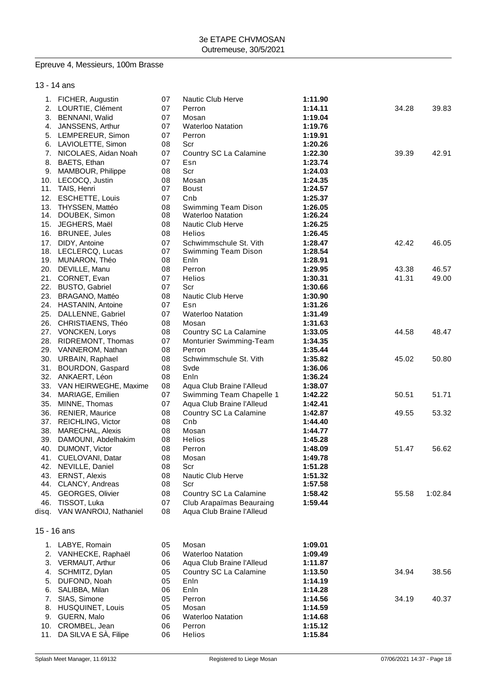# Epreuve 4, Messieurs, 100m Brasse

## 13 - 14 ans

|     | 1. FICHER, Augustin          | 07 | Nautic Club Herve         | 1:11.90 |       |         |
|-----|------------------------------|----|---------------------------|---------|-------|---------|
|     | 2. LOURTIE, Clément          | 07 | Perron                    | 1:14.11 | 34.28 | 39.83   |
| 3.  | BENNANI, Walid               | 07 | Mosan                     | 1:19.04 |       |         |
| 4.  | JANSSENS, Arthur             | 07 | <b>Waterloo Natation</b>  | 1:19.76 |       |         |
| 5.  | LEMPEREUR, Simon             | 07 | Perron                    | 1:19.91 |       |         |
| 6.  | LAVIOLETTE, Simon            | 08 | Scr                       | 1:20.26 |       |         |
| 7.  | NICOLAES, Aidan Noah         | 07 | Country SC La Calamine    | 1:22.30 | 39.39 | 42.91   |
| 8.  | BAETS, Ethan                 | 07 | Esn                       | 1:23.74 |       |         |
| 9.  | MAMBOUR, Philippe            | 08 | Scr                       | 1:24.03 |       |         |
| 10. | LECOCQ, Justin               | 08 | Mosan                     | 1:24.35 |       |         |
| 11. | TAIS, Henri                  | 07 | <b>Boust</b>              | 1:24.57 |       |         |
|     | 12. ESCHETTE, Louis          | 07 | Cnb                       | 1:25.37 |       |         |
| 13. | THYSSEN, Mattéo              | 08 | Swimming Team Dison       | 1:26.05 |       |         |
| 14. | DOUBEK, Simon                | 08 | <b>Waterloo Natation</b>  | 1:26.24 |       |         |
| 15. | JEGHERS, Maël                | 08 | Nautic Club Herve         | 1:26.25 |       |         |
|     | 16. BRUNEE, Jules            | 08 | Helios                    | 1:26.45 |       |         |
| 17. | DIDY, Antoine                | 07 | Schwimmschule St. Vith    | 1:28.47 | 42.42 | 46.05   |
|     | 18. LECLERCQ, Lucas          | 07 | Swimming Team Dison       | 1:28.54 |       |         |
|     | 19. MUNARON, Théo            | 08 | Enln                      | 1:28.91 |       |         |
|     | 20. DEVILLE, Manu            | 08 | Perron                    | 1:29.95 | 43.38 | 46.57   |
| 21. | CORNET, Evan                 | 07 | Helios                    | 1:30.31 | 41.31 | 49.00   |
|     | 22. BUSTO, Gabriel           | 07 | Scr                       | 1:30.66 |       |         |
|     | 23. BRAGANO, Mattéo          | 08 | Nautic Club Herve         | 1:30.90 |       |         |
|     | 24. HASTANIN, Antoine        | 07 | Esn                       | 1:31.26 |       |         |
|     | 25. DALLENNE, Gabriel        | 07 | <b>Waterloo Natation</b>  | 1:31.49 |       |         |
|     |                              |    |                           |         |       |         |
|     | 26. CHRISTIAENS, Théo        | 08 | Mosan                     | 1:31.63 |       |         |
|     | 27. VONCKEN, Lorys           | 08 | Country SC La Calamine    | 1:33.05 | 44.58 | 48.47   |
|     | 28. RIDREMONT, Thomas        | 07 | Monturier Swimming-Team   | 1:34.35 |       |         |
|     | 29. VANNEROM, Nathan         | 08 | Perron                    | 1:35.44 |       |         |
|     | 30. URBAIN, Raphael          | 08 | Schwimmschule St. Vith    | 1:35.82 | 45.02 | 50.80   |
| 31. | BOURDON, Gaspard             | 08 | Svde                      | 1:36.06 |       |         |
|     | 32. ANKAERT, Léon            | 08 | Enln                      | 1:36.24 |       |         |
|     | 33. VAN HEIRWEGHE, Maxime    | 08 | Aqua Club Braine l'Alleud | 1:38.07 |       |         |
| 34. | MARIAGE, Emilien             | 07 | Swimming Team Chapelle 1  | 1:42.22 | 50.51 | 51.71   |
| 35. | MINNE, Thomas                | 07 | Aqua Club Braine l'Alleud | 1:42.41 |       |         |
|     | 36. RENIER, Maurice          | 08 | Country SC La Calamine    | 1:42.87 | 49.55 | 53.32   |
|     | 37. REICHLING, Victor        | 08 | Cnb                       | 1:44.40 |       |         |
| 38. | MARECHAL, Alexis             | 08 | Mosan                     | 1:44.77 |       |         |
| 39. | DAMOUNI, Abdelhakim          | 08 | <b>Helios</b>             | 1:45.28 |       |         |
| 40. | DUMONT, Victor               | 08 | Perron                    | 1:48.09 | 51.47 | 56.62   |
| 41. | CUELOVANI, Datar             | 08 | Mosan                     | 1:49.78 |       |         |
|     | 42. NEVILLE, Daniel          | 08 | Scr                       | 1:51.28 |       |         |
| 43. | <b>ERNST, Alexis</b>         | 08 | Nautic Club Herve         | 1:51.32 |       |         |
| 44. | CLANCY, Andreas              | 08 | Scr                       | 1:57.58 |       |         |
| 45. | <b>GEORGES, Olivier</b>      | 08 | Country SC La Calamine    | 1:58.42 | 55.58 | 1:02.84 |
| 46. | TISSOT, Luka                 | 07 | Club Arapaïmas Beauraing  | 1:59.44 |       |         |
|     | disq. VAN WANROIJ, Nathaniel | 08 | Aqua Club Braine l'Alleud |         |       |         |
|     |                              |    |                           |         |       |         |
|     | 15 - 16 ans                  |    |                           |         |       |         |
|     | 1. LABYE, Romain             | 05 | Mosan                     | 1:09.01 |       |         |
| 2.  | VANHECKE, Raphaël            | 06 | <b>Waterloo Natation</b>  | 1:09.49 |       |         |
| 3.  | VERMAUT, Arthur              | 06 | Aqua Club Braine l'Alleud | 1:11.87 |       |         |
| 4.  | SCHMITZ, Dylan               | 05 | Country SC La Calamine    | 1:13.50 | 34.94 | 38.56   |
| 5.  | DUFOND, Noah                 | 05 | Enln                      | 1:14.19 |       |         |
| 6.  | SALIBBA, Milan               | 06 | Enln                      | 1:14.28 |       |         |
| 7.  | SIAS, Simone                 | 05 | Perron                    | 1:14.56 | 34.19 | 40.37   |
|     | HUSQUINET, Louis             | 05 | Mosan                     |         |       |         |
| 8.  |                              |    |                           | 1:14.59 |       |         |
|     | 9. GUERN, Malo               | 06 | <b>Waterloo Natation</b>  | 1:14.68 |       |         |
| 10. | CROMBEL, Jean                | 06 | Perron                    | 1:15.12 |       |         |
| 11. | DA SILVA E SÀ, Filipe        | 06 | Helios                    | 1:15.84 |       |         |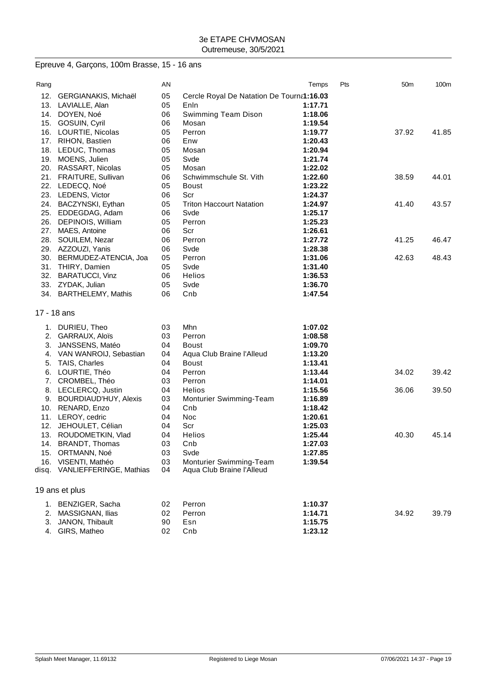# Epreuve 4, Garçons, 100m Brasse, 15 - 16 ans

| Rang  |                           | AN |                                           | Temps   | Pts | 50 <sub>m</sub> | 100m  |
|-------|---------------------------|----|-------------------------------------------|---------|-----|-----------------|-------|
| 12.   | GERGIANAKIS, Michaël      | 05 | Cercle Royal De Natation De Tourna1:16.03 |         |     |                 |       |
| 13.   | LAVIALLE, Alan            | 05 | Enln                                      | 1:17.71 |     |                 |       |
| 14.   | DOYEN, Noé                | 06 | Swimming Team Dison                       | 1:18.06 |     |                 |       |
| 15.   | GOSUIN, Cyril             | 06 | Mosan                                     | 1:19.54 |     |                 |       |
| 16.   | LOURTIE, Nicolas          | 05 | Perron                                    | 1:19.77 |     | 37.92           | 41.85 |
|       | 17. RIHON, Bastien        | 06 | Enw                                       | 1:20.43 |     |                 |       |
|       | 18. LEDUC, Thomas         | 05 | Mosan                                     | 1:20.94 |     |                 |       |
|       | 19. MOENS, Julien         | 05 | Svde                                      | 1:21.74 |     |                 |       |
|       | 20. RASSART, Nicolas      | 05 | Mosan                                     | 1:22.02 |     |                 |       |
| 21.   | <b>FRAITURE, Sullivan</b> | 06 | Schwimmschule St. Vith                    | 1:22.60 |     | 38.59           | 44.01 |
| 22.   | LEDECQ, Noé               | 05 | <b>Boust</b>                              | 1:23.22 |     |                 |       |
|       | 23. LEDENS, Victor        | 06 | Scr                                       | 1:24.37 |     |                 |       |
| 24.   | BACZYNSKI, Eythan         | 05 | <b>Triton Haccourt Natation</b>           | 1:24.97 |     | 41.40           | 43.57 |
|       | 25. EDDEGDAG, Adam        | 06 | Svde                                      | 1:25.17 |     |                 |       |
| 26.   | DEPINOIS, William         | 05 | Perron                                    | 1:25.23 |     |                 |       |
| 27.   | MAES, Antoine             | 06 | Scr                                       | 1:26.61 |     |                 |       |
| 28.   | SOUILEM, Nezar            | 06 | Perron                                    | 1:27.72 |     | 41.25           | 46.47 |
|       | 29. AZZOUZI, Yanis        | 06 | Svde                                      | 1:28.38 |     |                 |       |
| 30.   | BERMUDEZ-ATENCIA, Joa     | 05 | Perron                                    | 1:31.06 |     | 42.63           | 48.43 |
| 31.   | THIRY, Damien             | 05 | Svde                                      | 1:31.40 |     |                 |       |
| 32.   | <b>BARATUCCI, Vinz</b>    | 06 | <b>Helios</b>                             | 1:36.53 |     |                 |       |
|       | 33. ZYDAK, Julian         | 05 | Svde                                      | 1:36.70 |     |                 |       |
|       | 34. BARTHELEMY, Mathis    | 06 | Cnb                                       | 1:47.54 |     |                 |       |
|       |                           |    |                                           |         |     |                 |       |
|       | 17 - 18 ans               |    |                                           |         |     |                 |       |
|       | 1. DURIEU, Theo           | 03 | <b>Mhn</b>                                | 1:07.02 |     |                 |       |
| 2.    | GARRAUX, Aloïs            | 03 | Perron                                    | 1:08.58 |     |                 |       |
| 3.    | JANSSENS, Matéo           | 04 | <b>Boust</b>                              | 1:09.70 |     |                 |       |
| 4.    | VAN WANROIJ, Sebastian    | 04 | Aqua Club Braine l'Alleud                 | 1:13.20 |     |                 |       |
| 5.    | TAIS, Charles             | 04 | <b>Boust</b>                              | 1:13.41 |     |                 |       |
| 6.    | LOURTIE, Théo             | 04 | Perron                                    | 1:13.44 |     | 34.02           | 39.42 |
| 7.    | CROMBEL, Théo             | 03 | Perron                                    | 1:14.01 |     |                 |       |
| 8.    | LECLERCQ, Justin          | 04 | Helios                                    | 1:15.56 |     | 36.06           | 39.50 |
| 9.    | BOURDIAUD'HUY, Alexis     | 03 | Monturier Swimming-Team                   | 1:16.89 |     |                 |       |
|       | 10. RENARD, Enzo          | 04 | Cnb                                       | 1:18.42 |     |                 |       |
|       | 11. LEROY, cedric         | 04 | Noc                                       | 1:20.61 |     |                 |       |
| 12.   | JEHOULET, Célian          | 04 | Scr                                       | 1:25.03 |     |                 |       |
|       | 13. ROUDOMETKIN, Vlad     | 04 | Helios                                    | 1:25.44 |     | 40.30           | 45.14 |
|       | 14. BRANDT, Thomas        | 03 | Cnb                                       | 1:27.03 |     |                 |       |
| 15.   | ORTMANN, Noé              | 03 | Svde                                      | 1:27.85 |     |                 |       |
| 16.   | VISENTI, Mathéo           | 03 | Monturier Swimming-Team                   | 1:39.54 |     |                 |       |
| disq. | VANLIEFFERINGE, Mathias   | 04 | Aqua Club Braine l'Alleud                 |         |     |                 |       |
|       | 19 ans et plus            |    |                                           |         |     |                 |       |
|       | 1. BENZIGER, Sacha        | 02 | Perron                                    | 1:10.37 |     |                 |       |
| 2.    | MASSIGNAN, Ilias          | 02 | Perron                                    | 1:14.71 |     | 34.92           | 39.79 |
| 3.    | JANON, Thibault           | 90 | Esn                                       | 1:15.75 |     |                 |       |
|       | 4. GIRS, Matheo           | 02 | Cnb                                       | 1:23.12 |     |                 |       |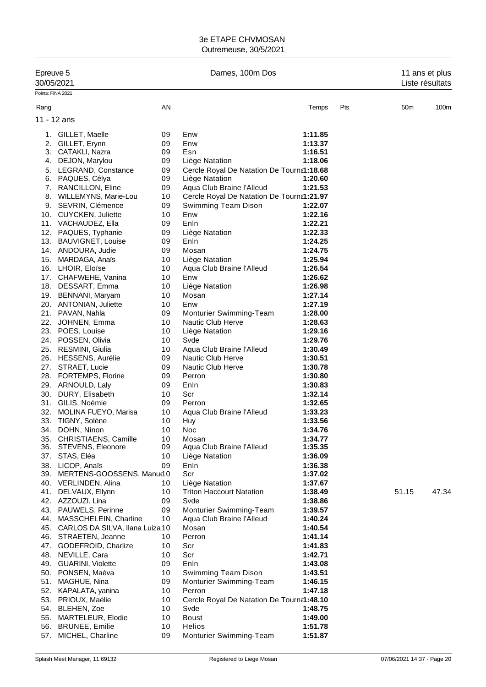| Epreuve 5<br>30/05/2021 |                                                   |          | Dames, 100m Dos                           | 11 ans et plus<br>Liste résultats |     |       |                  |
|-------------------------|---------------------------------------------------|----------|-------------------------------------------|-----------------------------------|-----|-------|------------------|
| Points: FINA 2021       |                                                   |          |                                           |                                   |     |       |                  |
| Rang                    |                                                   | AN       |                                           | Temps                             | Pts | 50m   | 100 <sub>m</sub> |
| 11 - 12 ans             |                                                   |          |                                           |                                   |     |       |                  |
|                         | 1. GILLET, Maelle                                 | 09       | Enw                                       | 1:11.85                           |     |       |                  |
|                         | 2. GILLET, Erynn                                  | 09       | Enw                                       | 1:13.37                           |     |       |                  |
|                         | 3. CATAKLI, Nazra                                 | 09       | Esn                                       | 1:16.51                           |     |       |                  |
|                         | 4. DEJON, Marylou                                 | 09       | Liège Natation                            | 1:18.06                           |     |       |                  |
| 5.                      | LEGRAND, Constance                                | 09       | Cercle Royal De Natation De Tourna1:18.68 |                                   |     |       |                  |
|                         | 6. PAQUES, Célya                                  | 09       | Liège Natation                            | 1:20.60                           |     |       |                  |
|                         | 7. RANCILLON, Eline                               | 09       | Aqua Club Braine l'Alleud                 | 1:21.53                           |     |       |                  |
|                         | 8. WILLEMYNS, Marie-Lou                           | 10       | Cercle Royal De Natation De Tourna1:21.97 |                                   |     |       |                  |
|                         | 9. SEVRIN, Clémence                               | 09       | Swimming Team Dison                       | 1:22.07                           |     |       |                  |
|                         | 10. CUYCKEN, Juliette                             | 10       | Enw                                       | 1:22.16                           |     |       |                  |
|                         | 11. VACHAUDEZ, Ella                               | 09       | Enln                                      | 1:22.21                           |     |       |                  |
|                         | 12. PAQUES, Typhanie                              | 09       | Liège Natation                            | 1:22.33                           |     |       |                  |
|                         | 13. BAUVIGNET, Louise                             | 09<br>09 | Enln<br>Mosan                             | 1:24.25<br>1:24.75                |     |       |                  |
|                         | 14. ANDOURA, Judie<br>15. MARDAGA, Anaïs          | 10       | Liège Natation                            | 1:25.94                           |     |       |                  |
|                         | 16. LHOIR, Eloïse                                 | 10       | Aqua Club Braine l'Alleud                 | 1:26.54                           |     |       |                  |
|                         | 17. CHAFWEHE, Vanina                              | 10       | Enw                                       | 1:26.62                           |     |       |                  |
|                         | 18. DESSART, Emma                                 | 10       | Liège Natation                            | 1:26.98                           |     |       |                  |
|                         | 19. BENNANI, Maryam                               | 10       | Mosan                                     | 1:27.14                           |     |       |                  |
|                         | 20. ANTONIAN, Juliette                            | 10       | Enw                                       | 1:27.19                           |     |       |                  |
|                         | 21. PAVAN, Nahla                                  | 09       | Monturier Swimming-Team                   | 1:28.00                           |     |       |                  |
|                         | 22. JOHNEN, Emma                                  | 10       | Nautic Club Herve                         | 1:28.63                           |     |       |                  |
|                         | 23. POES, Louise                                  | 10       | Liège Natation                            | 1:29.16                           |     |       |                  |
|                         | 24. POSSEN, Olivia                                | 10       | Svde                                      | 1:29.76                           |     |       |                  |
|                         | 25. RESMINI, Giulia                               | 10       | Aqua Club Braine l'Alleud                 | 1:30.49                           |     |       |                  |
|                         | 26. HESSENS, Aurélie                              | 09       | <b>Nautic Club Herve</b>                  | 1:30.51                           |     |       |                  |
|                         | 27. STRAET, Lucie                                 | 09<br>09 | <b>Nautic Club Herve</b>                  | 1:30.78                           |     |       |                  |
|                         | 28. FORTEMPS, Florine<br>29. ARNOULD, Laly        | 09       | Perron<br>Enln                            | 1:30.80<br>1:30.83                |     |       |                  |
|                         | 30. DURY, Elisabeth                               | 10       | Scr                                       | 1:32.14                           |     |       |                  |
|                         | 31. GILIS, Noémie                                 | 09       | Perron                                    | 1:32.65                           |     |       |                  |
|                         | 32. MOLINA FUEYO, Marisa                          | 10       | Aqua Club Braine l'Alleud                 | 1:33.23                           |     |       |                  |
| 33.                     | TIGNY, Solène                                     | 10       | Huy                                       | 1:33.56                           |     |       |                  |
| 34.                     | DOHN, Ninon                                       | 10       | Noc                                       | 1:34.76                           |     |       |                  |
|                         | 35. CHRISTIAENS, Camille                          | 10       | Mosan                                     | 1:34.77                           |     |       |                  |
|                         | 36. STEVENS, Eleonore                             | 09       | Aqua Club Braine l'Alleud                 | 1:35.35                           |     |       |                  |
|                         | 37. STAS, Eléa                                    | 10       | Liège Natation                            | 1:36.09                           |     |       |                  |
|                         | 38. LICOP, Anaïs<br>39. MERTENS-GOOSSENS, Manue10 | 09       | Enln<br>Scr                               | 1:36.38<br>1:37.02                |     |       |                  |
|                         | 40. VERLINDEN, Alina                              | 10       | Liège Natation                            | 1:37.67                           |     |       |                  |
|                         | 41. DELVAUX, Ellynn                               | 10       | <b>Triton Haccourt Natation</b>           | 1:38.49                           |     | 51.15 | 47.34            |
|                         | 42. AZZOUZI, Lina                                 | 09       | Svde                                      | 1:38.86                           |     |       |                  |
|                         | 43. PAUWELS, Perinne                              | 09       | Monturier Swimming-Team                   | 1:39.57                           |     |       |                  |
|                         | 44. MASSCHELEIN, Charline                         | 10       | Aqua Club Braine l'Alleud                 | 1:40.24                           |     |       |                  |
|                         | 45. CARLOS DA SILVA, Ilana Luiza 10               |          | Mosan                                     | 1:40.54                           |     |       |                  |
|                         | 46. STRAETEN, Jeanne                              | 10       | Perron                                    | 1:41.14                           |     |       |                  |
|                         | 47. GODEFROID, Charlize                           | 10       | Scr                                       | 1:41.83                           |     |       |                  |
|                         | 48. NEVILLE, Cara                                 | 10       | Scr                                       | 1:42.71                           |     |       |                  |
|                         | 49. GUARINI, Violette                             | 09       | Enln                                      | 1:43.08                           |     |       |                  |
|                         | 50. PONSEN, Maéva                                 | 10       | Swimming Team Dison                       | 1:43.51                           |     |       |                  |
| 51.                     | MAGHUE, Nina<br>52. KAPALATA, yanina              | 09<br>10 | Monturier Swimming-Team<br>Perron         | 1:46.15<br>1:47.18                |     |       |                  |
|                         | 53. PRIOUX, Maélie                                | 10       | Cercle Royal De Natation De Tourna1:48.10 |                                   |     |       |                  |
|                         | 54. BLEHEN, Zoe                                   | 10       | Svde                                      | 1:48.75                           |     |       |                  |
|                         | 55. MARTELEUR, Elodie                             | 10       | Boust                                     | 1:49.00                           |     |       |                  |
|                         | 56. BRUNEE, Emilie                                | 10       | Helios                                    | 1:51.78                           |     |       |                  |
| 57.                     | MICHEL, Charline                                  | 09       | Monturier Swimming-Team                   | 1:51.87                           |     |       |                  |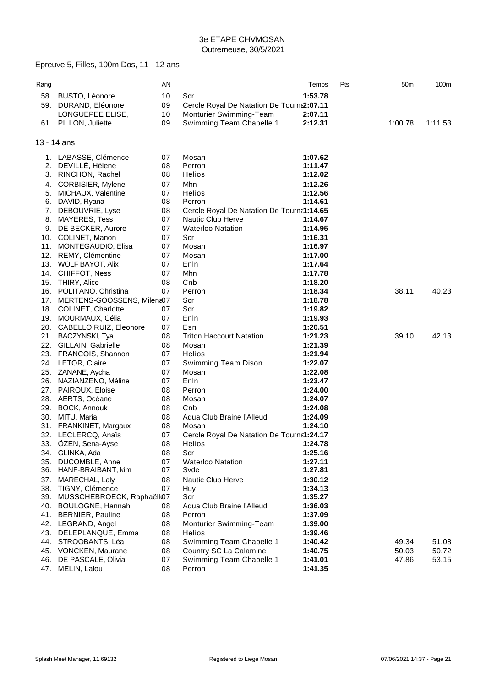|             | Epreuve 5, Filles, 100m Dos, 11 - 12 ans    |          |                                           |                    |     |                 |         |
|-------------|---------------------------------------------|----------|-------------------------------------------|--------------------|-----|-----------------|---------|
| Rang        |                                             | AN       |                                           | Temps              | Pts | 50 <sub>m</sub> | 100m    |
|             | 58. BUSTO, Léonore                          | 10       | Scr                                       | 1:53.78            |     |                 |         |
|             | 59. DURAND, Eléonore                        | 09       | Cercle Royal De Natation De Tourn 2:07.11 |                    |     |                 |         |
|             | LONGUEPEE ELISE,                            | 10       | Monturier Swimming-Team                   | 2:07.11            |     |                 |         |
|             | 61. PILLON, Juliette                        | 09       | Swimming Team Chapelle 1                  | 2:12.31            |     | 1:00.78         | 1:11.53 |
|             |                                             |          |                                           |                    |     |                 |         |
| 13 - 14 ans |                                             |          |                                           |                    |     |                 |         |
|             | 1. LABASSE, Clémence                        | 07       | Mosan                                     | 1:07.62            |     |                 |         |
|             | 2. DEVILLÉ, Hélene                          | 08       | Perron                                    | 1:11.47            |     |                 |         |
|             | 3. RINCHON, Rachel                          | 08       | Helios                                    | 1:12.02            |     |                 |         |
|             | 4. CORBISIER, Mylene                        | 07       | Mhn                                       | 1:12.26            |     |                 |         |
| 5.          | MICHAUX, Valentine                          | 07       | <b>Helios</b>                             | 1:12.56            |     |                 |         |
|             | 6. DAVID, Ryana                             | 08       | Perron                                    | 1:14.61            |     |                 |         |
|             | 7. DEBOUVRIE, Lyse                          | 08       | Cercle Royal De Natation De Tourna1:14.65 |                    |     |                 |         |
|             | 8. MAYERES, Tess                            | 07       | <b>Nautic Club Herve</b>                  | 1:14.67            |     |                 |         |
|             | 9. DE BECKER, Aurore                        | 07       | <b>Waterloo Natation</b>                  | 1:14.95            |     |                 |         |
|             | 10. COLINET, Manon                          | 07       | Scr                                       | 1:16.31            |     |                 |         |
|             | 11. MONTEGAUDIO, Elisa                      | 07       | Mosan                                     | 1:16.97            |     |                 |         |
|             | 12. REMY, Clémentine                        | 07       | Mosan                                     | 1:17.00            |     |                 |         |
|             | 13. WOLF BAYOT, Alix                        | 07       | Enln                                      | 1:17.64            |     |                 |         |
|             | 14. CHIFFOT, Ness                           | 07       | Mhn                                       | 1:17.78            |     |                 |         |
|             | 15. THIRY, Alice                            | 08       | Cnb                                       | 1:18.20            |     |                 |         |
|             | 16. POLITANO, Christina                     | 07       | Perron                                    | 1:18.34            |     | 38.11           | 40.23   |
|             | 17. MERTENS-GOOSSENS, Milena07              |          | Scr                                       | 1:18.78            |     |                 |         |
|             | 18. COLINET, Charlotte                      | 07       | Scr                                       | 1:19.82            |     |                 |         |
|             | 19. MOURMAUX, Célia                         | 07       | Enln                                      | 1:19.93            |     |                 |         |
|             | 20. CABELLO RUIZ, Eleonore                  | 07       | Esn                                       | 1:20.51            |     |                 |         |
|             | 21. BACZYNSKI, Tya                          | 08       | <b>Triton Haccourt Natation</b>           | 1:21.23            |     | 39.10           | 42.13   |
|             | 22. GILLAIN, Gabrielle                      | 08       | Mosan                                     | 1:21.39            |     |                 |         |
|             | 23. FRANCOIS, Shannon                       | 07       | Helios                                    | 1:21.94            |     |                 |         |
|             | 24. LETOR, Claire                           | 07<br>07 | Swimming Team Dison<br>Mosan              | 1:22.07            |     |                 |         |
|             | 25. ZANANE, Aycha<br>26. NAZIANZENO, Méline | 07       | Enln                                      | 1:22.08<br>1:23.47 |     |                 |         |
|             | 27. PAIROUX, Eloise                         | 08       | Perron                                    | 1:24.00            |     |                 |         |
|             | 28. AERTS, Océane                           | 08       | Mosan                                     | 1:24.07            |     |                 |         |
|             | 29. BOCK, Annouk                            | 08       | Cnb                                       | 1:24.08            |     |                 |         |
|             | 30. MITU, Maria                             | 08       | Aqua Club Braine l'Alleud                 | 1:24.09            |     |                 |         |
|             | 31. FRANKINET, Margaux                      | 08       | Mosan                                     | 1:24.10            |     |                 |         |
|             | 32. LECLERCQ, Anaïs                         | 07       | Cercle Royal De Natation De Tourna1:24.17 |                    |     |                 |         |
|             | 33. ÖZEN, Sena-Ayse                         | 08       | <b>Helios</b>                             | 1:24.78            |     |                 |         |
|             | 34. GLINKA, Ada                             | 08       | Scr                                       | 1:25.16            |     |                 |         |
|             | 35. DUCOMBLE, Anne                          | 07       | <b>Waterloo Natation</b>                  | 1:27.11            |     |                 |         |
|             | 36. HANF-BRAIBANT, kim                      | 07       | Svde                                      | 1:27.81            |     |                 |         |
|             | 37. MARECHAL, Laly                          | 08       | Nautic Club Herve                         | 1:30.12            |     |                 |         |
|             | 38. TIGNY, Clémence                         | 07       | Huy                                       | 1:34.13            |     |                 |         |
|             | 39. MUSSCHEBROECK, Raphaëllo7               |          | Scr                                       | 1:35.27            |     |                 |         |
|             | 40. BOULOGNE, Hannah                        | 08       | Aqua Club Braine l'Alleud                 | 1:36.03            |     |                 |         |
|             | 41. BERNIER, Pauline                        | 08       | Perron                                    | 1:37.09            |     |                 |         |
|             | 42. LEGRAND, Angel                          | 08       | Monturier Swimming-Team                   | 1:39.00            |     |                 |         |
|             | 43. DELEPLANQUE, Emma                       | 08       | Helios                                    | 1:39.46            |     |                 |         |
|             | 44. STROOBANTS, Léa                         | 08       | Swimming Team Chapelle 1                  | 1:40.42            |     | 49.34           | 51.08   |
|             | 45. VONCKEN, Maurane                        | 08       | Country SC La Calamine                    | 1:40.75            |     | 50.03           | 50.72   |
| 46.         | DE PASCALE, Olivia                          | 07       | Swimming Team Chapelle 1                  | 1:41.01            |     | 47.86           | 53.15   |
|             | 47. MELIN, Lalou                            | 08       | Perron                                    | 1:41.35            |     |                 |         |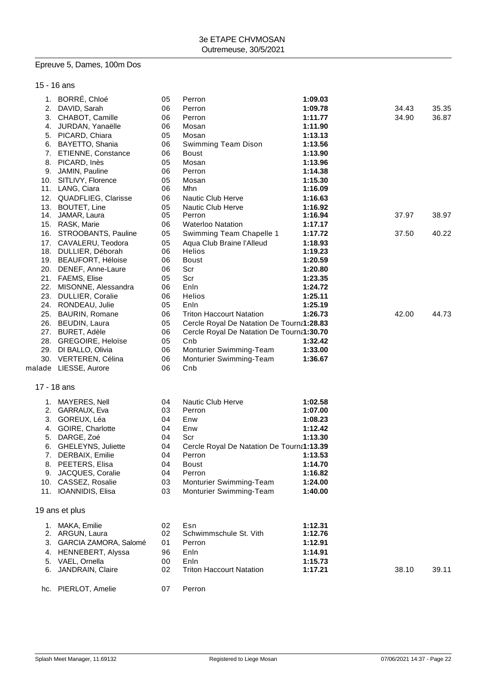## Epreuve 5, Dames, 100m Dos

## 15 - 16 ans

|    | 1. BORRÉ, Chloé         | 05 | Perron                                    | 1:09.03 |       |       |
|----|-------------------------|----|-------------------------------------------|---------|-------|-------|
|    | 2. DAVID, Sarah         | 06 | Perron                                    | 1:09.78 | 34.43 | 35.35 |
|    | 3. CHABOT, Camille      | 06 | Perron                                    | 1:11.77 | 34.90 | 36.87 |
|    | 4. JURDAN, Yanaëlle     | 06 | Mosan                                     | 1:11.90 |       |       |
|    | 5. PICARD, Chiara       | 05 | Mosan                                     | 1:13.13 |       |       |
|    | 6. BAYETTO, Shania      | 06 | Swimming Team Dison                       | 1:13.56 |       |       |
|    | 7. ETIENNE, Constance   | 06 | <b>Boust</b>                              | 1:13.90 |       |       |
|    | 8. PICARD, Inès         | 05 | Mosan                                     | 1:13.96 |       |       |
|    | 9. JAMIN, Pauline       | 06 | Perron                                    | 1:14.38 |       |       |
|    | 10. SITLIVY, Florence   | 05 | Mosan                                     | 1:15.30 |       |       |
|    | 11. LANG, Ciara         | 06 | Mhn                                       | 1:16.09 |       |       |
|    | 12. QUADFLIEG, Clarisse | 06 | Nautic Club Herve                         | 1:16.63 |       |       |
|    | 13. BOUTET, Line        | 05 | Nautic Club Herve                         | 1:16.92 |       |       |
|    | 14. JAMAR, Laura        | 05 | Perron                                    | 1:16.94 | 37.97 | 38.97 |
|    | 15. RASK, Marie         | 06 | <b>Waterloo Natation</b>                  | 1:17.17 |       |       |
|    | 16. STROOBANTS, Pauline | 05 | Swimming Team Chapelle 1                  | 1:17.72 | 37.50 | 40.22 |
|    | 17. CAVALERU, Teodora   | 05 | Aqua Club Braine l'Alleud                 | 1:18.93 |       |       |
|    | 18. DULLIER, Déborah    | 06 | Helios                                    | 1:19.23 |       |       |
|    | 19. BEAUFORT, Héloise   | 06 | <b>Boust</b>                              | 1:20.59 |       |       |
|    | 20. DENEF, Anne-Laure   | 06 | Scr                                       | 1:20.80 |       |       |
|    | 21. FAEMS, Elise        | 05 | Scr                                       | 1:23.35 |       |       |
|    | 22. MISONNE, Alessandra | 06 | Enln                                      | 1:24.72 |       |       |
|    | 23. DULLIER, Coralie    | 06 | Helios                                    | 1:25.11 |       |       |
|    | 24. RONDEAU, Julie      | 05 | Enln                                      | 1:25.19 |       |       |
|    | 25. BAURIN, Romane      | 06 | <b>Triton Haccourt Natation</b>           | 1:26.73 | 42.00 | 44.73 |
|    | 26. BEUDIN, Laura       | 05 | Cercle Royal De Natation De Tourna1:28.83 |         |       |       |
|    | 27. BURET, Adèle        | 06 | Cercle Royal De Natation De Tourna1:30.70 |         |       |       |
|    | 28. GREGOIRE, Heloïse   | 05 | Cnb                                       | 1:32.42 |       |       |
|    | 29. DI BALLO, Olivia    | 06 | Monturier Swimming-Team                   | 1:33.00 |       |       |
|    | 30. VERTEREN, Célina    | 06 | Monturier Swimming-Team                   | 1:36.67 |       |       |
|    | malade LIESSE, Aurore   | 06 | Cnb                                       |         |       |       |
|    |                         |    |                                           |         |       |       |
|    | 17 - 18 ans             |    |                                           |         |       |       |
|    |                         |    |                                           |         |       |       |
|    | 1. MAYERES, Nell        | 04 | Nautic Club Herve                         | 1:02.58 |       |       |
|    | 2. GARRAUX, Eva         | 03 | Perron                                    | 1:07.00 |       |       |
|    | 3. GOREUX, Léa          | 04 | Enw                                       | 1:08.23 |       |       |
| 4. | GOIRE, Charlotte        | 04 | Enw                                       | 1:12.42 |       |       |
| 5. | DARGE, Zoé              | 04 | Scr                                       | 1:13.30 |       |       |
| 6. | GHELEYNS, Juliette      | 04 | Cercle Royal De Natation De Tourna1:13.39 |         |       |       |
| 7. | DERBAIX, Emilie         | 04 | Perron                                    | 1:13.53 |       |       |
|    | 8. PEETERS, Elisa       | 04 | <b>Boust</b>                              | 1:14.70 |       |       |
|    | 9. JACQUES, Coralie     | 04 | Perron                                    | 1:16.82 |       |       |
|    | 10. CASSEZ, Rosalie     | 03 | Monturier Swimming-Team                   | 1:24.00 |       |       |
|    | 11. IOANNIDIS, Elisa    | 03 | Monturier Swimming-Team                   | 1:40.00 |       |       |
|    |                         |    |                                           |         |       |       |
|    | 19 ans et plus          |    |                                           |         |       |       |
|    | 1. MAKA, Emilie         | 02 | Esn                                       | 1:12.31 |       |       |
|    | 2. ARGUN, Laura         | 02 | Schwimmschule St. Vith                    | 1:12.76 |       |       |
| 3. | GARCIA ZAMORA, Salomé   | 01 | Perron                                    | 1:12.91 |       |       |
|    | 4. HENNEBERT, Alyssa    | 96 | Enln                                      | 1:14.91 |       |       |
|    | 5. VAEL, Ornella        | 00 | Enln                                      | 1:15.73 |       |       |
| 6. | JANDRAIN, Claire        | 02 | <b>Triton Haccourt Natation</b>           | 1:17.21 | 38.10 | 39.11 |
|    |                         |    |                                           |         |       |       |
|    | hc. PIERLOT, Amelie     | 07 | Perron                                    |         |       |       |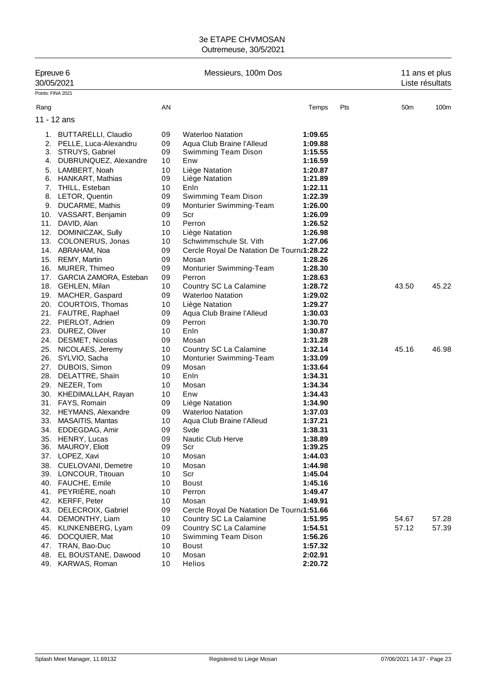| Epreuve 6<br>30/05/2021 |                                                |          | Messieurs, 100m Dos                       | 11 ans et plus<br>Liste résultats |     |                 |       |
|-------------------------|------------------------------------------------|----------|-------------------------------------------|-----------------------------------|-----|-----------------|-------|
| Points: FINA 2021       |                                                |          |                                           |                                   |     |                 |       |
| Rang                    |                                                | AN       |                                           | Temps                             | Pts | 50 <sub>m</sub> | 100m  |
|                         | 11 - 12 ans                                    |          |                                           |                                   |     |                 |       |
|                         | 1. BUTTARELLI, Claudio                         | 09       | <b>Waterloo Natation</b>                  | 1:09.65                           |     |                 |       |
| 2.                      | PELLE, Luca-Alexandru                          | 09       | Aqua Club Braine l'Alleud                 | 1:09.88                           |     |                 |       |
|                         | 3. STRUYS, Gabriel                             | 09       | Swimming Team Dison                       | 1:15.55                           |     |                 |       |
| 4.                      | DUBRUNQUEZ, Alexandre                          | 10       | Enw                                       | 1:16.59                           |     |                 |       |
| 5.                      | LAMBERT, Noah                                  | 10       | Liège Natation                            | 1:20.87                           |     |                 |       |
| 6.                      | HANKART, Mathias                               | 09       | Liège Natation                            | 1:21.89                           |     |                 |       |
|                         | 7. THILL, Esteban                              | 10       | Enln                                      | 1:22.11                           |     |                 |       |
| 8.                      | LETOR, Quentin                                 | 09       | Swimming Team Dison                       | 1:22.39                           |     |                 |       |
|                         | 9. DUCARME, Mathis                             | 09       | Monturier Swimming-Team                   | 1:26.00                           |     |                 |       |
|                         | 10. VASSART, Benjamin                          | 09       | Scr                                       | 1:26.09                           |     |                 |       |
| 11.                     | DAVID, Alan                                    | 10       | Perron                                    | 1:26.52                           |     |                 |       |
| 12.                     | DOMINICZAK, Sully                              | 10       | Liège Natation                            | 1:26.98                           |     |                 |       |
|                         | 13. COLONERUS, Jonas                           | 10       | Schwimmschule St. Vith                    | 1:27.06                           |     |                 |       |
|                         | 14. ABRAHAM, Noa                               | 09       | Cercle Royal De Natation De Tourna1:28.22 |                                   |     |                 |       |
|                         | 15. REMY, Martin                               | 09       | Mosan                                     | 1:28.26                           |     |                 |       |
|                         | 16. MURER, Thimeo                              | 09       | Monturier Swimming-Team                   | 1:28.30                           |     |                 |       |
|                         | 17. GARCIA ZAMORA, Esteban                     | 09       | Perron                                    | 1:28.63                           |     |                 |       |
|                         | 18. GEHLEN, Milan                              | 10       | Country SC La Calamine                    | 1:28.72                           |     | 43.50           | 45.22 |
|                         | 19. MACHER, Gaspard                            | 09       | <b>Waterloo Natation</b>                  | 1:29.02                           |     |                 |       |
|                         | 20. COURTOIS, Thomas                           | 10       | Liège Natation                            | 1:29.27                           |     |                 |       |
|                         | 21. FAUTRE, Raphael                            | 09       | Aqua Club Braine l'Alleud                 | 1:30.03                           |     |                 |       |
|                         | 22. PIERLOT, Adrien                            | 09       | Perron                                    | 1:30.70                           |     |                 |       |
| 23.                     | DUREZ, Oliver                                  | 10       | Enln                                      | 1:30.87                           |     |                 |       |
| 24.                     | DESMET, Nicolas                                | 09       | Mosan                                     | 1:31.28                           |     |                 |       |
|                         | 25. NICOLAES, Jeremy                           | 10       | Country SC La Calamine                    | 1:32.14                           |     | 45.16           | 46.98 |
|                         | 26. SYLVIO, Sacha                              | 10       | Monturier Swimming-Team                   | 1:33.09                           |     |                 |       |
|                         | 27. DUBOIS, Simon                              | 09       | Mosan                                     | 1:33.64                           |     |                 |       |
| 28.                     | DELATTRE, Shain                                | 10       | Enln                                      | 1:34.31                           |     |                 |       |
| 29.                     | NEZER, Tom                                     | 10       | Mosan                                     | 1:34.34                           |     |                 |       |
|                         | 30. KHEDIMALLAH, Rayan                         | 10       | Enw                                       | 1:34.43                           |     |                 |       |
|                         | 31. FAYS, Romain                               | 09       | Liège Natation                            | 1:34.90                           |     |                 |       |
|                         | 32. HEYMANS, Alexandre                         | 09       | <b>Waterloo Natation</b>                  | 1:37.03                           |     |                 |       |
| 33.                     | <b>MASAITIS, Mantas</b>                        | 10       | Aqua Club Braine l'Alleud                 | 1:37.21                           |     |                 |       |
|                         | 34. EDDEGDAG, Amir                             | 09       | Svde                                      | 1:38.31                           |     |                 |       |
|                         | 35. HENRY, Lucas<br>MAUROY, Eliott             | 09<br>09 | Nautic Club Herve                         | 1:38.89                           |     |                 |       |
| 36.                     |                                                | 10       | Scr                                       | 1:39.25<br>1:44.03                |     |                 |       |
|                         | 37. LOPEZ, Xavi                                |          | Mosan                                     |                                   |     |                 |       |
|                         | 38. CUELOVANI, Demetre<br>39. LONCOUR, Titouan | 10<br>10 | Mosan<br>Scr                              | 1:44.98<br>1:45.04                |     |                 |       |
|                         | 40. FAUCHE, Emile                              | 10       | <b>Boust</b>                              | 1:45.16                           |     |                 |       |
|                         | 41. PEYRIÈRE, noah                             | 10       | Perron                                    | 1:49.47                           |     |                 |       |
|                         | 42. KERFF, Peter                               | 10       | Mosan                                     | 1:49.91                           |     |                 |       |
| 43.                     | DELECROIX, Gabriel                             | 09       | Cercle Royal De Natation De Tourna1:51.66 |                                   |     |                 |       |
| 44.                     | DEMONTHY, Liam                                 | 10       | Country SC La Calamine                    | 1:51.95                           |     | 54.67           | 57.28 |
|                         | 45. KLINKENBERG, Lyam                          | 09       | Country SC La Calamine                    | 1:54.51                           |     | 57.12           | 57.39 |
| 46.                     | DOCQUIER, Mat                                  | 10       | Swimming Team Dison                       | 1:56.26                           |     |                 |       |
|                         | 47. TRAN, Bao-Duc                              | 10       | <b>Boust</b>                              | 1:57.32                           |     |                 |       |
| 48.                     | EL BOUSTANE, Dawood                            | 10       | Mosan                                     | 2:02.91                           |     |                 |       |
| 49.                     | KARWAS, Roman                                  | 10       | Helios                                    | 2:20.72                           |     |                 |       |
|                         |                                                |          |                                           |                                   |     |                 |       |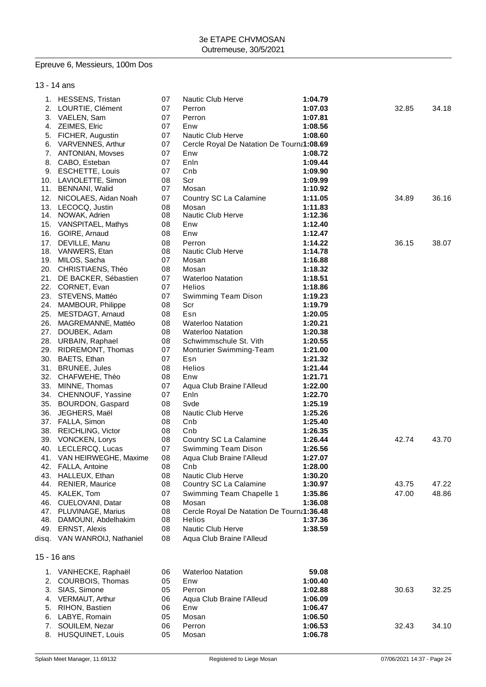# Epreuve 6, Messieurs, 100m Dos

13 - 14 ans

|     | 1. HESSENS, Tristan          | 07 | Nautic Club Herve                         | 1:04.79 |       |       |
|-----|------------------------------|----|-------------------------------------------|---------|-------|-------|
|     | 2. LOURTIE, Clément          | 07 | Perron                                    | 1:07.03 | 32.85 | 34.18 |
| 3.  | VAELEN, Sam                  | 07 | Perron                                    | 1:07.81 |       |       |
| 4.  | ZEIMES, Elric                | 07 | Enw                                       | 1:08.56 |       |       |
| 5.  | FICHER, Augustin             | 07 | <b>Nautic Club Herve</b>                  | 1:08.60 |       |       |
| 6.  | VARVENNES, Arthur            | 07 | Cercle Royal De Natation De Tourna1:08.69 |         |       |       |
| 7.  | ANTONIAN, Movses             | 07 | Enw                                       | 1:08.72 |       |       |
| 8.  | CABO, Esteban                | 07 | Enln                                      | 1:09.44 |       |       |
|     | 9. ESCHETTE, Louis           | 07 | Cnb                                       | 1:09.90 |       |       |
|     | 10. LAVIOLETTE, Simon        | 08 | Scr                                       | 1:09.99 |       |       |
|     | 11. BENNANI, Walid           | 07 | Mosan                                     | 1:10.92 |       |       |
|     | 12. NICOLAES, Aidan Noah     | 07 | Country SC La Calamine                    | 1:11.05 | 34.89 | 36.16 |
|     | 13. LECOCQ, Justin           | 08 | Mosan                                     | 1:11.83 |       |       |
|     | 14. NOWAK, Adrien            | 08 | <b>Nautic Club Herve</b>                  | 1:12.36 |       |       |
|     | 15. VANSPITAEL, Mathys       | 08 | Enw                                       | 1:12.40 |       |       |
|     | 16. GOIRE, Arnaud            | 08 | Enw                                       | 1:12.47 |       |       |
| 17. | DEVILLE, Manu                | 08 | Perron                                    | 1:14.22 | 36.15 | 38.07 |
|     | 18. VANWERS, Etan            | 08 | Nautic Club Herve                         | 1:14.78 |       |       |
|     | 19. MILOS, Sacha             | 07 | Mosan                                     | 1:16.88 |       |       |
|     | 20. CHRISTIAENS, Théo        | 08 | Mosan                                     | 1:18.32 |       |       |
|     | 21. DE BACKER, Sébastien     | 07 | <b>Waterloo Natation</b>                  | 1:18.51 |       |       |
|     | 22. CORNET, Evan             | 07 | Helios                                    | 1:18.86 |       |       |
|     | 23. STEVENS, Mattéo          | 07 | Swimming Team Dison                       | 1:19.23 |       |       |
|     | 24. MAMBOUR, Philippe        | 08 | Scr                                       | 1:19.79 |       |       |
| 25. | MESTDAGT, Arnaud             | 08 | Esn                                       | 1:20.05 |       |       |
|     | 26. MAGREMANNE, Mattéo       | 08 | <b>Waterloo Natation</b>                  | 1:20.21 |       |       |
|     | 27. DOUBEK, Adam             | 08 | <b>Waterloo Natation</b>                  | 1:20.38 |       |       |
|     | 28. URBAIN, Raphael          | 08 | Schwimmschule St. Vith                    | 1:20.55 |       |       |
|     |                              | 07 |                                           |         |       |       |
|     | 29. RIDREMONT, Thomas        | 07 | Monturier Swimming-Team                   | 1:21.00 |       |       |
|     | 30. BAETS, Ethan             |    | Esn                                       | 1:21.32 |       |       |
|     | 31. BRUNEE, Jules            | 08 | Helios                                    | 1:21.44 |       |       |
|     | 32. CHAFWEHE, Théo           | 08 | Enw                                       | 1:21.71 |       |       |
|     | 33. MINNE, Thomas            | 07 | Aqua Club Braine l'Alleud                 | 1:22.00 |       |       |
|     | 34. CHENNOUF, Yassine        | 07 | Enln                                      | 1:22.70 |       |       |
|     | 35. BOURDON, Gaspard         | 08 | Svde                                      | 1:25.19 |       |       |
|     | 36. JEGHERS, Maël            | 08 | Nautic Club Herve                         | 1:25.26 |       |       |
|     | 37. FALLA, Simon             | 08 | Cnb                                       | 1:25.40 |       |       |
|     | 38. REICHLING, Victor        | 08 | Cnb                                       | 1:26.35 |       |       |
|     | 39. VONCKEN, Lorys           | 08 | Country SC La Calamine                    | 1:26.44 | 42.74 | 43.70 |
|     | 40. LECLERCQ, Lucas          | 07 | Swimming Team Dison                       | 1:26.56 |       |       |
|     | 41. VAN HEIRWEGHE, Maxime    | 08 | Aqua Club Braine l'Alleud                 | 1:27.07 |       |       |
|     | 42. FALLA, Antoine           | 08 | Cnb                                       | 1:28.00 |       |       |
| 43. | HALLEUX, Ethan               | 08 | Nautic Club Herve                         | 1:30.20 |       |       |
| 44. | <b>RENIER, Maurice</b>       | 08 | Country SC La Calamine                    | 1:30.97 | 43.75 | 47.22 |
| 45. | KALEK, Tom                   | 07 | Swimming Team Chapelle 1                  | 1:35.86 | 47.00 | 48.86 |
| 46. | CUELOVANI, Datar             | 08 | Mosan                                     | 1:36.08 |       |       |
|     | 47. PLUVINAGE, Marius        | 08 | Cercle Royal De Natation De Tourna1:36.48 |         |       |       |
| 48. | DAMOUNI, Abdelhakim          | 08 | Helios                                    | 1:37.36 |       |       |
|     | 49. ERNST, Alexis            | 08 | Nautic Club Herve                         | 1:38.59 |       |       |
|     | disq. VAN WANROIJ, Nathaniel | 08 | Aqua Club Braine l'Alleud                 |         |       |       |
|     | 15 - 16 ans                  |    |                                           |         |       |       |
|     |                              |    |                                           |         |       |       |
|     | 1. VANHECKE, Raphaël         | 06 | <b>Waterloo Natation</b>                  | 59.08   |       |       |
| 2.  | COURBOIS, Thomas             | 05 | Enw                                       | 1:00.40 |       |       |
| 3.  | SIAS, Simone                 | 05 | Perron                                    | 1:02.88 | 30.63 | 32.25 |
| 4.  | <b>VERMAUT, Arthur</b>       | 06 | Aqua Club Braine l'Alleud                 | 1:06.09 |       |       |
| 5.  | RIHON, Bastien               | 06 | Enw                                       | 1:06.47 |       |       |
| 6.  | LABYE, Romain                | 05 | Mosan                                     | 1:06.50 |       |       |
| 7.  | SOUILEM, Nezar               | 06 | Perron                                    | 1:06.53 | 32.43 | 34.10 |
| 8.  | HUSQUINET, Louis             | 05 | Mosan                                     | 1:06.78 |       |       |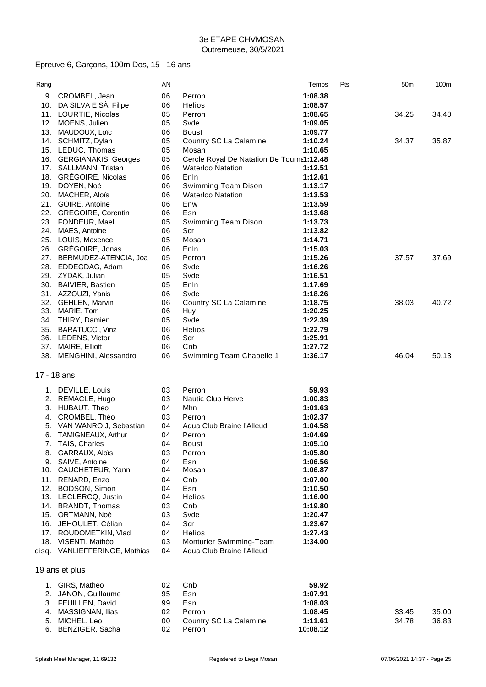# Epreuve 6, Garçons, 100m Dos, 15 - 16 ans

| Rang      |                                       | ΑN       |                                                      | Temps              | Pts | 50 <sub>m</sub> | 100m  |
|-----------|---------------------------------------|----------|------------------------------------------------------|--------------------|-----|-----------------|-------|
| 9.        | CROMBEL, Jean                         | 06       | Perron                                               | 1:08.38            |     |                 |       |
| 10.       | DA SILVA E SÀ, Filipe                 | 06       | <b>Helios</b>                                        | 1:08.57            |     |                 |       |
| 11.       | LOURTIE, Nicolas                      | 05       | Perron                                               | 1:08.65            |     | 34.25           | 34.40 |
| 12.       | MOENS, Julien                         | 05       | Svde                                                 | 1:09.05            |     |                 |       |
| 13.       | MAUDOUX, Loïc                         | 06       | Boust                                                | 1:09.77            |     |                 |       |
|           | 14. SCHMITZ, Dylan                    | 05       | Country SC La Calamine                               | 1:10.24            |     | 34.37           | 35.87 |
| 15.       | LEDUC, Thomas                         | 05       | Mosan                                                | 1:10.65            |     |                 |       |
|           | 16. GERGIANAKIS, Georges              | 05       | Cercle Royal De Natation De Tourna1:12.48            |                    |     |                 |       |
| 17.       | SALLMANN, Tristan                     | 06       | <b>Waterloo Natation</b>                             | 1:12.51            |     |                 |       |
| 18.       | <b>GRÉGOIRE, Nicolas</b>              | 06       | Enln                                                 | 1:12.61            |     |                 |       |
|           | 19. DOYEN, Noé                        | 06       | Swimming Team Dison                                  | 1:13.17            |     |                 |       |
| 20.       | MACHER, Aloïs                         | 06       | <b>Waterloo Natation</b>                             | 1:13.53            |     |                 |       |
| 21.       | GOIRE, Antoine                        | 06       | Enw                                                  | 1:13.59            |     |                 |       |
| 22.       | <b>GREGOIRE, Corentin</b>             | 06       | Esn                                                  | 1:13.68            |     |                 |       |
|           | 23. FONDEUR, Mael                     | 05       | Swimming Team Dison                                  | 1:13.73            |     |                 |       |
| 24.       | MAES, Antoine                         | 06       | Scr                                                  | 1:13.82            |     |                 |       |
|           | 25. LOUIS, Maxence                    | 05       | Mosan                                                | 1:14.71            |     |                 |       |
|           | 26. GREGOIRE, Jonas                   | 06       | Enln                                                 | 1:15.03            |     |                 |       |
| 27.       | BERMUDEZ-ATENCIA, Joa                 | 05       | Perron                                               | 1:15.26            |     | 37.57           | 37.69 |
|           | 28. EDDEGDAG, Adam                    | 06       | Svde                                                 | 1:16.26            |     |                 |       |
|           | 29. ZYDAK, Julian                     | 05       | Svde                                                 | 1:16.51            |     |                 |       |
| 30.       | <b>BAIVIER, Bastien</b>               | 05       | Enln                                                 | 1:17.69            |     |                 |       |
|           | 31. AZZOUZI, Yanis                    | 06       | Svde                                                 | 1:18.26            |     |                 |       |
|           | 32. GEHLEN, Marvin                    | 06       | Country SC La Calamine                               | 1:18.75            |     | 38.03           | 40.72 |
| 33.       | MARIE, Tom                            | 06       | Huy                                                  | 1:20.25            |     |                 |       |
| 34.       | THIRY, Damien                         | 05       | Svde                                                 | 1:22.39            |     |                 |       |
| 35.       | <b>BARATUCCI, Vinz</b>                | 06       | Helios                                               | 1:22.79            |     |                 |       |
|           | 36. LEDENS, Victor                    | 06       | Scr                                                  | 1:25.91            |     |                 |       |
| 37.       | MAIRE, Elliott                        | 06       | Cnb                                                  | 1:27.72            |     |                 |       |
|           | 38. MENGHINI, Alessandro              | 06       | Swimming Team Chapelle 1                             | 1:36.17            |     | 46.04           | 50.13 |
|           | 17 - 18 ans                           |          |                                                      |                    |     |                 |       |
|           |                                       |          |                                                      |                    |     |                 |       |
|           | 1. DEVILLE, Louis                     | 03       | Perron                                               | 59.93              |     |                 |       |
| 2.        | REMACLE, Hugo                         | 03       | <b>Nautic Club Herve</b>                             | 1:00.83            |     |                 |       |
| 3.        | HUBAUT, Theo                          | 04       | Mhn                                                  | 1:01.63            |     |                 |       |
| 4.        | CROMBEL, Théo                         | 03       | Perron                                               | 1:02.37            |     |                 |       |
| 5.        | VAN WANROIJ, Sebastian                | 04       | Aqua Club Braine l'Alleud                            | 1:04.58            |     |                 |       |
| 6.        | <b>TAMIGNEAUX, Arthur</b>             | 04       | Perron                                               | 1:04.69            |     |                 |       |
| 7.        | TAIS, Charles                         | 04       | <b>Boust</b>                                         | 1:05.10            |     |                 |       |
| 8.        | GARRAUX, Aloïs                        | 03       | Perron                                               | 1:05.80            |     |                 |       |
| 9.<br>10. | SAIVE, Antoine<br>CAUCHETEUR, Yann    | 04<br>04 | Esn<br>Mosan                                         | 1:06.56            |     |                 |       |
|           |                                       |          |                                                      | 1:06.87            |     |                 |       |
| 11.       | RENARD, Enzo                          | 04       | Cnb                                                  | 1:07.00            |     |                 |       |
| 12.       | BODSON, Simon<br>13. LECLERCQ, Justin | 04<br>04 | Esn<br>Helios                                        | 1:10.50<br>1:16.00 |     |                 |       |
|           | 14. BRANDT, Thomas                    | 03       | Cnb                                                  | 1:19.80            |     |                 |       |
| 15.       | ORTMANN, Noé                          | 03       | Svde                                                 | 1:20.47            |     |                 |       |
| 16.       | JEHOULET, Célian                      | 04       | Scr                                                  | 1:23.67            |     |                 |       |
| 17.       | ROUDOMETKIN, Vlad                     | 04       | Helios                                               | 1:27.43            |     |                 |       |
| 18.       | VISENTI, Mathéo                       | 03       |                                                      |                    |     |                 |       |
|           | disq. VANLIEFFERINGE, Mathias         | 04       | Monturier Swimming-Team<br>Aqua Club Braine l'Alleud | 1:34.00            |     |                 |       |
|           |                                       |          |                                                      |                    |     |                 |       |
|           | 19 ans et plus                        |          |                                                      |                    |     |                 |       |
|           | 1. GIRS, Matheo                       | 02       | Cnb                                                  | 59.92              |     |                 |       |
| 2.        | JANON, Guillaume                      | 95       | Esn                                                  | 1:07.91            |     |                 |       |
| 3.        | FEUILLEN, David                       | 99       | Esn                                                  | 1:08.03            |     |                 |       |
| 4.        | MASSIGNAN, Ilias                      | 02       | Perron                                               | 1:08.45            |     | 33.45           | 35.00 |
| 5.        | MICHEL, Leo                           | 00       | Country SC La Calamine                               | 1:11.61            |     | 34.78           | 36.83 |
| 6.        | BENZIGER, Sacha                       | 02       | Perron                                               | 10:08.12           |     |                 |       |
|           |                                       |          |                                                      |                    |     |                 |       |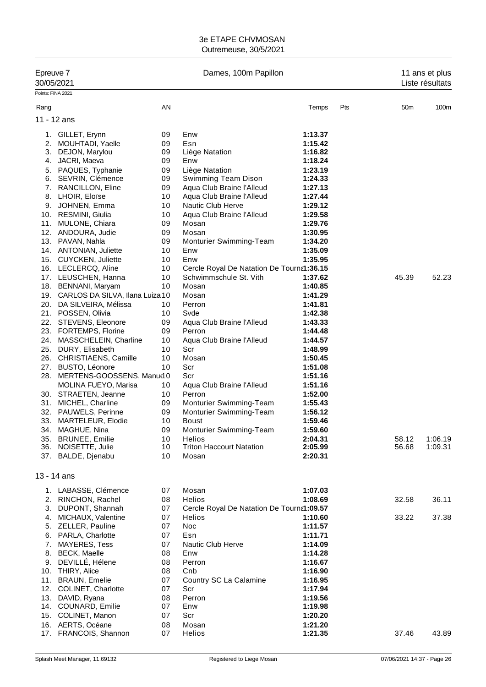| Epreuve 7<br>30/05/2021<br>Points: FINA 2021 |                                                    | Dames, 100m Papillon |                                           |                    |     | 11 ans et plus<br>Liste résultats |         |  |
|----------------------------------------------|----------------------------------------------------|----------------------|-------------------------------------------|--------------------|-----|-----------------------------------|---------|--|
|                                              |                                                    |                      |                                           |                    |     |                                   |         |  |
| Rang                                         |                                                    | AN                   |                                           | Temps              | Pts | 50 <sub>m</sub>                   | 100m    |  |
| 11 - 12 ans                                  |                                                    |                      |                                           |                    |     |                                   |         |  |
| 1.                                           | GILLET, Erynn                                      | 09                   | Enw                                       | 1:13.37            |     |                                   |         |  |
| 2.                                           | MOUHTADI, Yaelle                                   | 09                   | Esn                                       | 1:15.42            |     |                                   |         |  |
| 3.                                           | DEJON, Marylou                                     | 09                   | Liège Natation                            | 1:16.82            |     |                                   |         |  |
| 4.                                           | JACRI, Maeva                                       | 09                   | Enw                                       | 1:18.24            |     |                                   |         |  |
| 5.<br>6.                                     | PAQUES, Typhanie<br>SEVRIN, Clémence               | 09<br>09             | Liège Natation<br>Swimming Team Dison     | 1:23.19<br>1:24.33 |     |                                   |         |  |
|                                              | 7. RANCILLON, Eline                                | 09                   | Aqua Club Braine l'Alleud                 | 1:27.13            |     |                                   |         |  |
|                                              | 8. LHOIR, Eloïse                                   | 10                   | Aqua Club Braine l'Alleud                 | 1:27.44            |     |                                   |         |  |
|                                              | 9. JOHNEN, Emma                                    | 10                   | Nautic Club Herve                         | 1:29.12            |     |                                   |         |  |
|                                              | 10. RESMINI, Giulia                                | 10                   | Aqua Club Braine l'Alleud                 | 1:29.58            |     |                                   |         |  |
| 11.                                          | MULONE, Chiara                                     | 09                   | Mosan                                     | 1:29.76            |     |                                   |         |  |
|                                              | 12. ANDOURA, Judie                                 | 09                   | Mosan                                     | 1:30.95            |     |                                   |         |  |
|                                              | 13. PAVAN, Nahla                                   | 09                   | Monturier Swimming-Team                   | 1:34.20            |     |                                   |         |  |
|                                              | 14. ANTONIAN, Juliette                             | 10                   | Enw                                       | 1:35.09            |     |                                   |         |  |
|                                              | 15. CUYCKEN, Juliette                              | 10                   | Enw                                       | 1:35.95            |     |                                   |         |  |
|                                              | 16. LECLERCQ, Aline                                | 10                   | Cercle Royal De Natation De Tourna1:36.15 |                    |     |                                   |         |  |
|                                              | 17. LEUSCHEN, Hanna                                | 10                   | Schwimmschule St. Vith                    | 1:37.62            |     | 45.39                             | 52.23   |  |
| 18.                                          | BENNANI, Maryam                                    | 10                   | Mosan                                     | 1:40.85            |     |                                   |         |  |
|                                              | 19. CARLOS DA SILVA, Ilana Luiza 10                |                      | Mosan                                     | 1:41.29            |     |                                   |         |  |
|                                              | 20. DA SILVEIRA, Mélissa                           | 10                   | Perron                                    | 1:41.81            |     |                                   |         |  |
|                                              | 21. POSSEN, Olivia                                 | 10                   | Svde                                      | 1:42.38            |     |                                   |         |  |
|                                              | 22. STEVENS, Eleonore                              | 09                   | Aqua Club Braine l'Alleud<br>Perron       | 1:43.33            |     |                                   |         |  |
|                                              | 23. FORTEMPS, Florine<br>24. MASSCHELEIN, Charline | 09<br>10             | Aqua Club Braine l'Alleud                 | 1:44.48<br>1:44.57 |     |                                   |         |  |
|                                              | 25. DURY, Elisabeth                                | 10                   | Scr                                       | 1:48.99            |     |                                   |         |  |
|                                              | 26. CHRISTIAENS, Camille                           | 10                   | Mosan                                     | 1:50.45            |     |                                   |         |  |
| 27.                                          | <b>BUSTO, Léonore</b>                              | 10                   | Scr                                       | 1:51.08            |     |                                   |         |  |
| 28.                                          | MERTENS-GOOSSENS, Manu(10                          |                      | Scr                                       | 1:51.16            |     |                                   |         |  |
|                                              | MOLINA FUEYO, Marisa                               | 10                   | Aqua Club Braine l'Alleud                 | 1:51.16            |     |                                   |         |  |
|                                              | 30. STRAETEN, Jeanne                               | 10                   | Perron                                    | 1:52.00            |     |                                   |         |  |
|                                              | 31. MICHEL, Charline                               | 09                   | Monturier Swimming-Team                   | 1:55.43            |     |                                   |         |  |
|                                              | 32. PAUWELS, Perinne                               | 09                   | Monturier Swimming-Team                   | 1:56.12            |     |                                   |         |  |
| 33.                                          | MARTELEUR, Elodie                                  | 10                   | Boust                                     | 1:59.46            |     |                                   |         |  |
| 34.                                          | MAGHUE, Nina                                       | 09                   | Monturier Swimming-Team                   | 1:59.60            |     |                                   |         |  |
|                                              | 35. BRUNEE, Emilie                                 | 10                   | <b>Helios</b>                             | 2:04.31            |     | 58.12                             | 1:06.19 |  |
|                                              | 36. NOISETTE, Julie                                | 10                   | <b>Triton Haccourt Natation</b>           | 2:05.99            |     | 56.68                             | 1:09.31 |  |
|                                              | 37. BALDE, Djenabu                                 | 10                   | Mosan                                     | 2:20.31            |     |                                   |         |  |
| 13 - 14 ans                                  |                                                    |                      |                                           |                    |     |                                   |         |  |
|                                              | 1. LABASSE, Clémence                               | 07                   | Mosan                                     | 1:07.03            |     |                                   |         |  |
|                                              | 2. RINCHON, Rachel                                 | 08                   | <b>Helios</b>                             | 1:08.69            |     | 32.58                             | 36.11   |  |
|                                              | 3. DUPONT, Shannah                                 | 07                   | Cercle Royal De Natation De Tourna1:09.57 |                    |     |                                   |         |  |
|                                              | 4. MICHAUX, Valentine                              | 07                   | Helios                                    | 1:10.60            |     | 33.22                             | 37.38   |  |
|                                              | 5. ZELLER, Pauline                                 | 07                   | Noc                                       | 1:11.57            |     |                                   |         |  |
|                                              | 6. PARLA, Charlotte                                | 07                   | Esn                                       | 1:11.71            |     |                                   |         |  |
|                                              | 7. MAYERES, Tess                                   | 07                   | Nautic Club Herve                         | 1:14.09            |     |                                   |         |  |
|                                              | 8. BECK, Maelle                                    | 08                   | Enw                                       | 1:14.28            |     |                                   |         |  |
| 9.                                           | DEVILLÉ, Hélene                                    | 08                   | Perron                                    | 1:16.67            |     |                                   |         |  |
|                                              | 10. THIRY, Alice                                   | 08                   | Cnb                                       | 1:16.90            |     |                                   |         |  |
|                                              | 11. BRAUN, Emelie                                  | 07                   | Country SC La Calamine                    | 1:16.95            |     |                                   |         |  |
|                                              | 12. COLINET, Charlotte                             | 07                   | Scr                                       | 1:17.94            |     |                                   |         |  |
|                                              | 13. DAVID, Ryana<br>14. COUNARD, Emilie            | 08<br>07             | Perron<br>Enw                             | 1:19.56<br>1:19.98 |     |                                   |         |  |
|                                              | 15. COLINET, Manon                                 | 07                   | Scr                                       | 1:20.20            |     |                                   |         |  |
|                                              | 16. AERTS, Océane                                  | 08                   | Mosan                                     | 1:21.20            |     |                                   |         |  |
|                                              | 17. FRANCOIS, Shannon                              | 07                   | Helios                                    | 1:21.35            |     | 37.46                             | 43.89   |  |
|                                              |                                                    |                      |                                           |                    |     |                                   |         |  |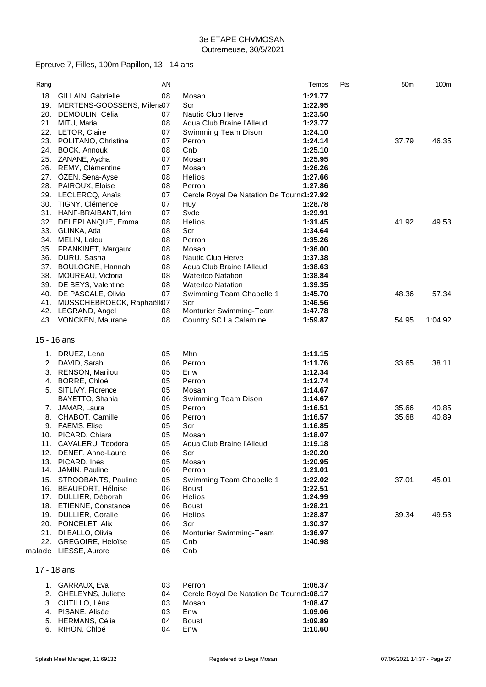# Epreuve 7, Filles, 100m Papillon, 13 - 14 ans

| Rang |                                | AN |                                           | Temps   | Pts | 50 <sub>m</sub> | 100m    |
|------|--------------------------------|----|-------------------------------------------|---------|-----|-----------------|---------|
|      | 18. GILLAIN, Gabrielle         | 08 | Mosan                                     | 1:21.77 |     |                 |         |
|      | 19. MERTENS-GOOSSENS, Milena07 |    | Scr                                       | 1:22.95 |     |                 |         |
|      | 20. DEMOULIN, Célia            | 07 | <b>Nautic Club Herve</b>                  | 1:23.50 |     |                 |         |
|      | 21. MITU, Maria                | 08 | Aqua Club Braine l'Alleud                 | 1:23.77 |     |                 |         |
|      | 22. LETOR, Claire              | 07 | Swimming Team Dison                       | 1:24.10 |     |                 |         |
|      | 23. POLITANO, Christina        | 07 | Perron                                    | 1:24.14 |     | 37.79           | 46.35   |
|      | 24. BOCK, Annouk               | 08 | Cnb                                       | 1:25.10 |     |                 |         |
|      | 25. ZANANE, Aycha              | 07 | Mosan                                     | 1:25.95 |     |                 |         |
|      | 26. REMY, Clémentine           | 07 | Mosan                                     | 1:26.26 |     |                 |         |
|      | 27. ÖZEN, Sena-Ayse            | 08 | Helios                                    | 1:27.66 |     |                 |         |
|      | 28. PAIROUX, Eloise            | 08 | Perron                                    | 1:27.86 |     |                 |         |
|      | 29. LECLERCQ, Anaïs            | 07 | Cercle Royal De Natation De Tourna1:27.92 |         |     |                 |         |
|      | 30. TIGNY, Clémence            | 07 | Huy                                       | 1:28.78 |     |                 |         |
|      | 31. HANF-BRAIBANT, kim         | 07 | Svde                                      | 1:29.91 |     |                 |         |
|      | 32. DELEPLANQUE, Emma          | 08 | <b>Helios</b>                             | 1:31.45 |     | 41.92           | 49.53   |
|      | 33. GLINKA, Ada                | 08 | Scr                                       | 1:34.64 |     |                 |         |
|      | 34. MELIN, Lalou               | 08 | Perron                                    | 1:35.26 |     |                 |         |
|      | 35. FRANKINET, Margaux         | 08 | Mosan                                     | 1:36.00 |     |                 |         |
|      | 36. DURU, Sasha                | 08 | Nautic Club Herve                         | 1:37.38 |     |                 |         |
|      | 37. BOULOGNE, Hannah           | 08 | Aqua Club Braine l'Alleud                 | 1:38.63 |     |                 |         |
|      | 38. MOUREAU, Victoria          | 08 | <b>Waterloo Natation</b>                  | 1:38.84 |     |                 |         |
|      | 39. DE BEYS, Valentine         | 08 | <b>Waterloo Natation</b>                  | 1:39.35 |     |                 |         |
|      | 40. DE PASCALE, Olivia         | 07 | Swimming Team Chapelle 1                  | 1:45.70 |     | 48.36           | 57.34   |
|      | 41. MUSSCHEBROECK, Raphaëll07  |    | Scr                                       | 1:46.56 |     |                 |         |
|      | 42. LEGRAND, Angel             | 08 | Monturier Swimming-Team                   | 1:47.78 |     |                 |         |
|      | 43. VONCKEN, Maurane           | 08 | Country SC La Calamine                    | 1:59.87 |     | 54.95           | 1:04.92 |
|      |                                |    |                                           |         |     |                 |         |
|      | 15 - 16 ans                    |    |                                           |         |     |                 |         |
|      | 1. DRUEZ, Lena                 | 05 | Mhn                                       | 1:11.15 |     |                 |         |
| 2.   | DAVID, Sarah                   | 06 | Perron                                    | 1:11.76 |     | 33.65           | 38.11   |
|      | 3. RENSON, Marilou             | 05 | Enw                                       | 1:12.34 |     |                 |         |
|      | 4. BORRÉ, Chloé                | 05 | Perron                                    | 1:12.74 |     |                 |         |
|      | 5. SITLIVY, Florence           | 05 | Mosan                                     | 1:14.67 |     |                 |         |
|      | BAYETTO, Shania                | 06 | Swimming Team Dison                       | 1:14.67 |     |                 |         |
|      | 7. JAMAR, Laura                | 05 | Perron                                    | 1:16.51 |     | 35.66           | 40.85   |
| 8.   | CHABOT, Camille                | 06 | Perron                                    | 1:16.57 |     | 35.68           | 40.89   |
|      | 9. FAEMS, Elise                | 05 | Scr                                       | 1:16.85 |     |                 |         |
|      | 10. PICARD, Chiara             | 05 | Mosan                                     | 1:18.07 |     |                 |         |
|      | 11. CAVALERU, Teodora          | 05 | Aqua Club Braine l'Alleud                 | 1:19.18 |     |                 |         |
|      | 12. DENEF, Anne-Laure          | 06 | Scr                                       | 1:20.20 |     |                 |         |
|      | 13. PICARD, Inès               | 05 | Mosan                                     | 1:20.95 |     |                 |         |
|      | 14. JAMIN, Pauline             | 06 | Perron                                    | 1:21.01 |     |                 |         |
|      | 15. STROOBANTS, Pauline        | 05 | Swimming Team Chapelle 1                  | 1:22.02 |     | 37.01           | 45.01   |
|      | 16. BEAUFORT, Héloise          | 06 | <b>Boust</b>                              | 1:22.51 |     |                 |         |
|      | 17. DULLIER, Déborah           | 06 | <b>Helios</b>                             | 1:24.99 |     |                 |         |
|      | 18. ETIENNE, Constance         | 06 | Boust                                     | 1:28.21 |     |                 |         |
|      | 19. DULLIER, Coralie           | 06 | Helios                                    | 1:28.87 |     | 39.34           | 49.53   |
|      | 20. PONCELET, Alix             | 06 | Scr                                       | 1:30.37 |     |                 |         |
|      | 21. DI BALLO, Olivia           | 06 | Monturier Swimming-Team                   | 1:36.97 |     |                 |         |
|      | 22. GREGOIRE, Heloïse          | 05 | Cnb                                       | 1:40.98 |     |                 |         |
|      | malade LIESSE, Aurore          | 06 | Cnb                                       |         |     |                 |         |

## 17 - 18 ans

| 1. GARRAUX, Eva       | 03 | Perron                                    | 1:06.37 |
|-----------------------|----|-------------------------------------------|---------|
| 2. GHELEYNS, Juliette | 04 | Cercle Royal De Natation De Tourna1:08.17 |         |
| 3. CUTILLO. Léna      | 03 | Mosan                                     | 1:08.47 |
| 4. PISANE. Alisée     | 03 | Enw                                       | 1:09.06 |
| 5. HERMANS, Célia     | 04 | <b>Boust</b>                              | 1:09.89 |
| 6. RIHON. Chloé       | 04 | Enw                                       | 1:10.60 |
|                       |    |                                           |         |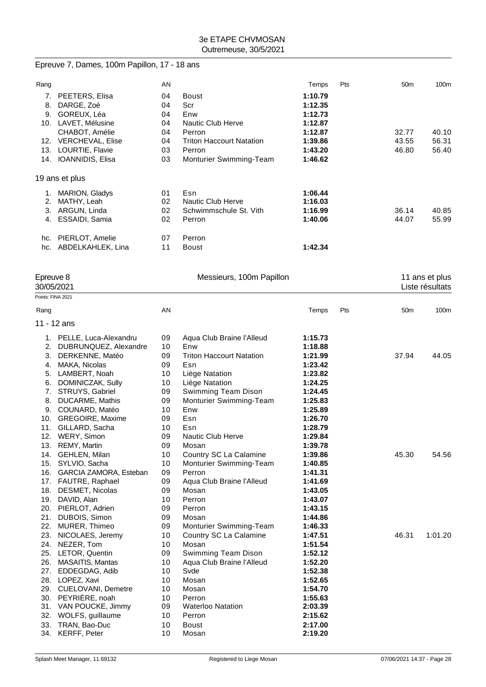# Epreuve 7, Dames, 100m Papillon, 17 - 18 ans

| Rang |                         | AN |                                 | Temps   | Pts | 50 <sub>m</sub> | 100m  |
|------|-------------------------|----|---------------------------------|---------|-----|-----------------|-------|
| 7.   | PEETERS, Elisa          | 04 | Boust                           | 1:10.79 |     |                 |       |
| 8.   | DARGE, Zoé              | 04 | Scr                             | 1:12.35 |     |                 |       |
| 9.   | GOREUX, Léa             | 04 | Enw                             | 1:12.73 |     |                 |       |
| 10.  | LAVET, Mélusine         | 04 | Nautic Club Herve               | 1:12.87 |     |                 |       |
|      | CHABOT, Amélie          | 04 | Perron                          | 1:12.87 |     | 32.77           | 40.10 |
| 12.  | <b>VERCHEVAL, Elise</b> | 04 | <b>Triton Haccourt Natation</b> | 1:39.86 |     | 43.55           | 56.31 |
| 13.  | LOURTIE, Flavie         | 03 | Perron                          | 1:43.20 |     | 46.80           | 56.40 |
| 14.  | IOANNIDIS, Elisa        | 03 | <b>Monturier Swimming-Team</b>  | 1:46.62 |     |                 |       |
|      | 19 ans et plus          |    |                                 |         |     |                 |       |
| 1.   | <b>MARION, Gladys</b>   | 01 | Esn                             | 1:06.44 |     |                 |       |
| 2.   | MATHY, Leah             | 02 | Nautic Club Herve               | 1:16.03 |     |                 |       |
| 3.   | ARGUN, Linda            | 02 | Schwimmschule St. Vith          | 1:16.99 |     | 36.14           | 40.85 |
| 4.   | ESSAIDI, Samia          | 02 | Perron                          | 1:40.06 |     | 44.07           | 55.99 |
| hc.  | PIERLOT, Amelie         | 07 | Perron                          |         |     |                 |       |
| hc.  | ABDELKAHLEK, Lina       | 11 | Boust                           | 1:42.34 |     |                 |       |

| Epreuve 8<br>30/05/2021 |                          |    | Messieurs, 100m Papillon        | 11 ans et plus<br>Liste résultats |     |                 |         |
|-------------------------|--------------------------|----|---------------------------------|-----------------------------------|-----|-----------------|---------|
| Points: FINA 2021       |                          |    |                                 |                                   |     |                 |         |
| Rang                    |                          | AN |                                 | Temps                             | Pts | 50 <sub>m</sub> | 100m    |
|                         | 11 - 12 ans              |    |                                 |                                   |     |                 |         |
|                         | 1. PELLE, Luca-Alexandru | 09 | Aqua Club Braine l'Alleud       | 1:15.73                           |     |                 |         |
| 2.                      | DUBRUNQUEZ, Alexandre    | 10 | Enw                             | 1:18.88                           |     |                 |         |
| 3.                      | DERKENNE, Matéo          | 09 | <b>Triton Haccourt Natation</b> | 1:21.99                           |     | 37.94           | 44.05   |
| 4.                      | MAKA, Nicolas            | 09 | Esn                             | 1:23.42                           |     |                 |         |
| 5.                      | LAMBERT, Noah            | 10 | Liège Natation                  | 1:23.82                           |     |                 |         |
| 6.                      | DOMINICZAK, Sully        | 10 | Liège Natation                  | 1:24.25                           |     |                 |         |
| 7.                      | STRUYS, Gabriel          | 09 | Swimming Team Dison             | 1:24.45                           |     |                 |         |
| 8.                      | DUCARME, Mathis          | 09 | Monturier Swimming-Team         | 1:25.83                           |     |                 |         |
| 9.                      | COUNARD, Matéo           | 10 | Enw                             | 1:25.89                           |     |                 |         |
| 10.                     | GREGOIRE, Maxime         | 09 | Esn                             | 1:26.70                           |     |                 |         |
|                         | 11. GILLARD, Sacha       | 10 | Esn                             | 1:28.79                           |     |                 |         |
|                         | 12. WERY, Simon          | 09 | Nautic Club Herve               | 1:29.84                           |     |                 |         |
| 13.                     | REMY, Martin             | 09 | Mosan                           | 1:39.78                           |     |                 |         |
| 14.                     | GEHLEN, Milan            | 10 | Country SC La Calamine          | 1:39.86                           |     | 45.30           | 54.56   |
| 15.                     | SYLVIO, Sacha            | 10 | Monturier Swimming-Team         | 1:40.85                           |     |                 |         |
| 16.                     | GARCIA ZAMORA, Esteban   | 09 | Perron                          | 1:41.31                           |     |                 |         |
|                         | 17. FAUTRE, Raphael      | 09 | Aqua Club Braine l'Alleud       | 1:41.69                           |     |                 |         |
| 18.                     | DESMET, Nicolas          | 09 | Mosan                           | 1:43.05                           |     |                 |         |
| 19.                     | DAVID, Alan              | 10 | Perron                          | 1:43.07                           |     |                 |         |
|                         | 20. PIERLOT, Adrien      | 09 | Perron                          | 1:43.15                           |     |                 |         |
| 21.                     | DUBOIS, Simon            | 09 | Mosan                           | 1:44.86                           |     |                 |         |
| 22.                     | MURER, Thimeo            | 09 | Monturier Swimming-Team         | 1:46.33                           |     |                 |         |
| 23.                     | NICOLAES, Jeremy         | 10 | Country SC La Calamine          | 1:47.51                           |     | 46.31           | 1:01.20 |
| 24.                     | NEZER, Tom               | 10 | Mosan                           | 1:51.54                           |     |                 |         |
| 25.                     | LETOR, Quentin           | 09 | Swimming Team Dison             | 1:52.12                           |     |                 |         |
| 26.                     | MASAITIS, Mantas         | 10 | Aqua Club Braine l'Alleud       | 1:52.20                           |     |                 |         |
| 27.                     | EDDEGDAG, Adib           | 10 | Svde                            | 1:52.38                           |     |                 |         |
|                         | 28. LOPEZ, Xavi          | 10 | Mosan                           | 1:52.65                           |     |                 |         |
| 29.                     | CUELOVANI, Demetre       | 10 | Mosan                           | 1:54.70                           |     |                 |         |
| 30.                     | PEYRIÈRE, noah           | 10 | Perron                          | 1:55.63                           |     |                 |         |
|                         | 31. VAN POUCKE, Jimmy    | 09 | <b>Waterloo Natation</b>        | 2:03.39                           |     |                 |         |
| 32.                     | WOLFS, guillaume         | 10 | Perron                          | 2:15.62                           |     |                 |         |
| 33.                     | TRAN, Bao-Duc            | 10 | Boust                           | 2:17.00                           |     |                 |         |
|                         | 34. KERFF, Peter         | 10 | Mosan                           | 2:19.20                           |     |                 |         |
|                         |                          |    |                                 |                                   |     |                 |         |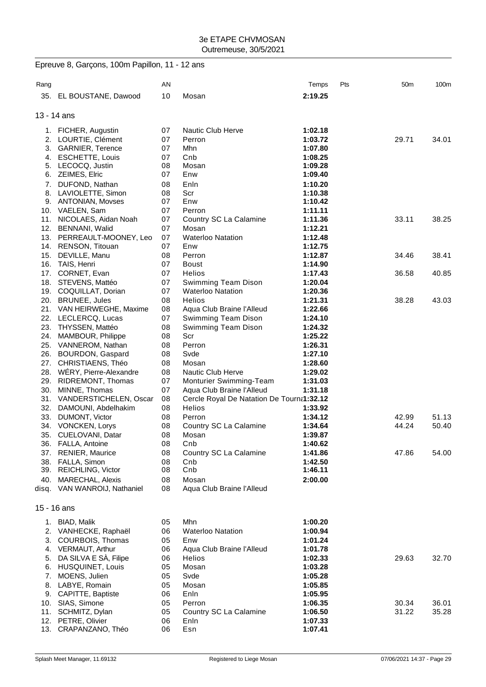|             | Epreuve 8, Garçons, 100m Papillon, 11 - 12 ans |          |                                                 |                    |     |                 |       |
|-------------|------------------------------------------------|----------|-------------------------------------------------|--------------------|-----|-----------------|-------|
| Rang        |                                                | AN       |                                                 | Temps              | Pts | 50 <sub>m</sub> | 100m  |
|             | 35. EL BOUSTANE, Dawood                        | 10       | Mosan                                           | 2:19.25            |     |                 |       |
| 13 - 14 ans |                                                |          |                                                 |                    |     |                 |       |
|             | 1. FICHER, Augustin                            | 07       | Nautic Club Herve                               | 1:02.18            |     |                 |       |
|             | 2. LOURTIE, Clément                            | 07       | Perron                                          | 1:03.72            |     | 29.71           | 34.01 |
|             | 3. GARNIER, Terence                            | 07       | Mhn                                             | 1:07.80            |     |                 |       |
|             | 4. ESCHETTE, Louis                             | 07       | Cnb                                             | 1:08.25            |     |                 |       |
|             | 5. LECOCQ, Justin                              | 08       | Mosan                                           | 1:09.28            |     |                 |       |
|             | 6. ZEIMES, Elric                               | 07       | Enw                                             | 1:09.40            |     |                 |       |
|             | 7. DUFOND, Nathan                              | 08       | Enln                                            | 1:10.20            |     |                 |       |
|             | 8. LAVIOLETTE, Simon                           | 08       | Scr                                             | 1:10.38            |     |                 |       |
|             | 9. ANTONIAN, Movses                            | 07       | Enw                                             | 1:10.42            |     |                 |       |
|             | 10. VAELEN, Sam                                | 07       | Perron                                          | 1:11.11            |     |                 |       |
|             | 11. NICOLAES, Aidan Noah                       | 07       | Country SC La Calamine                          | 1:11.36            |     | 33.11           | 38.25 |
|             | 12. BENNANI, Walid                             | 07       | Mosan                                           | 1:12.21            |     |                 |       |
|             | 13. PERREAULT-MOONEY, Leo                      | 07       | <b>Waterloo Natation</b>                        | 1:12.48            |     |                 |       |
|             | 14. RENSON, Titouan                            | 07       | Enw                                             | 1:12.75            |     |                 |       |
|             | 15. DEVILLE, Manu                              | 08       | Perron                                          | 1:12.87            |     | 34.46           | 38.41 |
|             | 16. TAIS, Henri                                | 07       | <b>Boust</b>                                    | 1:14.90            |     |                 |       |
|             | 17. CORNET, Evan<br>18. STEVENS, Mattéo        | 07<br>07 | <b>Helios</b>                                   | 1:17.43<br>1:20.04 |     | 36.58           | 40.85 |
|             | 19. COQUILLAT, Dorian                          | 07       | Swimming Team Dison<br><b>Waterloo Natation</b> | 1:20.36            |     |                 |       |
|             | 20. BRUNEE, Jules                              | 08       | <b>Helios</b>                                   | 1:21.31            |     | 38.28           | 43.03 |
|             | 21. VAN HEIRWEGHE, Maxime                      | 08       | Aqua Club Braine l'Alleud                       | 1:22.66            |     |                 |       |
|             | 22. LECLERCQ, Lucas                            | 07       | Swimming Team Dison                             | 1:24.10            |     |                 |       |
|             | 23. THYSSEN, Mattéo                            | 08       | Swimming Team Dison                             | 1:24.32            |     |                 |       |
|             | 24. MAMBOUR, Philippe                          | 08       | Scr                                             | 1:25.22            |     |                 |       |
|             | 25. VANNEROM, Nathan                           | 08       | Perron                                          | 1:26.31            |     |                 |       |
|             | 26. BOURDON, Gaspard                           | 08       | Svde                                            | 1:27.10            |     |                 |       |
|             | 27. CHRISTIAENS, Théo                          | 08       | Mosan                                           | 1:28.60            |     |                 |       |
|             | 28. WÉRY, Pierre-Alexandre                     | 08       | Nautic Club Herve                               | 1:29.02            |     |                 |       |
|             | 29. RIDREMONT, Thomas                          | 07       | Monturier Swimming-Team                         | 1:31.03            |     |                 |       |
| 30.         | MINNE, Thomas                                  | 07       | Aqua Club Braine l'Alleud                       | 1:31.18            |     |                 |       |
|             | 31. VANDERSTICHELEN, Oscar                     | 08       | Cercle Royal De Natation De Tourna1:32.12       |                    |     |                 |       |
|             | 32. DAMOUNI, Abdelhakim                        | 08       | <b>Helios</b>                                   | 1:33.92            |     |                 |       |
|             | 33. DUMONT, Victor                             | 08       | Perron                                          | 1:34.12            |     | 42.99           | 51.13 |
|             | 34. VONCKEN, Lorys                             | 08       | Country SC La Calamine                          | 1:34.64            |     | 44.24           | 50.40 |
|             | 35. CUELOVANI, Datar                           | 08       | Mosan                                           | 1:39.87            |     |                 |       |
|             | 36. FALLA, Antoine                             | 08<br>08 | Cnb                                             | 1:40.62            |     | 47.86           |       |
|             | 37. RENIER, Maurice<br>38. FALLA, Simon        | 08       | Country SC La Calamine<br>Cnb                   | 1:41.86<br>1:42.50 |     |                 | 54.00 |
|             | 39. REICHLING, Victor                          | 08       | Cnb                                             | 1:46.11            |     |                 |       |
|             | 40. MARECHAL, Alexis                           | 08       | Mosan                                           | 2:00.00            |     |                 |       |
|             | disq. VAN WANROIJ, Nathaniel                   | 08       | Aqua Club Braine l'Alleud                       |                    |     |                 |       |
|             |                                                |          |                                                 |                    |     |                 |       |
| 15 - 16 ans |                                                |          |                                                 |                    |     |                 |       |
|             | 1. BIAD, Malik                                 | 05       | Mhn                                             | 1:00.20            |     |                 |       |
|             | 2. VANHECKE, Raphaël                           | 06       | <b>Waterloo Natation</b>                        | 1:00.94            |     |                 |       |
|             | 3. COURBOIS, Thomas                            | 05       | Enw                                             | 1:01.24            |     |                 |       |
|             | 4. VERMAUT, Arthur                             | 06       | Aqua Club Braine l'Alleud                       | 1:01.78            |     |                 |       |
|             | 5. DA SILVA E SÀ, Filipe                       | 06       | Helios                                          | 1:02.33            |     | 29.63           | 32.70 |
|             | 6. HUSQUINET, Louis                            | 05       | Mosan                                           | 1:03.28            |     |                 |       |
| 7.          | MOENS, Julien                                  | 05       | Svde                                            | 1:05.28            |     |                 |       |
| 8.          | LABYE, Romain                                  | 05       | Mosan                                           | 1:05.85            |     |                 |       |
|             | 9. CAPITTE, Baptiste                           | 06       | Enln                                            | 1:05.95            |     |                 |       |
|             | 10. SIAS, Simone                               | 05       | Perron                                          | 1:06.35            |     | 30.34           | 36.01 |
|             | 11. SCHMITZ, Dylan                             | 05       | Country SC La Calamine                          | 1:06.50            |     | 31.22           | 35.28 |
|             | 12. PETRE, Olivier                             | 06       | Enln                                            | 1:07.33            |     |                 |       |

13. CRAPANZANO, Théo 06 Esn **1:07.41**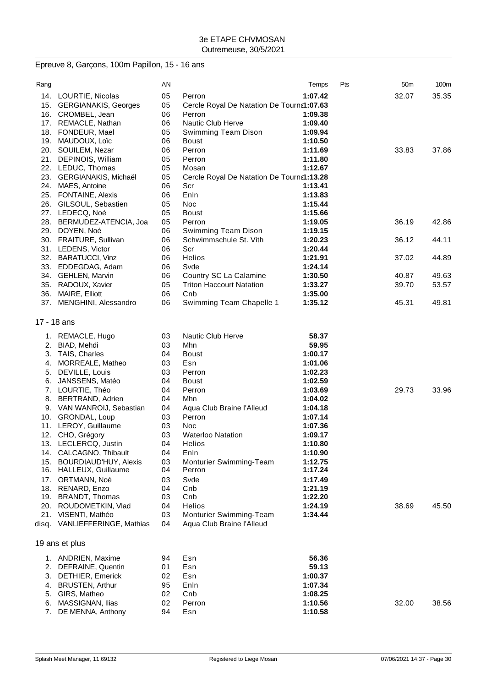# Epreuve 8, Garçons, 100m Papillon, 15 - 16 ans

| Rang        |                               | AN |                                           | Temps   | Pts | 50 <sub>m</sub> | 100m  |
|-------------|-------------------------------|----|-------------------------------------------|---------|-----|-----------------|-------|
| 14.         | LOURTIE, Nicolas              | 05 | Perron                                    | 1:07.42 |     | 32.07           | 35.35 |
| 15.         | <b>GERGIANAKIS, Georges</b>   | 05 | Cercle Royal De Natation De Tourna1:07.63 |         |     |                 |       |
|             | 16. CROMBEL, Jean             | 06 | Perron                                    | 1:09.38 |     |                 |       |
|             | 17. REMACLE, Nathan           | 06 | Nautic Club Herve                         | 1:09.40 |     |                 |       |
| 18.         | FONDEUR, Mael                 | 05 | Swimming Team Dison                       | 1:09.94 |     |                 |       |
| 19.         | MAUDOUX, Loïc                 | 06 | <b>Boust</b>                              | 1:10.50 |     |                 |       |
|             | 20. SOUILEM, Nezar            | 06 | Perron                                    | 1:11.69 |     | 33.83           | 37.86 |
| 21.         | DEPINOIS, William             | 05 | Perron                                    | 1:11.80 |     |                 |       |
|             | 22. LEDUC, Thomas             | 05 | Mosan                                     | 1:12.67 |     |                 |       |
| 23.         | GERGIANAKIS, Michaël          | 05 | Cercle Royal De Natation De Tourna1:13.28 |         |     |                 |       |
| 24.         | MAES, Antoine                 | 06 | Scr                                       | 1:13.41 |     |                 |       |
| 25.         | <b>FONTAINE, Alexis</b>       | 06 | Enln                                      | 1:13.83 |     |                 |       |
| 26.         | GILSOUL, Sebastien            | 05 | Noc                                       | 1:15.44 |     |                 |       |
|             | 27. LEDECQ, Noé               | 05 | <b>Boust</b>                              | 1:15.66 |     |                 |       |
|             | 28. BERMUDEZ-ATENCIA, Joa     | 05 | Perron                                    | 1:19.05 |     | 36.19           | 42.86 |
|             | 29. DOYEN, Noé                | 06 | Swimming Team Dison                       | 1:19.15 |     |                 |       |
|             | 30. FRAITURE, Sullivan        | 06 | Schwimmschule St. Vith                    | 1:20.23 |     | 36.12           | 44.11 |
|             | 31. LEDENS, Victor            | 06 | Scr                                       | 1:20.44 |     |                 |       |
| 32.         | <b>BARATUCCI, Vinz</b>        | 06 | Helios                                    | 1:21.91 |     | 37.02           | 44.89 |
|             | 33. EDDEGDAG, Adam            | 06 | Svde                                      | 1:24.14 |     |                 |       |
|             | 34. GEHLEN, Marvin            | 06 | Country SC La Calamine                    | 1:30.50 |     | 40.87           | 49.63 |
| 35.         | RADOUX, Xavier                | 05 | <b>Triton Haccourt Natation</b>           | 1:33.27 |     | 39.70           | 53.57 |
| 36.         | <b>MAIRE, Elliott</b>         | 06 | Cnb                                       | 1:35.00 |     |                 |       |
|             | 37. MENGHINI, Alessandro      | 06 | Swimming Team Chapelle 1                  | 1:35.12 |     | 45.31           | 49.81 |
|             |                               |    |                                           |         |     |                 |       |
| 17 - 18 ans |                               |    |                                           |         |     |                 |       |
|             | 1. REMACLE, Hugo              | 03 | <b>Nautic Club Herve</b>                  | 58.37   |     |                 |       |
| 2.          | BIAD, Mehdi                   | 03 | Mhn                                       | 59.95   |     |                 |       |
| 3.          | TAIS, Charles                 | 04 | <b>Boust</b>                              | 1:00.17 |     |                 |       |
| 4.          | MORREALE, Matheo              | 03 | Esn                                       | 1:01.06 |     |                 |       |
| 5.          | DEVILLE, Louis                | 03 | Perron                                    | 1:02.23 |     |                 |       |
| 6.          | JANSSENS, Matéo               | 04 | <b>Boust</b>                              | 1:02.59 |     |                 |       |
| 7.          | LOURTIE, Théo                 | 04 | Perron                                    | 1:03.69 |     | 29.73           | 33.96 |
| 8.          | BERTRAND, Adrien              | 04 | Mhn                                       | 1:04.02 |     |                 |       |
|             | 9. VAN WANROIJ, Sebastian     | 04 | Aqua Club Braine l'Alleud                 | 1:04.18 |     |                 |       |
| 10.         | GRONDAL, Loup                 | 03 | Perron                                    | 1:07.14 |     |                 |       |
| 11.         | LEROY, Guillaume              | 03 | Noc                                       | 1:07.36 |     |                 |       |
|             | 12. CHO, Grégory              | 03 | <b>Waterloo Natation</b>                  | 1:09.17 |     |                 |       |
|             | 13. LECLERCQ, Justin          | 04 | Helios                                    | 1:10.80 |     |                 |       |
|             | 14. CALCAGNO, Thibault        | 04 | Enln                                      | 1:10.90 |     |                 |       |
| 15.         | BOURDIAUD'HUY, Alexis         | 03 | Monturier Swimming-Team                   | 1:12.75 |     |                 |       |
| 16.         | HALLEUX, Guillaume            | 04 | Perron                                    | 1:17.24 |     |                 |       |
| 17.         | ORTMANN, Noé                  | 03 | Svde                                      | 1:17.49 |     |                 |       |
|             | 18. RENARD, Enzo              | 04 | Cnb                                       | 1:21.19 |     |                 |       |
| 19.         | BRANDT, Thomas                | 03 | Cnb                                       | 1:22.20 |     |                 |       |
| 20.         | ROUDOMETKIN, Vlad             | 04 | <b>Helios</b>                             | 1:24.19 |     | 38.69           | 45.50 |
| 21.         | VISENTI, Mathéo               | 03 | Monturier Swimming-Team                   | 1:34.44 |     |                 |       |
|             | disq. VANLIEFFERINGE, Mathias | 04 | Aqua Club Braine l'Alleud                 |         |     |                 |       |
|             |                               |    |                                           |         |     |                 |       |
|             | 19 ans et plus                |    |                                           |         |     |                 |       |
|             | 1. ANDRIEN, Maxime            | 94 | Esn                                       | 56.36   |     |                 |       |
| 2.          | DEFRAINE, Quentin             | 01 | Esn                                       | 59.13   |     |                 |       |
| 3.          | <b>DETHIER, Emerick</b>       | 02 | Esn                                       | 1:00.37 |     |                 |       |
| 4.          | <b>BRUSTEN, Arthur</b>        | 95 | Enln                                      | 1:07.34 |     |                 |       |
| 5.          | GIRS, Matheo                  | 02 | Cnb                                       | 1:08.25 |     |                 |       |
| 6.          | MASSIGNAN, Ilias              | 02 | Perron                                    | 1:10.56 |     | 32.00           | 38.56 |
| 7.          | DE MENNA, Anthony             | 94 | Esn                                       | 1:10.58 |     |                 |       |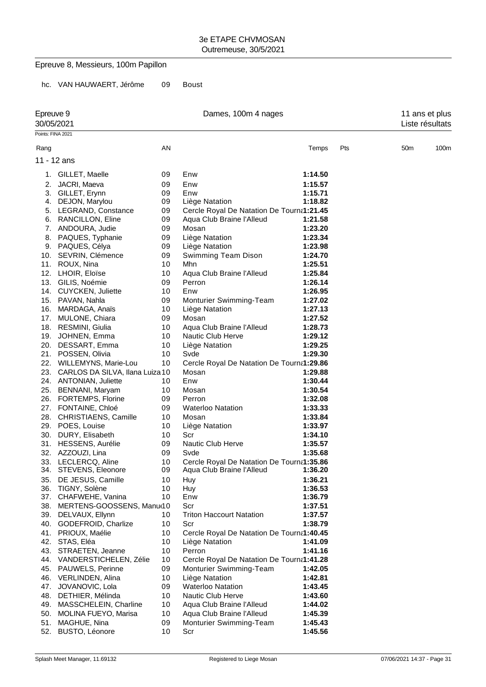## Epreuve 8, Messieurs, 100m Papillon

hc. VAN HAUWAERT, Jérôme 09 Boust

| Epreuve 9<br>30/05/2021 |                                      |          | Dames, 100m 4 nages                                                    |                    |     |                 | 11 ans et plus<br>Liste résultats |
|-------------------------|--------------------------------------|----------|------------------------------------------------------------------------|--------------------|-----|-----------------|-----------------------------------|
| Points: FINA 2021       |                                      |          |                                                                        |                    |     |                 |                                   |
| Rang                    |                                      | AN       |                                                                        | Temps              | Pts | 50 <sub>m</sub> | 100m                              |
|                         | 11 - 12 ans                          |          |                                                                        |                    |     |                 |                                   |
|                         |                                      |          |                                                                        |                    |     |                 |                                   |
|                         | 1. GILLET, Maelle                    | 09       | Enw                                                                    | 1:14.50            |     |                 |                                   |
| 2.                      | JACRI, Maeva                         | 09       | Enw                                                                    | 1:15.57            |     |                 |                                   |
| 3.                      | GILLET, Erynn                        | 09       | Enw                                                                    | 1:15.71            |     |                 |                                   |
| 4.                      | DEJON, Marylou                       | 09       | Liège Natation                                                         | 1:18.82            |     |                 |                                   |
| 5.                      | LEGRAND, Constance                   | 09       | Cercle Royal De Natation De Tourna1:21.45                              |                    |     |                 |                                   |
| 6.                      | RANCILLON, Eline                     | 09       | Aqua Club Braine l'Alleud                                              | 1:21.58            |     |                 |                                   |
| 7.                      | ANDOURA, Judie                       | 09       | Mosan                                                                  | 1:23.20            |     |                 |                                   |
| 8.                      | PAQUES, Typhanie                     | 09       | Liège Natation                                                         | 1:23.34            |     |                 |                                   |
| 9.                      | PAQUES, Célya                        | 09       | Liège Natation                                                         | 1:23.98            |     |                 |                                   |
|                         | 10. SEVRIN, Clémence                 | 09       | Swimming Team Dison                                                    | 1:24.70            |     |                 |                                   |
| 11.                     | ROUX, Nina                           | 10       | Mhn                                                                    | 1:25.51            |     |                 |                                   |
|                         | 12. LHOIR, Eloïse                    | 10       | Aqua Club Braine l'Alleud                                              | 1:25.84            |     |                 |                                   |
|                         | 13. GILIS, Noémie                    | 09       | Perron                                                                 | 1:26.14            |     |                 |                                   |
|                         | 14. CUYCKEN, Juliette                | 10       | Enw                                                                    | 1:26.95            |     |                 |                                   |
|                         | 15. PAVAN, Nahla                     | 09       | Monturier Swimming-Team                                                | 1:27.02            |     |                 |                                   |
| 16.                     | MARDAGA, Anaïs                       | 10       | Liège Natation                                                         | 1:27.13            |     |                 |                                   |
|                         | 17. MULONE, Chiara                   | 09       | Mosan                                                                  | 1:27.52            |     |                 |                                   |
|                         | 18. RESMINI, Giulia                  | 10       | Aqua Club Braine l'Alleud                                              | 1:28.73            |     |                 |                                   |
| 19.                     | JOHNEN, Emma                         | 10       | Nautic Club Herve                                                      | 1:29.12            |     |                 |                                   |
|                         | 20. DESSART, Emma                    | 10       | Liège Natation                                                         | 1:29.25            |     |                 |                                   |
|                         | 21. POSSEN, Olivia                   | 10       | Svde                                                                   | 1:29.30            |     |                 |                                   |
|                         | 22. WILLEMYNS, Marie-Lou             | 10       | Cercle Royal De Natation De Tourna1:29.86                              |                    |     |                 |                                   |
|                         | 23. CARLOS DA SILVA, Ilana Luiza 10  |          | Mosan                                                                  | 1:29.88            |     |                 |                                   |
|                         | 24. ANTONIAN, Juliette               | 10       | Enw                                                                    | 1:30.44            |     |                 |                                   |
| 25.                     | BENNANI, Maryam                      | 10       | Mosan                                                                  | 1:30.54            |     |                 |                                   |
| 26.                     | <b>FORTEMPS, Florine</b>             | 09       | Perron                                                                 | 1:32.08            |     |                 |                                   |
|                         | 27. FONTAINE, Chloé                  | 09       | <b>Waterloo Natation</b>                                               | 1:33.33            |     |                 |                                   |
|                         | 28. CHRISTIAENS, Camille             | 10       | Mosan                                                                  | 1:33.84            |     |                 |                                   |
|                         | 29. POES, Louise                     | 10       | Liège Natation                                                         | 1:33.97            |     |                 |                                   |
| 30.                     | DURY, Elisabeth                      | 10       | Scr                                                                    | 1:34.10            |     |                 |                                   |
|                         | 31. HESSENS, Aurélie                 | 09       | Nautic Club Herve                                                      | 1:35.57            |     |                 |                                   |
| 32.                     | AZZOUZI, Lina<br>33. LECLERCQ, Aline | 09       | Svde                                                                   | 1:35.68            |     |                 |                                   |
|                         | 34. STEVENS, Eleonore                | 10<br>09 | Cercle Royal De Natation De Tourna1:35.86<br>Aqua Club Braine l'Alleud | 1:36.20            |     |                 |                                   |
|                         |                                      |          |                                                                        |                    |     |                 |                                   |
| 35.<br>36.              | DE JESUS, Camille<br>TIGNY, Solène   | 10<br>10 | Huy<br>Huy                                                             | 1:36.21<br>1:36.53 |     |                 |                                   |
| 37.                     | CHAFWEHE, Vanina                     | 10       | Enw                                                                    | 1:36.79            |     |                 |                                   |
| 38.                     | MERTENS-GOOSSENS, Manu(10            |          | Scr                                                                    | 1:37.51            |     |                 |                                   |
| 39.                     | DELVAUX, Ellynn                      | 10       | <b>Triton Haccourt Natation</b>                                        | 1:37.57            |     |                 |                                   |
| 40.                     | GODEFROID, Charlize                  | 10       | Scr                                                                    | 1:38.79            |     |                 |                                   |
| 41.                     | PRIOUX, Maélie                       | 10       | Cercle Royal De Natation De Tourna1:40.45                              |                    |     |                 |                                   |
|                         | 42. STAS, Eléa                       | 10       | Liège Natation                                                         | 1:41.09            |     |                 |                                   |
| 43.                     | STRAETEN, Jeanne                     | 10       | Perron                                                                 | 1:41.16            |     |                 |                                   |
|                         | 44. VANDERSTICHELEN, Zélie           | 10       | Cercle Royal De Natation De Tourna1:41.28                              |                    |     |                 |                                   |
| 45.                     | <b>PAUWELS, Perinne</b>              | 09       | Monturier Swimming-Team                                                | 1:42.05            |     |                 |                                   |
|                         | 46. VERLINDEN, Alina                 | 10       | Liège Natation                                                         | 1:42.81            |     |                 |                                   |
| 47.                     | JOVANOVIC, Lola                      | 09       | <b>Waterloo Natation</b>                                               | 1:43.45            |     |                 |                                   |
| 48.                     | DETHIER, Mélinda                     | 10       | <b>Nautic Club Herve</b>                                               | 1:43.60            |     |                 |                                   |
| 49.                     | MASSCHELEIN, Charline                | 10       | Aqua Club Braine l'Alleud                                              | 1:44.02            |     |                 |                                   |
| 50.                     | MOLINA FUEYO, Marisa                 | 10       | Aqua Club Braine l'Alleud                                              | 1:45.39            |     |                 |                                   |
| 51.                     | MAGHUE, Nina                         | 09       | Monturier Swimming-Team                                                | 1:45.43            |     |                 |                                   |
| 52.                     | <b>BUSTO, Léonore</b>                | 10       | Scr                                                                    | 1:45.56            |     |                 |                                   |
|                         |                                      |          |                                                                        |                    |     |                 |                                   |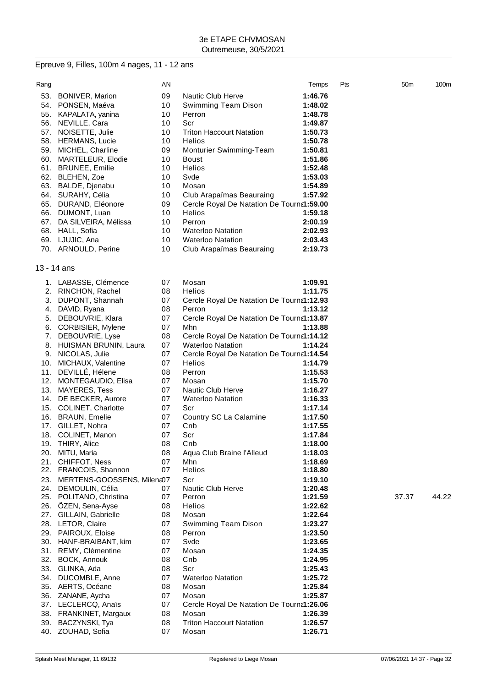#### Epreuve 9, Filles, 100m 4 nages, 11 - 12 ans

| Rang |                                         | ΑN       |                                           | Temps   | Pts | 50 <sub>m</sub> | 100 <sub>m</sub> |
|------|-----------------------------------------|----------|-------------------------------------------|---------|-----|-----------------|------------------|
| 53.  | <b>BONIVER, Marion</b>                  | 09       | Nautic Club Herve                         | 1:46.76 |     |                 |                  |
|      | 54. PONSEN, Maéva                       | 10       | Swimming Team Dison                       | 1:48.02 |     |                 |                  |
|      | 55. KAPALATA, yanina                    | 10       | Perron                                    | 1:48.78 |     |                 |                  |
|      | 56. NEVILLE, Cara                       | 10       | Scr                                       | 1:49.87 |     |                 |                  |
| 57.  | NOISETTE, Julie                         | 10       | <b>Triton Haccourt Natation</b>           | 1:50.73 |     |                 |                  |
|      | 58. HERMANS, Lucie                      | 10       | Helios                                    | 1:50.78 |     |                 |                  |
|      | 59. MICHEL, Charline                    | 09       | Monturier Swimming-Team                   | 1:50.81 |     |                 |                  |
|      | 60. MARTELEUR, Elodie                   | 10       | Boust                                     | 1:51.86 |     |                 |                  |
|      | 61. BRUNEE, Emilie                      | 10       | <b>Helios</b>                             | 1:52.48 |     |                 |                  |
|      | 62. BLEHEN, Zoe                         | 10       | Svde                                      | 1:53.03 |     |                 |                  |
|      |                                         |          | Mosan                                     | 1:54.89 |     |                 |                  |
|      | 63. BALDE, Djenabu<br>64. SURAHY, Célia | 10       | Club Arapaïmas Beauraing                  |         |     |                 |                  |
|      |                                         | 10<br>09 |                                           | 1:57.92 |     |                 |                  |
|      | 65. DURAND, Eléonore                    |          | Cercle Royal De Natation De Tourna1:59.00 |         |     |                 |                  |
|      | 66. DUMONT, Luan                        | 10       | <b>Helios</b>                             | 1:59.18 |     |                 |                  |
| 67.  | DA SILVEIRA, Mélissa                    | 10       | Perron                                    | 2:00.19 |     |                 |                  |
|      | 68. HALL, Sofia                         | 10       | <b>Waterloo Natation</b>                  | 2:02.93 |     |                 |                  |
|      | 69. LJUJIC, Ana                         | 10       | <b>Waterloo Natation</b>                  | 2:03.43 |     |                 |                  |
|      | 70. ARNOULD, Perine                     | 10       | Club Arapaïmas Beauraing                  | 2:19.73 |     |                 |                  |
|      | 13 - 14 ans                             |          |                                           |         |     |                 |                  |
|      | 1. LABASSE, Clémence                    | 07       | Mosan                                     | 1:09.91 |     |                 |                  |
|      | 2. RINCHON, Rachel                      | 08       | <b>Helios</b>                             | 1:11.75 |     |                 |                  |
| 3.   | DUPONT, Shannah                         | 07       | Cercle Royal De Natation De Tourna1:12.93 |         |     |                 |                  |
| 4.   | DAVID, Ryana                            | 08       | Perron                                    | 1:13.12 |     |                 |                  |
| 5.   | DEBOUVRIE, Klara                        | 07       | Cercle Royal De Natation De Tourna1:13.87 |         |     |                 |                  |
| 6.   | CORBISIER, Mylene                       | 07       | Mhn                                       | 1:13.88 |     |                 |                  |
| 7.   | DEBOUVRIE, Lyse                         | 08       | Cercle Royal De Natation De Tourna1:14.12 |         |     |                 |                  |
|      | 8. HUISMAN BRUNIN, Laura                | 07       | <b>Waterloo Natation</b>                  | 1:14.24 |     |                 |                  |
| 9.   | NICOLAS, Julie                          | 07       | Cercle Royal De Natation De Tourna1:14.54 |         |     |                 |                  |
| 10.  | MICHAUX, Valentine                      | 07       | <b>Helios</b>                             | 1:14.79 |     |                 |                  |
| 11.  | DEVILLÉ, Hélene                         | 08       | Perron                                    | 1:15.53 |     |                 |                  |
|      | 12. MONTEGAUDIO, Elisa                  | 07       | Mosan                                     | 1:15.70 |     |                 |                  |
| 13.  |                                         | 07       | <b>Nautic Club Herve</b>                  | 1:16.27 |     |                 |                  |
|      | <b>MAYERES, Tess</b>                    |          |                                           |         |     |                 |                  |
|      | 14. DE BECKER, Aurore                   | 07       | <b>Waterloo Natation</b>                  | 1:16.33 |     |                 |                  |
|      | 15. COLINET, Charlotte                  | 07       | Scr                                       | 1:17.14 |     |                 |                  |
|      | 16. BRAUN, Emelie                       | 07       | Country SC La Calamine                    | 1:17.50 |     |                 |                  |
| 17.  | GILLET, Nohra                           | 07       | Cnb                                       | 1:17.55 |     |                 |                  |
|      | 18. COLINET, Manon                      | 07       | Scr                                       | 1:17.84 |     |                 |                  |
| 19.  | <b>THIRY, Alice</b>                     | 08       | Cnb                                       | 1:18.00 |     |                 |                  |
|      | 20. MITU, Maria                         | 08       | Aqua Club Braine l'Alleud                 | 1:18.03 |     |                 |                  |
| 21.  | CHIFFOT, Ness                           | 07       | Mhn                                       | 1:18.69 |     |                 |                  |
|      | 22. FRANCOIS, Shannon                   | 07       | <b>Helios</b>                             | 1:18.80 |     |                 |                  |
| 23.  | MERTENS-GOOSSENS, Milena07              |          | Scr                                       | 1:19.10 |     |                 |                  |
|      | 24. DEMOULIN, Célia                     | 07       | Nautic Club Herve                         | 1:20.48 |     |                 |                  |
|      | 25. POLITANO, Christina                 | 07       | Perron                                    | 1:21.59 |     | 37.37           | 44.22            |
|      | 26. OZEN, Sena-Ayse                     | 08       | Helios                                    | 1:22.62 |     |                 |                  |
|      | 27. GILLAIN, Gabrielle                  | 08       | Mosan                                     | 1:22.64 |     |                 |                  |
|      | 28. LETOR, Claire                       | 07       | Swimming Team Dison                       | 1:23.27 |     |                 |                  |
|      | 29. PAIROUX, Eloise                     | 08       | Perron                                    | 1:23.50 |     |                 |                  |
|      | 30. HANF-BRAIBANT, kim                  | 07       | Svde                                      | 1:23.65 |     |                 |                  |
|      | 31. REMY, Clémentine                    | 07       | Mosan                                     | 1:24.35 |     |                 |                  |
|      | 32. BOCK, Annouk                        | 08       | Cnb                                       | 1:24.95 |     |                 |                  |
|      | 33. GLINKA, Ada                         | 08       | Scr                                       | 1:25.43 |     |                 |                  |
|      | 34. DUCOMBLE, Anne                      | 07       | <b>Waterloo Natation</b>                  | 1:25.72 |     |                 |                  |
|      | 35. AERTS, Océane                       | 08       | Mosan                                     | 1:25.84 |     |                 |                  |
|      | 36. ZANANE, Aycha                       | 07       | Mosan                                     | 1:25.87 |     |                 |                  |
|      | 37. LECLERCQ, Anaïs                     | 07       | Cercle Royal De Natation De Tourna1:26.06 |         |     |                 |                  |
|      | 38. FRANKINET, Margaux                  | 08       | Mosan                                     | 1:26.39 |     |                 |                  |
|      | 39. BACZYNSKI, Tya                      | 08       | <b>Triton Haccourt Natation</b>           | 1:26.57 |     |                 |                  |
|      | 40. ZOUHAD, Sofia                       | 07       | Mosan                                     | 1:26.71 |     |                 |                  |
|      |                                         |          |                                           |         |     |                 |                  |

 $13$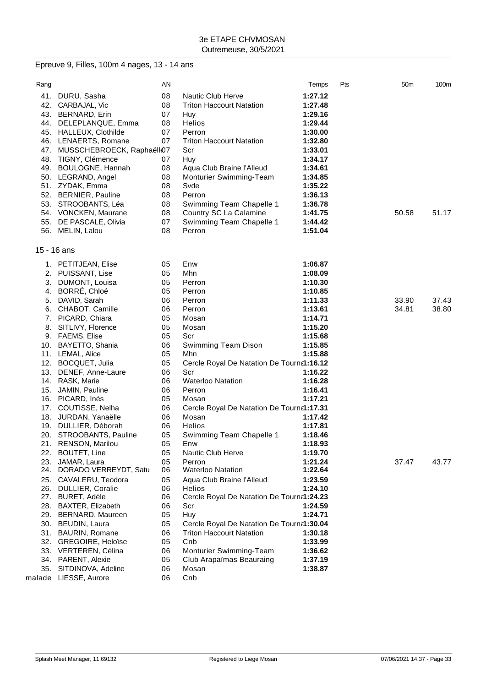# Epreuve 9, Filles, 100m 4 nages, 13 - 14 ans

| Rang        |                                                 | ΑN       |                                           | Temps              | Pts | 50m   | 100m  |
|-------------|-------------------------------------------------|----------|-------------------------------------------|--------------------|-----|-------|-------|
| 41.         | DURU, Sasha                                     | 08       | <b>Nautic Club Herve</b>                  | 1:27.12            |     |       |       |
|             | 42. CARBAJAL, Vic                               | 08       | <b>Triton Haccourt Natation</b>           | 1:27.48            |     |       |       |
|             | 43. BERNARD, Erin                               | 07       | Huy                                       | 1:29.16            |     |       |       |
|             | 44. DELEPLANQUE, Emma                           | 08       | <b>Helios</b>                             | 1:29.44            |     |       |       |
|             | 45. HALLEUX, Clothilde                          | 07       | Perron                                    | 1:30.00            |     |       |       |
|             | 46. LENAERTS, Romane                            | 07       | <b>Triton Haccourt Natation</b>           | 1:32.80            |     |       |       |
|             | 47. MUSSCHEBROECK, Raphaëllo7                   |          | Scr                                       | 1:33.01            |     |       |       |
|             | 48. TIGNY, Clémence                             | 07       | Huy                                       | 1:34.17            |     |       |       |
|             | 49. BOULOGNE, Hannah                            | 08       | Aqua Club Braine l'Alleud                 | 1:34.61            |     |       |       |
|             | 50. LEGRAND, Angel                              | 08       | Monturier Swimming-Team                   | 1:34.85            |     |       |       |
|             | 51. ZYDAK, Emma                                 | 08       | Svde                                      | 1:35.22            |     |       |       |
|             | 52. BERNIER, Pauline                            | 08       | Perron                                    | 1:36.13            |     |       |       |
|             | 53. STROOBANTS, Léa                             | 08       | Swimming Team Chapelle 1                  | 1:36.78            |     |       |       |
|             | 54. VONCKEN, Maurane                            | 08       | Country SC La Calamine                    | 1:41.75            |     | 50.58 | 51.17 |
|             | 55. DE PASCALE, Olivia                          | 07       | Swimming Team Chapelle 1                  | 1:44.42            |     |       |       |
|             | 56. MELIN, Lalou                                | 08       | Perron                                    | 1:51.04            |     |       |       |
|             |                                                 |          |                                           |                    |     |       |       |
| 15 - 16 ans |                                                 |          |                                           |                    |     |       |       |
|             | 1. PETITJEAN, Elise                             | 05       | Enw                                       | 1:06.87            |     |       |       |
|             | 2. PUISSANT, Lise                               | 05       | Mhn                                       | 1:08.09            |     |       |       |
|             | 3. DUMONT, Louisa                               | 05       | Perron                                    | 1:10.30            |     |       |       |
|             | 4. BORRÉ, Chloé                                 | 05       | Perron                                    | 1:10.85            |     |       |       |
|             | 5. DAVID, Sarah                                 | 06       | Perron                                    | 1:11.33            |     | 33.90 | 37.43 |
|             | 6. CHABOT, Camille                              | 06       | Perron                                    | 1:13.61            |     | 34.81 | 38.80 |
|             | 7. PICARD, Chiara                               | 05       | Mosan                                     | 1:14.71            |     |       |       |
|             | 8. SITLIVY, Florence                            | 05       | Mosan                                     | 1:15.20            |     |       |       |
|             | 9. FAEMS, Elise                                 | 05       | Scr                                       | 1:15.68            |     |       |       |
|             | 10. BAYETTO, Shania                             | 06       | Swimming Team Dison                       | 1:15.85            |     |       |       |
|             | 11. LEMAL, Alice                                | 05       | Mhn                                       | 1:15.88            |     |       |       |
|             | 12. BOCQUET, Julia                              | 05       | Cercle Royal De Natation De Tourna1:16.12 |                    |     |       |       |
|             | 13. DENEF, Anne-Laure                           | 06       | Scr                                       | 1:16.22            |     |       |       |
|             | 14. RASK, Marie                                 | 06       | <b>Waterloo Natation</b>                  | 1:16.28            |     |       |       |
|             | 15. JAMIN, Pauline                              | 06       | Perron                                    | 1:16.41            |     |       |       |
|             | 16. PICARD, Inès                                | 05       | Mosan                                     | 1:17.21            |     |       |       |
|             | 17. COUTISSE, Nelha                             | 06       | Cercle Royal De Natation De Tourna1:17.31 |                    |     |       |       |
|             | 18. JURDAN, Yanaëlle                            | 06       | Mosan                                     | 1:17.42            |     |       |       |
|             | 19. DULLIER, Déborah<br>20. STROOBANTS, Pauline | 06<br>05 | <b>Helios</b><br>Swimming Team Chapelle 1 | 1:17.81<br>1:18.46 |     |       |       |
|             |                                                 |          |                                           |                    |     |       |       |
|             | 21. RENSON, Marilou<br>22. BOUTET, Line         | 05<br>05 | Enw<br>Nautic Club Herve                  | 1:18.93<br>1:19.70 |     |       |       |
|             | 23. JAMAR, Laura                                | 05       | Perron                                    | 1:21.24            |     | 37.47 | 43.77 |
| 24.         | DORADO VERREYDT, Satu                           | 06       | <b>Waterloo Natation</b>                  | 1:22.64            |     |       |       |
|             | 25. CAVALERU, Teodora                           | 05       | Aqua Club Braine l'Alleud                 | 1:23.59            |     |       |       |
|             | 26. DULLIER, Coralie                            | 06       | <b>Helios</b>                             | 1:24.10            |     |       |       |
|             | 27. BURET, Adèle                                | 06       | Cercle Royal De Natation De Tourna1:24.23 |                    |     |       |       |
|             | 28. BAXTER, Elizabeth                           | 06       | Scr                                       | 1:24.59            |     |       |       |
|             | 29. BERNARD, Maureen                            | 05       | Huy                                       | 1:24.71            |     |       |       |
|             | 30. BEUDIN, Laura                               | 05       | Cercle Royal De Natation De Tourna1:30.04 |                    |     |       |       |
|             | 31. BAURIN, Romane                              | 06       | <b>Triton Haccourt Natation</b>           | 1:30.18            |     |       |       |
|             | 32. GREGOIRE, Heloïse                           | 05       | Cnb                                       | 1:33.99            |     |       |       |
|             | 33. VERTEREN, Célina                            | 06       | Monturier Swimming-Team                   | 1:36.62            |     |       |       |
|             | 34. PARENT, Alexie                              | 05       | Club Arapaïmas Beauraing                  | 1:37.19            |     |       |       |
|             | 35. SITDINOVA, Adeline                          | 06       | Mosan                                     | 1:38.87            |     |       |       |
|             | malade LIESSE, Aurore                           | 06       | Cnb                                       |                    |     |       |       |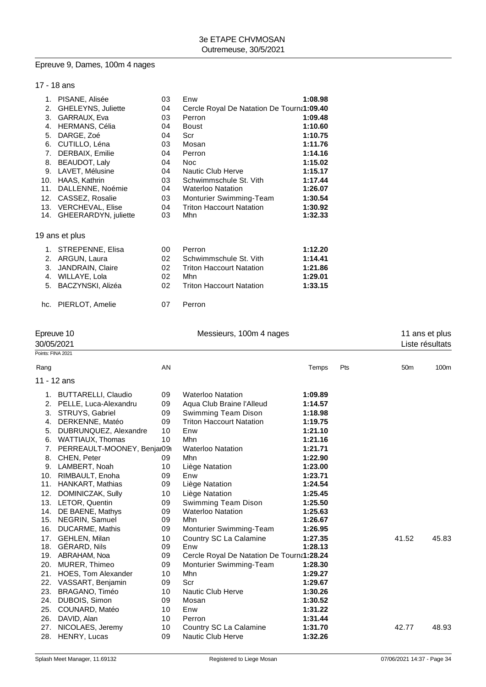## Epreuve 9, Dames, 100m 4 nages

## 17 - 18 ans

| $\mathbf{1}$ . | PISANE, Alisée            | 03 | Enw                                       | 1:08.98 |
|----------------|---------------------------|----|-------------------------------------------|---------|
| 2.             | <b>GHELEYNS, Juliette</b> | 04 | Cercle Royal De Natation De Tourna1:09.40 |         |
| 3.             | GARRAUX, Eva              | 03 | Perron                                    | 1:09.48 |
| 4.             | HERMANS, Célia            | 04 | <b>Boust</b>                              | 1:10.60 |
| 5.             | DARGE, Zoé                | 04 | Scr                                       | 1:10.75 |
| 6.             | CUTILLO, Léna             | 03 | Mosan                                     | 1:11.76 |
| 7.             | DERBAIX, Emilie           | 04 | Perron                                    | 1:14.16 |
| 8.             | BEAUDOT, Laly             | 04 | Noc.                                      | 1:15.02 |
| 9.             | LAVET, Mélusine           | 04 | Nautic Club Herve                         | 1:15.17 |
| 10.            | HAAS, Kathrin             | 03 | Schwimmschule St. Vith                    | 1:17.44 |
| 11.            | DALLENNE, Noémie          | 04 | <b>Waterloo Natation</b>                  | 1:26.07 |
| 12.            | CASSEZ, Rosalie           | 03 | <b>Monturier Swimming-Team</b>            | 1:30.54 |
| 13.            | <b>VERCHEVAL, Elise</b>   | 04 | <b>Triton Haccourt Natation</b>           | 1:30.92 |
|                | 14. GHEERARDYN, juliette  | 03 | Mhn                                       | 1:32.33 |

#### 19 ans et plus

| 1. STREPENNE, Elisa  | 00 | Perron                          | 1:12.20 |
|----------------------|----|---------------------------------|---------|
| 2. ARGUN, Laura      | 02 | Schwimmschule St. Vith          | 1:14.41 |
| 3. JANDRAIN, Claire  | 02 | <b>Triton Haccourt Natation</b> | 1:21.86 |
| 4. WILLAYE, Lola     | 02 | Mhn                             | 1:29.01 |
| 5. BACZYNSKI, Alizéa | በ2 | <b>Triton Haccourt Natation</b> | 1:33.15 |
| hc. PIERLOT, Amelie  | 07 | Perron                          |         |

#### Epreuve 10 **Exerciseus**, 100m 4 nages 11 ans et plus

|      | 30/05/2021                     |    |                                           |         |     |                 | Liste résultats |
|------|--------------------------------|----|-------------------------------------------|---------|-----|-----------------|-----------------|
|      | Points: FINA 2021              |    |                                           |         |     |                 |                 |
| Rang |                                | AN |                                           | Temps   | Pts | 50 <sub>m</sub> | 100m            |
|      | 11 - 12 ans                    |    |                                           |         |     |                 |                 |
|      | 1. BUTTARELLI, Claudio         | 09 | <b>Waterloo Natation</b>                  | 1:09.89 |     |                 |                 |
|      | 2. PELLE, Luca-Alexandru       | 09 | Aqua Club Braine l'Alleud                 | 1:14.57 |     |                 |                 |
| 3.   | STRUYS, Gabriel                | 09 | Swimming Team Dison                       | 1:18.98 |     |                 |                 |
| 4.   | DERKENNE, Matéo                | 09 | <b>Triton Haccourt Natation</b>           | 1:19.75 |     |                 |                 |
| 5.   | DUBRUNQUEZ, Alexandre          | 10 | Enw                                       | 1:21.10 |     |                 |                 |
| 6.   | WATTIAUX, Thomas               | 10 | Mhn                                       | 1:21.16 |     |                 |                 |
|      | 7. PERREAULT-MOONEY, Benjar09i |    | <b>Waterloo Natation</b>                  | 1:21.71 |     |                 |                 |
|      | 8. CHEN, Peter                 | 09 | Mhn                                       | 1:22.90 |     |                 |                 |
|      | 9. LAMBERT, Noah               | 10 | Liège Natation                            | 1:23.00 |     |                 |                 |
| 10.  | RIMBAULT, Enoha                | 09 | Enw                                       | 1:23.71 |     |                 |                 |
| 11.  | HANKART, Mathias               | 09 | Liège Natation                            | 1:24.54 |     |                 |                 |
| 12.  | DOMINICZAK, Sully              | 10 | Liège Natation                            | 1:25.45 |     |                 |                 |
|      | 13. LETOR, Quentin             | 09 | Swimming Team Dison                       | 1:25.50 |     |                 |                 |
|      | 14. DE BAENE, Mathys           | 09 | <b>Waterloo Natation</b>                  | 1:25.63 |     |                 |                 |
| 15.  | NEGRIN, Samuel                 | 09 | Mhn                                       | 1:26.67 |     |                 |                 |
| 16.  | DUCARME, Mathis                | 09 | Monturier Swimming-Team                   | 1:26.95 |     |                 |                 |
| 17.  | GEHLEN, Milan                  | 10 | Country SC La Calamine                    | 1:27.35 |     | 41.52           | 45.83           |
|      | 18. GERARD, Nils               | 09 | Enw                                       | 1:28.13 |     |                 |                 |
|      | 19. ABRAHAM, Noa               | 09 | Cercle Royal De Natation De Tourna1:28.24 |         |     |                 |                 |
| 20.  | MURER, Thimeo                  | 09 | Monturier Swimming-Team                   | 1:28.30 |     |                 |                 |
| 21.  | HOES, Tom Alexander            | 10 | Mhn                                       | 1:29.27 |     |                 |                 |
| 22.  | VASSART, Benjamin              | 09 | Scr                                       | 1:29.67 |     |                 |                 |
| 23.  | BRAGANO, Timéo                 | 10 | Nautic Club Herve                         | 1:30.26 |     |                 |                 |
|      | 24. DUBOIS, Simon              | 09 | Mosan                                     | 1:30.52 |     |                 |                 |
|      | 25. COUNARD, Matéo             | 10 | Enw                                       | 1:31.22 |     |                 |                 |
| 26.  | DAVID, Alan                    | 10 | Perron                                    | 1:31.44 |     |                 |                 |
| 27.  | NICOLAES, Jeremy               | 10 | Country SC La Calamine                    | 1:31.70 |     | 42.77           | 48.93           |
|      | 28. HENRY, Lucas               | 09 | Nautic Club Herve                         | 1:32.26 |     |                 |                 |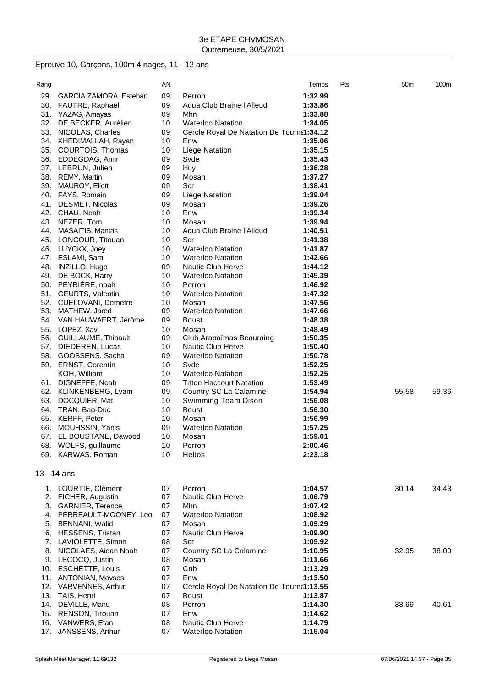# Epreuve 10, Garçons, 100m 4 nages, 11 - 12 ans

| Rang |                          | ΑN |                                           | Temps   | Pts | 50 <sub>m</sub> | 100m  |
|------|--------------------------|----|-------------------------------------------|---------|-----|-----------------|-------|
| 29.  | GARCIA ZAMORA, Esteban   | 09 | Perron                                    | 1:32.99 |     |                 |       |
| 30.  | FAUTRE, Raphael          | 09 | Aqua Club Braine l'Alleud                 | 1:33.86 |     |                 |       |
| 31.  | YAZAG, Amayas            | 09 | Mhn                                       | 1:33.88 |     |                 |       |
| 32.  | DE BECKER, Aurélien      | 10 | <b>Waterloo Natation</b>                  | 1:34.05 |     |                 |       |
| 33.  | NICOLAS, Charles         | 09 | Cercle Royal De Natation De Tourna1:34.12 |         |     |                 |       |
| 34.  | KHEDIMALLAH, Rayan       | 10 | Enw                                       | 1:35.06 |     |                 |       |
| 35.  | COURTOIS, Thomas         | 10 | Liège Natation                            | 1:35.15 |     |                 |       |
| 36.  | EDDEGDAG, Amir           | 09 | Svde                                      | 1:35.43 |     |                 |       |
|      | 37. LEBRUN, Julien       | 09 | Huy                                       | 1:36.28 |     |                 |       |
| 38.  | <b>REMY, Martin</b>      | 09 | Mosan                                     | 1:37.27 |     |                 |       |
| 39.  | <b>MAUROY, Eliott</b>    | 09 | Scr                                       | 1:38.41 |     |                 |       |
| 40.  | FAYS, Romain             | 09 | Liège Natation                            | 1:39.04 |     |                 |       |
| 41.  | DESMET, Nicolas          | 09 | Mosan                                     | 1:39.26 |     |                 |       |
| 42.  | CHAU, Noah               | 10 | Enw                                       | 1:39.34 |     |                 |       |
| 43.  | NEZER, Tom               | 10 | Mosan                                     | 1:39.94 |     |                 |       |
| 44.  | <b>MASAITIS, Mantas</b>  | 10 | Aqua Club Braine l'Alleud                 | 1:40.51 |     |                 |       |
| 45.  | LONCOUR, Titouan         | 10 | Scr                                       | 1:41.38 |     |                 |       |
| 46.  | LUYCKX, Joey             | 10 | <b>Waterloo Natation</b>                  | 1:41.87 |     |                 |       |
| 47.  | ESLAMI, Sam              | 10 | <b>Waterloo Natation</b>                  | 1:42.66 |     |                 |       |
| 48.  | INZILLO, Hugo            | 09 | <b>Nautic Club Herve</b>                  | 1:44.12 |     |                 |       |
| 49.  | DE BOCK, Harry           | 10 | <b>Waterloo Natation</b>                  | 1:45.39 |     |                 |       |
| 50.  | PEYRIÈRE, noah           | 10 | Perron                                    | 1:46.92 |     |                 |       |
| 51.  | <b>GEURTS, Valentin</b>  | 10 | <b>Waterloo Natation</b>                  | 1:47.32 |     |                 |       |
|      | 52. CUELOVANI, Demetre   | 10 | Mosan                                     | 1:47.56 |     |                 |       |
| 53.  | MATHEW, Jared            | 09 | <b>Waterloo Natation</b>                  | 1:47.66 |     |                 |       |
|      | 54. VAN HAUWAERT, Jérôme | 09 | Boust                                     | 1:48.38 |     |                 |       |
| 55.  | LOPEZ, Xavi              | 10 | Mosan                                     | 1:48.49 |     |                 |       |
| 56.  | GUILLAUME, Thibault      | 09 | Club Arapaïmas Beauraing                  | 1:50.35 |     |                 |       |
| 57.  | DIEDEREN, Lucas          | 10 | <b>Nautic Club Herve</b>                  | 1:50.40 |     |                 |       |
| 58.  | GOOSSENS, Sacha          | 09 | <b>Waterloo Natation</b>                  | 1:50.78 |     |                 |       |
|      | 59. ERNST, Corentin      | 10 | Svde                                      | 1:52.25 |     |                 |       |
|      | KOH, William             | 10 | <b>Waterloo Natation</b>                  | 1:52.25 |     |                 |       |
| 61.  | DIGNEFFE, Noah           | 09 | <b>Triton Haccourt Natation</b>           | 1:53.49 |     |                 |       |
| 62.  | KLINKENBERG, Lyam        | 09 | Country SC La Calamine                    | 1:54.94 |     | 55.58           | 59.36 |
| 63.  | DOCQUIER, Mat            | 10 | Swimming Team Dison                       | 1:56.08 |     |                 |       |
| 64.  | TRAN, Bao-Duc            | 10 | <b>Boust</b>                              | 1:56.30 |     |                 |       |
| 65.  | <b>KERFF, Peter</b>      | 10 | Mosan                                     | 1:56.99 |     |                 |       |
| 66.  | MOUHSSIN, Yanis          | 09 | <b>Waterloo Natation</b>                  | 1:57.25 |     |                 |       |
| 67.  | EL BOUSTANE, Dawood      | 10 | Mosan                                     | 1:59.01 |     |                 |       |
|      | 68. WOLFS, guillaume     | 10 | Perron                                    | 2:00.46 |     |                 |       |
|      | 69. KARWAS, Roman        | 10 | Helios                                    | 2:23.18 |     |                 |       |
|      |                          |    |                                           |         |     |                 |       |
|      | 13 - 14 ans              |    |                                           |         |     |                 |       |
|      | 1. LOURTIE, Clément      | 07 | Perron                                    | 1:04.57 |     | 30.14           | 34.43 |
| 2.   | FICHER, Augustin         | 07 | Nautic Club Herve                         | 1:06.79 |     |                 |       |
| 3.   | <b>GARNIER, Terence</b>  | 07 | Mhn                                       | 1:07.42 |     |                 |       |
| 4.   | PERREAULT-MOONEY, Leo    | 07 | <b>Waterloo Natation</b>                  | 1:08.92 |     |                 |       |
| 5.   | BENNANI, Walid           | 07 | Mosan                                     | 1:09.29 |     |                 |       |
| 6.   | HESSENS, Tristan         | 07 | Nautic Club Herve                         | 1:09.90 |     |                 |       |
| 7.   | LAVIOLETTE, Simon        | 08 | Scr                                       | 1:09.92 |     |                 |       |
| 8.   | NICOLAES, Aidan Noah     | 07 | Country SC La Calamine                    | 1:10.95 |     | 32.95           | 38.00 |
| 9.   | LECOCQ, Justin           | 08 | Mosan                                     | 1:11.66 |     |                 |       |
| 10.  | <b>ESCHETTE, Louis</b>   | 07 | Cnb                                       | 1:13.29 |     |                 |       |
| 11.  | ANTONIAN, Movses         | 07 | Enw                                       | 1:13.50 |     |                 |       |
| 12.  | VARVENNES, Arthur        | 07 | Cercle Royal De Natation De Tourna1:13.55 |         |     |                 |       |
| 13.  | TAIS, Henri              | 07 | <b>Boust</b>                              | 1:13.87 |     |                 |       |
| 14.  | DEVILLE, Manu            | 08 | Perron                                    | 1:14.30 |     | 33.69           | 40.61 |
| 15.  | RENSON, Titouan          | 07 | Enw                                       | 1:14.62 |     |                 |       |
| 16.  | VANWERS, Etan            | 08 | Nautic Club Herve                         | 1:14.79 |     |                 |       |
| 17.  | JANSSENS, Arthur         | 07 | <b>Waterloo Natation</b>                  | 1:15.04 |     |                 |       |
|      |                          |    |                                           |         |     |                 |       |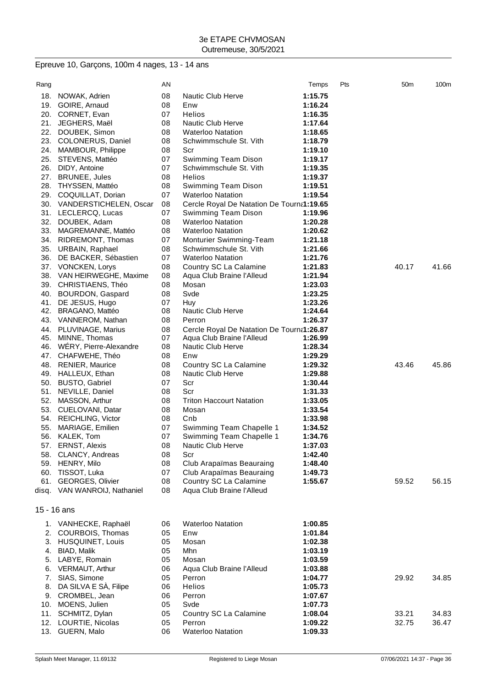# Epreuve 10, Garçons, 100m 4 nages, 13 - 14 ans

| Rang |                              | ΑN |                                           | Temps   | Pts | 50 <sub>m</sub> | 100m  |
|------|------------------------------|----|-------------------------------------------|---------|-----|-----------------|-------|
| 18.  | NOWAK, Adrien                | 08 | <b>Nautic Club Herve</b>                  | 1:15.75 |     |                 |       |
| 19.  | GOIRE, Arnaud                | 08 | Enw                                       | 1:16.24 |     |                 |       |
|      | 20. CORNET, Evan             | 07 | Helios                                    | 1:16.35 |     |                 |       |
| 21.  | JEGHERS, Maël                | 08 | <b>Nautic Club Herve</b>                  | 1:17.64 |     |                 |       |
| 22.  | DOUBEK, Simon                | 08 | <b>Waterloo Natation</b>                  | 1:18.65 |     |                 |       |
| 23.  | COLONERUS, Daniel            | 08 | Schwimmschule St. Vith                    | 1:18.79 |     |                 |       |
| 24.  |                              | 08 | Scr                                       | 1:19.10 |     |                 |       |
|      | MAMBOUR, Philippe            |    |                                           |         |     |                 |       |
| 25.  | STEVENS, Mattéo              | 07 | Swimming Team Dison                       | 1:19.17 |     |                 |       |
| 26.  | DIDY, Antoine                | 07 | Schwimmschule St. Vith                    | 1:19.35 |     |                 |       |
| 27.  | <b>BRUNEE, Jules</b>         | 08 | Helios                                    | 1:19.37 |     |                 |       |
| 28.  | THYSSEN, Mattéo              | 08 | Swimming Team Dison                       | 1:19.51 |     |                 |       |
| 29.  | COQUILLAT, Dorian            | 07 | <b>Waterloo Natation</b>                  | 1:19.54 |     |                 |       |
|      | 30. VANDERSTICHELEN, Oscar   | 08 | Cercle Royal De Natation De Tourna1:19.65 |         |     |                 |       |
|      | 31. LECLERCQ, Lucas          | 07 | Swimming Team Dison                       | 1:19.96 |     |                 |       |
| 32.  | DOUBEK, Adam                 | 08 | <b>Waterloo Natation</b>                  | 1:20.28 |     |                 |       |
| 33.  | MAGREMANNE, Mattéo           | 08 | <b>Waterloo Natation</b>                  | 1:20.62 |     |                 |       |
| 34.  | RIDREMONT, Thomas            | 07 | Monturier Swimming-Team                   | 1:21.18 |     |                 |       |
| 35.  | URBAIN, Raphael              | 08 | Schwimmschule St. Vith                    | 1:21.66 |     |                 |       |
| 36.  | DE BACKER, Sébastien         | 07 | <b>Waterloo Natation</b>                  | 1:21.76 |     |                 |       |
|      | 37. VONCKEN, Lorys           | 08 | Country SC La Calamine                    | 1:21.83 |     | 40.17           | 41.66 |
| 38.  | VAN HEIRWEGHE, Maxime        | 08 | Aqua Club Braine l'Alleud                 | 1:21.94 |     |                 |       |
| 39.  | CHRISTIAENS, Théo            | 08 | Mosan                                     | 1:23.03 |     |                 |       |
| 40.  | BOURDON, Gaspard             | 08 | Svde                                      | 1:23.25 |     |                 |       |
| 41.  | DE JESUS, Hugo               | 07 | Huy                                       | 1:23.26 |     |                 |       |
| 42.  | <b>BRAGANO, Mattéo</b>       | 08 | Nautic Club Herve                         | 1:24.64 |     |                 |       |
|      | 43. VANNEROM, Nathan         | 08 | Perron                                    | 1:26.37 |     |                 |       |
| 44.  | PLUVINAGE, Marius            | 08 | Cercle Royal De Natation De Tourna1:26.87 |         |     |                 |       |
| 45.  | MINNE, Thomas                | 07 | Aqua Club Braine l'Alleud                 | 1:26.99 |     |                 |       |
| 46.  | WERY, Pierre-Alexandre       | 08 | <b>Nautic Club Herve</b>                  | 1:28.34 |     |                 |       |
| 47.  | CHAFWEHE, Théo               | 08 | Enw                                       | 1:29.29 |     |                 |       |
| 48.  | <b>RENIER, Maurice</b>       | 08 | Country SC La Calamine                    | 1:29.32 |     | 43.46           | 45.86 |
| 49.  | HALLEUX, Ethan               | 08 | Nautic Club Herve                         | 1:29.88 |     |                 |       |
| 50.  | <b>BUSTO, Gabriel</b>        | 07 | Scr                                       | 1:30.44 |     |                 |       |
| 51.  |                              | 08 | Scr                                       | 1:31.33 |     |                 |       |
|      | NEVILLE, Daniel              | 08 | <b>Triton Haccourt Natation</b>           | 1:33.05 |     |                 |       |
| 52.  | MASSON, Arthur               |    |                                           |         |     |                 |       |
| 53.  | CUELOVANI, Datar             | 08 | Mosan                                     | 1:33.54 |     |                 |       |
| 54.  | REICHLING, Victor            | 08 | Cnb                                       | 1:33.98 |     |                 |       |
| 55.  | MARIAGE, Emilien             | 07 | Swimming Team Chapelle 1                  | 1:34.52 |     |                 |       |
| 56.  | KALEK, Tom                   | 07 | Swimming Team Chapelle 1                  | 1:34.76 |     |                 |       |
|      | 57. ERNST, Alexis            | 08 | Nautic Club Herve                         | 1:37.03 |     |                 |       |
| 58.  | CLANCY, Andreas              | 08 | Scr                                       | 1:42.40 |     |                 |       |
|      | 59. HENRY, Milo              | 08 | Club Arapaïmas Beauraing                  | 1:48.40 |     |                 |       |
| 60.  | TISSOT, Luka                 | 07 | Club Arapaïmas Beauraing                  | 1:49.73 |     |                 |       |
| 61.  | GEORGES, Olivier             | 08 | Country SC La Calamine                    | 1:55.67 |     | 59.52           | 56.15 |
|      | disq. VAN WANROIJ, Nathaniel | 08 | Aqua Club Braine l'Alleud                 |         |     |                 |       |
|      | 15 - 16 ans                  |    |                                           |         |     |                 |       |
|      |                              |    |                                           |         |     |                 |       |
|      | 1. VANHECKE, Raphaël         | 06 | <b>Waterloo Natation</b>                  | 1:00.85 |     |                 |       |
| 2.   | COURBOIS, Thomas             | 05 | Enw                                       | 1:01.84 |     |                 |       |
| 3.   | <b>HUSQUINET, Louis</b>      | 05 | Mosan                                     | 1:02.38 |     |                 |       |
| 4.   | <b>BIAD, Malik</b>           | 05 | Mhn                                       | 1:03.19 |     |                 |       |
| 5.   | LABYE, Romain                | 05 | Mosan                                     | 1:03.59 |     |                 |       |
| 6.   | VERMAUT, Arthur              | 06 | Aqua Club Braine l'Alleud                 | 1:03.88 |     |                 |       |
| 7.   | SIAS, Simone                 | 05 | Perron                                    | 1:04.77 |     | 29.92           | 34.85 |
| 8.   | DA SILVA E SÀ, Filipe        | 06 | <b>Helios</b>                             | 1:05.73 |     |                 |       |
| 9.   | CROMBEL, Jean                | 06 | Perron                                    | 1:07.67 |     |                 |       |
| 10.  | MOENS, Julien                | 05 | Svde                                      | 1:07.73 |     |                 |       |
| 11.  | SCHMITZ, Dylan               | 05 | Country SC La Calamine                    | 1:08.04 |     | 33.21           | 34.83 |
| 12.  | LOURTIE, Nicolas             | 05 | Perron                                    | 1:09.22 |     | 32.75           | 36.47 |
|      | 13. GUERN, Malo              | 06 | <b>Waterloo Natation</b>                  | 1:09.33 |     |                 |       |
|      |                              |    |                                           |         |     |                 |       |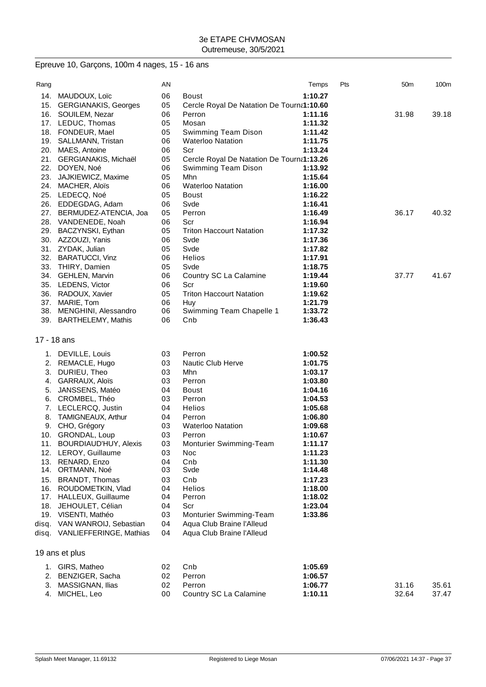# Epreuve 10, Garçons, 100m 4 nages, 15 - 16 ans

| Rang        |                                        | AN       |                                           | Temps              | Pts | 50 <sub>m</sub> | 100m  |
|-------------|----------------------------------------|----------|-------------------------------------------|--------------------|-----|-----------------|-------|
|             | 14. MAUDOUX, Loïc                      | 06       | Boust                                     | 1:10.27            |     |                 |       |
|             | 15. GERGIANAKIS, Georges               | 05       | Cercle Royal De Natation De Tourna1:10.60 |                    |     |                 |       |
|             | 16. SOUILEM, Nezar                     | 06       | Perron                                    | 1:11.16            |     | 31.98           | 39.18 |
|             | 17. LEDUC, Thomas                      | 05       | Mosan                                     | 1:11.32            |     |                 |       |
|             | 18. FONDEUR, Mael                      | 05       | Swimming Team Dison                       | 1:11.42            |     |                 |       |
|             | 19. SALLMANN, Tristan                  | 06       | <b>Waterloo Natation</b>                  | 1:11.75            |     |                 |       |
|             | 20. MAES, Antoine                      | 06       | Scr                                       | 1:13.24            |     |                 |       |
|             | 21. GERGIANAKIS, Michaël               | 05       | Cercle Royal De Natation De Tourna1:13.26 |                    |     |                 |       |
|             | 22. DOYEN, Noé                         | 06       | Swimming Team Dison                       | 1:13.92            |     |                 |       |
| 23.         | JAJKIEWICZ, Maxime                     | 05       | Mhn                                       | 1:15.64            |     |                 |       |
|             | 24. MACHER, Aloïs                      | 06       | <b>Waterloo Natation</b>                  | 1:16.00            |     |                 |       |
|             | 25. LEDECQ, Noé                        | 05       | <b>Boust</b>                              | 1:16.22            |     |                 |       |
|             | 26. EDDEGDAG, Adam                     | 06       | Svde                                      | 1:16.41            |     |                 |       |
|             | 27. BERMUDEZ-ATENCIA, Joa              | 05       | Perron                                    | 1:16.49            |     | 36.17           | 40.32 |
|             | 28. VANDENEDE, Noah                    | 06       | Scr                                       | 1:16.94            |     |                 |       |
|             | 29. BACZYNSKI, Eythan                  | 05       | <b>Triton Haccourt Natation</b>           | 1:17.32            |     |                 |       |
|             | 30. AZZOUZI, Yanis                     | 06       | Svde                                      | 1:17.36            |     |                 |       |
|             | 31. ZYDAK, Julian                      | 05       | Svde                                      | 1:17.82            |     |                 |       |
|             | 32. BARATUCCI, Vinz                    | 06       | Helios                                    | 1:17.91            |     |                 |       |
|             | 33. THIRY, Damien                      | 05       | Svde                                      | 1:18.75            |     |                 |       |
|             | 34. GEHLEN, Marvin                     | 06       | Country SC La Calamine                    | 1:19.44            |     | 37.77           | 41.67 |
|             | 35. LEDENS, Victor                     | 06       | Scr                                       | 1:19.60            |     |                 |       |
|             |                                        |          |                                           |                    |     |                 |       |
|             | 36. RADOUX, Xavier                     | 05       | <b>Triton Haccourt Natation</b>           | 1:19.62            |     |                 |       |
| 37.         | MARIE, Tom<br>38. MENGHINI, Alessandro | 06<br>06 | Huy<br>Swimming Team Chapelle 1           | 1:21.79<br>1:33.72 |     |                 |       |
|             |                                        | 06       | Cnb                                       | 1:36.43            |     |                 |       |
|             | 39. BARTHELEMY, Mathis                 |          |                                           |                    |     |                 |       |
| 17 - 18 ans |                                        |          |                                           |                    |     |                 |       |
|             |                                        | 03       | Perron                                    | 1:00.52            |     |                 |       |
|             | 1. DEVILLE, Louis                      |          |                                           |                    |     |                 |       |
| 2.          | REMACLE, Hugo                          | 03       | Nautic Club Herve                         | 1:01.75            |     |                 |       |
| 3.          | DURIEU, Theo                           | 03       | Mhn                                       | 1:03.17            |     |                 |       |
| 4.          | GARRAUX, Aloïs                         | 03       | Perron                                    | 1:03.80            |     |                 |       |
| 5.          | JANSSENS, Matéo                        | 04       | <b>Boust</b>                              | 1:04.16            |     |                 |       |
| 6.          | CROMBEL, Théo                          | 03       | Perron                                    | 1:04.53            |     |                 |       |
| 7.          | LECLERCQ, Justin                       | 04       | Helios                                    | 1:05.68            |     |                 |       |
| 8.          | TAMIGNEAUX, Arthur                     | 04       | Perron                                    | 1:06.80            |     |                 |       |
| 9.          | CHO, Grégory                           | 03       | <b>Waterloo Natation</b>                  | 1:09.68            |     |                 |       |
|             | 10. GRONDAL, Loup                      | 03       | Perron                                    | 1:10.67            |     |                 |       |
|             | 11. BOURDIAUD'HUY, Alexis              | 03       | Monturier Swimming-Team                   | 1:11.17            |     |                 |       |
|             | 12. LEROY, Guillaume                   | 03       | Noc                                       | 1:11.23            |     |                 |       |
|             | 13. RENARD, Enzo                       | 04       | Cnb                                       | 1:11.30            |     |                 |       |
|             | 14. ORTMANN, Noé                       | 03       | Svde                                      | 1:14.48            |     |                 |       |
| 15.         | BRANDT, Thomas                         | 03       | Cnb                                       | 1:17.23            |     |                 |       |
|             | 16. ROUDOMETKIN, Vlad                  | 04       | Helios                                    | 1:18.00            |     |                 |       |
| 17.         | HALLEUX, Guillaume                     | 04       | Perron                                    | 1:18.02            |     |                 |       |
| 18.         | JEHOULET, Célian                       | 04       | Scr                                       | 1:23.04            |     |                 |       |
| 19.         | VISENTI, Mathéo                        | 03       | Monturier Swimming-Team                   | 1:33.86            |     |                 |       |
| disq.       | VAN WANROIJ, Sebastian                 | 04       | Aqua Club Braine l'Alleud                 |                    |     |                 |       |
|             | disq. VANLIEFFERINGE, Mathias          | 04       | Aqua Club Braine l'Alleud                 |                    |     |                 |       |
|             | 19 ans et plus                         |          |                                           |                    |     |                 |       |
|             |                                        |          |                                           |                    |     |                 |       |
|             | 1. GIRS, Matheo                        | 02       | Cnb                                       | 1:05.69            |     |                 |       |
| 2.          | BENZIGER, Sacha                        | 02       | Perron                                    | 1:06.57            |     |                 |       |
| 3.          | MASSIGNAN, Ilias                       | 02       | Perron                                    | 1:06.77            |     | 31.16           | 35.61 |
|             | 4. MICHEL, Leo                         | 00       | Country SC La Calamine                    | 1:10.11            |     | 32.64           | 37.47 |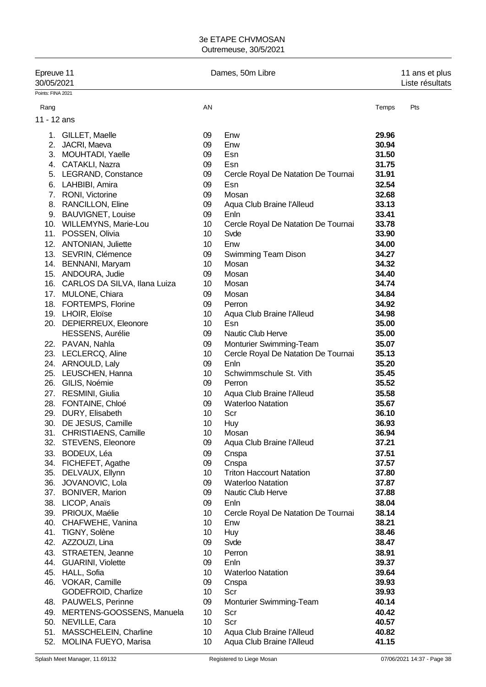| Epreuve 11<br>30/05/2021 |                                  | Dames, 50m Libre | 11 ans et plus<br>Liste résultats   |       |     |
|--------------------------|----------------------------------|------------------|-------------------------------------|-------|-----|
| Points: FINA 2021        |                                  |                  |                                     |       |     |
| Rang                     |                                  | AN               |                                     | Temps | Pts |
| 11 - 12 ans              |                                  |                  |                                     |       |     |
|                          | 1. GILLET, Maelle                | 09               | Enw                                 | 29.96 |     |
| 2.                       | JACRI, Maeva                     | 09               | Enw                                 | 30.94 |     |
|                          | 3. MOUHTADI, Yaelle              | 09               | Esn                                 | 31.50 |     |
|                          | 4. CATAKLI, Nazra                | 09               | Esn                                 | 31.75 |     |
|                          | 5. LEGRAND, Constance            | 09               | Cercle Royal De Natation De Tournai | 31.91 |     |
|                          | 6. LAHBIBI, Amira                | 09               | Esn                                 | 32.54 |     |
|                          | 7. RONI, Victorine               | 09               | Mosan                               | 32.68 |     |
|                          | 8. RANCILLON, Eline              | 09               | Aqua Club Braine l'Alleud           | 33.13 |     |
|                          | 9. BAUVIGNET, Louise             | 09               | Enln                                | 33.41 |     |
|                          | 10. WILLEMYNS, Marie-Lou         | 10               | Cercle Royal De Natation De Tournai | 33.78 |     |
|                          | 11. POSSEN, Olivia               | 10               | Svde                                | 33.90 |     |
|                          | 12. ANTONIAN, Juliette           | 10               | Enw                                 | 34.00 |     |
|                          | 13. SEVRIN, Clémence             | 09               | Swimming Team Dison                 | 34.27 |     |
|                          | 14. BENNANI, Maryam              | 10               | Mosan                               | 34.32 |     |
|                          | 15. ANDOURA, Judie               | 09               | Mosan                               | 34.40 |     |
|                          | 16. CARLOS DA SILVA, Ilana Luiza | 10               | Mosan                               | 34.74 |     |
|                          | 17. MULONE, Chiara               | 09               | Mosan                               | 34.84 |     |
|                          | 18. FORTEMPS, Florine            | 09               | Perron                              | 34.92 |     |
|                          | 19. LHOIR, Eloïse                | 10               | Aqua Club Braine l'Alleud           | 34.98 |     |
|                          | 20. DEPIERREUX, Eleonore         | 10 <sup>°</sup>  | Esn                                 | 35.00 |     |
|                          | <b>HESSENS, Aurélie</b>          | 09               | Nautic Club Herve                   | 35.00 |     |
|                          |                                  |                  |                                     |       |     |
|                          | 22. PAVAN, Nahla                 | 09               | Monturier Swimming-Team             | 35.07 |     |
|                          | 23. LECLERCQ, Aline              | 10 <sup>°</sup>  | Cercle Royal De Natation De Tournai | 35.13 |     |
|                          | 24. ARNOULD, Laly                | 09               | Enln                                | 35.20 |     |
|                          | 25. LEUSCHEN, Hanna              | 10 <sup>°</sup>  | Schwimmschule St. Vith              | 35.45 |     |
|                          | 26. GILIS, Noémie                | 09               | Perron                              | 35.52 |     |
|                          | 27. RESMINI, Giulia              | 10               | Aqua Club Braine l'Alleud           | 35.58 |     |
|                          | 28. FONTAINE, Chloé              | 09               | <b>Waterloo Natation</b>            | 35.67 |     |
|                          | 29. DURY, Elisabeth              | 10               | Scr                                 | 36.10 |     |
|                          | 30. DE JESUS, Camille            | 10               | Huy                                 | 36.93 |     |
|                          | 31. CHRISTIAENS, Camille         | 10               | Mosan                               | 36.94 |     |
| 32.                      | STEVENS, Eleonore                | 09               | Aqua Club Braine l'Alleud           | 37.21 |     |
| 33.                      | BODEUX, Léa                      | 09               | Cnspa                               | 37.51 |     |
|                          | 34. FICHEFET, Agathe             | 09               | Cnspa                               | 37.57 |     |
| 35.                      | DELVAUX, Ellynn                  | 10               | <b>Triton Haccourt Natation</b>     | 37.80 |     |
| 36.                      | JOVANOVIC, Lola                  | 09               | <b>Waterloo Natation</b>            | 37.87 |     |
| 37.                      | <b>BONIVER, Marion</b>           | 09               | Nautic Club Herve                   | 37.88 |     |
|                          | 38. LICOP, Anaïs                 | 09               | Enln                                | 38.04 |     |
|                          | 39. PRIOUX, Maélie               | 10               | Cercle Royal De Natation De Tournai | 38.14 |     |
|                          | 40. CHAFWEHE, Vanina             | 10               | Enw                                 | 38.21 |     |
|                          | 41. TIGNY, Solène                | 10               | Huy                                 | 38.46 |     |
|                          | 42. AZZOUZI, Lina                | 09               | Svde                                | 38.47 |     |
|                          | 43. STRAETEN, Jeanne             | 10               | Perron                              | 38.91 |     |
|                          | 44. GUARINI, Violette            | 09               | Enln                                | 39.37 |     |
|                          | 45. HALL, Sofia                  | 10               | <b>Waterloo Natation</b>            | 39.64 |     |
|                          | 46. VOKAR, Camille               | 09               | Cnspa                               | 39.93 |     |
|                          | GODEFROID, Charlize              | 10               | Scr                                 | 39.93 |     |
|                          | 48. PAUWELS, Perinne             | 09               | Monturier Swimming-Team             | 40.14 |     |
|                          | 49. MERTENS-GOOSSENS, Manuela    | 10               | Scr                                 | 40.42 |     |
|                          | 50. NEVILLE, Cara                | 10 <sup>1</sup>  | Scr                                 | 40.57 |     |
|                          | 51. MASSCHELEIN, Charline        | 10               | Aqua Club Braine l'Alleud           | 40.82 |     |
| 52.                      | MOLINA FUEYO, Marisa             | 10               | Aqua Club Braine l'Alleud           | 41.15 |     |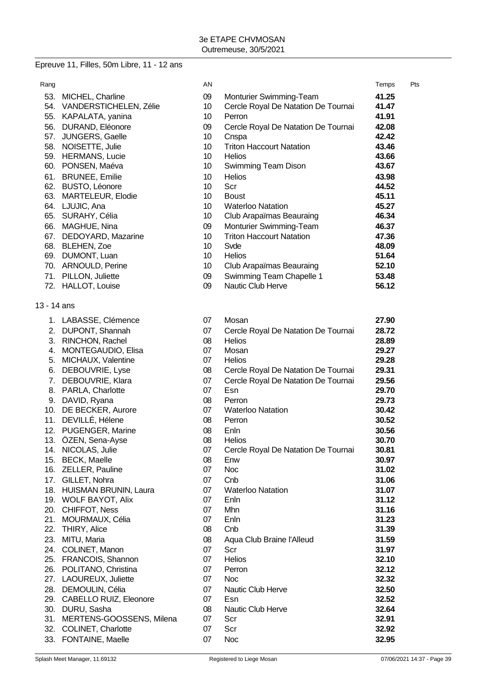## Epreuve 11, Filles, 50m Libre, 11 - 12 ans

| Rang        |                                         | AN       |                                     | Temps          | Pts |
|-------------|-----------------------------------------|----------|-------------------------------------|----------------|-----|
|             | 53. MICHEL, Charline                    | 09       | Monturier Swimming-Team             | 41.25          |     |
|             | 54. VANDERSTICHELEN, Zélie              | 10       | Cercle Royal De Natation De Tournai | 41.47          |     |
|             | 55. KAPALATA, yanina                    | 10       | Perron                              | 41.91          |     |
|             | 56. DURAND, Eléonore                    | 09       | Cercle Royal De Natation De Tournai | 42.08          |     |
| 57.         | JUNGERS, Gaelle                         | 10       | Cnspa                               | 42.42          |     |
|             | 58. NOISETTE, Julie                     | 10       | <b>Triton Haccourt Natation</b>     | 43.46          |     |
|             | 59. HERMANS, Lucie                      | 10       | <b>Helios</b>                       | 43.66          |     |
|             | 60. PONSEN, Maéva                       | 10       | Swimming Team Dison                 | 43.67          |     |
|             | 61. BRUNEE, Emilie                      | 10       | <b>Helios</b>                       | 43.98          |     |
|             | 62. BUSTO, Léonore                      | 10       | Scr                                 | 44.52          |     |
|             | 63. MARTELEUR, Elodie                   | 10       | <b>Boust</b>                        | 45.11          |     |
|             | 64. LJUJIC, Ana                         | 10       | <b>Waterloo Natation</b>            | 45.27          |     |
|             | 65. SURAHY, Célia                       | 10       | Club Arapaïmas Beauraing            | 46.34          |     |
|             | 66. MAGHUE, Nina                        | 09       | Monturier Swimming-Team             | 46.37          |     |
|             | 67. DEDOYARD, Mazarine                  | 10       | <b>Triton Haccourt Natation</b>     | 47.36          |     |
|             | 68. BLEHEN, Zoe                         | 10       | Svde                                | 48.09          |     |
|             | 69. DUMONT, Luan                        | 10       | Helios                              | 51.64          |     |
|             | 70. ARNOULD, Perine                     | 10       | Club Arapaïmas Beauraing            | 52.10          |     |
|             | 71. PILLON, Juliette                    | 09       | Swimming Team Chapelle 1            | 53.48          |     |
|             | 72. HALLOT, Louise                      | 09       | Nautic Club Herve                   | 56.12          |     |
|             |                                         |          |                                     |                |     |
| 13 - 14 ans |                                         |          |                                     |                |     |
|             | 1. LABASSE, Clémence                    | 07       | Mosan                               | 27.90          |     |
|             | 2. DUPONT, Shannah                      | 07       | Cercle Royal De Natation De Tournai | 28.72          |     |
|             | 3. RINCHON, Rachel                      | 08       | <b>Helios</b>                       | 28.89          |     |
|             | 4. MONTEGAUDIO, Elisa                   | 07       | Mosan                               | 29.27          |     |
|             | 5. MICHAUX, Valentine                   | 07       | <b>Helios</b>                       | 29.28          |     |
|             | 6. DEBOUVRIE, Lyse                      | 08       | Cercle Royal De Natation De Tournai | 29.31          |     |
|             | 7. DEBOUVRIE, Klara                     | 07       | Cercle Royal De Natation De Tournai | 29.56          |     |
|             | 8. PARLA, Charlotte                     | 07       | Esn                                 | 29.70          |     |
|             | 9. DAVID, Ryana                         | 08       | Perron                              | 29.73          |     |
|             | 10. DE BECKER, Aurore                   | 07       | <b>Waterloo Natation</b>            | 30.42          |     |
|             | 11. DEVILLÉ, Hélene                     | 08       | Perron                              | 30.52          |     |
|             | 12. PUGENGER, Marine                    | 08       | Enln                                | 30.56          |     |
|             | 13. ÖZEN, Sena-Ayse                     | 08       | <b>Helios</b>                       | 30.70          |     |
|             | 14. NICOLAS, Julie                      | 07       | Cercle Royal De Natation De Tournai | 30.81          |     |
|             | 15. BECK, Maelle                        | 08       | Enw                                 | 30.97          |     |
|             | 16. ZELLER, Pauline                     | 07       | <b>Noc</b>                          | 31.02          |     |
| 17.         | GILLET, Nohra                           | 07       | Cnb                                 | 31.06          |     |
|             | 18. HUISMAN BRUNIN, Laura               | 07       | <b>Waterloo Natation</b>            | 31.07          |     |
|             | 19. WOLF BAYOT, Alix                    | 07       | Enln                                | 31.12          |     |
|             | 20. CHIFFOT, Ness                       | 07<br>07 | Mhn<br>Enln                         | 31.16<br>31.23 |     |
|             | 21. MOURMAUX, Célia<br>22. THIRY, Alice | 08       | Cnb                                 | 31.39          |     |
|             |                                         |          | Aqua Club Braine l'Alleud           |                |     |
|             | 23. MITU, Maria<br>24. COLINET, Manon   | 08<br>07 | Scr                                 | 31.59<br>31.97 |     |
|             | 25. FRANCOIS, Shannon                   | 07       | Helios                              | 32.10          |     |
|             | 26. POLITANO, Christina                 | 07       | Perron                              | 32.12          |     |
|             | 27. LAOUREUX, Juliette                  | 07       | <b>Noc</b>                          | 32.32          |     |
|             | 28. DEMOULIN, Célia                     | 07       | Nautic Club Herve                   | 32.50          |     |
|             | 29. CABELLO RUIZ, Eleonore              | 07       | Esn                                 | 32.52          |     |
|             | 30. DURU, Sasha                         | 08       | Nautic Club Herve                   | 32.64          |     |
|             | 31. MERTENS-GOOSSENS, Milena            | 07       | Scr                                 | 32.91          |     |
|             | 32. COLINET, Charlotte                  | 07       | Scr                                 | 32.92          |     |
|             | 33. FONTAINE, Maelle                    | 07       | <b>Noc</b>                          | 32.95          |     |
|             |                                         |          |                                     |                |     |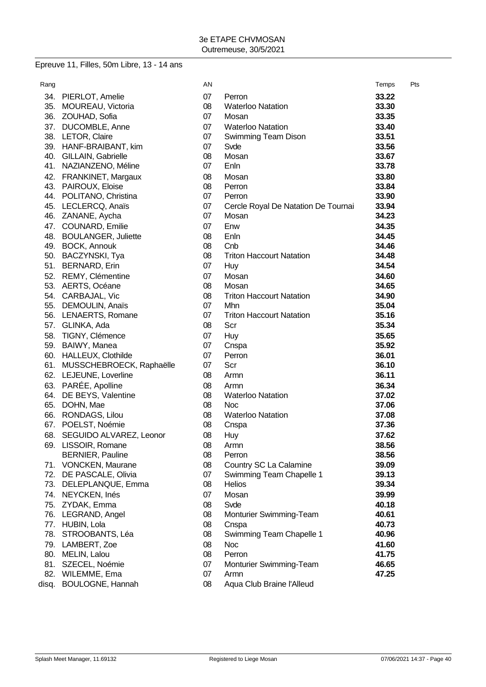# Epreuve 11, Filles, 50m Libre, 13 - 14 ans

| Rang       |                                | AN         |                                     | Temps          | Pts |
|------------|--------------------------------|------------|-------------------------------------|----------------|-----|
|            | 34. PIERLOT, Amelie            | 07         | Perron                              | 33.22          |     |
|            | 35. MOUREAU, Victoria          | 08         | <b>Waterloo Natation</b>            | 33.30          |     |
|            | 36. ZOUHAD, Sofia              | 07         | Mosan                               | 33.35          |     |
|            | 37. DUCOMBLE, Anne             | 07         | <b>Waterloo Natation</b>            | 33.40          |     |
|            | 38. LETOR, Claire              | 07         | Swimming Team Dison                 | 33.51          |     |
|            | 39. HANF-BRAIBANT, kim         | 07         | Svde                                | 33.56          |     |
|            | 40. GILLAIN, Gabrielle         | 08         | Mosan                               | 33.67          |     |
|            | 41. NAZIANZENO, Méline         | 07         | Enln                                | 33.78          |     |
| 42.        | FRANKINET, Margaux             | 08         | Mosan                               | 33.80          |     |
|            | 43. PAIROUX, Eloise            | 08         | Perron                              | 33.84          |     |
|            | 44. POLITANO, Christina        | 07         | Perron                              | 33.90          |     |
|            | 45. LECLERCQ, Anaïs            | 07         | Cercle Royal De Natation De Tournai | 33.94          |     |
|            | 46. ZANANE, Aycha              | 07         | Mosan                               | 34.23          |     |
| 47.        | COUNARD, Emilie                | 07         | Enw                                 | 34.35          |     |
|            | 48. BOULANGER, Juliette        | 08         | Enln                                | 34.45          |     |
|            | 49. BOCK, Annouk               | 08         | Cnb                                 | 34.46          |     |
|            | 50. BACZYNSKI, Tya             | 08         | <b>Triton Haccourt Natation</b>     | 34.48          |     |
|            | 51. BERNARD, Erin              | 07         | Huy                                 | 34.54          |     |
| 52.        | REMY, Clémentine               | 07         | Mosan                               | 34.60          |     |
|            | 53. AERTS, Océane              | 08         | Mosan                               | 34.65          |     |
|            | 54. CARBAJAL, Vic              | 08         | <b>Triton Haccourt Natation</b>     | 34.90          |     |
|            | 55. DEMOULIN, Anaïs            | 07         | Mhn                                 | 35.04          |     |
|            | 56. LENAERTS, Romane           | 07         | <b>Triton Haccourt Natation</b>     | 35.16          |     |
|            | 57. GLINKA, Ada                | 08         | Scr                                 | 35.34          |     |
|            | 58. TIGNY, Clémence            | 07         | Huy                                 | 35.65          |     |
|            | 59. BAIWY, Manea               | 07         | Cnspa                               | 35.92          |     |
|            | 60. HALLEUX, Clothilde         | 07         | Perron                              | 36.01          |     |
|            | 61. MUSSCHEBROECK, Raphaëlle   | 07         | Scr                                 | 36.10          |     |
|            | 62. LEJEUNE, Loverline         | 08         | Armn                                | 36.11          |     |
|            | 63. PARÉE, Apolline            | 08         | Armn                                | 36.34          |     |
|            | 64. DE BEYS, Valentine         | 08         | <b>Waterloo Natation</b>            | 37.02          |     |
|            | 65. DOHN, Mae                  | 08         | <b>Noc</b>                          | 37.06          |     |
|            | 66. RONDAGS, Lilou             | 08         | <b>Waterloo Natation</b>            | 37.08          |     |
|            | 67. POELST, Noémie             | 08         | Cnspa                               | 37.36          |     |
|            | 68. SEGUIDO ALVAREZ, Leonor    | 08         | Huy                                 | 37.62          |     |
|            | 69. LISSOIR, Romane            | ${\bf 08}$ | Armn                                | 38.56          |     |
|            | <b>BERNIER, Pauline</b>        | 08         | Perron                              | 38.56          |     |
|            | 71. VONCKEN, Maurane           | 08         | Country SC La Calamine              | 39.09          |     |
|            | 72. DE PASCALE, Olivia         | 07         | Swimming Team Chapelle 1            | 39.13          |     |
|            | 73. DELEPLANQUE, Emma          | 08         | <b>Helios</b>                       | 39.34          |     |
| 74.        | NEYCKEN, Inés                  | 07         | Mosan                               | 39.99          |     |
| 75.        | ZYDAK, Emma                    | 08         | Svde                                | 40.18          |     |
|            | 76. LEGRAND, Angel             | 08         | Monturier Swimming-Team             | 40.61          |     |
| 77.        | HUBIN, Lola                    | 08         | Cnspa                               | 40.73          |     |
| 78.        | STROOBANTS, Léa                | 08         | Swimming Team Chapelle 1            | 40.96          |     |
| 79.        | LAMBERT, Zoe                   | 08         | <b>Noc</b>                          | 41.60          |     |
| 80.        | MELIN, Lalou                   | 08         | Perron                              | 41.75          |     |
| 81.<br>82. | SZECEL, Noémie<br>WILEMME, Ema | 07<br>07   | Monturier Swimming-Team             | 46.65<br>47.25 |     |
| disq.      | BOULOGNE, Hannah               | 08         | Armn<br>Aqua Club Braine l'Alleud   |                |     |
|            |                                |            |                                     |                |     |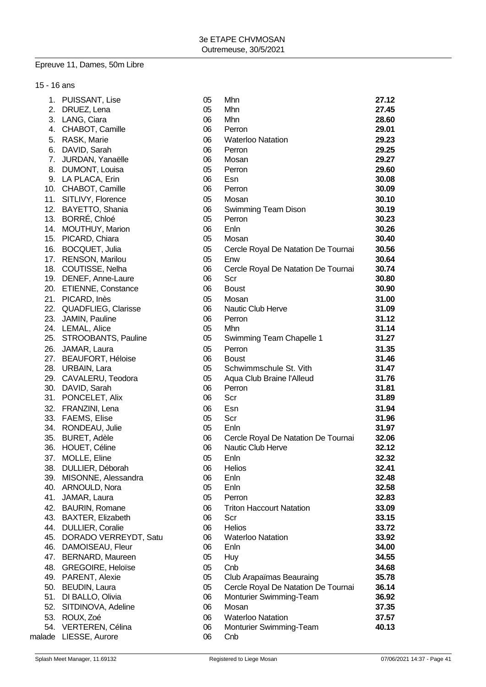## Epreuve 11, Dames, 50m Libre

| 15 - 16 ans |                           |    |                                     |       |
|-------------|---------------------------|----|-------------------------------------|-------|
|             | 1. PUISSANT, Lise         | 05 | Mhn                                 | 27.12 |
|             | 2. DRUEZ, Lena            | 05 | Mhn                                 | 27.45 |
|             | 3. LANG, Ciara            | 06 | Mhn                                 | 28.60 |
|             | 4. CHABOT, Camille        | 06 | Perron                              | 29.01 |
|             | 5. RASK, Marie            | 06 | <b>Waterloo Natation</b>            | 29.23 |
|             | 6. DAVID, Sarah           | 06 | Perron                              | 29.25 |
|             | 7. JURDAN, Yanaëlle       | 06 | Mosan                               | 29.27 |
|             | 8. DUMONT, Louisa         | 05 | Perron                              | 29.60 |
|             | 9. LA PLACA, Erin         | 06 | Esn                                 | 30.08 |
|             | 10. CHABOT, Camille       | 06 | Perron                              | 30.09 |
|             | 11. SITLIVY, Florence     | 05 | Mosan                               | 30.10 |
|             | 12. BAYETTO, Shania       | 06 | Swimming Team Dison                 | 30.19 |
|             | 13. BORRÉ, Chloé          | 05 | Perron                              | 30.23 |
|             | 14. MOUTHUY, Marion       | 06 | Enln                                | 30.26 |
|             | 15. PICARD, Chiara        | 05 | Mosan                               | 30.40 |
|             | 16. BOCQUET, Julia        | 05 | Cercle Royal De Natation De Tournai | 30.56 |
|             | 17. RENSON, Marilou       | 05 | Enw                                 | 30.64 |
|             | 18. COUTISSE, Nelha       | 06 | Cercle Royal De Natation De Tournai | 30.74 |
|             | 19. DENEF, Anne-Laure     | 06 | Scr                                 | 30.80 |
|             | 20. ETIENNE, Constance    | 06 | <b>Boust</b>                        | 30.90 |
|             | 21. PICARD, Inès          | 05 | Mosan                               | 31.00 |
|             | 22. QUADFLIEG, Clarisse   | 06 | Nautic Club Herve                   | 31.09 |
|             | 23. JAMIN, Pauline        | 06 | Perron                              | 31.12 |
|             | 24. LEMAL, Alice          | 05 | Mhn                                 | 31.14 |
|             | 25. STROOBANTS, Pauline   | 05 | Swimming Team Chapelle 1            | 31.27 |
|             | 26. JAMAR, Laura          | 05 | Perron                              | 31.35 |
|             | 27. BEAUFORT, Héloise     | 06 | <b>Boust</b>                        | 31.46 |
|             | 28. URBAIN, Lara          | 05 | Schwimmschule St. Vith              | 31.47 |
|             | 29. CAVALERU, Teodora     | 05 | Aqua Club Braine l'Alleud           | 31.76 |
|             | 30. DAVID, Sarah          | 06 | Perron                              | 31.81 |
|             | 31. PONCELET, Alix        | 06 | Scr                                 | 31.89 |
|             | 32. FRANZINI, Lena        | 06 | Esn                                 | 31.94 |
|             | 33. FAEMS, Elise          | 05 | Scr                                 | 31.96 |
|             | 34. RONDEAU, Julie        | 05 | Enln                                | 31.97 |
|             | 35. BURET, Adèle          | 06 | Cercle Royal De Natation De Tournai | 32.06 |
| 36.         | HOUET, Céline             | 06 | Nautic Club Herve                   | 32.12 |
|             | 37. MOLLE, Eline          | 05 | Enln                                | 32.32 |
|             | 38. DULLIER, Déborah      | 06 | <b>Helios</b>                       | 32.41 |
|             | 39. MISONNE, Alessandra   | 06 | Enln                                | 32.48 |
|             | 40. ARNOULD, Nora         | 05 | Enln                                | 32.58 |
| 41.         | JAMAR, Laura              | 05 | Perron                              | 32.83 |
|             | 42. BAURIN, Romane        | 06 | <b>Triton Haccourt Natation</b>     | 33.09 |
|             | 43. BAXTER, Elizabeth     | 06 | Scr                                 | 33.15 |
|             | 44. DULLIER, Coralie      | 06 | <b>Helios</b>                       | 33.72 |
|             | 45. DORADO VERREYDT, Satu | 06 | <b>Waterloo Natation</b>            | 33.92 |
|             | 46. DAMOISEAU, Fleur      | 06 | Enln                                | 34.00 |
|             | 47. BERNARD, Maureen      | 05 | <b>Huy</b>                          | 34.55 |
|             | 48. GREGOIRE, Heloïse     | 05 | Cnb                                 | 34.68 |
|             | 49. PARENT, Alexie        | 05 | Club Arapaïmas Beauraing            | 35.78 |
|             | 50. BEUDIN, Laura         | 05 | Cercle Royal De Natation De Tournai | 36.14 |
|             | 51. DI BALLO, Olivia      | 06 | Monturier Swimming-Team             | 36.92 |
|             | 52. SITDINOVA, Adeline    | 06 | Mosan                               | 37.35 |
|             |                           |    |                                     |       |
|             | 53. ROUX, Zoé             | 06 | <b>Waterloo Natation</b>            | 37.57 |
|             | 54. VERTEREN, Célina      | 06 | Monturier Swimming-Team             | 40.13 |
|             | malade LIESSE, Aurore     | 06 | Cnb                                 |       |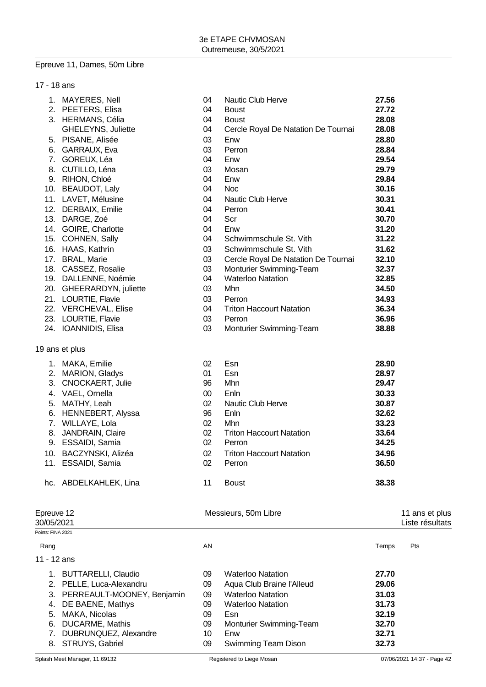#### Epreuve 11, Dames, 50m Libre

| 17 - 18 ans |                           |    |                                     |       |
|-------------|---------------------------|----|-------------------------------------|-------|
|             | 1. MAYERES, Nell          | 04 | Nautic Club Herve                   | 27.56 |
|             | 2. PEETERS, Elisa         | 04 | <b>Boust</b>                        | 27.72 |
|             | 3. HERMANS, Célia         | 04 | <b>Boust</b>                        | 28.08 |
|             | <b>GHELEYNS, Juliette</b> | 04 | Cercle Royal De Natation De Tournai | 28.08 |
|             | 5. PISANE, Alisée         | 03 | Enw                                 | 28.80 |
| 6.          | GARRAUX, Eva              | 03 | Perron                              | 28.84 |
| 7.          | GOREUX, Léa               | 04 | Enw                                 | 29.54 |
| 8.          | CUTILLO, Léna             | 03 | Mosan                               | 29.79 |
| 9.          | RIHON, Chloé              | 04 | Enw                                 | 29.84 |
|             | 10. BEAUDOT, Laly         | 04 | <b>Noc</b>                          | 30.16 |
|             | 11. LAVET, Mélusine       | 04 | <b>Nautic Club Herve</b>            | 30.31 |
| 12.         | DERBAIX, Emilie           | 04 | Perron                              | 30.41 |
| 13.         | DARGE, Zoé                | 04 | Scr                                 | 30.70 |
| 14.         | GOIRE, Charlotte          | 04 | Enw                                 | 31.20 |
| 15.         | COHNEN, Sally             | 04 | Schwimmschule St. Vith              | 31.22 |
| 16.         | HAAS, Kathrin             | 03 | Schwimmschule St. Vith              | 31.62 |
| 17.         | <b>BRAL, Marie</b>        | 03 | Cercle Royal De Natation De Tournai | 32.10 |
|             | 18. CASSEZ, Rosalie       | 03 | Monturier Swimming-Team             | 32.37 |
| 19.         | DALLENNE, Noémie          | 04 | <b>Waterloo Natation</b>            | 32.85 |
| 20.         | GHEERARDYN, juliette      | 03 | <b>Mhn</b>                          | 34.50 |
|             | 21. LOURTIE, Flavie       | 03 | Perron                              | 34.93 |
|             | 22. VERCHEVAL, Elise      | 04 | <b>Triton Haccourt Natation</b>     | 36.34 |
|             | 23. LOURTIE, Flavie       | 03 | Perron                              | 36.96 |
| 24.         | IOANNIDIS, Elisa          | 03 | Monturier Swimming-Team             | 38.88 |
|             |                           |    |                                     |       |

## 19 ans et plus

| 2.                       | MARION, Gladys          | 01              | Esn                             | 28.97 |                                   |
|--------------------------|-------------------------|-----------------|---------------------------------|-------|-----------------------------------|
| 3.                       | CNOCKAERT, Julie        | 96              | Mhn                             | 29.47 |                                   |
| 4.                       | VAEL, Ornella           | 00 <sup>°</sup> | Enln                            | 30.33 |                                   |
| 5.                       | MATHY, Leah             | 02              | <b>Nautic Club Herve</b>        | 30.87 |                                   |
| 6.                       | HENNEBERT, Alyssa       | 96              | Enln                            | 32.62 |                                   |
| 7.                       | WILLAYE, Lola           | 02              | Mhn                             | 33.23 |                                   |
| 8.                       | <b>JANDRAIN, Claire</b> | 02              | <b>Triton Haccourt Natation</b> | 33.64 |                                   |
| 9.                       | ESSAIDI, Samia          | 02              | Perron                          | 34.25 |                                   |
| 10.                      | BACZYNSKI, Alizéa       | 02              | <b>Triton Haccourt Natation</b> | 34.96 |                                   |
| 11.                      | ESSAIDI, Samia          | 02              | Perron                          | 36.50 |                                   |
|                          | hc. ABDELKAHLEK, Lina   | 11              | <b>Boust</b>                    | 38.38 |                                   |
| Epreuve 12<br>30/05/2021 |                         |                 | Messieurs, 50m Libre            |       | 11 ans et plus<br>Liste résultats |
| Points: FINA 2021        |                         |                 |                                 |       |                                   |
| Rang                     |                         | AN              |                                 | Temps | Pts                               |
| 11 - 12 ans              |                         |                 |                                 |       |                                   |

| 1. BUTTARELLI, Claudio        | 09 | <b>Waterloo Natation</b>   | 27.70 |  |
|-------------------------------|----|----------------------------|-------|--|
| 2. PELLE, Luca-Alexandru      | 09 | Aqua Club Braine l'Alleud  | 29.06 |  |
| 3. PERREAULT-MOONEY, Benjamin | 09 | <b>Waterloo Natation</b>   | 31.03 |  |
| 4. DE BAENE, Mathys           | 09 | <b>Waterloo Natation</b>   | 31.73 |  |
| 5. MAKA, Nicolas              | 09 | Esn                        | 32.19 |  |
| 6. DUCARME, Mathis            | 09 | Monturier Swimming-Team    | 32.70 |  |
| 7. DUBRUNQUEZ, Alexandre      | 10 | Enw                        | 32.71 |  |
| 8. STRUYS, Gabriel            | 09 | <b>Swimming Team Dison</b> | 32.73 |  |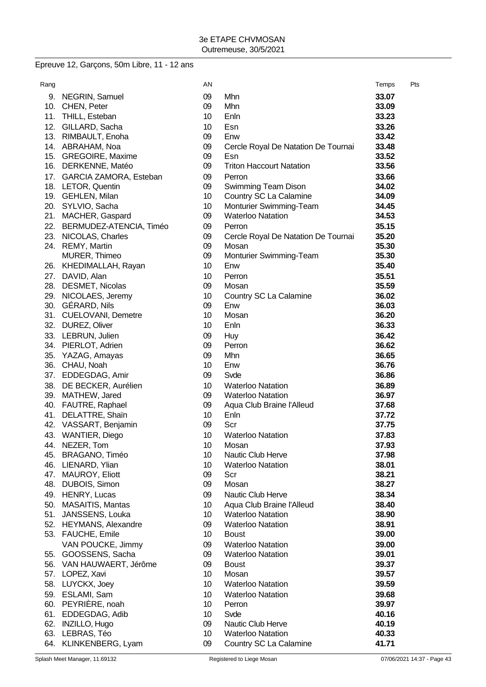# Epreuve 12, Garçons, 50m Libre, 11 - 12 ans

| Rang       |                                         | AN                    |                                                      | Temps          | Pts |
|------------|-----------------------------------------|-----------------------|------------------------------------------------------|----------------|-----|
|            | 9. NEGRIN, Samuel                       | 09                    | Mhn                                                  | 33.07          |     |
|            | 10. CHEN, Peter                         | 09                    | Mhn                                                  | 33.09          |     |
|            | 11. THILL, Esteban                      | 10 <sup>°</sup>       | Enln                                                 | 33.23          |     |
| 12.        | GILLARD, Sacha                          | 10                    | Esn                                                  | 33.26          |     |
|            | 13. RIMBAULT, Enoha                     | 09                    | Enw                                                  | 33.42          |     |
|            | 14. ABRAHAM, Noa                        | 09                    | Cercle Royal De Natation De Tournai                  | 33.48          |     |
|            | 15. GREGOIRE, Maxime                    | 09                    | Esn                                                  | 33.52          |     |
|            | 16. DERKENNE, Matéo                     | 09                    | <b>Triton Haccourt Natation</b>                      | 33.56          |     |
| 17.        | GARCIA ZAMORA, Esteban                  | 09                    | Perron                                               | 33.66          |     |
|            | 18. LETOR, Quentin                      | 09                    | Swimming Team Dison                                  | 34.02          |     |
|            | 19. GEHLEN, Milan                       | 10 <sup>°</sup>       | Country SC La Calamine                               | 34.09          |     |
|            | 20. SYLVIO, Sacha                       | 10 <sup>°</sup>       | Monturier Swimming-Team                              | 34.45          |     |
| 21.        | MACHER, Gaspard                         | 09                    | <b>Waterloo Natation</b>                             | 34.53          |     |
|            | 22. BERMUDEZ-ATENCIA, Timéo             | 09                    | Perron                                               | 35.15          |     |
| 23.        | NICOLAS, Charles                        | 09                    | Cercle Royal De Natation De Tournai                  | 35.20          |     |
|            | 24. REMY, Martin                        | 09                    | Mosan                                                | 35.30          |     |
|            | MURER, Thimeo                           | 09                    | Monturier Swimming-Team                              | 35.30          |     |
|            | 26. KHEDIMALLAH, Rayan                  | 10                    | Enw                                                  | 35.40          |     |
|            | 27. DAVID, Alan                         | 10 <sup>°</sup>       | Perron                                               | 35.51          |     |
|            | 28. DESMET, Nicolas                     | 09                    | Mosan                                                | 35.59          |     |
|            | 29. NICOLAES, Jeremy                    | 10 <sup>°</sup>       | Country SC La Calamine                               | 36.02          |     |
|            | 30. GÉRARD, Nils                        | 09                    | Enw                                                  | 36.03          |     |
|            | 31. CUELOVANI, Demetre                  | 10                    | Mosan                                                | 36.20          |     |
|            | 32. DUREZ, Oliver                       | 10                    | Enln                                                 | 36.33          |     |
|            | 33. LEBRUN, Julien                      | 09                    | Huy                                                  | 36.42          |     |
|            | 34. PIERLOT, Adrien                     | 09                    | Perron                                               | 36.62          |     |
|            | 35. YAZAG, Amayas                       | 09                    | Mhn                                                  | 36.65          |     |
|            | 36. CHAU, Noah                          | 10                    | Enw                                                  | 36.76          |     |
|            | 37. EDDEGDAG, Amir                      | 09                    | Svde                                                 | 36.86          |     |
|            | 38. DE BECKER, Aurélien                 | 10                    | <b>Waterloo Natation</b>                             | 36.89          |     |
|            | 39. MATHEW, Jared                       | 09                    | <b>Waterloo Natation</b>                             | 36.97          |     |
|            | 40. FAUTRE, Raphael                     | 09                    | Aqua Club Braine l'Alleud                            | 37.68          |     |
| 41.        | DELATTRE, Shain                         | 10                    | Enln                                                 | 37.72          |     |
|            | 42. VASSART, Benjamin                   | 09                    | Scr                                                  | 37.75          |     |
| 43.        | <b>WANTIER, Diego</b>                   | 10                    | <b>Waterloo Natation</b>                             | 37.83          |     |
| 44.        | NEZER, Tom                              | 10                    | Mosan                                                | 37.93          |     |
| 45.        | BRAGANO, Timéo                          | 10                    | Nautic Club Herve                                    | 37.98          |     |
| 46.        | LIENARD, Ylian                          | 10                    | <b>Waterloo Natation</b>                             | 38.01          |     |
| 47.        | MAUROY, Eliott                          | 09                    | Scr                                                  | 38.21          |     |
| 48.        | DUBOIS, Simon                           | 09                    | Mosan                                                | 38.27          |     |
| 49.        | HENRY, Lucas                            | 09                    | <b>Nautic Club Herve</b>                             | 38.34          |     |
| 50.        | <b>MASAITIS, Mantas</b>                 | 10 <sup>°</sup>       | Aqua Club Braine l'Alleud                            | 38.40          |     |
| 51.        | JANSSENS, Louka                         | 10 <sup>°</sup>       | <b>Waterloo Natation</b><br><b>Waterloo Natation</b> | 38.90<br>38.91 |     |
| 52.<br>53. | HEYMANS, Alexandre<br>FAUCHE, Emile     | 09<br>10 <sup>°</sup> | <b>Boust</b>                                         | 39.00          |     |
|            | VAN POUCKE, Jimmy                       |                       | <b>Waterloo Natation</b>                             |                |     |
| 55.        | GOOSSENS, Sacha                         | 09<br>09              | <b>Waterloo Natation</b>                             | 39.00          |     |
|            |                                         | 09                    |                                                      | 39.01<br>39.37 |     |
| 57.        | 56. VAN HAUWAERT, Jérôme<br>LOPEZ, Xavi | 10 <sup>°</sup>       | <b>Boust</b><br>Mosan                                | 39.57          |     |
| 58.        | LUYCKX, Joey                            | 10 <sup>°</sup>       | <b>Waterloo Natation</b>                             | 39.59          |     |
|            | 59. ESLAMI, Sam                         | 10                    | <b>Waterloo Natation</b>                             | 39.68          |     |
| 60.        | PEYRIÈRE, noah                          | 10                    | Perron                                               | 39.97          |     |
| 61.        | EDDEGDAG, Adib                          | 10                    | Svde                                                 | 40.16          |     |
| 62.        | <b>INZILLO, Hugo</b>                    | 09                    | Nautic Club Herve                                    | 40.19          |     |
|            | 63. LEBRAS, Téo                         | 10                    | <b>Waterloo Natation</b>                             | 40.33          |     |
| 64.        | KLINKENBERG, Lyam                       | 09                    | Country SC La Calamine                               | 41.71          |     |
|            |                                         |                       |                                                      |                |     |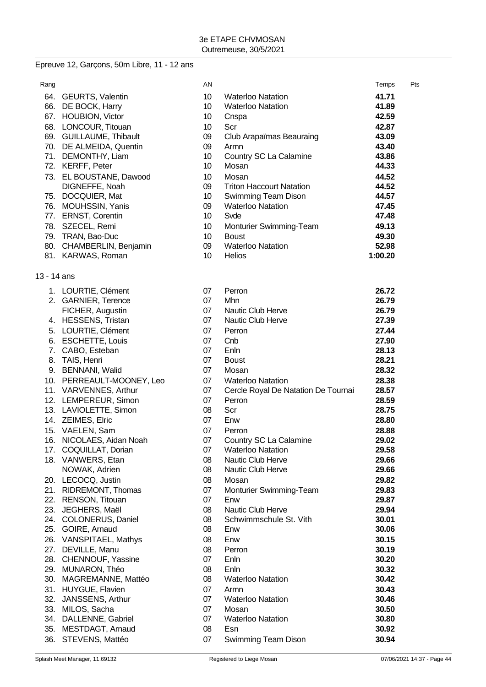# Epreuve 12, Garçons, 50m Libre, 11 - 12 ans

| Rang        |                           | AN              |                                     | Temps   | Pts |
|-------------|---------------------------|-----------------|-------------------------------------|---------|-----|
|             | 64. GEURTS, Valentin      | 10              | <b>Waterloo Natation</b>            | 41.71   |     |
|             | 66. DE BOCK, Harry        | 10              | <b>Waterloo Natation</b>            | 41.89   |     |
|             | 67. HOUBION, Victor       | 10              | Cnspa                               | 42.59   |     |
|             | 68. LONCOUR, Titouan      | 10              | Scr                                 | 42.87   |     |
|             | 69. GUILLAUME, Thibault   | 09              | <b>Club Arapaïmas Beauraing</b>     | 43.09   |     |
|             | 70. DE ALMEIDA, Quentin   | 09              | Armn                                | 43.40   |     |
|             | 71. DEMONTHY, Liam        | 10              | Country SC La Calamine              | 43.86   |     |
|             | 72. KERFF, Peter          | 10              | Mosan                               | 44.33   |     |
|             | 73. EL BOUSTANE, Dawood   | 10              | Mosan                               | 44.52   |     |
|             | DIGNEFFE, Noah            | 09              | <b>Triton Haccourt Natation</b>     | 44.52   |     |
|             | 75. DOCQUIER, Mat         | 10 <sup>1</sup> | Swimming Team Dison                 | 44.57   |     |
|             | 76. MOUHSSIN, Yanis       | 09              | <b>Waterloo Natation</b>            | 47.45   |     |
|             | 77. ERNST, Corentin       | 10              | Svde                                | 47.48   |     |
|             | 78. SZECEL, Remi          | 10              | Monturier Swimming-Team             | 49.13   |     |
|             | 79. TRAN, Bao-Duc         | 10 <sup>°</sup> | <b>Boust</b>                        | 49.30   |     |
|             | 80. CHAMBERLIN, Benjamin  | 09              | <b>Waterloo Natation</b>            | 52.98   |     |
|             | 81. KARWAS, Roman         | 10              | <b>Helios</b>                       | 1:00.20 |     |
| 13 - 14 ans |                           |                 |                                     |         |     |
|             | 1. LOURTIE, Clément       | 07              | Perron                              | 26.72   |     |
|             | 2. GARNIER, Terence       | 07              | Mhn                                 | 26.79   |     |
|             | FICHER, Augustin          | 07              | Nautic Club Herve                   | 26.79   |     |
|             | 4. HESSENS, Tristan       | 07              | Nautic Club Herve                   | 27.39   |     |
| 5.          | LOURTIE, Clément          | 07              | Perron                              | 27.44   |     |
| 6.          | <b>ESCHETTE, Louis</b>    | 07              | Cnb                                 | 27.90   |     |
|             | 7. CABO, Esteban          | 07              | Enln                                | 28.13   |     |
| 8.          | TAIS, Henri               | 07              | <b>Boust</b>                        | 28.21   |     |
|             | 9. BENNANI, Walid         | 07              | Mosan                               | 28.32   |     |
|             | 10. PERREAULT-MOONEY, Leo | 07              | <b>Waterloo Natation</b>            | 28.38   |     |
|             | 11. VARVENNES, Arthur     | 07              | Cercle Royal De Natation De Tournai | 28.57   |     |
|             | 12. LEMPEREUR, Simon      | 07              | Perron                              | 28.59   |     |
|             | 13. LAVIOLETTE, Simon     | 08              | Scr                                 | 28.75   |     |
|             | 14. ZEIMES, Elric         | 07              | Enw                                 | 28.80   |     |
|             | 15. VAELEN, Sam           | 07              | Perron                              | 28.88   |     |
|             | 16. NICOLAES, Aidan Noah  | 07              | Country SC La Calamine              | 29.02   |     |
|             | 17. COQUILLAT, Dorian     | 07              | <b>Waterloo Natation</b>            | 29.58   |     |
|             | 18. VANWERS, Etan         | 08              | Nautic Club Herve                   | 29.66   |     |
|             | NOWAK, Adrien             | 08              | Nautic Club Herve                   | 29.66   |     |
|             | 20. LECOCQ, Justin        | 08              | Mosan                               | 29.82   |     |
|             | 21. RIDREMONT, Thomas     | 07              | Monturier Swimming-Team             | 29.83   |     |
|             | 22. RENSON, Titouan       | 07              | Enw                                 | 29.87   |     |
| 23.         | JEGHERS, Maël             | 08              | Nautic Club Herve                   | 29.94   |     |
|             | 24. COLONERUS, Daniel     | 08              | Schwimmschule St. Vith              | 30.01   |     |
| 25.         | GOIRE, Arnaud             | 08              | Enw                                 | 30.06   |     |
| 26.         | <b>VANSPITAEL, Mathys</b> | 08              | Enw                                 | 30.15   |     |
|             | 27. DEVILLE, Manu         | 08              | Perron                              | 30.19   |     |
|             | 28. CHENNOUF, Yassine     | 07              | Enln                                | 30.20   |     |
| 29.         | MUNARON, Théo             | 08              | Enln                                | 30.32   |     |
| 30.         | MAGREMANNE, Mattéo        | 08              | <b>Waterloo Natation</b>            | 30.42   |     |
| 31.         | HUYGUE, Flavien           | 07              | Armn                                | 30.43   |     |
| 32.         | JANSSENS, Arthur          | 07              | <b>Waterloo Natation</b>            | 30.46   |     |
| 33.         | MILOS, Sacha              | 07              | Mosan                               | 30.50   |     |
| 34.         | DALLENNE, Gabriel         | 07              | <b>Waterloo Natation</b>            | 30.80   |     |
| 35.         | MESTDAGT, Arnaud          | 08              | Esn                                 | 30.92   |     |
| 36.         | STEVENS, Mattéo           | 07              | Swimming Team Dison                 | 30.94   |     |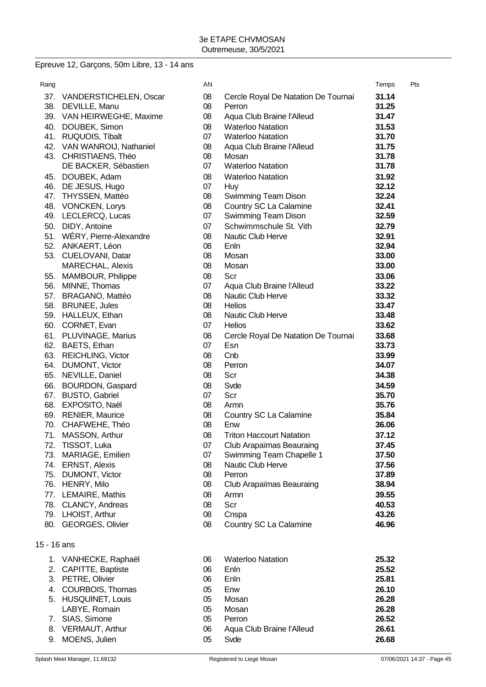## Epreuve 12, Garçons, 50m Libre, 13 - 14 ans

| Rang        |                            | AN |                                     | Temps | Pts |
|-------------|----------------------------|----|-------------------------------------|-------|-----|
|             | 37. VANDERSTICHELEN, Oscar | 08 | Cercle Royal De Natation De Tournai | 31.14 |     |
|             | 38. DEVILLE, Manu          | 08 | Perron                              | 31.25 |     |
|             | 39. VAN HEIRWEGHE, Maxime  | 08 | Aqua Club Braine l'Alleud           | 31.47 |     |
|             | 40. DOUBEK, Simon          | 08 | <b>Waterloo Natation</b>            | 31.53 |     |
|             | 41. RUQUOIS, Tibalt        | 07 | <b>Waterloo Natation</b>            | 31.70 |     |
|             | 42. VAN WANROIJ, Nathaniel | 08 | Aqua Club Braine l'Alleud           | 31.75 |     |
|             | 43. CHRISTIAENS, Théo      | 08 | Mosan                               | 31.78 |     |
|             | DE BACKER, Sébastien       | 07 | <b>Waterloo Natation</b>            | 31.78 |     |
|             | 45. DOUBEK, Adam           | 08 | <b>Waterloo Natation</b>            | 31.92 |     |
|             | 46. DE JESUS, Hugo         | 07 | Huy                                 | 32.12 |     |
|             | 47. THYSSEN, Mattéo        | 08 | Swimming Team Dison                 | 32.24 |     |
|             | 48. VONCKEN, Lorys         | 08 | Country SC La Calamine              | 32.41 |     |
|             | 49. LECLERCQ, Lucas        | 07 | Swimming Team Dison                 | 32.59 |     |
| 50.         | DIDY, Antoine              | 07 | Schwimmschule St. Vith              | 32.79 |     |
|             | 51. WÉRY, Pierre-Alexandre | 08 | Nautic Club Herve                   | 32.91 |     |
|             | 52. ANKAERT, Léon          | 08 | Enln                                | 32.94 |     |
|             | 53. CUELOVANI, Datar       | 08 | Mosan                               | 33.00 |     |
|             | MARECHAL, Alexis           | 08 | Mosan                               | 33.00 |     |
|             | 55. MAMBOUR, Philippe      | 08 | Scr                                 | 33.06 |     |
|             | 56. MINNE, Thomas          | 07 | Aqua Club Braine l'Alleud           | 33.22 |     |
|             | 57. BRAGANO, Mattéo        | 08 | Nautic Club Herve                   | 33.32 |     |
|             | 58. BRUNEE, Jules          | 08 | <b>Helios</b>                       | 33.47 |     |
|             | 59. HALLEUX, Ethan         | 08 | Nautic Club Herve                   | 33.48 |     |
|             | 60. CORNET, Evan           | 07 | <b>Helios</b>                       | 33.62 |     |
|             | 61. PLUVINAGE, Marius      | 08 | Cercle Royal De Natation De Tournai | 33.68 |     |
|             | 62. BAETS, Ethan           | 07 | Esn                                 | 33.73 |     |
|             | 63. REICHLING, Victor      | 08 | Cnb                                 | 33.99 |     |
|             | 64. DUMONT, Victor         | 08 | Perron                              | 34.07 |     |
|             | 65. NEVILLE, Daniel        | 08 | Scr                                 | 34.38 |     |
|             | 66. BOURDON, Gaspard       | 08 | Svde                                | 34.59 |     |
|             | 67. BUSTO, Gabriel         | 07 | Scr                                 | 35.70 |     |
|             | 68. EXPOSITO, Naël         | 08 | Armn                                | 35.76 |     |
|             | 69. RENIER, Maurice        | 08 | Country SC La Calamine              | 35.84 |     |
|             | 70. CHAFWEHE, Théo         | 08 | Enw                                 | 36.06 |     |
|             | 71. MASSON, Arthur         | 08 | <b>Triton Haccourt Natation</b>     | 37.12 |     |
| 72.         | TISSOT, Luka               | 07 | Club Arapaïmas Beauraing            | 37.45 |     |
|             | 73. MARIAGE, Emilien       | 07 | Swimming Team Chapelle 1            | 37.50 |     |
|             | 74. ERNST, Alexis          | 08 | Nautic Club Herve                   | 37.56 |     |
|             | 75. DUMONT, Victor         | 08 | Perron                              | 37.89 |     |
|             | 76. HENRY, Milo            | 08 | Club Arapaïmas Beauraing            | 38.94 |     |
|             | 77. LEMAIRE, Mathis        | 08 | Armn                                | 39.55 |     |
|             | 78. CLANCY, Andreas        | 08 | Scr                                 | 40.53 |     |
|             | 79. LHOIST, Arthur         | 08 | Cnspa                               | 43.26 |     |
|             | 80. GEORGES, Olivier       | 08 | Country SC La Calamine              | 46.96 |     |
| 15 - 16 ans |                            |    |                                     |       |     |
|             | 1. VANHECKE, Raphaël       | 06 | <b>Waterloo Natation</b>            | 25.32 |     |
|             | 2. CAPITTE, Baptiste       | 06 | Enln                                | 25.52 |     |
| 3.          | PETRE, Olivier             | 06 | Enln                                | 25.81 |     |
| 4.          | COURBOIS, Thomas           | 05 | Enw                                 | 26.10 |     |
|             | 5. HUSQUINET, Louis        | 05 | Mosan                               | 26.28 |     |
|             | LABYE, Romain              | 05 | Mosan                               | 26.28 |     |
|             | 7. SIAS, Simone            | 05 | Perron                              | 26.52 |     |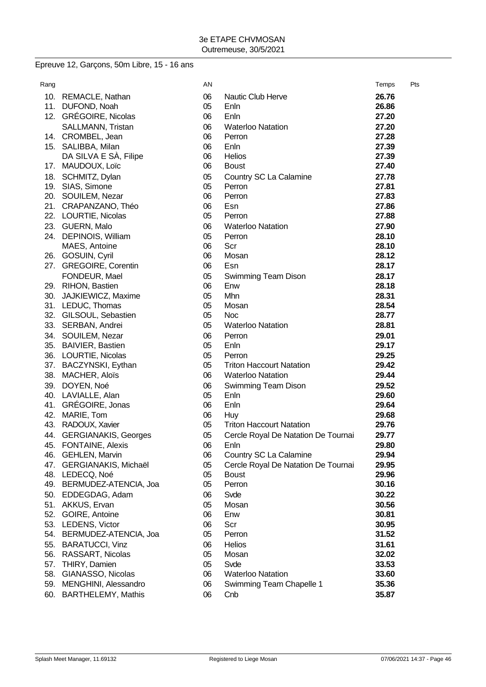# Epreuve 12, Garçons, 50m Libre, 15 - 16 ans

| Rang       |                                               | ΑN       |                                                               | Temps          | Pts |
|------------|-----------------------------------------------|----------|---------------------------------------------------------------|----------------|-----|
| 10.        | <b>REMACLE, Nathan</b>                        | 06       | <b>Nautic Club Herve</b>                                      | 26.76          |     |
| 11.        | DUFOND, Noah                                  | 05       | Enln                                                          | 26.86          |     |
|            | 12. GRÉGOIRE, Nicolas                         | 06       | Enln                                                          | 27.20          |     |
|            | SALLMANN, Tristan                             | 06       | <b>Waterloo Natation</b>                                      | 27.20          |     |
|            | 14. CROMBEL, Jean                             | 06       | Perron                                                        | 27.28          |     |
|            | 15. SALIBBA, Milan                            | 06       | Enln                                                          | 27.39          |     |
|            | DA SILVA E SA, Filipe                         | 06       | <b>Helios</b>                                                 | 27.39          |     |
| 17.        | MAUDOUX, Loïc                                 | 06       | <b>Boust</b>                                                  | 27.40          |     |
| 18.        | SCHMITZ, Dylan                                | 05       | Country SC La Calamine                                        | 27.78          |     |
|            | 19. SIAS, Simone                              | 05       | Perron                                                        | 27.81          |     |
|            | 20. SOUILEM, Nezar                            | 06       | Perron                                                        | 27.83          |     |
|            | 21. CRAPANZANO, Théo                          | 06       | Esn                                                           | 27.86          |     |
|            | 22. LOURTIE, Nicolas                          | 05       | Perron                                                        | 27.88          |     |
|            | 23. GUERN, Malo                               | 06       | <b>Waterloo Natation</b>                                      | 27.90          |     |
|            | 24. DEPINOIS, William                         | 05       | Perron                                                        | 28.10          |     |
|            | MAES, Antoine                                 | 06       | Scr                                                           | 28.10          |     |
|            | 26. GOSUIN, Cyril                             | 06       | Mosan                                                         | 28.12          |     |
|            | 27. GREGOIRE, Corentin                        | 06       | Esn                                                           | 28.17          |     |
|            | FONDEUR, Mael                                 | 05       | Swimming Team Dison                                           | 28.17          |     |
|            | 29. RIHON, Bastien                            | 06       | Enw                                                           | 28.18          |     |
|            | 30. JAJKIEWICZ, Maxime                        | 05       | Mhn                                                           | 28.31          |     |
|            | 31. LEDUC, Thomas                             | 05       | Mosan                                                         | 28.54          |     |
|            | 32. GILSOUL, Sebastien                        | 05       | <b>Noc</b>                                                    | 28.77          |     |
|            | 33. SERBAN, Andrei                            | 05       | <b>Waterloo Natation</b>                                      | 28.81          |     |
|            | 34. SOUILEM, Nezar                            | 06       | Perron                                                        | 29.01          |     |
|            | 35. BAIVIER, Bastien                          | 05       | Enln                                                          | 29.17          |     |
|            | 36. LOURTIE, Nicolas                          | 05       | Perron                                                        | 29.25          |     |
|            | 37. BACZYNSKI, Eythan                         | 05       | <b>Triton Haccourt Natation</b>                               | 29.42          |     |
|            | 38. MACHER, Aloïs                             | 06       | <b>Waterloo Natation</b>                                      | 29.44          |     |
| 39.        | DOYEN, Noé                                    | 06       | Swimming Team Dison                                           | 29.52          |     |
| 40.        | LAVIALLE, Alan                                | 05       | Enln                                                          | 29.60          |     |
| 41.        | GRÉGOIRE, Jonas                               | 06       | Enln                                                          | 29.64          |     |
| 42.        | MARIE, Tom                                    | 06       | Huy                                                           | 29.68          |     |
| 43.        | RADOUX, Xavier                                | 05       | <b>Triton Haccourt Natation</b>                               | 29.76          |     |
| 44.        | <b>GERGIANAKIS, Georges</b>                   | 05       | Cercle Royal De Natation De Tournai                           | 29.77          |     |
| 45.        | <b>FONTAINE, Alexis</b>                       | 06       | Enln                                                          | 29.80<br>29.94 |     |
| 46.<br>47. | <b>GEHLEN, Marvin</b><br>GERGIANAKIS, Michaël | 06<br>05 | Country SC La Calamine<br>Cercle Royal De Natation De Tournai | 29.95          |     |
| 48.        | LEDECQ, Noé                                   | 05       | <b>Boust</b>                                                  | 29.96          |     |
| 49.        | BERMUDEZ-ATENCIA, Joa                         | 05       | Perron                                                        | 30.16          |     |
| 50.        | EDDEGDAG, Adam                                | 06       | Svde                                                          | 30.22          |     |
| 51.        | AKKUS, Ervan                                  | 05       | Mosan                                                         | 30.56          |     |
| 52.        | GOIRE, Antoine                                | 06       | Enw                                                           | 30.81          |     |
| 53.        | LEDENS, Victor                                | 06       | Scr                                                           | 30.95          |     |
| 54.        | BERMUDEZ-ATENCIA, Joa                         | 05       | Perron                                                        | 31.52          |     |
| 55.        | <b>BARATUCCI, Vinz</b>                        | 06       | <b>Helios</b>                                                 | 31.61          |     |
| 56.        | RASSART, Nicolas                              | 05       | Mosan                                                         | 32.02          |     |
| 57.        | THIRY, Damien                                 | 05       | Svde                                                          | 33.53          |     |
| 58.        | GIANASSO, Nicolas                             | 06       | <b>Waterloo Natation</b>                                      | 33.60          |     |
| 59.        | MENGHINI, Alessandro                          | 06       | Swimming Team Chapelle 1                                      | 35.36          |     |
| 60.        | BARTHELEMY, Mathis                            | 06       | Cnb                                                           | 35.87          |     |
|            |                                               |          |                                                               |                |     |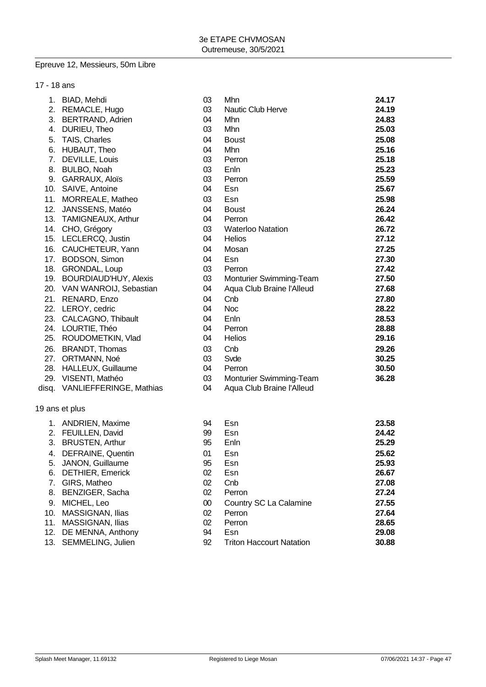#### Epreuve 12, Messieurs, 50m Libre

| 17 - 18 ans |                                |    |                           |       |
|-------------|--------------------------------|----|---------------------------|-------|
|             | 1. BIAD, Mehdi                 | 03 | Mhn                       | 24.17 |
|             | 2. REMACLE, Hugo               | 03 | <b>Nautic Club Herve</b>  | 24.19 |
| 3.          | <b>BERTRAND, Adrien</b>        | 04 | Mhn                       | 24.83 |
| 4.          | DURIEU, Theo                   | 03 | Mhn                       | 25.03 |
| 5.          | TAIS, Charles                  | 04 | <b>Boust</b>              | 25.08 |
|             | 6. HUBAUT, Theo                | 04 | Mhn                       | 25.16 |
|             | 7. DEVILLE, Louis              | 03 | Perron                    | 25.18 |
|             | 8. BULBO, Noah                 | 03 | Enln                      | 25.23 |
|             | 9. GARRAUX, Aloïs              | 03 | Perron                    | 25.59 |
| 10.         | SAIVE, Antoine                 | 04 | Esn                       | 25.67 |
| 11.         | MORREALE, Matheo               | 03 | Esn                       | 25.98 |
| 12.         | JANSSENS, Matéo                | 04 | <b>Boust</b>              | 26.24 |
|             | 13. TAMIGNEAUX, Arthur         | 04 | Perron                    | 26.42 |
|             | 14. CHO, Grégory               | 03 | <b>Waterloo Natation</b>  | 26.72 |
|             | 15. LECLERCQ, Justin           | 04 | <b>Helios</b>             | 27.12 |
| 16.         | CAUCHETEUR, Yann               | 04 | Mosan                     | 27.25 |
|             | 17. BODSON, Simon              | 04 | Esn                       | 27.30 |
| 18.         | GRONDAL, Loup                  | 03 | Perron                    | 27.42 |
|             | 19. BOURDIAUD'HUY, Alexis      | 03 | Monturier Swimming-Team   | 27.50 |
|             | 20. VAN WANROIJ, Sebastian     | 04 | Aqua Club Braine l'Alleud | 27.68 |
| 21.         | RENARD, Enzo                   | 04 | Cnb                       | 27.80 |
|             | 22. LEROY, cedric              | 04 | <b>Noc</b>                | 28.22 |
| 23.         | CALCAGNO, Thibault             | 04 | Enln                      | 28.53 |
|             | 24. LOURTIE, Théo              | 04 | Perron                    | 28.88 |
|             | 25. ROUDOMETKIN, Vlad          | 04 | Helios                    | 29.16 |
| 26.         | <b>BRANDT, Thomas</b>          | 03 | Cnb                       | 29.26 |
| 27.         | ORTMANN, Noé                   | 03 | Svde                      | 30.25 |
|             | 28. HALLEUX, Guillaume         | 04 | Perron                    | 30.50 |
|             | 29. VISENTI, Mathéo            | 03 | Monturier Swimming-Team   | 36.28 |
| disq.       | <b>VANLIEFFERINGE, Mathias</b> | 04 | Aqua Club Braine l'Alleud |       |

## 19 ans et plus

| 1.  | <b>ANDRIEN, Maxime</b>  | 94     | Esn                             | 23.58 |
|-----|-------------------------|--------|---------------------------------|-------|
|     | 2. FEUILLEN, David      | 99     | Esn                             | 24.42 |
|     | 3. BRUSTEN, Arthur      | 95     | Enln                            | 25.29 |
| 4.  | DEFRAINE, Quentin       | 01     | Esn                             | 25.62 |
| 5.  | JANON, Guillaume        | 95     | Esn                             | 25.93 |
| 6.  | <b>DETHIER, Emerick</b> | 02     | Esn                             | 26.67 |
| 7.  | GIRS, Matheo            | 02     | Cnb                             | 27.08 |
|     | 8. BENZIGER, Sacha      | 02     | Perron                          | 27.24 |
| 9.  | MICHEL, Leo             | $00\,$ | Country SC La Calamine          | 27.55 |
|     | 10. MASSIGNAN, Ilias    | 02     | Perron                          | 27.64 |
| 11. | MASSIGNAN, Ilias        | 02     | Perron                          | 28.65 |
| 12. | DE MENNA, Anthony       | 94     | Esn                             | 29.08 |
|     | 13. SEMMELING, Julien   | 92     | <b>Triton Haccourt Natation</b> | 30.88 |
|     |                         |        |                                 |       |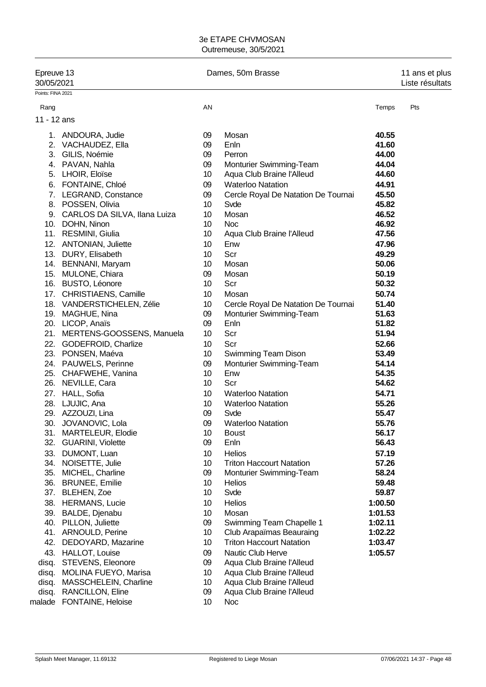| Epreuve 13<br>30/05/2021 |                                                   | Dames, 50m Brasse | 11 ans et plus<br>Liste résultats   |                |     |
|--------------------------|---------------------------------------------------|-------------------|-------------------------------------|----------------|-----|
| Points: FINA 2021        |                                                   |                   |                                     |                |     |
| Rang                     |                                                   | AN                |                                     | Temps          | Pts |
| 11 - 12 ans              |                                                   |                   |                                     |                |     |
|                          | 1. ANDOURA, Judie                                 | 09                | Mosan                               | 40.55          |     |
| 2.                       | VACHAUDEZ, Ella                                   | 09                | Enln                                | 41.60          |     |
| 3.                       | GILIS, Noémie                                     | 09                | Perron                              | 44.00          |     |
|                          | 4. PAVAN, Nahla                                   | 09                | Monturier Swimming-Team             | 44.04          |     |
| 5.                       | LHOIR, Eloïse                                     | 10                | Aqua Club Braine l'Alleud           | 44.60          |     |
|                          | 6. FONTAINE, Chloé                                | 09                | <b>Waterloo Natation</b>            | 44.91          |     |
|                          | 7. LEGRAND, Constance                             | 09                | Cercle Royal De Natation De Tournai | 45.50          |     |
|                          | 8. POSSEN, Olivia                                 | 10                | Svde                                | 45.82          |     |
|                          | 9. CARLOS DA SILVA, Ilana Luiza                   | 10                | Mosan                               | 46.52          |     |
|                          | 10. DOHN, Ninon                                   | 10                | <b>Noc</b>                          | 46.92          |     |
|                          | 11. RESMINI, Giulia                               | 10                | Aqua Club Braine l'Alleud           | 47.56          |     |
|                          | 12. ANTONIAN, Juliette                            | 10                | Enw                                 | 47.96          |     |
|                          | 13. DURY, Elisabeth                               | 10                | Scr                                 | 49.29          |     |
|                          | 14. BENNANI, Maryam                               | 10                | Mosan                               | 50.06          |     |
|                          | 15. MULONE, Chiara                                | 09                | Mosan                               | 50.19          |     |
|                          | 16. BUSTO, Léonore                                | 10                | Scr                                 | 50.32          |     |
|                          | 17. CHRISTIAENS, Camille                          | 10                | Mosan                               | 50.74          |     |
|                          | 18. VANDERSTICHELEN, Zélie                        | 10                |                                     | 51.40          |     |
|                          | 19. MAGHUE, Nina                                  | 09                | Cercle Royal De Natation De Tournai |                |     |
|                          |                                                   | 09                | Monturier Swimming-Team<br>Enln     | 51.63<br>51.82 |     |
|                          | 20. LICOP, Anaïs<br>21. MERTENS-GOOSSENS, Manuela | 10                | Scr                                 | 51.94          |     |
|                          |                                                   |                   |                                     |                |     |
|                          | 22. GODEFROID, Charlize                           | 10                | Scr                                 | 52.66          |     |
|                          | 23. PONSEN, Maéva                                 | 10                | Swimming Team Dison                 | 53.49          |     |
|                          | 24. PAUWELS, Perinne                              | 09                | Monturier Swimming-Team             | 54.14          |     |
|                          | 25. CHAFWEHE, Vanina                              | 10                | Enw                                 | 54.35          |     |
|                          | 26. NEVILLE, Cara                                 | 10                | Scr                                 | 54.62          |     |
|                          | 27. HALL, Sofia                                   | 10                | <b>Waterloo Natation</b>            | 54.71          |     |
|                          | 28. LJUJIC, Ana                                   | 10                | <b>Waterloo Natation</b>            | 55.26          |     |
|                          | 29. AZZOUZI, Lina                                 | 09                | Syde                                | 55.47          |     |
|                          | 30. JOVANOVIC, Lola                               | 09                | <b>Waterloo Natation</b>            | 55.76          |     |
|                          | 31. MARTELEUR, Elodie                             | 10                | <b>Boust</b>                        | 56.17          |     |
| 32.                      | <b>GUARINI, Violette</b>                          | 09                | Enln                                | 56.43          |     |
| 33.                      | DUMONT, Luan                                      | 10                | Helios                              | 57.19          |     |
|                          | 34. NOISETTE, Julie                               | 10                | <b>Triton Haccourt Natation</b>     | 57.26          |     |
| 35.                      | MICHEL, Charline                                  | 09                | Monturier Swimming-Team             | 58.24          |     |
|                          | 36. BRUNEE, Emilie                                | 10                | <b>Helios</b>                       | 59.48          |     |
| 37.                      | <b>BLEHEN, Zoe</b>                                | 10                | Svde                                | 59.87          |     |
|                          | 38. HERMANS, Lucie                                | 10                | Helios                              | 1:00.50        |     |
|                          | 39. BALDE, Djenabu                                | 10                | Mosan                               | 1:01.53        |     |
| 40.                      | PILLON, Juliette                                  | 09                | Swimming Team Chapelle 1            | 1:02.11        |     |
|                          | 41. ARNOULD, Perine                               | 10                | Club Arapaïmas Beauraing            | 1:02.22        |     |
| 42.                      | DEDOYARD, Mazarine                                | 10                | <b>Triton Haccourt Natation</b>     | 1:03.47        |     |
|                          | 43. HALLOT, Louise                                | 09                | Nautic Club Herve                   | 1:05.57        |     |
|                          | disq. STEVENS, Eleonore                           | 09                | Aqua Club Braine l'Alleud           |                |     |
|                          | disq. MOLINA FUEYO, Marisa                        | 10                | Aqua Club Braine l'Alleud           |                |     |
| disq.                    | MASSCHELEIN, Charline                             | 10                | Aqua Club Braine l'Alleud           |                |     |
|                          | disq. RANCILLON, Eline                            | 09                | Aqua Club Braine l'Alleud           |                |     |
|                          | malade FONTAINE, Heloise                          | 10                | <b>Noc</b>                          |                |     |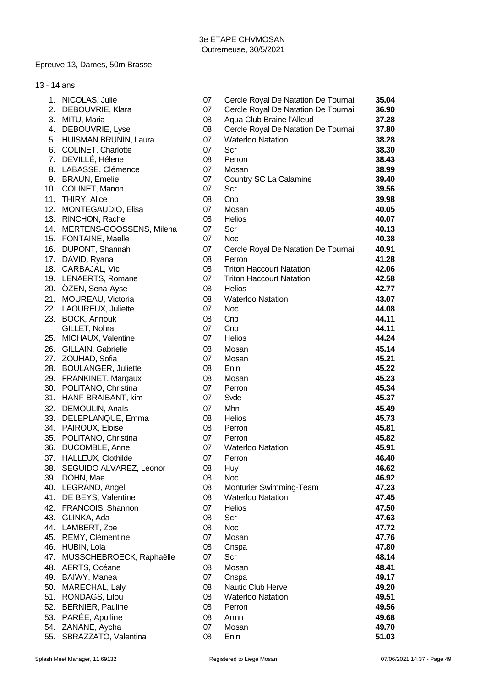## Epreuve 13, Dames, 50m Brasse

| 13 - 14 ans |                                       |          |                                     |                |
|-------------|---------------------------------------|----------|-------------------------------------|----------------|
|             | 1. NICOLAS, Julie                     | 07       | Cercle Royal De Natation De Tournai | 35.04          |
| 2.          | DEBOUVRIE, Klara                      | 07       | Cercle Royal De Natation De Tournai | 36.90          |
| 3.          | MITU, Maria                           | 08       | Aqua Club Braine l'Alleud           | 37.28          |
| 4.          | DEBOUVRIE, Lyse                       | 08       | Cercle Royal De Natation De Tournai | 37.80          |
|             | 5. HUISMAN BRUNIN, Laura              | 07       | <b>Waterloo Natation</b>            | 38.28          |
|             | 6. COLINET, Charlotte                 | 07       | Scr                                 | 38.30          |
|             | 7. DEVILLÉ, Hélene                    | 08       | Perron                              | 38.43          |
|             | 8. LABASSE, Clémence                  | 07       | Mosan                               | 38.99          |
|             | 9. BRAUN, Emelie                      | 07       | Country SC La Calamine              | 39.40          |
|             | 10. COLINET, Manon                    | 07       | Scr                                 | 39.56          |
|             | 11. THIRY, Alice                      | 08       | Cnb                                 | 39.98          |
|             | 12. MONTEGAUDIO, Elisa                | 07       | Mosan                               | 40.05          |
|             | 13. RINCHON, Rachel                   | 08       | Helios                              | 40.07          |
|             | 14. MERTENS-GOOSSENS, Milena          | 07       | Scr                                 | 40.13          |
|             | 15. FONTAINE, Maelle                  | 07       | <b>Noc</b>                          | 40.38          |
|             | 16. DUPONT, Shannah                   | 07       | Cercle Royal De Natation De Tournai | 40.91          |
|             | 17. DAVID, Ryana                      | 08       | Perron                              | 41.28          |
|             | 18. CARBAJAL, Vic                     | 08       | <b>Triton Haccourt Natation</b>     | 42.06          |
|             | 19. LENAERTS, Romane                  | 07       | <b>Triton Haccourt Natation</b>     | 42.58          |
|             | 20. ÖZEN, Sena-Ayse                   | 08       | <b>Helios</b>                       | 42.77          |
|             | 21. MOUREAU, Victoria                 | 08       | <b>Waterloo Natation</b>            | 43.07          |
|             | 22. LAOUREUX, Juliette                | 07       | <b>Noc</b>                          | 44.08          |
|             | 23. BOCK, Annouk                      | 08       | Cnb                                 | 44.11          |
|             | GILLET, Nohra                         | 07       | Cnb                                 | 44.11          |
|             | 25. MICHAUX, Valentine                | 07       | <b>Helios</b>                       | 44.24          |
| 26.         | GILLAIN, Gabrielle                    | 08       | Mosan                               | 45.14          |
|             | 27. ZOUHAD, Sofia                     | 07       | Mosan                               | 45.21          |
|             | 28. BOULANGER, Juliette               | 08       | Enln                                | 45.22          |
| 29.         | FRANKINET, Margaux                    | 08       | Mosan                               | 45.23          |
| 30.         | POLITANO, Christina                   | 07       | Perron                              | 45.34          |
|             | 31. HANF-BRAIBANT, kim                | 07       | Svde                                | 45.37          |
| 32.         | DEMOULIN, Anaïs                       | 07       | Mhn                                 | 45.49          |
| 33.         | DELEPLANQUE, Emma                     | 08       | <b>Helios</b>                       | 45.73          |
|             | 34. PAIROUX, Eloise                   | 08       | Perron                              | 45.81          |
| 35.         | POLITANO, Christina                   | 07       | Perron                              | 45.82          |
|             | 36. DUCOMBLE, Anne                    | 07       | <b>Waterloo Natation</b>            | 45.91          |
|             | 37. HALLEUX, Clothilde                | 07       | Perron                              | 46.40          |
|             | 38. SEGUIDO ALVAREZ, Leonor           | 08       | <b>Huy</b>                          | 46.62          |
|             | 39. DOHN, Mae                         | 08       | <b>Noc</b>                          | 46.92          |
|             | 40. LEGRAND, Angel                    | 08       | Monturier Swimming-Team             | 47.23          |
| 41.         | DE BEYS, Valentine                    | 08       | <b>Waterloo Natation</b>            | 47.45          |
|             | 42. FRANCOIS, Shannon                 | 07       | Helios                              | 47.50          |
|             | 43. GLINKA, Ada                       | 08       | Scr                                 | 47.63          |
|             | 44. LAMBERT, Zoe                      | 08       | <b>Noc</b>                          | 47.72          |
|             | 45. REMY, Clémentine                  | 07<br>08 | Mosan                               | 47.76          |
|             | 46. HUBIN, Lola                       | 07       | Cnspa                               | 47.80          |
|             | 47. MUSSCHEBROECK, Raphaëlle          |          | Scr                                 | 48.14          |
|             | 48. AERTS, Océane<br>49. BAIWY, Manea | 08<br>07 | Mosan                               | 48.41<br>49.17 |
|             | 50. MARECHAL, Laly                    | 08       | Cnspa<br>Nautic Club Herve          | 49.20          |
|             | 51. RONDAGS, Lilou                    | 08       | <b>Waterloo Natation</b>            | 49.51          |
|             | 52. BERNIER, Pauline                  | 08       | Perron                              | 49.56          |
|             | 53. PARÉE, Apolline                   | 08       | Armn                                | 49.68          |
|             | 54. ZANANE, Aycha                     | 07       | Mosan                               | 49.70          |
| 55.         | SBRAZZATO, Valentina                  | 08       | Enln                                | 51.03          |
|             |                                       |          |                                     |                |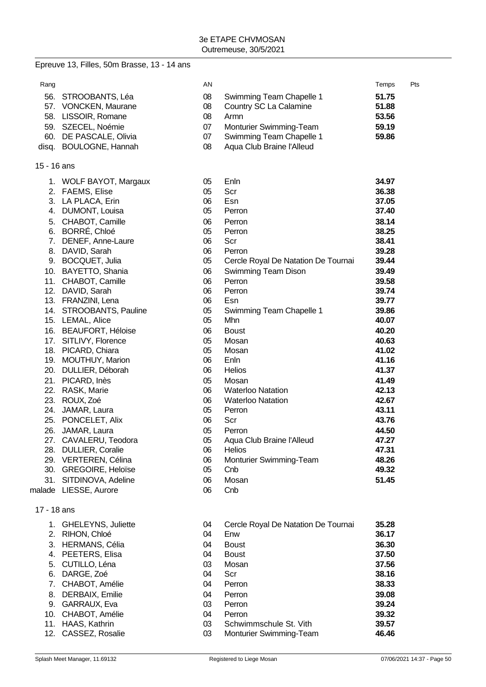|             | Epreuve 13, Filles, 50m Brasse, 13 - 14 ans |    |                                     |       |     |
|-------------|---------------------------------------------|----|-------------------------------------|-------|-----|
| Rang        |                                             | AN |                                     | Temps | Pts |
|             | 56. STROOBANTS, Léa                         | 08 | Swimming Team Chapelle 1            | 51.75 |     |
|             | 57. VONCKEN, Maurane                        | 08 | Country SC La Calamine              | 51.88 |     |
|             | 58. LISSOIR, Romane                         | 08 | Armn                                | 53.56 |     |
|             | 59. SZECEL, Noémie                          | 07 | Monturier Swimming-Team             | 59.19 |     |
|             | 60. DE PASCALE, Olivia                      | 07 | Swimming Team Chapelle 1            | 59.86 |     |
|             | disq. BOULOGNE, Hannah                      | 08 | Aqua Club Braine l'Alleud           |       |     |
| 15 - 16 ans |                                             |    |                                     |       |     |
|             | 1. WOLF BAYOT, Margaux                      | 05 | Enln                                | 34.97 |     |
|             | 2. FAEMS, Elise                             | 05 | Scr                                 | 36.38 |     |
|             | 3. LA PLACA, Erin                           | 06 | Esn                                 | 37.05 |     |
|             | 4. DUMONT, Louisa                           | 05 | Perron                              | 37.40 |     |
| 5.          | CHABOT, Camille                             | 06 | Perron                              | 38.14 |     |
|             | 6. BORRÉ, Chloé                             | 05 | Perron                              | 38.25 |     |
|             | 7. DENEF, Anne-Laure                        | 06 | Scr                                 | 38.41 |     |
|             | 8. DAVID, Sarah                             | 06 | Perron                              | 39.28 |     |
|             | 9. BOCQUET, Julia                           | 05 | Cercle Royal De Natation De Tournai | 39.44 |     |
|             | 10. BAYETTO, Shania                         | 06 | Swimming Team Dison                 | 39.49 |     |
|             | 11. CHABOT, Camille                         | 06 | Perron                              | 39.58 |     |
|             | 12. DAVID, Sarah                            | 06 | Perron                              | 39.74 |     |
|             | 13. FRANZINI, Lena                          | 06 | Esn                                 | 39.77 |     |
|             | 14. STROOBANTS, Pauline                     | 05 | Swimming Team Chapelle 1            | 39.86 |     |
|             | 15. LEMAL, Alice                            | 05 | Mhn                                 | 40.07 |     |
|             | 16. BEAUFORT, Héloise                       | 06 | <b>Boust</b>                        | 40.20 |     |
|             | 17. SITLIVY, Florence                       | 05 | Mosan                               | 40.63 |     |
|             | 18. PICARD, Chiara                          | 05 | Mosan                               | 41.02 |     |
|             | 19. MOUTHUY, Marion                         | 06 | Enln                                | 41.16 |     |
|             | 20. DULLIER, Déborah                        | 06 | <b>Helios</b>                       | 41.37 |     |
|             | 21. PICARD, Inès                            | 05 | Mosan                               | 41.49 |     |
|             | 22. RASK, Marie                             | 06 | <b>Waterloo Natation</b>            | 42.13 |     |
|             | 23. ROUX, Zoé                               | 06 | <b>Waterloo Natation</b>            | 42.67 |     |
| 24.         | JAMAR, Laura                                | 05 | Perron                              | 43.11 |     |
|             | 25. PONCELET, Alix                          | 06 | Scr                                 | 43.76 |     |
|             | 26. JAMAR, Laura                            | 05 | Perron                              | 44.50 |     |
|             | 27. CAVALERU, Teodora                       | 05 | Aqua Club Braine l'Alleud           | 47.27 |     |
|             | 28. DULLIER, Coralie                        | 06 | <b>Helios</b>                       | 47.31 |     |
|             | 29. VERTEREN, Célina                        | 06 | Monturier Swimming-Team             | 48.26 |     |
|             | 30. GREGOIRE, Heloïse                       | 05 | Cnb                                 | 49.32 |     |
|             | 31. SITDINOVA, Adeline                      | 06 | Mosan                               | 51.45 |     |
|             | malade LIESSE, Aurore                       | 06 | Cnb                                 |       |     |
| 17 - 18 ans |                                             |    |                                     |       |     |
|             | 1. GHELEYNS, Juliette                       | 04 | Cercle Royal De Natation De Tournai | 35.28 |     |
| 2.          | RIHON, Chloé                                | 04 | Enw                                 | 36.17 |     |
| 3.          | <b>HERMANS, Célia</b>                       | 04 | <b>Boust</b>                        | 36.30 |     |
| 4.          | PEETERS, Elisa                              | 04 | <b>Boust</b>                        | 37.50 |     |
| 5.          | CUTILLO, Léna                               | 03 | Mosan                               | 37.56 |     |
| 6.          | DARGE, Zoé                                  | 04 | Scr                                 | 38.16 |     |
| 7.          | CHABOT, Amélie                              | 04 | Perron                              | 38.33 |     |
| 8.          | DERBAIX, Emilie                             | 04 | Perron                              | 39.08 |     |
| 9.          | GARRAUX, Eva                                | 03 | Perron                              | 39.24 |     |
|             | 10. CHABOT, Amélie                          | 04 | Perron                              | 39.32 |     |

11. HAAS, Kathrin 03 Schwimmschule St. Vith **39.57**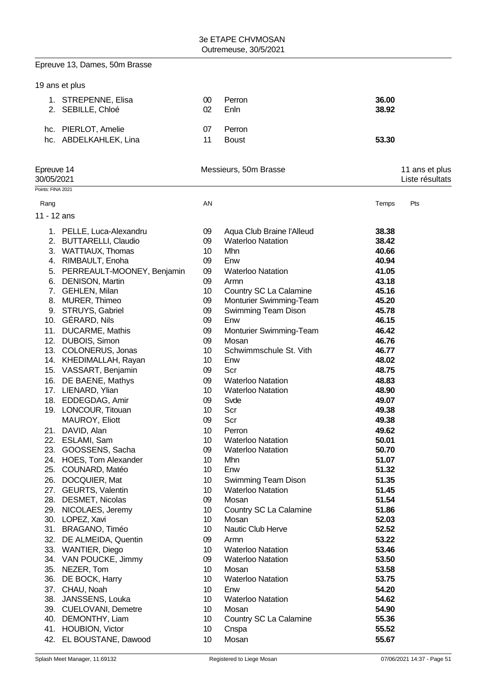## Epreuve 13, Dames, 50m Brasse

|                          | 19 ans et plus                           |          |                                                   |                |                                   |
|--------------------------|------------------------------------------|----------|---------------------------------------------------|----------------|-----------------------------------|
|                          | 1. STREPENNE, Elisa<br>2. SEBILLE, Chloé | 00<br>02 | Perron<br>Enln                                    | 36.00<br>38.92 |                                   |
|                          | hc. PIERLOT, Amelie                      | 07       | Perron                                            |                |                                   |
|                          | hc. ABDELKAHLEK, Lina                    | 11       | <b>Boust</b>                                      | 53.30          |                                   |
| Epreuve 14<br>30/05/2021 |                                          |          | Messieurs, 50m Brasse                             |                | 11 ans et plus<br>Liste résultats |
| Points: FINA 2021        |                                          |          |                                                   |                |                                   |
| Rang                     |                                          | AN       |                                                   | Temps          | Pts                               |
|                          |                                          |          |                                                   |                |                                   |
| 11 - 12 ans              |                                          |          |                                                   |                |                                   |
|                          | 1. PELLE, Luca-Alexandru                 | 09       | Aqua Club Braine l'Alleud                         | 38.38          |                                   |
|                          | 2. BUTTARELLI, Claudio                   | 09       | <b>Waterloo Natation</b>                          | 38.42          |                                   |
|                          | 3. WATTIAUX, Thomas                      | 10       | Mhn                                               | 40.66          |                                   |
|                          | 4. RIMBAULT, Enoha                       | 09       | Enw                                               | 40.94          |                                   |
|                          | 5. PERREAULT-MOONEY, Benjamin            | 09       | <b>Waterloo Natation</b>                          | 41.05          |                                   |
|                          | 6. DENISON, Martin                       | 09       | Armn                                              | 43.18          |                                   |
|                          | 7. GEHLEN, Milan<br>8. MURER, Thimeo     | 10<br>09 | Country SC La Calamine<br>Monturier Swimming-Team | 45.16<br>45.20 |                                   |
|                          | 9. STRUYS, Gabriel                       | 09       | <b>Swimming Team Dison</b>                        | 45.78          |                                   |
|                          | 10. GÉRARD, Nils                         | 09       | Enw                                               | 46.15          |                                   |
|                          | 11. DUCARME, Mathis                      | 09       | Monturier Swimming-Team                           | 46.42          |                                   |
|                          | 12. DUBOIS, Simon                        | 09       | Mosan                                             | 46.76          |                                   |
|                          | 13. COLONERUS, Jonas                     | 10       | Schwimmschule St. Vith                            | 46.77          |                                   |
|                          | 14. KHEDIMALLAH, Rayan                   | 10       | Enw                                               | 48.02          |                                   |
|                          | 15. VASSART, Benjamin                    | 09       | Scr                                               | 48.75          |                                   |
|                          | 16. DE BAENE, Mathys                     | 09       | <b>Waterloo Natation</b>                          | 48.83          |                                   |
|                          | 17. LIENARD, Ylian                       | 10       | <b>Waterloo Natation</b>                          | 48.90          |                                   |
|                          | 18. EDDEGDAG, Amir                       | 09       | Svde                                              | 49.07          |                                   |
|                          | 19. LONCOUR, Titouan                     | 10       | Scr                                               | 49.38          |                                   |
|                          | MAUROY, Eliott                           | 09       | Scr                                               | 49.38          |                                   |
|                          | 21. DAVID, Alan                          | 10       | Perron                                            | 49.62          |                                   |
|                          | 22. ESLAMI, Sam                          | 10       | <b>Waterloo Natation</b>                          | 50.01          |                                   |
|                          | 23. GOOSSENS, Sacha                      | 09       | <b>Waterloo Natation</b>                          | 50.70          |                                   |
|                          | 24. HOES, Tom Alexander                  | 10       | Mhn                                               | 51.07          |                                   |
| 25.                      | COUNARD, Matéo                           | 10       | Enw                                               | 51.32          |                                   |
| 26.                      | DOCQUIER, Mat                            | 10       | Swimming Team Dison                               | 51.35          |                                   |
| 27.                      | <b>GEURTS, Valentin</b>                  | 10       | <b>Waterloo Natation</b>                          | 51.45          |                                   |
| 28.                      | DESMET, Nicolas<br>29. NICOLAES, Jeremy  | 09<br>10 | Mosan<br>Country SC La Calamine                   | 51.54<br>51.86 |                                   |
|                          | 30. LOPEZ, Xavi                          | 10       | Mosan                                             | 52.03          |                                   |
|                          | 31. BRAGANO, Timéo                       | 10       | Nautic Club Herve                                 | 52.52          |                                   |
|                          | 32. DE ALMEIDA, Quentin                  | 09       | Armn                                              | 53.22          |                                   |
|                          | 33. WANTIER, Diego                       | 10       | <b>Waterloo Natation</b>                          | 53.46          |                                   |
|                          | 34. VAN POUCKE, Jimmy                    | 09       | <b>Waterloo Natation</b>                          | 53.50          |                                   |
|                          | 35. NEZER, Tom                           | 10       | Mosan                                             | 53.58          |                                   |
|                          | 36. DE BOCK, Harry                       | 10       | <b>Waterloo Natation</b>                          | 53.75          |                                   |
|                          | 37. CHAU, Noah                           | 10       | Enw                                               | 54.20          |                                   |
|                          | 38. JANSSENS, Louka                      | 10       | <b>Waterloo Natation</b>                          | 54.62          |                                   |
|                          | 39. CUELOVANI, Demetre                   | 10       | Mosan                                             | 54.90          |                                   |
|                          | 40. DEMONTHY, Liam                       | 10       | Country SC La Calamine                            | 55.36          |                                   |
|                          | 41. HOUBION, Victor                      | 10       | Cnspa                                             | 55.52          |                                   |
| 42.                      | EL BOUSTANE, Dawood                      | 10       | Mosan                                             | 55.67          |                                   |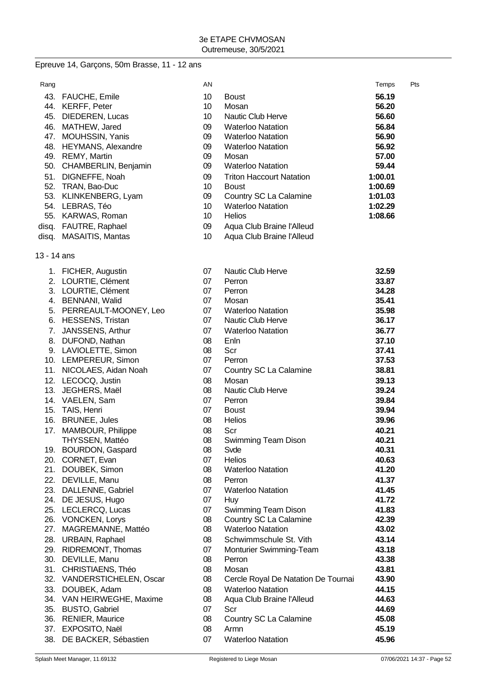## Epreuve 14, Garçons, 50m Brasse, 11 - 12 ans

| Rang  |                           | AN |                                 | Temps   | Pts |
|-------|---------------------------|----|---------------------------------|---------|-----|
| 43.   | <b>FAUCHE, Emile</b>      | 10 | <b>Boust</b>                    | 56.19   |     |
| 44.   | <b>KERFF, Peter</b>       | 10 | Mosan                           | 56.20   |     |
| 45.   | DIEDEREN, Lucas           | 10 | Nautic Club Herve               | 56.60   |     |
| 46.   | MATHEW, Jared             | 09 | <b>Waterloo Natation</b>        | 56.84   |     |
| 47.   | <b>MOUHSSIN, Yanis</b>    | 09 | <b>Waterloo Natation</b>        | 56.90   |     |
| 48.   | <b>HEYMANS, Alexandre</b> | 09 | <b>Waterloo Natation</b>        | 56.92   |     |
| 49.   | REMY, Martin              | 09 | Mosan                           | 57.00   |     |
| 50.   | CHAMBERLIN, Benjamin      | 09 | <b>Waterloo Natation</b>        | 59.44   |     |
| 51.   | DIGNEFFE, Noah            | 09 | <b>Triton Haccourt Natation</b> | 1:00.01 |     |
| 52.   | TRAN, Bao-Duc             | 10 | <b>Boust</b>                    | 1:00.69 |     |
| 53.   | KLINKENBERG, Lyam         | 09 | Country SC La Calamine          | 1:01.03 |     |
|       | 54. LEBRAS, Téo           | 10 | <b>Waterloo Natation</b>        | 1:02.29 |     |
|       | 55. KARWAS, Roman         | 10 | <b>Helios</b>                   | 1:08.66 |     |
| disq. | FAUTRE, Raphael           | 09 | Aqua Club Braine l'Alleud       |         |     |
|       |                           |    |                                 |         |     |

- disq. MASAITIS, Mantas 10 Aqua Club Braine l'Alleud
- 13 14 ans

|     | 1. FICHER, Augustin        | 07 | <b>Nautic Club Herve</b>            | 32.59 |
|-----|----------------------------|----|-------------------------------------|-------|
|     | 2. LOURTIE, Clément        | 07 | Perron                              | 33.87 |
|     | 3. LOURTIE, Clément        | 07 | Perron                              | 34.28 |
|     | 4. BENNANI, Walid          | 07 | Mosan                               | 35.41 |
|     | 5. PERREAULT-MOONEY, Leo   | 07 | <b>Waterloo Natation</b>            | 35.98 |
|     | 6. HESSENS, Tristan        | 07 | Nautic Club Herve                   | 36.17 |
| 7.  | JANSSENS, Arthur           | 07 | <b>Waterloo Natation</b>            | 36.77 |
|     | 8. DUFOND, Nathan          | 08 | Enln                                | 37.10 |
|     | 9. LAVIOLETTE, Simon       | 08 | Scr                                 | 37.41 |
|     | 10. LEMPEREUR, Simon       | 07 | Perron                              | 37.53 |
|     | 11. NICOLAES, Aidan Noah   | 07 | Country SC La Calamine              | 38.81 |
|     | 12. LECOCQ, Justin         | 08 | Mosan                               | 39.13 |
| 13. | JEGHERS, Maël              | 08 | <b>Nautic Club Herve</b>            | 39.24 |
|     | 14. VAELEN, Sam            | 07 | Perron                              | 39.84 |
|     | 15. TAIS, Henri            | 07 | <b>Boust</b>                        | 39.94 |
|     | 16. BRUNEE, Jules          | 08 | <b>Helios</b>                       | 39.96 |
| 17. | MAMBOUR, Philippe          | 08 | Scr                                 | 40.21 |
|     | THYSSEN, Mattéo            | 08 | Swimming Team Dison                 | 40.21 |
|     | 19. BOURDON, Gaspard       | 08 | Svde                                | 40.31 |
|     | 20. CORNET, Evan           | 07 | <b>Helios</b>                       | 40.63 |
|     | 21. DOUBEK, Simon          | 08 | <b>Waterloo Natation</b>            | 41.20 |
|     | 22. DEVILLE, Manu          | 08 | Perron                              | 41.37 |
|     | 23. DALLENNE, Gabriel      | 07 | <b>Waterloo Natation</b>            | 41.45 |
|     | 24. DE JESUS, Hugo         | 07 | Huy                                 | 41.72 |
|     | 25. LECLERCQ, Lucas        | 07 | <b>Swimming Team Dison</b>          | 41.83 |
|     | 26. VONCKEN, Lorys         | 08 | Country SC La Calamine              | 42.39 |
|     | 27. MAGREMANNE, Mattéo     | 08 | <b>Waterloo Natation</b>            | 43.02 |
|     | 28. URBAIN, Raphael        | 08 | Schwimmschule St. Vith              | 43.14 |
|     | 29. RIDREMONT, Thomas      | 07 | Monturier Swimming-Team             | 43.18 |
|     | 30. DEVILLE, Manu          | 08 | Perron                              | 43.38 |
|     | 31. CHRISTIAENS, Théo      | 08 | Mosan                               | 43.81 |
|     | 32. VANDERSTICHELEN, Oscar | 08 | Cercle Royal De Natation De Tournai | 43.90 |
|     | 33. DOUBEK, Adam           | 08 | <b>Waterloo Natation</b>            | 44.15 |
|     | 34. VAN HEIRWEGHE, Maxime  | 08 | Aqua Club Braine l'Alleud           | 44.63 |
|     | 35. BUSTO, Gabriel         | 07 | Scr                                 | 44.69 |
|     | 36. RENIER, Maurice        | 08 | Country SC La Calamine              | 45.08 |
|     | 37. EXPOSITO, Naël         | 08 | Armn                                | 45.19 |
|     | 38. DE BACKER, Sébastien   | 07 | <b>Waterloo Natation</b>            | 45.96 |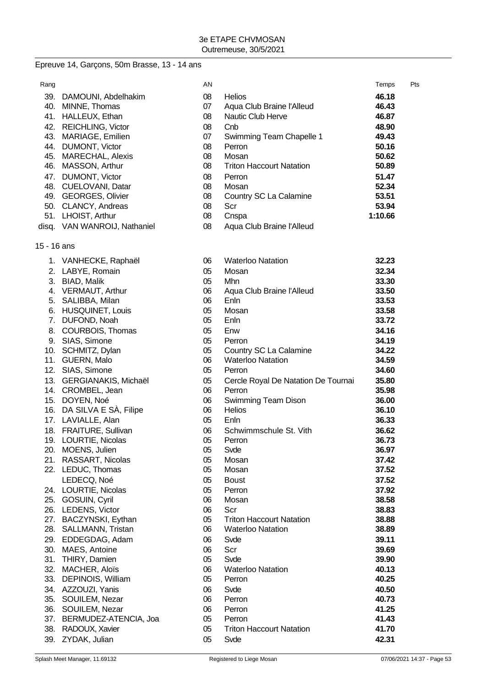## Epreuve 14, Garçons, 50m Brasse, 13 - 14 ans

| Rang |                              | AN |                                 | Temps   | Pts |
|------|------------------------------|----|---------------------------------|---------|-----|
| 39.  | DAMOUNI, Abdelhakim          | 08 | <b>Helios</b>                   | 46.18   |     |
| 40.  | MINNE, Thomas                | 07 | Aqua Club Braine l'Alleud       | 46.43   |     |
| 41.  | HALLEUX, Ethan               | 08 | Nautic Club Herve               | 46.87   |     |
| 42.  | <b>REICHLING, Victor</b>     | 08 | Cnb                             | 48.90   |     |
| 43.  | MARIAGE, Emilien             | 07 | Swimming Team Chapelle 1        | 49.43   |     |
| 44.  | DUMONT, Victor               | 08 | Perron                          | 50.16   |     |
| 45.  | <b>MARECHAL, Alexis</b>      | 08 | Mosan                           | 50.62   |     |
| 46.  | MASSON, Arthur               | 08 | <b>Triton Haccourt Natation</b> | 50.89   |     |
| 47.  | DUMONT, Victor               | 08 | Perron                          | 51.47   |     |
| 48.  | <b>CUELOVANI, Datar</b>      | 08 | Mosan                           | 52.34   |     |
| 49.  | <b>GEORGES, Olivier</b>      | 08 | Country SC La Calamine          | 53.51   |     |
| 50.  | CLANCY, Andreas              | 08 | Scr                             | 53.94   |     |
| 51.  | LHOIST, Arthur               | 08 | Cnspa                           | 1:10.66 |     |
|      | disq. VAN WANROIJ, Nathaniel | 08 | Aqua Club Braine l'Alleud       |         |     |

#### 15 - 16 ans

|     | 1. VANHECKE, Raphaël     | 06 | <b>Waterloo Natation</b>            | 32.23 |
|-----|--------------------------|----|-------------------------------------|-------|
| 2.  | LABYE, Romain            | 05 | Mosan                               | 32.34 |
| 3.  | BIAD, Malik              | 05 | Mhn                                 | 33.30 |
| 4.  | VERMAUT, Arthur          | 06 | Aqua Club Braine l'Alleud           | 33.50 |
| 5.  | SALIBBA, Milan           | 06 | Enln                                | 33.53 |
| 6.  | <b>HUSQUINET, Louis</b>  | 05 | Mosan                               | 33.58 |
| 7.  | DUFOND, Noah             | 05 | Enln                                | 33.72 |
| 8.  | COURBOIS, Thomas         | 05 | Enw                                 | 34.16 |
| 9.  | SIAS, Simone             | 05 | Perron                              | 34.19 |
| 10. | SCHMITZ, Dylan           | 05 | Country SC La Calamine              | 34.22 |
| 11. | GUERN, Malo              | 06 | <b>Waterloo Natation</b>            | 34.59 |
| 12. | SIAS, Simone             | 05 | Perron                              | 34.60 |
| 13. | GERGIANAKIS, Michaël     | 05 | Cercle Royal De Natation De Tournai | 35.80 |
| 14. | CROMBEL, Jean            | 06 | Perron                              | 35.98 |
| 15. | DOYEN, Noé               | 06 | Swimming Team Dison                 | 36.00 |
| 16. | DA SILVA E SA, Filipe    | 06 | <b>Helios</b>                       | 36.10 |
|     | 17. LAVIALLE, Alan       | 05 | Enln                                | 36.33 |
|     | 18. FRAITURE, Sullivan   | 06 | Schwimmschule St. Vith              | 36.62 |
|     | 19. LOURTIE, Nicolas     | 05 | Perron                              | 36.73 |
|     | 20. MOENS, Julien        | 05 | Svde                                | 36.97 |
|     | 21. RASSART, Nicolas     | 05 | Mosan                               | 37.42 |
|     | 22. LEDUC, Thomas        | 05 | Mosan                               | 37.52 |
|     | LEDECQ, Noé              | 05 | <b>Boust</b>                        | 37.52 |
|     | 24. LOURTIE, Nicolas     | 05 | Perron                              | 37.92 |
| 25. | GOSUIN, Cyril            | 06 | Mosan                               | 38.58 |
|     | 26. LEDENS, Victor       | 06 | Scr                                 | 38.83 |
| 27. | BACZYNSKI, Eythan        | 05 | <b>Triton Haccourt Natation</b>     | 38.88 |
|     | 28. SALLMANN, Tristan    | 06 | <b>Waterloo Natation</b>            | 38.89 |
|     | 29. EDDEGDAG, Adam       | 06 | Svde                                | 39.11 |
|     | 30. MAES, Antoine        | 06 | Scr                                 | 39.69 |
| 31. | THIRY, Damien            | 05 | Svde                                | 39.90 |
| 32. | MACHER, Aloïs            | 06 | <b>Waterloo Natation</b>            | 40.13 |
| 33. | <b>DEPINOIS, William</b> | 05 | Perron                              | 40.25 |
|     | 34. AZZOUZI, Yanis       | 06 | Svde                                | 40.50 |
| 35. | SOUILEM, Nezar           | 06 | Perron                              | 40.73 |
| 36. | SOUILEM, Nezar           | 06 | Perron                              | 41.25 |
| 37. | BERMUDEZ-ATENCIA, Joa    | 05 | Perron                              | 41.43 |
| 38. | RADOUX, Xavier           | 05 | <b>Triton Haccourt Natation</b>     | 41.70 |
|     | 39. ZYDAK, Julian        | 05 | Svde                                | 42.31 |
|     |                          |    |                                     |       |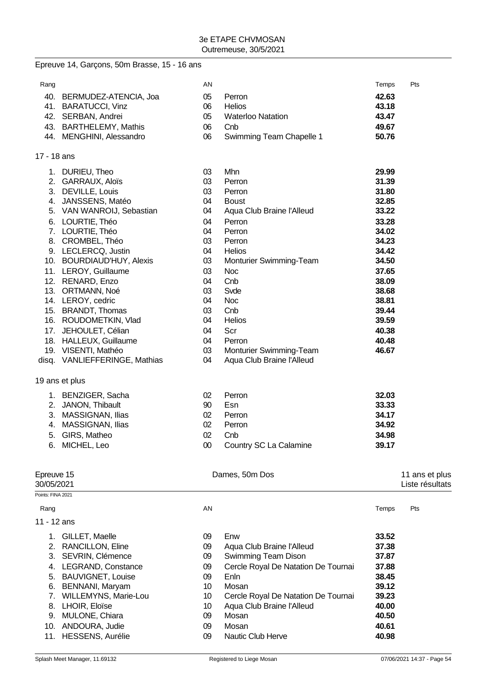#### Epreuve 14, Garçons, 50m Brasse, 15 - 16 ans

| Rang |                           | ΑN |                          | Temps | Pts |
|------|---------------------------|----|--------------------------|-------|-----|
|      | 40. BERMUDEZ-ATENCIA, Joa | 05 | Perron                   | 42.63 |     |
|      | 41. BARATUCCI, Vinz       | 06 | <b>Helios</b>            | 43.18 |     |
|      | 42. SERBAN, Andrei        | 05 | <b>Waterloo Natation</b> | 43.47 |     |
|      | 43. BARTHELEMY, Mathis    | 06 | Cnb                      | 49.67 |     |
|      | 44. MENGHINI, Alessandro  | 06 | Swimming Team Chapelle 1 | 50.76 |     |

#### 17 - 18 ans

| 1.         | DURIEU, Theo                  | 03     | Mhn                       | 29.99 |                |
|------------|-------------------------------|--------|---------------------------|-------|----------------|
| 2.         | GARRAUX, Aloïs                | 03     | Perron                    | 31.39 |                |
| 3.         | DEVILLE, Louis                | 03     | Perron                    | 31.80 |                |
| 4.         | JANSSENS, Matéo               | 04     | <b>Boust</b>              | 32.85 |                |
|            | 5. VAN WANROIJ, Sebastian     | 04     | Aqua Club Braine l'Alleud | 33.22 |                |
| 6.         | LOURTIE, Théo                 | 04     | Perron                    | 33.28 |                |
|            | 7. LOURTIE, Théo              | 04     | Perron                    | 34.02 |                |
| 8.         | CROMBEL, Théo                 | 03     | Perron                    | 34.23 |                |
|            | 9. LECLERCQ, Justin           | 04     | <b>Helios</b>             | 34.42 |                |
|            | 10. BOURDIAUD'HUY, Alexis     | 03     | Monturier Swimming-Team   | 34.50 |                |
|            | 11. LEROY, Guillaume          | 03     | <b>Noc</b>                | 37.65 |                |
| 12.        | RENARD, Enzo                  | 04     | Cnb                       | 38.09 |                |
|            | 13. ORTMANN, Noé              | 03     | Svde                      | 38.68 |                |
|            | 14. LEROY, cedric             | 04     | <b>Noc</b>                | 38.81 |                |
| 15.        | <b>BRANDT, Thomas</b>         | 03     | Cnb                       | 39.44 |                |
|            | 16. ROUDOMETKIN, Vlad         | 04     | <b>Helios</b>             | 39.59 |                |
| 17.        | JEHOULET, Célian              | 04     | Scr                       | 40.38 |                |
|            | 18. HALLEUX, Guillaume        | 04     | Perron                    | 40.48 |                |
|            | 19. VISENTI, Mathéo           | 03     | Monturier Swimming-Team   | 46.67 |                |
|            | disq. VANLIEFFERINGE, Mathias | 04     | Aqua Club Braine l'Alleud |       |                |
|            | 19 ans et plus                |        |                           |       |                |
|            | 1. BENZIGER, Sacha            | 02     | Perron                    | 32.03 |                |
|            | 2. JANON, Thibault            | 90     | Esn                       | 33.33 |                |
|            | 3. MASSIGNAN, Ilias           | 02     | Perron                    | 34.17 |                |
| 4.         | MASSIGNAN, Ilias              | 02     | Perron                    | 34.92 |                |
| 5.         | GIRS, Matheo                  | 02     | Cnb                       | 34.98 |                |
| 6.         | MICHEL, Leo                   | $00\,$ | Country SC La Calamine    | 39.17 |                |
| Epreuve 15 |                               |        | Dames, 50m Dos            |       | 11 ans et plus |

## 30/05/2021 Liste résultats Points: FINA 2021 Rang Rang Research Controllers and the Marian AN Temps Pts and the Marian Controllers and the Marian Pts and the Ma 11 - 12 ans 1. GILLET, Maelle 09 Enw **33.52** 2. RANCILLON, Eline 09 Aqua Club Braine l'Alleud **37.38** 3. SEVRIN, Clémence 09 Swimming Team Dison **37.87** 4. LEGRAND, Constance 09 Cercle Royal De Natation De Tournai **37.88** 5. BAUVIGNET, Louise 09 Enln **38.45** 6. BENNANI, Maryam 10 Mosan **39.12** 7. WILLEMYNS, Marie-Lou 10 Cercle Royal De Natation De Tournai **39.23** 8. LHOIR, Eloïse 10 Aqua Club Braine l'Alleud **40.00** 9. MULONE, Chiara 09 Mosan **40.50** 10. ANDOURA, Judie 09 Mosan **40.61** 11. HESSENS, Aurélie 09 Nautic Club Herve **40.98**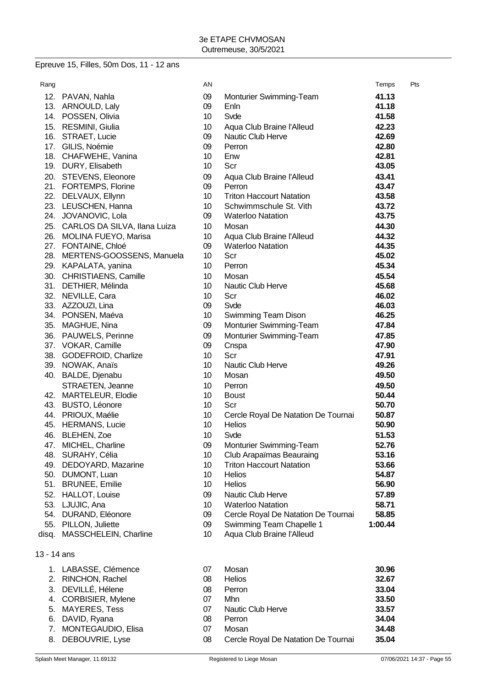#### Epreuve 15, Filles, 50m Dos, 11 - 12 ans

| Rang        |                                       | AN              |                                                             | Temps          | Pts |
|-------------|---------------------------------------|-----------------|-------------------------------------------------------------|----------------|-----|
|             | 12. PAVAN, Nahla                      | 09              | Monturier Swimming-Team                                     | 41.13          |     |
|             | 13. ARNOULD, Laly                     | 09              | Enln                                                        | 41.18          |     |
|             | 14. POSSEN, Olivia                    | 10 <sup>°</sup> | Svde                                                        | 41.58          |     |
|             | 15. RESMINI, Giulia                   | 10              | Aqua Club Braine l'Alleud                                   | 42.23          |     |
|             | 16. STRAET, Lucie                     | 09              | Nautic Club Herve                                           | 42.69          |     |
|             | 17. GILIS, Noémie                     | 09              | Perron                                                      | 42.80          |     |
|             | 18. CHAFWEHE, Vanina                  | 10              | Enw                                                         | 42.81          |     |
|             | 19. DURY, Elisabeth                   | 10 <sup>°</sup> | Scr                                                         | 43.05          |     |
|             | 20. STEVENS, Eleonore                 | 09              | Aqua Club Braine l'Alleud                                   | 43.41          |     |
|             | 21. FORTEMPS, Florine                 | 09              | Perron                                                      | 43.47          |     |
|             | 22. DELVAUX, Ellynn                   | 10              | <b>Triton Haccourt Natation</b>                             | 43.58          |     |
|             | 23. LEUSCHEN, Hanna                   | 10 <sup>°</sup> | Schwimmschule St. Vith                                      | 43.72          |     |
|             | 24. JOVANOVIC, Lola                   | 09              | <b>Waterloo Natation</b>                                    | 43.75          |     |
|             | 25. CARLOS DA SILVA, Ilana Luiza      | 10 <sup>°</sup> | Mosan                                                       | 44.30          |     |
|             | 26. MOLINA FUEYO, Marisa              | 10 <sup>°</sup> | Aqua Club Braine l'Alleud                                   | 44.32          |     |
|             | 27. FONTAINE, Chloé                   | 09              | <b>Waterloo Natation</b>                                    | 44.35          |     |
|             | 28. MERTENS-GOOSSENS, Manuela         | 10 <sup>°</sup> | Scr                                                         | 45.02          |     |
|             | 29. KAPALATA, yanina                  | 10 <sup>°</sup> | Perron                                                      | 45.34          |     |
|             | 30. CHRISTIAENS, Camille              | 10 <sup>°</sup> | Mosan                                                       | 45.54          |     |
|             | 31. DETHIER, Mélinda                  | 10 <sup>°</sup> | Nautic Club Herve                                           | 45.68          |     |
|             | 32. NEVILLE, Cara                     | 10 <sup>°</sup> | Scr                                                         | 46.02          |     |
|             | 33. AZZOUZI, Lina                     | 09              | Svde                                                        | 46.03          |     |
|             | 34. PONSEN, Maéva                     | 10 <sup>°</sup> | Swimming Team Dison                                         | 46.25          |     |
|             | 35. MAGHUE, Nina                      | 09              | Monturier Swimming-Team                                     | 47.84          |     |
|             | 36. PAUWELS, Perinne                  | 09              | Monturier Swimming-Team                                     | 47.85          |     |
|             | 37. VOKAR, Camille                    | 09              | Cnspa                                                       | 47.90          |     |
|             | 38. GODEFROID, Charlize               | 10 <sup>°</sup> | Scr                                                         | 47.91          |     |
|             | 39. NOWAK, Anaïs                      | 10 <sup>°</sup> | Nautic Club Herve                                           | 49.26          |     |
|             | 40. BALDE, Djenabu                    | 10              | Mosan                                                       | 49.50          |     |
|             | STRAETEN, Jeanne                      | 10 <sup>°</sup> | Perron                                                      | 49.50          |     |
|             | 42. MARTELEUR, Elodie                 | 10 <sup>°</sup> | <b>Boust</b>                                                | 50.44          |     |
|             | 43. BUSTO, Léonore                    | 10 <sup>°</sup> | Scr                                                         | 50.70          |     |
|             | 44. PRIOUX, Maélie                    | 10 <sup>°</sup> | Cercle Royal De Natation De Tournai                         | 50.87          |     |
|             | 45. HERMANS, Lucie                    | 10              | Helios                                                      | 50.90          |     |
|             | 46. BLEHEN, Zoe                       | 10              | Svde                                                        | 51.53          |     |
| 47.         | MICHEL, Charline                      | 09              | Monturier Swimming-Team                                     | 52.76          |     |
| 48.         | SURAHY, Célia                         | 10              | Club Arapaïmas Beauraing<br><b>Triton Haccourt Natation</b> | 53.16          |     |
| 49.         | DEDOYARD, Mazarine                    | 10              |                                                             | 53.66          |     |
| 50.<br>51.  | DUMONT, Luan<br><b>BRUNEE, Emilie</b> | 10<br>10        | <b>Helios</b><br>Helios                                     | 54.87<br>56.90 |     |
| 52.         | HALLOT, Louise                        | 09              | Nautic Club Herve                                           | 57.89          |     |
|             | 53. LJUJIC, Ana                       | 10              | <b>Waterloo Natation</b>                                    | 58.71          |     |
|             | 54. DURAND, Eléonore                  | 09              | Cercle Royal De Natation De Tournai                         | 58.85          |     |
|             | 55. PILLON, Juliette                  | 09              | Swimming Team Chapelle 1                                    | 1:00.44        |     |
| disq.       | MASSCHELEIN, Charline                 | 10 <sup>°</sup> | Aqua Club Braine l'Alleud                                   |                |     |
|             |                                       |                 |                                                             |                |     |
| 13 - 14 ans |                                       |                 |                                                             |                |     |
|             | 1. LABASSE, Clémence                  | 07              | Mosan                                                       | 30.96          |     |
|             | 2. RINCHON, Rachel                    | 08              | Helios                                                      | 32.67          |     |
|             | 3. DEVILLÉ, Hélene                    | 08              | Perron                                                      | 33.04          |     |

- 4. CORBISIER, Mylene 07 Mhn<br>
5. MAYERES, Tess 07 Nautic Club Herve 33.57
- 5. MAYERES, Tess 07
- 6. DAVID, Ryana 08 Perron **34.04**
- 7. MONTEGAUDIO, Elisa **31.488.488.488.488.48** 07 Mosan
- 8. DEBOUVRIE, Lyse 08 Cercle Royal De Natation De Tournai **35.04**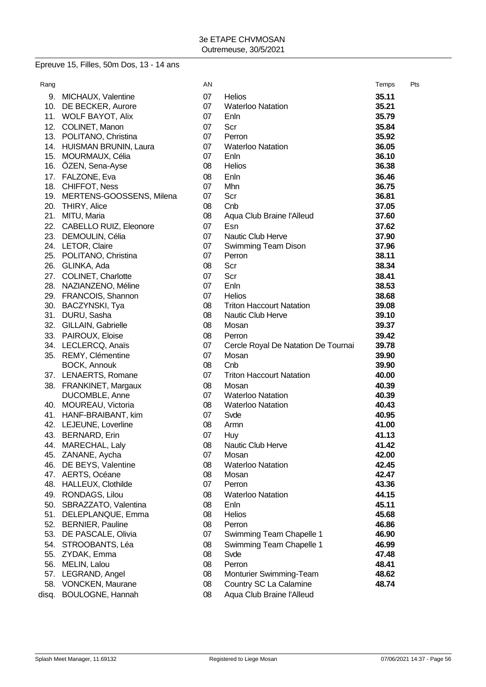# Epreuve 15, Filles, 50m Dos, 13 - 14 ans

| 9. MICHAUX, Valentine<br>07<br><b>Helios</b><br>35.11<br>10. DE BECKER, Aurore<br>07<br><b>Waterloo Natation</b><br>35.21<br>11. WOLF BAYOT, Alix<br>07<br>Enln<br>35.79<br>12.<br>COLINET, Manon<br>Scr<br>35.84<br>07<br>35.92<br>13. POLITANO, Christina<br>07<br>Perron<br>14. HUISMAN BRUNIN, Laura<br>07<br><b>Waterloo Natation</b><br>36.05<br>15. MOURMAUX, Célia<br>07<br>Enln<br>36.10<br>16.<br>ÖZEN, Sena-Ayse<br>08<br><b>Helios</b><br>36.38<br>FALZONE, Eva<br>36.46<br>17.<br>08<br>Enln<br>18. CHIFFOT, Ness<br>36.75<br>07<br>Mhn<br>19. MERTENS-GOOSSENS, Milena<br>07<br>Scr<br>36.81<br>20. THIRY, Alice<br>08<br>Cnb<br>37.05<br>21.<br>MITU, Maria<br>08<br>37.60<br>Aqua Club Braine l'Alleud<br>22. CABELLO RUIZ, Eleonore<br>07<br>Esn<br>37.62<br>Nautic Club Herve<br>23. DEMOULIN, Célia<br>07<br>37.90<br>24. LETOR, Claire<br>07<br>Swimming Team Dison<br>37.96<br>25. POLITANO, Christina<br>07<br>Perron<br>38.11<br>26. GLINKA, Ada<br>08<br>Scr<br>38.34<br>27. COLINET, Charlotte<br>Scr<br>38.41<br>07<br>28. NAZIANZENO, Méline<br>Enln<br>38.53<br>07<br>29. FRANCOIS, Shannon<br>07<br><b>Helios</b><br>38.68<br>30. BACZYNSKI, Tya<br><b>Triton Haccourt Natation</b><br>08<br>39.08<br>31. DURU, Sasha<br>08<br><b>Nautic Club Herve</b><br>39.10<br>32. GILLAIN, Gabrielle<br>08<br>Mosan<br>39.37<br>33. PAIROUX, Eloise<br>80<br>39.42<br>Perron<br>34. LECLERCQ, Anaïs<br>39.78<br>07<br>Cercle Royal De Natation De Tournai<br>35. REMY, Clémentine<br>07<br>Mosan<br>39.90<br><b>BOCK, Annouk</b><br>08<br>Cnb<br>39.90<br>37. LENAERTS, Romane<br>07<br><b>Triton Haccourt Natation</b><br>40.00<br>38. FRANKINET, Margaux<br>08<br>Mosan<br>40.39<br>DUCOMBLE, Anne<br>07<br><b>Waterloo Natation</b><br>40.39<br>40. MOUREAU, Victoria<br>08<br><b>Waterloo Natation</b><br>40.43<br>41. HANF-BRAIBANT, kim<br>07<br>Svde<br>40.95<br>42. LEJEUNE, Loverline<br>08<br>41.00<br>Armn<br>43. BERNARD, Erin<br>07<br>41.13<br>Huy<br>Nautic Club Herve<br>44.<br>MARECHAL, Laly<br>08<br>41.42<br>45.<br>ZANANE, Aycha<br>07<br>42.00<br>Mosan<br>46.<br>DE BEYS, Valentine<br>08<br><b>Waterloo Natation</b><br>42.45<br>47.<br>AERTS, Océane<br>08<br>42.47<br>Mosan<br>48.<br>HALLEUX, Clothilde<br>07<br>43.36<br>Perron<br>49.<br>RONDAGS, Lilou<br>08<br><b>Waterloo Natation</b><br>44.15<br>50.<br>SBRAZZATO, Valentina<br>45.11<br>08<br>Enln<br>51.<br>DELEPLANQUE, Emma<br>08<br><b>Helios</b><br>45.68<br>52.<br><b>BERNIER, Pauline</b><br>08<br>46.86<br>Perron<br>53.<br>DE PASCALE, Olivia<br>07<br>Swimming Team Chapelle 1<br>46.90<br>54. STROOBANTS, Léa<br>Swimming Team Chapelle 1<br>08<br>46.99<br>55. ZYDAK, Emma<br>08<br>Svde<br>47.48<br>56. MELIN, Lalou<br>08<br>Perron<br>48.41<br>57. LEGRAND, Angel<br>08<br>Monturier Swimming-Team<br>48.62<br>58.<br><b>VONCKEN, Maurane</b><br>08<br>Country SC La Calamine<br>48.74<br><b>BOULOGNE, Hannah</b><br>Aqua Club Braine l'Alleud<br>08<br>disq. | Rang | AN | Temps | Pts |
|------------------------------------------------------------------------------------------------------------------------------------------------------------------------------------------------------------------------------------------------------------------------------------------------------------------------------------------------------------------------------------------------------------------------------------------------------------------------------------------------------------------------------------------------------------------------------------------------------------------------------------------------------------------------------------------------------------------------------------------------------------------------------------------------------------------------------------------------------------------------------------------------------------------------------------------------------------------------------------------------------------------------------------------------------------------------------------------------------------------------------------------------------------------------------------------------------------------------------------------------------------------------------------------------------------------------------------------------------------------------------------------------------------------------------------------------------------------------------------------------------------------------------------------------------------------------------------------------------------------------------------------------------------------------------------------------------------------------------------------------------------------------------------------------------------------------------------------------------------------------------------------------------------------------------------------------------------------------------------------------------------------------------------------------------------------------------------------------------------------------------------------------------------------------------------------------------------------------------------------------------------------------------------------------------------------------------------------------------------------------------------------------------------------------------------------------------------------------------------------------------------------------------------------------------------------------------------------------------------------------------------------------------------------------------------------------------------------------------------------------------------------------------------------------------------------------------------------------------------------------------------------------------------------------------------------------------------------------------------|------|----|-------|-----|
|                                                                                                                                                                                                                                                                                                                                                                                                                                                                                                                                                                                                                                                                                                                                                                                                                                                                                                                                                                                                                                                                                                                                                                                                                                                                                                                                                                                                                                                                                                                                                                                                                                                                                                                                                                                                                                                                                                                                                                                                                                                                                                                                                                                                                                                                                                                                                                                                                                                                                                                                                                                                                                                                                                                                                                                                                                                                                                                                                                                    |      |    |       |     |
|                                                                                                                                                                                                                                                                                                                                                                                                                                                                                                                                                                                                                                                                                                                                                                                                                                                                                                                                                                                                                                                                                                                                                                                                                                                                                                                                                                                                                                                                                                                                                                                                                                                                                                                                                                                                                                                                                                                                                                                                                                                                                                                                                                                                                                                                                                                                                                                                                                                                                                                                                                                                                                                                                                                                                                                                                                                                                                                                                                                    |      |    |       |     |
|                                                                                                                                                                                                                                                                                                                                                                                                                                                                                                                                                                                                                                                                                                                                                                                                                                                                                                                                                                                                                                                                                                                                                                                                                                                                                                                                                                                                                                                                                                                                                                                                                                                                                                                                                                                                                                                                                                                                                                                                                                                                                                                                                                                                                                                                                                                                                                                                                                                                                                                                                                                                                                                                                                                                                                                                                                                                                                                                                                                    |      |    |       |     |
|                                                                                                                                                                                                                                                                                                                                                                                                                                                                                                                                                                                                                                                                                                                                                                                                                                                                                                                                                                                                                                                                                                                                                                                                                                                                                                                                                                                                                                                                                                                                                                                                                                                                                                                                                                                                                                                                                                                                                                                                                                                                                                                                                                                                                                                                                                                                                                                                                                                                                                                                                                                                                                                                                                                                                                                                                                                                                                                                                                                    |      |    |       |     |
|                                                                                                                                                                                                                                                                                                                                                                                                                                                                                                                                                                                                                                                                                                                                                                                                                                                                                                                                                                                                                                                                                                                                                                                                                                                                                                                                                                                                                                                                                                                                                                                                                                                                                                                                                                                                                                                                                                                                                                                                                                                                                                                                                                                                                                                                                                                                                                                                                                                                                                                                                                                                                                                                                                                                                                                                                                                                                                                                                                                    |      |    |       |     |
|                                                                                                                                                                                                                                                                                                                                                                                                                                                                                                                                                                                                                                                                                                                                                                                                                                                                                                                                                                                                                                                                                                                                                                                                                                                                                                                                                                                                                                                                                                                                                                                                                                                                                                                                                                                                                                                                                                                                                                                                                                                                                                                                                                                                                                                                                                                                                                                                                                                                                                                                                                                                                                                                                                                                                                                                                                                                                                                                                                                    |      |    |       |     |
|                                                                                                                                                                                                                                                                                                                                                                                                                                                                                                                                                                                                                                                                                                                                                                                                                                                                                                                                                                                                                                                                                                                                                                                                                                                                                                                                                                                                                                                                                                                                                                                                                                                                                                                                                                                                                                                                                                                                                                                                                                                                                                                                                                                                                                                                                                                                                                                                                                                                                                                                                                                                                                                                                                                                                                                                                                                                                                                                                                                    |      |    |       |     |
|                                                                                                                                                                                                                                                                                                                                                                                                                                                                                                                                                                                                                                                                                                                                                                                                                                                                                                                                                                                                                                                                                                                                                                                                                                                                                                                                                                                                                                                                                                                                                                                                                                                                                                                                                                                                                                                                                                                                                                                                                                                                                                                                                                                                                                                                                                                                                                                                                                                                                                                                                                                                                                                                                                                                                                                                                                                                                                                                                                                    |      |    |       |     |
|                                                                                                                                                                                                                                                                                                                                                                                                                                                                                                                                                                                                                                                                                                                                                                                                                                                                                                                                                                                                                                                                                                                                                                                                                                                                                                                                                                                                                                                                                                                                                                                                                                                                                                                                                                                                                                                                                                                                                                                                                                                                                                                                                                                                                                                                                                                                                                                                                                                                                                                                                                                                                                                                                                                                                                                                                                                                                                                                                                                    |      |    |       |     |
|                                                                                                                                                                                                                                                                                                                                                                                                                                                                                                                                                                                                                                                                                                                                                                                                                                                                                                                                                                                                                                                                                                                                                                                                                                                                                                                                                                                                                                                                                                                                                                                                                                                                                                                                                                                                                                                                                                                                                                                                                                                                                                                                                                                                                                                                                                                                                                                                                                                                                                                                                                                                                                                                                                                                                                                                                                                                                                                                                                                    |      |    |       |     |
|                                                                                                                                                                                                                                                                                                                                                                                                                                                                                                                                                                                                                                                                                                                                                                                                                                                                                                                                                                                                                                                                                                                                                                                                                                                                                                                                                                                                                                                                                                                                                                                                                                                                                                                                                                                                                                                                                                                                                                                                                                                                                                                                                                                                                                                                                                                                                                                                                                                                                                                                                                                                                                                                                                                                                                                                                                                                                                                                                                                    |      |    |       |     |
|                                                                                                                                                                                                                                                                                                                                                                                                                                                                                                                                                                                                                                                                                                                                                                                                                                                                                                                                                                                                                                                                                                                                                                                                                                                                                                                                                                                                                                                                                                                                                                                                                                                                                                                                                                                                                                                                                                                                                                                                                                                                                                                                                                                                                                                                                                                                                                                                                                                                                                                                                                                                                                                                                                                                                                                                                                                                                                                                                                                    |      |    |       |     |
|                                                                                                                                                                                                                                                                                                                                                                                                                                                                                                                                                                                                                                                                                                                                                                                                                                                                                                                                                                                                                                                                                                                                                                                                                                                                                                                                                                                                                                                                                                                                                                                                                                                                                                                                                                                                                                                                                                                                                                                                                                                                                                                                                                                                                                                                                                                                                                                                                                                                                                                                                                                                                                                                                                                                                                                                                                                                                                                                                                                    |      |    |       |     |
|                                                                                                                                                                                                                                                                                                                                                                                                                                                                                                                                                                                                                                                                                                                                                                                                                                                                                                                                                                                                                                                                                                                                                                                                                                                                                                                                                                                                                                                                                                                                                                                                                                                                                                                                                                                                                                                                                                                                                                                                                                                                                                                                                                                                                                                                                                                                                                                                                                                                                                                                                                                                                                                                                                                                                                                                                                                                                                                                                                                    |      |    |       |     |
|                                                                                                                                                                                                                                                                                                                                                                                                                                                                                                                                                                                                                                                                                                                                                                                                                                                                                                                                                                                                                                                                                                                                                                                                                                                                                                                                                                                                                                                                                                                                                                                                                                                                                                                                                                                                                                                                                                                                                                                                                                                                                                                                                                                                                                                                                                                                                                                                                                                                                                                                                                                                                                                                                                                                                                                                                                                                                                                                                                                    |      |    |       |     |
|                                                                                                                                                                                                                                                                                                                                                                                                                                                                                                                                                                                                                                                                                                                                                                                                                                                                                                                                                                                                                                                                                                                                                                                                                                                                                                                                                                                                                                                                                                                                                                                                                                                                                                                                                                                                                                                                                                                                                                                                                                                                                                                                                                                                                                                                                                                                                                                                                                                                                                                                                                                                                                                                                                                                                                                                                                                                                                                                                                                    |      |    |       |     |
|                                                                                                                                                                                                                                                                                                                                                                                                                                                                                                                                                                                                                                                                                                                                                                                                                                                                                                                                                                                                                                                                                                                                                                                                                                                                                                                                                                                                                                                                                                                                                                                                                                                                                                                                                                                                                                                                                                                                                                                                                                                                                                                                                                                                                                                                                                                                                                                                                                                                                                                                                                                                                                                                                                                                                                                                                                                                                                                                                                                    |      |    |       |     |
|                                                                                                                                                                                                                                                                                                                                                                                                                                                                                                                                                                                                                                                                                                                                                                                                                                                                                                                                                                                                                                                                                                                                                                                                                                                                                                                                                                                                                                                                                                                                                                                                                                                                                                                                                                                                                                                                                                                                                                                                                                                                                                                                                                                                                                                                                                                                                                                                                                                                                                                                                                                                                                                                                                                                                                                                                                                                                                                                                                                    |      |    |       |     |
|                                                                                                                                                                                                                                                                                                                                                                                                                                                                                                                                                                                                                                                                                                                                                                                                                                                                                                                                                                                                                                                                                                                                                                                                                                                                                                                                                                                                                                                                                                                                                                                                                                                                                                                                                                                                                                                                                                                                                                                                                                                                                                                                                                                                                                                                                                                                                                                                                                                                                                                                                                                                                                                                                                                                                                                                                                                                                                                                                                                    |      |    |       |     |
|                                                                                                                                                                                                                                                                                                                                                                                                                                                                                                                                                                                                                                                                                                                                                                                                                                                                                                                                                                                                                                                                                                                                                                                                                                                                                                                                                                                                                                                                                                                                                                                                                                                                                                                                                                                                                                                                                                                                                                                                                                                                                                                                                                                                                                                                                                                                                                                                                                                                                                                                                                                                                                                                                                                                                                                                                                                                                                                                                                                    |      |    |       |     |
|                                                                                                                                                                                                                                                                                                                                                                                                                                                                                                                                                                                                                                                                                                                                                                                                                                                                                                                                                                                                                                                                                                                                                                                                                                                                                                                                                                                                                                                                                                                                                                                                                                                                                                                                                                                                                                                                                                                                                                                                                                                                                                                                                                                                                                                                                                                                                                                                                                                                                                                                                                                                                                                                                                                                                                                                                                                                                                                                                                                    |      |    |       |     |
|                                                                                                                                                                                                                                                                                                                                                                                                                                                                                                                                                                                                                                                                                                                                                                                                                                                                                                                                                                                                                                                                                                                                                                                                                                                                                                                                                                                                                                                                                                                                                                                                                                                                                                                                                                                                                                                                                                                                                                                                                                                                                                                                                                                                                                                                                                                                                                                                                                                                                                                                                                                                                                                                                                                                                                                                                                                                                                                                                                                    |      |    |       |     |
|                                                                                                                                                                                                                                                                                                                                                                                                                                                                                                                                                                                                                                                                                                                                                                                                                                                                                                                                                                                                                                                                                                                                                                                                                                                                                                                                                                                                                                                                                                                                                                                                                                                                                                                                                                                                                                                                                                                                                                                                                                                                                                                                                                                                                                                                                                                                                                                                                                                                                                                                                                                                                                                                                                                                                                                                                                                                                                                                                                                    |      |    |       |     |
|                                                                                                                                                                                                                                                                                                                                                                                                                                                                                                                                                                                                                                                                                                                                                                                                                                                                                                                                                                                                                                                                                                                                                                                                                                                                                                                                                                                                                                                                                                                                                                                                                                                                                                                                                                                                                                                                                                                                                                                                                                                                                                                                                                                                                                                                                                                                                                                                                                                                                                                                                                                                                                                                                                                                                                                                                                                                                                                                                                                    |      |    |       |     |
|                                                                                                                                                                                                                                                                                                                                                                                                                                                                                                                                                                                                                                                                                                                                                                                                                                                                                                                                                                                                                                                                                                                                                                                                                                                                                                                                                                                                                                                                                                                                                                                                                                                                                                                                                                                                                                                                                                                                                                                                                                                                                                                                                                                                                                                                                                                                                                                                                                                                                                                                                                                                                                                                                                                                                                                                                                                                                                                                                                                    |      |    |       |     |
|                                                                                                                                                                                                                                                                                                                                                                                                                                                                                                                                                                                                                                                                                                                                                                                                                                                                                                                                                                                                                                                                                                                                                                                                                                                                                                                                                                                                                                                                                                                                                                                                                                                                                                                                                                                                                                                                                                                                                                                                                                                                                                                                                                                                                                                                                                                                                                                                                                                                                                                                                                                                                                                                                                                                                                                                                                                                                                                                                                                    |      |    |       |     |
|                                                                                                                                                                                                                                                                                                                                                                                                                                                                                                                                                                                                                                                                                                                                                                                                                                                                                                                                                                                                                                                                                                                                                                                                                                                                                                                                                                                                                                                                                                                                                                                                                                                                                                                                                                                                                                                                                                                                                                                                                                                                                                                                                                                                                                                                                                                                                                                                                                                                                                                                                                                                                                                                                                                                                                                                                                                                                                                                                                                    |      |    |       |     |
|                                                                                                                                                                                                                                                                                                                                                                                                                                                                                                                                                                                                                                                                                                                                                                                                                                                                                                                                                                                                                                                                                                                                                                                                                                                                                                                                                                                                                                                                                                                                                                                                                                                                                                                                                                                                                                                                                                                                                                                                                                                                                                                                                                                                                                                                                                                                                                                                                                                                                                                                                                                                                                                                                                                                                                                                                                                                                                                                                                                    |      |    |       |     |
|                                                                                                                                                                                                                                                                                                                                                                                                                                                                                                                                                                                                                                                                                                                                                                                                                                                                                                                                                                                                                                                                                                                                                                                                                                                                                                                                                                                                                                                                                                                                                                                                                                                                                                                                                                                                                                                                                                                                                                                                                                                                                                                                                                                                                                                                                                                                                                                                                                                                                                                                                                                                                                                                                                                                                                                                                                                                                                                                                                                    |      |    |       |     |
|                                                                                                                                                                                                                                                                                                                                                                                                                                                                                                                                                                                                                                                                                                                                                                                                                                                                                                                                                                                                                                                                                                                                                                                                                                                                                                                                                                                                                                                                                                                                                                                                                                                                                                                                                                                                                                                                                                                                                                                                                                                                                                                                                                                                                                                                                                                                                                                                                                                                                                                                                                                                                                                                                                                                                                                                                                                                                                                                                                                    |      |    |       |     |
|                                                                                                                                                                                                                                                                                                                                                                                                                                                                                                                                                                                                                                                                                                                                                                                                                                                                                                                                                                                                                                                                                                                                                                                                                                                                                                                                                                                                                                                                                                                                                                                                                                                                                                                                                                                                                                                                                                                                                                                                                                                                                                                                                                                                                                                                                                                                                                                                                                                                                                                                                                                                                                                                                                                                                                                                                                                                                                                                                                                    |      |    |       |     |
|                                                                                                                                                                                                                                                                                                                                                                                                                                                                                                                                                                                                                                                                                                                                                                                                                                                                                                                                                                                                                                                                                                                                                                                                                                                                                                                                                                                                                                                                                                                                                                                                                                                                                                                                                                                                                                                                                                                                                                                                                                                                                                                                                                                                                                                                                                                                                                                                                                                                                                                                                                                                                                                                                                                                                                                                                                                                                                                                                                                    |      |    |       |     |
|                                                                                                                                                                                                                                                                                                                                                                                                                                                                                                                                                                                                                                                                                                                                                                                                                                                                                                                                                                                                                                                                                                                                                                                                                                                                                                                                                                                                                                                                                                                                                                                                                                                                                                                                                                                                                                                                                                                                                                                                                                                                                                                                                                                                                                                                                                                                                                                                                                                                                                                                                                                                                                                                                                                                                                                                                                                                                                                                                                                    |      |    |       |     |
|                                                                                                                                                                                                                                                                                                                                                                                                                                                                                                                                                                                                                                                                                                                                                                                                                                                                                                                                                                                                                                                                                                                                                                                                                                                                                                                                                                                                                                                                                                                                                                                                                                                                                                                                                                                                                                                                                                                                                                                                                                                                                                                                                                                                                                                                                                                                                                                                                                                                                                                                                                                                                                                                                                                                                                                                                                                                                                                                                                                    |      |    |       |     |
|                                                                                                                                                                                                                                                                                                                                                                                                                                                                                                                                                                                                                                                                                                                                                                                                                                                                                                                                                                                                                                                                                                                                                                                                                                                                                                                                                                                                                                                                                                                                                                                                                                                                                                                                                                                                                                                                                                                                                                                                                                                                                                                                                                                                                                                                                                                                                                                                                                                                                                                                                                                                                                                                                                                                                                                                                                                                                                                                                                                    |      |    |       |     |
|                                                                                                                                                                                                                                                                                                                                                                                                                                                                                                                                                                                                                                                                                                                                                                                                                                                                                                                                                                                                                                                                                                                                                                                                                                                                                                                                                                                                                                                                                                                                                                                                                                                                                                                                                                                                                                                                                                                                                                                                                                                                                                                                                                                                                                                                                                                                                                                                                                                                                                                                                                                                                                                                                                                                                                                                                                                                                                                                                                                    |      |    |       |     |
|                                                                                                                                                                                                                                                                                                                                                                                                                                                                                                                                                                                                                                                                                                                                                                                                                                                                                                                                                                                                                                                                                                                                                                                                                                                                                                                                                                                                                                                                                                                                                                                                                                                                                                                                                                                                                                                                                                                                                                                                                                                                                                                                                                                                                                                                                                                                                                                                                                                                                                                                                                                                                                                                                                                                                                                                                                                                                                                                                                                    |      |    |       |     |
|                                                                                                                                                                                                                                                                                                                                                                                                                                                                                                                                                                                                                                                                                                                                                                                                                                                                                                                                                                                                                                                                                                                                                                                                                                                                                                                                                                                                                                                                                                                                                                                                                                                                                                                                                                                                                                                                                                                                                                                                                                                                                                                                                                                                                                                                                                                                                                                                                                                                                                                                                                                                                                                                                                                                                                                                                                                                                                                                                                                    |      |    |       |     |
|                                                                                                                                                                                                                                                                                                                                                                                                                                                                                                                                                                                                                                                                                                                                                                                                                                                                                                                                                                                                                                                                                                                                                                                                                                                                                                                                                                                                                                                                                                                                                                                                                                                                                                                                                                                                                                                                                                                                                                                                                                                                                                                                                                                                                                                                                                                                                                                                                                                                                                                                                                                                                                                                                                                                                                                                                                                                                                                                                                                    |      |    |       |     |
|                                                                                                                                                                                                                                                                                                                                                                                                                                                                                                                                                                                                                                                                                                                                                                                                                                                                                                                                                                                                                                                                                                                                                                                                                                                                                                                                                                                                                                                                                                                                                                                                                                                                                                                                                                                                                                                                                                                                                                                                                                                                                                                                                                                                                                                                                                                                                                                                                                                                                                                                                                                                                                                                                                                                                                                                                                                                                                                                                                                    |      |    |       |     |
|                                                                                                                                                                                                                                                                                                                                                                                                                                                                                                                                                                                                                                                                                                                                                                                                                                                                                                                                                                                                                                                                                                                                                                                                                                                                                                                                                                                                                                                                                                                                                                                                                                                                                                                                                                                                                                                                                                                                                                                                                                                                                                                                                                                                                                                                                                                                                                                                                                                                                                                                                                                                                                                                                                                                                                                                                                                                                                                                                                                    |      |    |       |     |
|                                                                                                                                                                                                                                                                                                                                                                                                                                                                                                                                                                                                                                                                                                                                                                                                                                                                                                                                                                                                                                                                                                                                                                                                                                                                                                                                                                                                                                                                                                                                                                                                                                                                                                                                                                                                                                                                                                                                                                                                                                                                                                                                                                                                                                                                                                                                                                                                                                                                                                                                                                                                                                                                                                                                                                                                                                                                                                                                                                                    |      |    |       |     |
|                                                                                                                                                                                                                                                                                                                                                                                                                                                                                                                                                                                                                                                                                                                                                                                                                                                                                                                                                                                                                                                                                                                                                                                                                                                                                                                                                                                                                                                                                                                                                                                                                                                                                                                                                                                                                                                                                                                                                                                                                                                                                                                                                                                                                                                                                                                                                                                                                                                                                                                                                                                                                                                                                                                                                                                                                                                                                                                                                                                    |      |    |       |     |
|                                                                                                                                                                                                                                                                                                                                                                                                                                                                                                                                                                                                                                                                                                                                                                                                                                                                                                                                                                                                                                                                                                                                                                                                                                                                                                                                                                                                                                                                                                                                                                                                                                                                                                                                                                                                                                                                                                                                                                                                                                                                                                                                                                                                                                                                                                                                                                                                                                                                                                                                                                                                                                                                                                                                                                                                                                                                                                                                                                                    |      |    |       |     |
|                                                                                                                                                                                                                                                                                                                                                                                                                                                                                                                                                                                                                                                                                                                                                                                                                                                                                                                                                                                                                                                                                                                                                                                                                                                                                                                                                                                                                                                                                                                                                                                                                                                                                                                                                                                                                                                                                                                                                                                                                                                                                                                                                                                                                                                                                                                                                                                                                                                                                                                                                                                                                                                                                                                                                                                                                                                                                                                                                                                    |      |    |       |     |
|                                                                                                                                                                                                                                                                                                                                                                                                                                                                                                                                                                                                                                                                                                                                                                                                                                                                                                                                                                                                                                                                                                                                                                                                                                                                                                                                                                                                                                                                                                                                                                                                                                                                                                                                                                                                                                                                                                                                                                                                                                                                                                                                                                                                                                                                                                                                                                                                                                                                                                                                                                                                                                                                                                                                                                                                                                                                                                                                                                                    |      |    |       |     |
|                                                                                                                                                                                                                                                                                                                                                                                                                                                                                                                                                                                                                                                                                                                                                                                                                                                                                                                                                                                                                                                                                                                                                                                                                                                                                                                                                                                                                                                                                                                                                                                                                                                                                                                                                                                                                                                                                                                                                                                                                                                                                                                                                                                                                                                                                                                                                                                                                                                                                                                                                                                                                                                                                                                                                                                                                                                                                                                                                                                    |      |    |       |     |
|                                                                                                                                                                                                                                                                                                                                                                                                                                                                                                                                                                                                                                                                                                                                                                                                                                                                                                                                                                                                                                                                                                                                                                                                                                                                                                                                                                                                                                                                                                                                                                                                                                                                                                                                                                                                                                                                                                                                                                                                                                                                                                                                                                                                                                                                                                                                                                                                                                                                                                                                                                                                                                                                                                                                                                                                                                                                                                                                                                                    |      |    |       |     |
|                                                                                                                                                                                                                                                                                                                                                                                                                                                                                                                                                                                                                                                                                                                                                                                                                                                                                                                                                                                                                                                                                                                                                                                                                                                                                                                                                                                                                                                                                                                                                                                                                                                                                                                                                                                                                                                                                                                                                                                                                                                                                                                                                                                                                                                                                                                                                                                                                                                                                                                                                                                                                                                                                                                                                                                                                                                                                                                                                                                    |      |    |       |     |
|                                                                                                                                                                                                                                                                                                                                                                                                                                                                                                                                                                                                                                                                                                                                                                                                                                                                                                                                                                                                                                                                                                                                                                                                                                                                                                                                                                                                                                                                                                                                                                                                                                                                                                                                                                                                                                                                                                                                                                                                                                                                                                                                                                                                                                                                                                                                                                                                                                                                                                                                                                                                                                                                                                                                                                                                                                                                                                                                                                                    |      |    |       |     |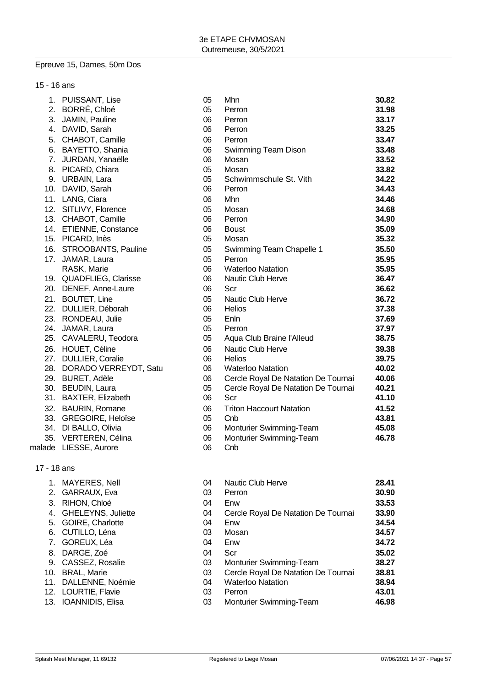#### Epreuve 15, Dames, 50m Dos

|  | 15 - 16 ans |  |
|--|-------------|--|
|--|-------------|--|

| PUISSANT, Lise             | 05                                                                                                                                                                                                                                                                                                                                                                       | Mhn                                                                  | 30.82                                                                                                                                                                                                                                                         |
|----------------------------|--------------------------------------------------------------------------------------------------------------------------------------------------------------------------------------------------------------------------------------------------------------------------------------------------------------------------------------------------------------------------|----------------------------------------------------------------------|---------------------------------------------------------------------------------------------------------------------------------------------------------------------------------------------------------------------------------------------------------------|
| 2. BORRÉ, Chloé            | 05                                                                                                                                                                                                                                                                                                                                                                       | Perron                                                               | 31.98                                                                                                                                                                                                                                                         |
| 3. JAMIN, Pauline          | 06                                                                                                                                                                                                                                                                                                                                                                       | Perron                                                               | 33.17                                                                                                                                                                                                                                                         |
| 4. DAVID, Sarah            | 06                                                                                                                                                                                                                                                                                                                                                                       | Perron                                                               | 33.25                                                                                                                                                                                                                                                         |
| CHABOT, Camille            | 06                                                                                                                                                                                                                                                                                                                                                                       | Perron                                                               | 33.47                                                                                                                                                                                                                                                         |
| BAYETTO, Shania            | 06                                                                                                                                                                                                                                                                                                                                                                       | Swimming Team Dison                                                  | 33.48                                                                                                                                                                                                                                                         |
| JURDAN, Yanaëlle           | 06                                                                                                                                                                                                                                                                                                                                                                       | Mosan                                                                | 33.52                                                                                                                                                                                                                                                         |
| 8. PICARD, Chiara          | 05                                                                                                                                                                                                                                                                                                                                                                       | Mosan                                                                | 33.82                                                                                                                                                                                                                                                         |
| 9. URBAIN, Lara            | 05                                                                                                                                                                                                                                                                                                                                                                       | Schwimmschule St. Vith                                               | 34.22                                                                                                                                                                                                                                                         |
| 10. DAVID, Sarah           | 06                                                                                                                                                                                                                                                                                                                                                                       | Perron                                                               | 34.43                                                                                                                                                                                                                                                         |
| 11. LANG, Ciara            | 06                                                                                                                                                                                                                                                                                                                                                                       | Mhn                                                                  | 34.46                                                                                                                                                                                                                                                         |
| 12. SITLIVY, Florence      | 05                                                                                                                                                                                                                                                                                                                                                                       | Mosan                                                                | 34.68                                                                                                                                                                                                                                                         |
| 13. CHABOT, Camille        | 06                                                                                                                                                                                                                                                                                                                                                                       | Perron                                                               | 34.90                                                                                                                                                                                                                                                         |
| 14. ETIENNE, Constance     | 06                                                                                                                                                                                                                                                                                                                                                                       | <b>Boust</b>                                                         | 35.09                                                                                                                                                                                                                                                         |
|                            | 05                                                                                                                                                                                                                                                                                                                                                                       | Mosan                                                                | 35.32                                                                                                                                                                                                                                                         |
|                            | 05                                                                                                                                                                                                                                                                                                                                                                       | Swimming Team Chapelle 1                                             | 35.50                                                                                                                                                                                                                                                         |
| 17.<br>JAMAR, Laura        | 05                                                                                                                                                                                                                                                                                                                                                                       | Perron                                                               | 35.95                                                                                                                                                                                                                                                         |
| RASK, Marie                | 06                                                                                                                                                                                                                                                                                                                                                                       | <b>Waterloo Natation</b>                                             | 35.95                                                                                                                                                                                                                                                         |
|                            |                                                                                                                                                                                                                                                                                                                                                                          |                                                                      | 36.47                                                                                                                                                                                                                                                         |
| 20. DENEF, Anne-Laure      |                                                                                                                                                                                                                                                                                                                                                                          | Scr                                                                  | 36.62                                                                                                                                                                                                                                                         |
| 21.<br><b>BOUTET, Line</b> | 05                                                                                                                                                                                                                                                                                                                                                                       | Nautic Club Herve                                                    | 36.72                                                                                                                                                                                                                                                         |
| 22. DULLIER, Déborah       | 06                                                                                                                                                                                                                                                                                                                                                                       | Helios                                                               | 37.38                                                                                                                                                                                                                                                         |
|                            |                                                                                                                                                                                                                                                                                                                                                                          |                                                                      | 37.69                                                                                                                                                                                                                                                         |
|                            |                                                                                                                                                                                                                                                                                                                                                                          | Perron                                                               | 37.97                                                                                                                                                                                                                                                         |
|                            | 05                                                                                                                                                                                                                                                                                                                                                                       |                                                                      | 38.75                                                                                                                                                                                                                                                         |
|                            | 06                                                                                                                                                                                                                                                                                                                                                                       | Nautic Club Herve                                                    | 39.38                                                                                                                                                                                                                                                         |
|                            |                                                                                                                                                                                                                                                                                                                                                                          |                                                                      | 39.75                                                                                                                                                                                                                                                         |
|                            |                                                                                                                                                                                                                                                                                                                                                                          |                                                                      | 40.02                                                                                                                                                                                                                                                         |
|                            |                                                                                                                                                                                                                                                                                                                                                                          |                                                                      | 40.06                                                                                                                                                                                                                                                         |
|                            |                                                                                                                                                                                                                                                                                                                                                                          |                                                                      | 40.21                                                                                                                                                                                                                                                         |
|                            |                                                                                                                                                                                                                                                                                                                                                                          |                                                                      | 41.10                                                                                                                                                                                                                                                         |
| <b>BAURIN, Romane</b>      |                                                                                                                                                                                                                                                                                                                                                                          |                                                                      | 41.52                                                                                                                                                                                                                                                         |
| 33. GREGOIRE, Heloïse      | 05                                                                                                                                                                                                                                                                                                                                                                       | Cnb                                                                  | 43.81                                                                                                                                                                                                                                                         |
|                            | 06                                                                                                                                                                                                                                                                                                                                                                       | Monturier Swimming-Team                                              | 45.08                                                                                                                                                                                                                                                         |
|                            |                                                                                                                                                                                                                                                                                                                                                                          |                                                                      | 46.78                                                                                                                                                                                                                                                         |
|                            |                                                                                                                                                                                                                                                                                                                                                                          |                                                                      |                                                                                                                                                                                                                                                               |
| 31.                        | 15. PICARD, Inès<br>16. STROOBANTS, Pauline<br>19. QUADFLIEG, Clarisse<br>23. RONDEAU, Julie<br>24. JAMAR, Laura<br>25. CAVALERU, Teodora<br>26. HOUET, Céline<br>27. DULLIER, Coralie<br>28. DORADO VERREYDT, Satu<br>29. BURET, Adèle<br>30. BEUDIN, Laura<br><b>BAXTER, Elizabeth</b><br>32.<br>34. DI BALLO, Olivia<br>35. VERTEREN, Célina<br>malade LIESSE, Aurore | 06<br>06<br>05<br>05<br>06<br>06<br>06<br>05<br>06<br>06<br>06<br>06 | Nautic Club Herve<br>Enln<br>Aqua Club Braine l'Alleud<br><b>Helios</b><br><b>Waterloo Natation</b><br>Cercle Royal De Natation De Tournai<br>Cercle Royal De Natation De Tournai<br>Scr<br><b>Triton Haccourt Natation</b><br>Monturier Swimming-Team<br>Cnb |

17 - 18 ans

1. MAYERES, Nell 2. GARRAUX, Eva 3. RIHON, Chloé 4. GHELEYNS, Juliette 5. GOIRE, Charlotte 6. CUTILLO, Léna 7. GOREUX, Léa 8. DARGE, Zoé 9. CASSEZ, Rosalie 10. BRAL, Marie

11. DALLENNE, Noémie 12. LOURTIE, Flavie 13. IOANNIDIS, Elisa

| 04 | Nautic Club Herve                   | 28.41 |
|----|-------------------------------------|-------|
| 03 | Perron                              | 30.90 |
| 04 | Enw                                 | 33.53 |
| 04 | Cercle Royal De Natation De Tournai | 33.90 |
| 04 | Enw                                 | 34.54 |
| 03 | Mosan                               | 34.57 |
| 04 | Enw                                 | 34.72 |
| 04 | Scr                                 | 35.02 |
| 03 | <b>Monturier Swimming-Team</b>      | 38.27 |
| 03 | Cercle Royal De Natation De Tournai | 38.81 |
| 04 | <b>Waterloo Natation</b>            | 38.94 |
| 03 | Perron                              | 43.01 |
| 03 | Monturier Swimming-Team             | 46.98 |
|    |                                     |       |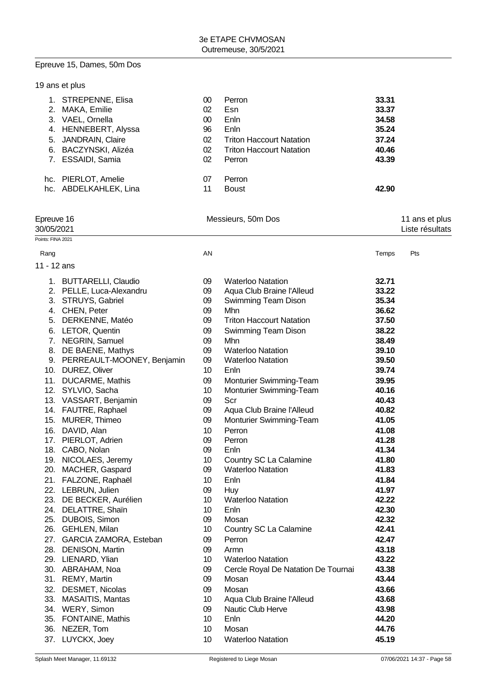#### Epreuve 15, Dames, 50m Dos

|     | 19 ans et plus          |    |                                 |       |  |  |
|-----|-------------------------|----|---------------------------------|-------|--|--|
|     | STREPENNE, Elisa        | 00 | Perron                          | 33.31 |  |  |
| 2.  | MAKA, Emilie            | 02 | Esn                             | 33.37 |  |  |
| 3.  | VAEL, Ornella           | 00 | Enln                            | 34.58 |  |  |
|     | 4. HENNEBERT, Alyssa    | 96 | Enln                            | 35.24 |  |  |
| 5.  | <b>JANDRAIN, Claire</b> | 02 | <b>Triton Haccourt Natation</b> | 37.24 |  |  |
| 6.  | BACZYNSKI, Alizéa       | 02 | <b>Triton Haccourt Natation</b> | 40.46 |  |  |
|     | <b>ESSAIDI, Samia</b>   | 02 | Perron                          | 43.39 |  |  |
| hc. | PIERLOT, Amelie         | 07 | Perron                          |       |  |  |
|     | hc. ABDELKAHLEK, Lina   | 11 | <b>Boust</b>                    | 42.90 |  |  |
|     |                         |    |                                 |       |  |  |

| Epreuve 16 | Messieurs, 50m Dos | 11 ans et plus  |
|------------|--------------------|-----------------|
| 30/05/2021 |                    | Liste résultats |

Points: FINA 2021

| Rang        |                               | AN |                                     | Temps | Pts |
|-------------|-------------------------------|----|-------------------------------------|-------|-----|
| 11 - 12 ans |                               |    |                                     |       |     |
|             | 1. BUTTARELLI, Claudio        | 09 | <b>Waterloo Natation</b>            | 32.71 |     |
|             | 2. PELLE, Luca-Alexandru      | 09 | Aqua Club Braine l'Alleud           | 33.22 |     |
|             | 3. STRUYS, Gabriel            | 09 | Swimming Team Dison                 | 35.34 |     |
|             | 4. CHEN, Peter                | 09 | Mhn                                 | 36.62 |     |
|             | 5. DERKENNE, Matéo            | 09 | <b>Triton Haccourt Natation</b>     | 37.50 |     |
|             | 6. LETOR, Quentin             | 09 | Swimming Team Dison                 | 38.22 |     |
|             | 7. NEGRIN, Samuel             | 09 | Mhn                                 | 38.49 |     |
|             | 8. DE BAENE, Mathys           | 09 | <b>Waterloo Natation</b>            | 39.10 |     |
|             | 9. PERREAULT-MOONEY, Benjamin | 09 | <b>Waterloo Natation</b>            | 39.50 |     |
|             | 10. DUREZ, Oliver             | 10 | Enln                                | 39.74 |     |
|             | 11. DUCARME, Mathis           | 09 | Monturier Swimming-Team             | 39.95 |     |
|             | 12. SYLVIO, Sacha             | 10 | Monturier Swimming-Team             | 40.16 |     |
|             | 13. VASSART, Benjamin         | 09 | Scr                                 | 40.43 |     |
|             | 14. FAUTRE, Raphael           | 09 | Aqua Club Braine l'Alleud           | 40.82 |     |
|             | 15. MURER, Thimeo             | 09 | Monturier Swimming-Team             | 41.05 |     |
|             | 16. DAVID, Alan               | 10 | Perron                              | 41.08 |     |
|             | 17. PIERLOT, Adrien           | 09 | Perron                              | 41.28 |     |
|             | 18. CABO, Nolan               | 09 | Enln                                | 41.34 |     |
|             | 19. NICOLAES, Jeremy          | 10 | Country SC La Calamine              | 41.80 |     |
|             | 20. MACHER, Gaspard           | 09 | <b>Waterloo Natation</b>            | 41.83 |     |
|             | 21. FALZONE, Raphaël          | 10 | Enln                                | 41.84 |     |
|             | 22. LEBRUN, Julien            | 09 | Huy                                 | 41.97 |     |
|             | 23. DE BECKER, Aurélien       | 10 | <b>Waterloo Natation</b>            | 42.22 |     |
|             | 24. DELATTRE, Shaïn           | 10 | Enln                                | 42.30 |     |
|             | 25. DUBOIS, Simon             | 09 | Mosan                               | 42.32 |     |
|             | 26. GEHLEN, Milan             | 10 | Country SC La Calamine              | 42.41 |     |
|             | 27. GARCIA ZAMORA, Esteban    | 09 | Perron                              | 42.47 |     |
|             | 28. DENISON, Martin           | 09 | Armn                                | 43.18 |     |
|             | 29. LIENARD, Ylian            | 10 | <b>Waterloo Natation</b>            | 43.22 |     |
|             | 30. ABRAHAM, Noa              | 09 | Cercle Royal De Natation De Tournai | 43.38 |     |
|             | 31. REMY, Martin              | 09 | Mosan                               | 43.44 |     |
|             | 32. DESMET, Nicolas           | 09 | Mosan                               | 43.66 |     |
|             | 33. MASAITIS, Mantas          | 10 | Aqua Club Braine l'Alleud           | 43.68 |     |
|             | 34. WERY, Simon               | 09 | <b>Nautic Club Herve</b>            | 43.98 |     |
|             | 35. FONTAINE, Mathis          | 10 | Enln                                | 44.20 |     |
| 36.         | NEZER, Tom                    | 10 | Mosan                               | 44.76 |     |

37. LUYCKX, Joey 10 Waterloo Natation **45.19**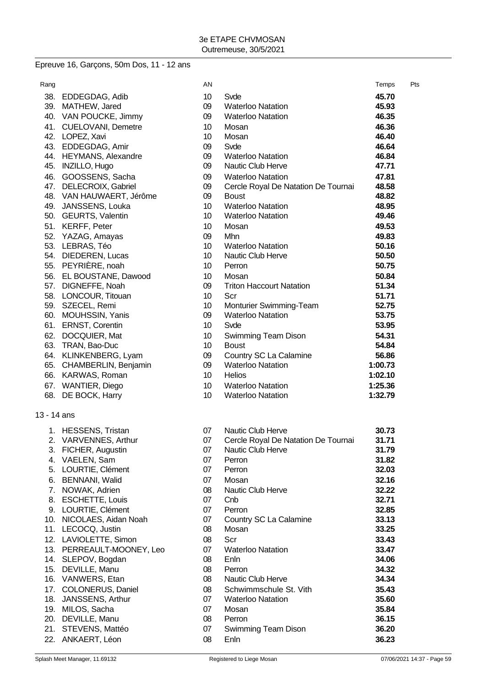#### Epreuve 16, Garçons, 50m Dos, 11 - 12 ans

| Rang        |                          | AN              |                                     | Temps   | Pts |
|-------------|--------------------------|-----------------|-------------------------------------|---------|-----|
|             | 38. EDDEGDAG, Adib       | 10              | Svde                                | 45.70   |     |
|             | 39. MATHEW, Jared        | 09              | <b>Waterloo Natation</b>            | 45.93   |     |
|             | 40. VAN POUCKE, Jimmy    | 09              | <b>Waterloo Natation</b>            | 46.35   |     |
|             | 41. CUELOVANI, Demetre   | 10 <sup>°</sup> | Mosan                               | 46.36   |     |
|             | 42. LOPEZ, Xavi          | 10 <sup>1</sup> | Mosan                               | 46.40   |     |
|             | 43. EDDEGDAG, Amir       | 09              | Svde                                | 46.64   |     |
|             | 44. HEYMANS, Alexandre   | 09              | <b>Waterloo Natation</b>            | 46.84   |     |
|             | 45. INZILLO, Hugo        | 09              | Nautic Club Herve                   | 47.71   |     |
|             | 46. GOOSSENS, Sacha      | 09              | <b>Waterloo Natation</b>            | 47.81   |     |
|             | 47. DELECROIX, Gabriel   | 09              | Cercle Royal De Natation De Tournai | 48.58   |     |
|             | 48. VAN HAUWAERT, Jérôme | 09              | <b>Boust</b>                        | 48.82   |     |
|             | 49. JANSSENS, Louka      | 10              | <b>Waterloo Natation</b>            | 48.95   |     |
|             | 50. GEURTS, Valentin     | 10 <sup>°</sup> | <b>Waterloo Natation</b>            | 49.46   |     |
|             | 51. KERFF, Peter         | 10 <sup>1</sup> | Mosan                               | 49.53   |     |
|             | 52. YAZAG, Amayas        | 09              | Mhn                                 | 49.83   |     |
|             | 53. LEBRAS, Téo          | 10              | <b>Waterloo Natation</b>            | 50.16   |     |
|             | 54. DIEDEREN, Lucas      | 10              | Nautic Club Herve                   | 50.50   |     |
|             | 55. PEYRIÈRE, noah       | 10 <sup>1</sup> | Perron                              | 50.75   |     |
|             | 56. EL BOUSTANE, Dawood  | 10              | Mosan                               | 50.84   |     |
|             | 57. DIGNEFFE, Noah       | 09              | <b>Triton Haccourt Natation</b>     | 51.34   |     |
|             | 58. LONCOUR, Titouan     | 10              | Scr                                 | 51.71   |     |
|             | 59. SZECEL, Remi         | 10              | Monturier Swimming-Team             | 52.75   |     |
|             | 60. MOUHSSIN, Yanis      | 09              | <b>Waterloo Natation</b>            | 53.75   |     |
|             | 61. ERNST, Corentin      | 10              | Svde                                | 53.95   |     |
|             | 62. DOCQUIER, Mat        | 10              | Swimming Team Dison                 | 54.31   |     |
|             | 63. TRAN, Bao-Duc        | 10              | <b>Boust</b>                        | 54.84   |     |
|             | 64. KLINKENBERG, Lyam    | 09              | Country SC La Calamine              | 56.86   |     |
|             | 65. CHAMBERLIN, Benjamin | 09              | <b>Waterloo Natation</b>            | 1:00.73 |     |
|             | 66. KARWAS, Roman        | 10              | <b>Helios</b>                       | 1:02.10 |     |
|             | 67. WANTIER, Diego       | 10 <sup>1</sup> | <b>Waterloo Natation</b>            | 1:25.36 |     |
|             | 68. DE BOCK, Harry       | 10              | <b>Waterloo Natation</b>            | 1:32.79 |     |
| 13 - 14 ans |                          |                 |                                     |         |     |
|             | 1. HESSENS, Tristan      | 07              | <b>Nautic Club Herve</b>            | 30.73   |     |
|             | 2. VARVENNES, Arthur     | 07              | Cercle Royal De Natation De Tournai | 31.71   |     |
|             | 3. FICHER, Augustin      | 07              | Nautic Club Herve                   | 31.79   |     |
|             | 4. VAELEN, Sam           | 07              | Perron                              | 31.82   |     |
|             | 5. LOURTIE, Clément      | 07              | Perron                              | 32.03   |     |
|             | 6. BENNANI, Walid        | 07              | Mosan                               | 32.16   |     |
| 7.          | NOWAK, Adrien            | 08              | <b>Nautic Club Herve</b>            | 32.22   |     |

- 
- 8. ESCHETTE, Louis 07 Cnb **32.71**
- 9. LOURTIE, Clément 07 Perron **32.85**
- 10. NICOLAES, Aidan Noah 07 Country SC La Calamine **33.13**
- 11. LECOCQ, Justin 08 Mosan **33.25**
- 12. LAVIOLETTE, Simon 08 Scr **33.43**
- 13. PERREAULT-MOONEY, Leo 07 Waterloo Natation **33.47** 14. SLEPOV, Bogdan 08 Enln **34.06**
- 15. DEVILLE, Manu 08 Perron **34.32**
- 16. VANWERS, Etan 08 Nautic Club Herve **34.34**
- 
- 17. COLONERUS, Daniel 08 Schwimmschule St. Vith **35.43** 18. JANSSENS, Arthur 07 Waterloo Natation **35.60**
- 19. MILOS, Sacha 07 Mosan **35.84**
- 20. DEVILLE, Manu 08 Perron **36.15**
- 21. STEVENS, Mattéo 07 Swimming Team Dison **36.20**
- 22. ANKAERT, Léon 08 Enln **36.23**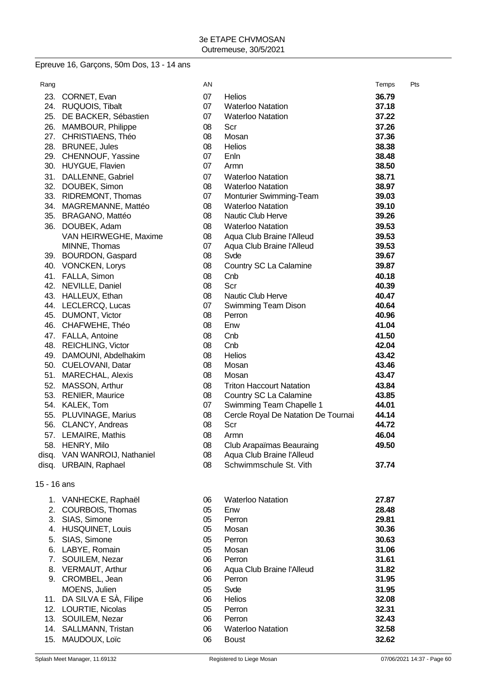# Epreuve 16, Garçons, 50m Dos, 13 - 14 ans

| Rang        |                              | AN |                                     | Temps | Pts |
|-------------|------------------------------|----|-------------------------------------|-------|-----|
| 23.         | CORNET, Evan                 | 07 | <b>Helios</b>                       | 36.79 |     |
|             | 24. RUQUOIS, Tibalt          | 07 | <b>Waterloo Natation</b>            | 37.18 |     |
|             | 25. DE BACKER, Sébastien     | 07 | <b>Waterloo Natation</b>            | 37.22 |     |
|             | 26. MAMBOUR, Philippe        | 08 | Scr                                 | 37.26 |     |
| 27.         | CHRISTIAENS, Théo            | 08 | Mosan                               | 37.36 |     |
|             | 28. BRUNEE, Jules            | 08 | <b>Helios</b>                       | 38.38 |     |
|             | 29. CHENNOUF, Yassine        | 07 | Enln                                | 38.48 |     |
|             | 30. HUYGUE, Flavien          | 07 | Armn                                | 38.50 |     |
|             | 31. DALLENNE, Gabriel        | 07 | <b>Waterloo Natation</b>            | 38.71 |     |
|             | 32. DOUBEK, Simon            | 08 | <b>Waterloo Natation</b>            | 38.97 |     |
|             | 33. RIDREMONT, Thomas        | 07 | Monturier Swimming-Team             | 39.03 |     |
|             | 34. MAGREMANNE, Mattéo       | 08 | <b>Waterloo Natation</b>            | 39.10 |     |
|             | 35. BRAGANO, Mattéo          | 08 | Nautic Club Herve                   | 39.26 |     |
|             | 36. DOUBEK, Adam             | 08 | <b>Waterloo Natation</b>            | 39.53 |     |
|             | VAN HEIRWEGHE, Maxime        | 08 | Aqua Club Braine l'Alleud           | 39.53 |     |
|             | MINNE, Thomas                | 07 | Aqua Club Braine l'Alleud           | 39.53 |     |
|             | 39. BOURDON, Gaspard         | 08 | Svde                                | 39.67 |     |
|             | 40. VONCKEN, Lorys           | 08 | Country SC La Calamine              | 39.87 |     |
|             | 41. FALLA, Simon             | 08 | Cnb                                 | 40.18 |     |
|             | 42. NEVILLE, Daniel          | 08 | Scr                                 | 40.39 |     |
|             | 43. HALLEUX, Ethan           | 08 | Nautic Club Herve                   | 40.47 |     |
|             | 44. LECLERCQ, Lucas          | 07 | Swimming Team Dison                 | 40.64 |     |
|             | 45. DUMONT, Victor           | 08 | Perron                              | 40.96 |     |
|             | 46. CHAFWEHE, Théo           | 08 | Enw                                 | 41.04 |     |
|             | 47. FALLA, Antoine           | 08 | Cnb                                 | 41.50 |     |
|             | 48. REICHLING, Victor        | 08 | Cnb                                 | 42.04 |     |
|             | 49. DAMOUNI, Abdelhakim      | 08 | <b>Helios</b>                       | 43.42 |     |
|             | 50. CUELOVANI, Datar         | 08 | Mosan                               | 43.46 |     |
|             | 51. MARECHAL, Alexis         | 08 | Mosan                               | 43.47 |     |
| 52.         | MASSON, Arthur               | 08 | <b>Triton Haccourt Natation</b>     | 43.84 |     |
|             | 53. RENIER, Maurice          | 08 | Country SC La Calamine              | 43.85 |     |
|             | 54. KALEK, Tom               | 07 | Swimming Team Chapelle 1            | 44.01 |     |
|             | 55. PLUVINAGE, Marius        | 08 | Cercle Royal De Natation De Tournai | 44.14 |     |
|             | 56. CLANCY, Andreas          | 08 | Scr                                 | 44.72 |     |
|             | 57. LEMAIRE, Mathis          | 08 | Armn                                | 46.04 |     |
|             | 58. HENRY, Milo              | 08 | Club Arapaïmas Beauraing            | 49.50 |     |
|             | disq. VAN WANROIJ, Nathaniel | 08 | Aqua Club Braine l'Alleud           |       |     |
|             | disq. URBAIN, Raphael        | 08 | Schwimmschule St. Vith              | 37.74 |     |
| 15 - 16 ans |                              |    |                                     |       |     |
|             | 1. VANHECKE, Raphaël         | 06 | <b>Waterloo Natation</b>            | 27.87 |     |
|             | 2. COURBOIS, Thomas          | 05 | Enw                                 | 28.48 |     |
|             | 3. SIAS, Simone              | 05 | Perron                              | 29.81 |     |
|             | 4. HUSQUINET, Louis          | 05 | Mosan                               | 30.36 |     |
|             | 5. SIAS, Simone              | 05 | Perron                              | 30.63 |     |
|             | 6. LABYE, Romain             | 05 | Mosan                               | 31.06 |     |
|             | 7. SOUILEM, Nezar            | 06 | Perron                              | 31.61 |     |
|             | 8. VERMAUT, Arthur           | 06 | Aqua Club Braine l'Alleud           | 31.82 |     |
|             | 9. CROMBEL, Jean             | 06 | Perron                              | 31.95 |     |
|             | MOENS, Julien                | 05 | Svde                                | 31.95 |     |
|             | 11. DA SILVA E SÀ, Filipe    | 06 | Helios                              | 32.08 |     |
|             | 12. LOURTIE, Nicolas         | 05 | Perron                              | 32.31 |     |
|             | 13. SOUILEM, Nezar           | 06 | Perron                              | 32.43 |     |
|             | 14. SALLMANN, Tristan        | 06 | <b>Waterloo Natation</b>            | 32.58 |     |
| 15.         | MAUDOUX, Loïc                | 06 | <b>Boust</b>                        | 32.62 |     |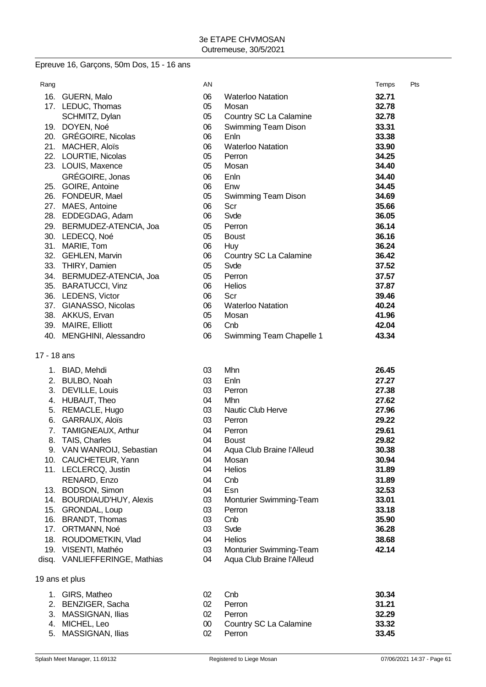# Epreuve 16, Garçons, 50m Dos, 15 - 16 ans

| Rang |                          | AN |                          | Temps | Pts |
|------|--------------------------|----|--------------------------|-------|-----|
| 16.  | GUERN, Malo              | 06 | <b>Waterloo Natation</b> | 32.71 |     |
|      | 17. LEDUC, Thomas        | 05 | Mosan                    | 32.78 |     |
|      | SCHMITZ, Dylan           | 05 | Country SC La Calamine   | 32.78 |     |
| 19.  | DOYEN, Noé               | 06 | Swimming Team Dison      | 33.31 |     |
| 20.  | <b>GRÉGOIRE, Nicolas</b> | 06 | Enln                     | 33.38 |     |
| 21.  | MACHER, Aloïs            | 06 | <b>Waterloo Natation</b> | 33.90 |     |
| 22.  | LOURTIE, Nicolas         | 05 | Perron                   | 34.25 |     |
| 23.  | LOUIS, Maxence           | 05 | Mosan                    | 34.40 |     |
|      | GRÉGOIRE, Jonas          | 06 | Enln                     | 34.40 |     |
| 25.  | GOIRE, Antoine           | 06 | Enw                      | 34.45 |     |
| 26.  | FONDEUR, Mael            | 05 | Swimming Team Dison      | 34.69 |     |
| 27.  | MAES, Antoine            | 06 | Scr                      | 35.66 |     |
| 28.  | EDDEGDAG, Adam           | 06 | Svde                     | 36.05 |     |
| 29.  | BERMUDEZ-ATENCIA, Joa    | 05 | Perron                   | 36.14 |     |
| 30.  | LEDECQ, Noé              | 05 | <b>Boust</b>             | 36.16 |     |
| 31.  | MARIE, Tom               | 06 | <b>Huy</b>               | 36.24 |     |
| 32.  | <b>GEHLEN, Marvin</b>    | 06 | Country SC La Calamine   | 36.42 |     |
| 33.  | THIRY, Damien            | 05 | Svde                     | 37.52 |     |
| 34.  | BERMUDEZ-ATENCIA, Joa    | 05 | Perron                   | 37.57 |     |
| 35.  | <b>BARATUCCI, Vinz</b>   | 06 | <b>Helios</b>            | 37.87 |     |
| 36.  | LEDENS, Victor           | 06 | Scr                      | 39.46 |     |
| 37.  | GIANASSO, Nicolas        | 06 | <b>Waterloo Natation</b> | 40.24 |     |
| 38.  | AKKUS, Ervan             | 05 | Mosan                    | 41.96 |     |
| 39.  | MAIRE, Elliott           | 06 | Cnb                      | 42.04 |     |
| 40.  | MENGHINI, Alessandro     | 06 | Swimming Team Chapelle 1 | 43.34 |     |
|      |                          |    |                          |       |     |

17 - 18 ans

| 1.  | BIAD, Mehdi                   | 03 | Mhn                       | 26.45 |
|-----|-------------------------------|----|---------------------------|-------|
| 2.  | BULBO, Noah                   | 03 | Enln                      | 27.27 |
| 3.  | DEVILLE, Louis                | 03 | Perron                    | 27.38 |
| 4.  | HUBAUT, Theo                  | 04 | Mhn                       | 27.62 |
| 5.  | REMACLE, Hugo                 | 03 | Nautic Club Herve         | 27.96 |
| 6.  | GARRAUX, Aloïs                | 03 | Perron                    | 29.22 |
| 7.  | <b>TAMIGNEAUX, Arthur</b>     | 04 | Perron                    | 29.61 |
| 8.  | TAIS, Charles                 | 04 | <b>Boust</b>              | 29.82 |
| 9.  | VAN WANROIJ, Sebastian        | 04 | Aqua Club Braine l'Alleud | 30.38 |
| 10. | CAUCHETEUR, Yann              | 04 | Mosan                     | 30.94 |
| 11. | LECLERCQ, Justin              | 04 | <b>Helios</b>             | 31.89 |
|     | RENARD, Enzo                  | 04 | Cnb                       | 31.89 |
| 13. | BODSON, Simon                 | 04 | Esn                       | 32.53 |
| 14. | <b>BOURDIAUD'HUY, Alexis</b>  | 03 | Monturier Swimming-Team   | 33.01 |
| 15. | <b>GRONDAL, Loup</b>          | 03 | Perron                    | 33.18 |
| 16. | <b>BRANDT, Thomas</b>         | 03 | Cnb                       | 35.90 |
| 17. | ORTMANN, Noé                  | 03 | Svde                      | 36.28 |
| 18. | ROUDOMETKIN, Vlad             | 04 | <b>Helios</b>             | 38.68 |
| 19. | VISENTI, Mathéo               | 03 | Monturier Swimming-Team   | 42.14 |
|     | disq. VANLIEFFERINGE, Mathias | 04 | Aqua Club Braine l'Alleud |       |

19 ans et plus

| 1. GIRS. Matheo     | 02 | Cnb                    | 30.34 |
|---------------------|----|------------------------|-------|
| 2. BENZIGER, Sacha  | 02 | Perron                 | 31.21 |
| 3. MASSIGNAN, Ilias | 02 | Perron                 | 32.29 |
| 4. MICHEL, Leo      | 00 | Country SC La Calamine | 33.32 |
| 5. MASSIGNAN, Ilias | 02 | Perron                 | 33.45 |
|                     |    |                        |       |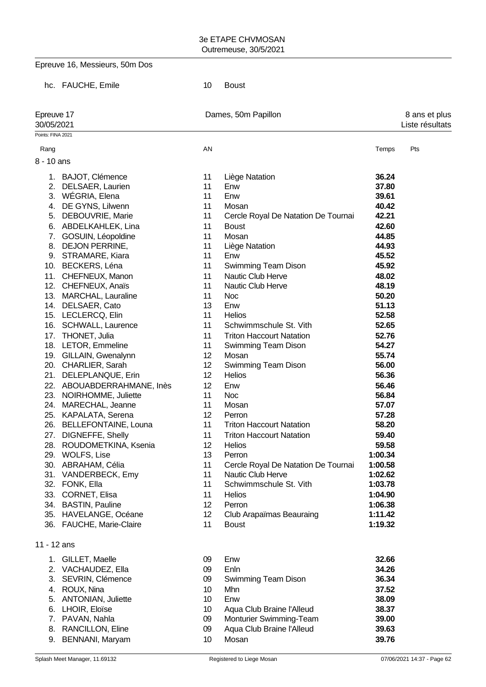Epreuve 16, Messieurs, 50m Dos

hc. FAUCHE, Emile 10 Boust

| Points: FINA 2021<br>AN<br>Temps<br>Pts<br>Rang<br>8 - 10 ans<br>1. BAJOT, Clémence<br>36.24<br>11<br>Liège Natation<br>2.<br>DELSAER, Laurien<br>11<br>37.80<br>Enw<br>WÉGRIA, Elena<br>3.<br>11<br>Enw<br>39.61<br>4. DE GYNS, Lilwenn<br>11<br>40.42<br>Mosan<br>Cercle Royal De Natation De Tournai<br>42.21<br>5.<br>DEBOUVRIE, Marie<br>11<br>42.60<br>6. ABDELKAHLEK, Lina<br>11<br><b>Boust</b><br>44.85<br>7. GOSUIN, Léopoldine<br>11<br>Mosan<br>8. DEJON PERRINE,<br>11<br>44.93<br>Liège Natation<br>45.52<br>9. STRAMARE, Kiara<br>11<br>Enw<br>10. BECKERS, Léna<br>11<br>45.92<br>Swimming Team Dison<br>Nautic Club Herve<br>11. CHEFNEUX, Manon<br>11<br>48.02<br>12. CHEFNEUX, Anaïs<br>48.19<br>11<br>Nautic Club Herve<br>13. MARCHAL, Lauraline<br>11<br>50.20<br><b>Noc</b><br>14. DELSAER, Cato<br>13<br>Enw<br>51.13<br>15. LECLERCQ, Elin<br>11<br><b>Helios</b><br>52.58<br>11<br>Schwimmschule St. Vith<br>52.65<br>16. SCHWALL, Laurence<br>THONET, Julia<br>11<br><b>Triton Haccourt Natation</b><br>52.76<br>17.<br>54.27<br>18. LETOR, Emmeline<br>11<br>Swimming Team Dison<br>12<br>19. GILLAIN, Gwenalynn<br>55.74<br>Mosan<br>12<br>20. CHARLIER, Sarah<br>56.00<br>Swimming Team Dison<br>12<br>56.36<br>21. DELEPLANQUE, Erin<br><b>Helios</b><br>22.<br>ABOUABDERRAHMANE, Inès<br>12<br>Enw<br>56.46<br>23. NOIRHOMME, Juliette<br>11<br><b>Noc</b><br>56.84<br>11<br>Mosan<br>57.07<br>24. MARECHAL, Jeanne<br>25. KAPALATA, Serena<br>12<br>57.28<br>Perron<br>26. BELLEFONTAINE, Louna<br>11<br><b>Triton Haccourt Natation</b><br>58.20<br><b>DIGNEFFE, Shelly</b><br>11<br><b>Triton Haccourt Natation</b><br>59.40<br>27.<br>28. ROUDOMETKINA, Ksenia<br>12<br>59.58<br><b>Helios</b><br><b>WOLFS, Lise</b><br>13<br>1:00.34<br>29.<br>Perron<br>11<br>1:00.58<br>30. ABRAHAM, Célia<br>Cercle Royal De Natation De Tournai<br>31. VANDERBECK, Emy<br>11<br>Nautic Club Herve<br>1:02.62<br>32. FONK, Ella<br>11<br>Schwimmschule St. Vith<br>1:03.78<br>33. CORNET, Elisa<br>11<br><b>Helios</b><br>1:04.90<br>1:06.38<br>34. BASTIN, Pauline<br>12 <sup>°</sup><br>Perron<br>35. HAVELANGE, Océane<br>12 <sup>°</sup><br>Club Arapaïmas Beauraing<br>1:11.42<br>36. FAUCHE, Marie-Claire<br>11<br><b>Boust</b><br>1:19.32<br>11 - 12 ans<br>32.66<br>1. GILLET, Maelle<br>09<br>Enw<br>34.26<br>2. VACHAUDEZ, Ella<br>09<br>Enln<br>36.34<br>3. SEVRIN, Clémence<br>09<br>Swimming Team Dison<br>37.52<br>4. ROUX, Nina<br>10 <sup>°</sup><br>Mhn<br>38.09<br>5. ANTONIAN, Juliette<br>10 <sup>°</sup><br>Enw<br>6. LHOIR, Eloïse<br>10 <sup>°</sup><br>Aqua Club Braine l'Alleud<br>38.37<br>7. PAVAN, Nahla<br>09<br>Monturier Swimming-Team<br>39.00<br>8. RANCILLON, Eline<br>09<br>Aqua Club Braine l'Alleud<br>39.63<br>9. BENNANI, Maryam<br>Mosan<br>39.76<br>10 | Epreuve 17<br>30/05/2021 |  | Dames, 50m Papillon |  |  |  |
|-------------------------------------------------------------------------------------------------------------------------------------------------------------------------------------------------------------------------------------------------------------------------------------------------------------------------------------------------------------------------------------------------------------------------------------------------------------------------------------------------------------------------------------------------------------------------------------------------------------------------------------------------------------------------------------------------------------------------------------------------------------------------------------------------------------------------------------------------------------------------------------------------------------------------------------------------------------------------------------------------------------------------------------------------------------------------------------------------------------------------------------------------------------------------------------------------------------------------------------------------------------------------------------------------------------------------------------------------------------------------------------------------------------------------------------------------------------------------------------------------------------------------------------------------------------------------------------------------------------------------------------------------------------------------------------------------------------------------------------------------------------------------------------------------------------------------------------------------------------------------------------------------------------------------------------------------------------------------------------------------------------------------------------------------------------------------------------------------------------------------------------------------------------------------------------------------------------------------------------------------------------------------------------------------------------------------------------------------------------------------------------------------------------------------------------------------------------------------------------------------------------------------------------------------------------------------------------------------------------------------------------------------------------------------------------------------------------------------------------------------------------------------------------------------------------------------|--------------------------|--|---------------------|--|--|--|
|                                                                                                                                                                                                                                                                                                                                                                                                                                                                                                                                                                                                                                                                                                                                                                                                                                                                                                                                                                                                                                                                                                                                                                                                                                                                                                                                                                                                                                                                                                                                                                                                                                                                                                                                                                                                                                                                                                                                                                                                                                                                                                                                                                                                                                                                                                                                                                                                                                                                                                                                                                                                                                                                                                                                                                                                                         |                          |  |                     |  |  |  |
|                                                                                                                                                                                                                                                                                                                                                                                                                                                                                                                                                                                                                                                                                                                                                                                                                                                                                                                                                                                                                                                                                                                                                                                                                                                                                                                                                                                                                                                                                                                                                                                                                                                                                                                                                                                                                                                                                                                                                                                                                                                                                                                                                                                                                                                                                                                                                                                                                                                                                                                                                                                                                                                                                                                                                                                                                         |                          |  |                     |  |  |  |
|                                                                                                                                                                                                                                                                                                                                                                                                                                                                                                                                                                                                                                                                                                                                                                                                                                                                                                                                                                                                                                                                                                                                                                                                                                                                                                                                                                                                                                                                                                                                                                                                                                                                                                                                                                                                                                                                                                                                                                                                                                                                                                                                                                                                                                                                                                                                                                                                                                                                                                                                                                                                                                                                                                                                                                                                                         |                          |  |                     |  |  |  |
|                                                                                                                                                                                                                                                                                                                                                                                                                                                                                                                                                                                                                                                                                                                                                                                                                                                                                                                                                                                                                                                                                                                                                                                                                                                                                                                                                                                                                                                                                                                                                                                                                                                                                                                                                                                                                                                                                                                                                                                                                                                                                                                                                                                                                                                                                                                                                                                                                                                                                                                                                                                                                                                                                                                                                                                                                         |                          |  |                     |  |  |  |
|                                                                                                                                                                                                                                                                                                                                                                                                                                                                                                                                                                                                                                                                                                                                                                                                                                                                                                                                                                                                                                                                                                                                                                                                                                                                                                                                                                                                                                                                                                                                                                                                                                                                                                                                                                                                                                                                                                                                                                                                                                                                                                                                                                                                                                                                                                                                                                                                                                                                                                                                                                                                                                                                                                                                                                                                                         |                          |  |                     |  |  |  |
|                                                                                                                                                                                                                                                                                                                                                                                                                                                                                                                                                                                                                                                                                                                                                                                                                                                                                                                                                                                                                                                                                                                                                                                                                                                                                                                                                                                                                                                                                                                                                                                                                                                                                                                                                                                                                                                                                                                                                                                                                                                                                                                                                                                                                                                                                                                                                                                                                                                                                                                                                                                                                                                                                                                                                                                                                         |                          |  |                     |  |  |  |
|                                                                                                                                                                                                                                                                                                                                                                                                                                                                                                                                                                                                                                                                                                                                                                                                                                                                                                                                                                                                                                                                                                                                                                                                                                                                                                                                                                                                                                                                                                                                                                                                                                                                                                                                                                                                                                                                                                                                                                                                                                                                                                                                                                                                                                                                                                                                                                                                                                                                                                                                                                                                                                                                                                                                                                                                                         |                          |  |                     |  |  |  |
|                                                                                                                                                                                                                                                                                                                                                                                                                                                                                                                                                                                                                                                                                                                                                                                                                                                                                                                                                                                                                                                                                                                                                                                                                                                                                                                                                                                                                                                                                                                                                                                                                                                                                                                                                                                                                                                                                                                                                                                                                                                                                                                                                                                                                                                                                                                                                                                                                                                                                                                                                                                                                                                                                                                                                                                                                         |                          |  |                     |  |  |  |
|                                                                                                                                                                                                                                                                                                                                                                                                                                                                                                                                                                                                                                                                                                                                                                                                                                                                                                                                                                                                                                                                                                                                                                                                                                                                                                                                                                                                                                                                                                                                                                                                                                                                                                                                                                                                                                                                                                                                                                                                                                                                                                                                                                                                                                                                                                                                                                                                                                                                                                                                                                                                                                                                                                                                                                                                                         |                          |  |                     |  |  |  |
|                                                                                                                                                                                                                                                                                                                                                                                                                                                                                                                                                                                                                                                                                                                                                                                                                                                                                                                                                                                                                                                                                                                                                                                                                                                                                                                                                                                                                                                                                                                                                                                                                                                                                                                                                                                                                                                                                                                                                                                                                                                                                                                                                                                                                                                                                                                                                                                                                                                                                                                                                                                                                                                                                                                                                                                                                         |                          |  |                     |  |  |  |
|                                                                                                                                                                                                                                                                                                                                                                                                                                                                                                                                                                                                                                                                                                                                                                                                                                                                                                                                                                                                                                                                                                                                                                                                                                                                                                                                                                                                                                                                                                                                                                                                                                                                                                                                                                                                                                                                                                                                                                                                                                                                                                                                                                                                                                                                                                                                                                                                                                                                                                                                                                                                                                                                                                                                                                                                                         |                          |  |                     |  |  |  |
|                                                                                                                                                                                                                                                                                                                                                                                                                                                                                                                                                                                                                                                                                                                                                                                                                                                                                                                                                                                                                                                                                                                                                                                                                                                                                                                                                                                                                                                                                                                                                                                                                                                                                                                                                                                                                                                                                                                                                                                                                                                                                                                                                                                                                                                                                                                                                                                                                                                                                                                                                                                                                                                                                                                                                                                                                         |                          |  |                     |  |  |  |
|                                                                                                                                                                                                                                                                                                                                                                                                                                                                                                                                                                                                                                                                                                                                                                                                                                                                                                                                                                                                                                                                                                                                                                                                                                                                                                                                                                                                                                                                                                                                                                                                                                                                                                                                                                                                                                                                                                                                                                                                                                                                                                                                                                                                                                                                                                                                                                                                                                                                                                                                                                                                                                                                                                                                                                                                                         |                          |  |                     |  |  |  |
|                                                                                                                                                                                                                                                                                                                                                                                                                                                                                                                                                                                                                                                                                                                                                                                                                                                                                                                                                                                                                                                                                                                                                                                                                                                                                                                                                                                                                                                                                                                                                                                                                                                                                                                                                                                                                                                                                                                                                                                                                                                                                                                                                                                                                                                                                                                                                                                                                                                                                                                                                                                                                                                                                                                                                                                                                         |                          |  |                     |  |  |  |
|                                                                                                                                                                                                                                                                                                                                                                                                                                                                                                                                                                                                                                                                                                                                                                                                                                                                                                                                                                                                                                                                                                                                                                                                                                                                                                                                                                                                                                                                                                                                                                                                                                                                                                                                                                                                                                                                                                                                                                                                                                                                                                                                                                                                                                                                                                                                                                                                                                                                                                                                                                                                                                                                                                                                                                                                                         |                          |  |                     |  |  |  |
|                                                                                                                                                                                                                                                                                                                                                                                                                                                                                                                                                                                                                                                                                                                                                                                                                                                                                                                                                                                                                                                                                                                                                                                                                                                                                                                                                                                                                                                                                                                                                                                                                                                                                                                                                                                                                                                                                                                                                                                                                                                                                                                                                                                                                                                                                                                                                                                                                                                                                                                                                                                                                                                                                                                                                                                                                         |                          |  |                     |  |  |  |
|                                                                                                                                                                                                                                                                                                                                                                                                                                                                                                                                                                                                                                                                                                                                                                                                                                                                                                                                                                                                                                                                                                                                                                                                                                                                                                                                                                                                                                                                                                                                                                                                                                                                                                                                                                                                                                                                                                                                                                                                                                                                                                                                                                                                                                                                                                                                                                                                                                                                                                                                                                                                                                                                                                                                                                                                                         |                          |  |                     |  |  |  |
|                                                                                                                                                                                                                                                                                                                                                                                                                                                                                                                                                                                                                                                                                                                                                                                                                                                                                                                                                                                                                                                                                                                                                                                                                                                                                                                                                                                                                                                                                                                                                                                                                                                                                                                                                                                                                                                                                                                                                                                                                                                                                                                                                                                                                                                                                                                                                                                                                                                                                                                                                                                                                                                                                                                                                                                                                         |                          |  |                     |  |  |  |
|                                                                                                                                                                                                                                                                                                                                                                                                                                                                                                                                                                                                                                                                                                                                                                                                                                                                                                                                                                                                                                                                                                                                                                                                                                                                                                                                                                                                                                                                                                                                                                                                                                                                                                                                                                                                                                                                                                                                                                                                                                                                                                                                                                                                                                                                                                                                                                                                                                                                                                                                                                                                                                                                                                                                                                                                                         |                          |  |                     |  |  |  |
|                                                                                                                                                                                                                                                                                                                                                                                                                                                                                                                                                                                                                                                                                                                                                                                                                                                                                                                                                                                                                                                                                                                                                                                                                                                                                                                                                                                                                                                                                                                                                                                                                                                                                                                                                                                                                                                                                                                                                                                                                                                                                                                                                                                                                                                                                                                                                                                                                                                                                                                                                                                                                                                                                                                                                                                                                         |                          |  |                     |  |  |  |
|                                                                                                                                                                                                                                                                                                                                                                                                                                                                                                                                                                                                                                                                                                                                                                                                                                                                                                                                                                                                                                                                                                                                                                                                                                                                                                                                                                                                                                                                                                                                                                                                                                                                                                                                                                                                                                                                                                                                                                                                                                                                                                                                                                                                                                                                                                                                                                                                                                                                                                                                                                                                                                                                                                                                                                                                                         |                          |  |                     |  |  |  |
|                                                                                                                                                                                                                                                                                                                                                                                                                                                                                                                                                                                                                                                                                                                                                                                                                                                                                                                                                                                                                                                                                                                                                                                                                                                                                                                                                                                                                                                                                                                                                                                                                                                                                                                                                                                                                                                                                                                                                                                                                                                                                                                                                                                                                                                                                                                                                                                                                                                                                                                                                                                                                                                                                                                                                                                                                         |                          |  |                     |  |  |  |
|                                                                                                                                                                                                                                                                                                                                                                                                                                                                                                                                                                                                                                                                                                                                                                                                                                                                                                                                                                                                                                                                                                                                                                                                                                                                                                                                                                                                                                                                                                                                                                                                                                                                                                                                                                                                                                                                                                                                                                                                                                                                                                                                                                                                                                                                                                                                                                                                                                                                                                                                                                                                                                                                                                                                                                                                                         |                          |  |                     |  |  |  |
|                                                                                                                                                                                                                                                                                                                                                                                                                                                                                                                                                                                                                                                                                                                                                                                                                                                                                                                                                                                                                                                                                                                                                                                                                                                                                                                                                                                                                                                                                                                                                                                                                                                                                                                                                                                                                                                                                                                                                                                                                                                                                                                                                                                                                                                                                                                                                                                                                                                                                                                                                                                                                                                                                                                                                                                                                         |                          |  |                     |  |  |  |
|                                                                                                                                                                                                                                                                                                                                                                                                                                                                                                                                                                                                                                                                                                                                                                                                                                                                                                                                                                                                                                                                                                                                                                                                                                                                                                                                                                                                                                                                                                                                                                                                                                                                                                                                                                                                                                                                                                                                                                                                                                                                                                                                                                                                                                                                                                                                                                                                                                                                                                                                                                                                                                                                                                                                                                                                                         |                          |  |                     |  |  |  |
|                                                                                                                                                                                                                                                                                                                                                                                                                                                                                                                                                                                                                                                                                                                                                                                                                                                                                                                                                                                                                                                                                                                                                                                                                                                                                                                                                                                                                                                                                                                                                                                                                                                                                                                                                                                                                                                                                                                                                                                                                                                                                                                                                                                                                                                                                                                                                                                                                                                                                                                                                                                                                                                                                                                                                                                                                         |                          |  |                     |  |  |  |
|                                                                                                                                                                                                                                                                                                                                                                                                                                                                                                                                                                                                                                                                                                                                                                                                                                                                                                                                                                                                                                                                                                                                                                                                                                                                                                                                                                                                                                                                                                                                                                                                                                                                                                                                                                                                                                                                                                                                                                                                                                                                                                                                                                                                                                                                                                                                                                                                                                                                                                                                                                                                                                                                                                                                                                                                                         |                          |  |                     |  |  |  |
|                                                                                                                                                                                                                                                                                                                                                                                                                                                                                                                                                                                                                                                                                                                                                                                                                                                                                                                                                                                                                                                                                                                                                                                                                                                                                                                                                                                                                                                                                                                                                                                                                                                                                                                                                                                                                                                                                                                                                                                                                                                                                                                                                                                                                                                                                                                                                                                                                                                                                                                                                                                                                                                                                                                                                                                                                         |                          |  |                     |  |  |  |
|                                                                                                                                                                                                                                                                                                                                                                                                                                                                                                                                                                                                                                                                                                                                                                                                                                                                                                                                                                                                                                                                                                                                                                                                                                                                                                                                                                                                                                                                                                                                                                                                                                                                                                                                                                                                                                                                                                                                                                                                                                                                                                                                                                                                                                                                                                                                                                                                                                                                                                                                                                                                                                                                                                                                                                                                                         |                          |  |                     |  |  |  |
|                                                                                                                                                                                                                                                                                                                                                                                                                                                                                                                                                                                                                                                                                                                                                                                                                                                                                                                                                                                                                                                                                                                                                                                                                                                                                                                                                                                                                                                                                                                                                                                                                                                                                                                                                                                                                                                                                                                                                                                                                                                                                                                                                                                                                                                                                                                                                                                                                                                                                                                                                                                                                                                                                                                                                                                                                         |                          |  |                     |  |  |  |
|                                                                                                                                                                                                                                                                                                                                                                                                                                                                                                                                                                                                                                                                                                                                                                                                                                                                                                                                                                                                                                                                                                                                                                                                                                                                                                                                                                                                                                                                                                                                                                                                                                                                                                                                                                                                                                                                                                                                                                                                                                                                                                                                                                                                                                                                                                                                                                                                                                                                                                                                                                                                                                                                                                                                                                                                                         |                          |  |                     |  |  |  |
|                                                                                                                                                                                                                                                                                                                                                                                                                                                                                                                                                                                                                                                                                                                                                                                                                                                                                                                                                                                                                                                                                                                                                                                                                                                                                                                                                                                                                                                                                                                                                                                                                                                                                                                                                                                                                                                                                                                                                                                                                                                                                                                                                                                                                                                                                                                                                                                                                                                                                                                                                                                                                                                                                                                                                                                                                         |                          |  |                     |  |  |  |
|                                                                                                                                                                                                                                                                                                                                                                                                                                                                                                                                                                                                                                                                                                                                                                                                                                                                                                                                                                                                                                                                                                                                                                                                                                                                                                                                                                                                                                                                                                                                                                                                                                                                                                                                                                                                                                                                                                                                                                                                                                                                                                                                                                                                                                                                                                                                                                                                                                                                                                                                                                                                                                                                                                                                                                                                                         |                          |  |                     |  |  |  |
|                                                                                                                                                                                                                                                                                                                                                                                                                                                                                                                                                                                                                                                                                                                                                                                                                                                                                                                                                                                                                                                                                                                                                                                                                                                                                                                                                                                                                                                                                                                                                                                                                                                                                                                                                                                                                                                                                                                                                                                                                                                                                                                                                                                                                                                                                                                                                                                                                                                                                                                                                                                                                                                                                                                                                                                                                         |                          |  |                     |  |  |  |
|                                                                                                                                                                                                                                                                                                                                                                                                                                                                                                                                                                                                                                                                                                                                                                                                                                                                                                                                                                                                                                                                                                                                                                                                                                                                                                                                                                                                                                                                                                                                                                                                                                                                                                                                                                                                                                                                                                                                                                                                                                                                                                                                                                                                                                                                                                                                                                                                                                                                                                                                                                                                                                                                                                                                                                                                                         |                          |  |                     |  |  |  |
|                                                                                                                                                                                                                                                                                                                                                                                                                                                                                                                                                                                                                                                                                                                                                                                                                                                                                                                                                                                                                                                                                                                                                                                                                                                                                                                                                                                                                                                                                                                                                                                                                                                                                                                                                                                                                                                                                                                                                                                                                                                                                                                                                                                                                                                                                                                                                                                                                                                                                                                                                                                                                                                                                                                                                                                                                         |                          |  |                     |  |  |  |
|                                                                                                                                                                                                                                                                                                                                                                                                                                                                                                                                                                                                                                                                                                                                                                                                                                                                                                                                                                                                                                                                                                                                                                                                                                                                                                                                                                                                                                                                                                                                                                                                                                                                                                                                                                                                                                                                                                                                                                                                                                                                                                                                                                                                                                                                                                                                                                                                                                                                                                                                                                                                                                                                                                                                                                                                                         |                          |  |                     |  |  |  |
|                                                                                                                                                                                                                                                                                                                                                                                                                                                                                                                                                                                                                                                                                                                                                                                                                                                                                                                                                                                                                                                                                                                                                                                                                                                                                                                                                                                                                                                                                                                                                                                                                                                                                                                                                                                                                                                                                                                                                                                                                                                                                                                                                                                                                                                                                                                                                                                                                                                                                                                                                                                                                                                                                                                                                                                                                         |                          |  |                     |  |  |  |
|                                                                                                                                                                                                                                                                                                                                                                                                                                                                                                                                                                                                                                                                                                                                                                                                                                                                                                                                                                                                                                                                                                                                                                                                                                                                                                                                                                                                                                                                                                                                                                                                                                                                                                                                                                                                                                                                                                                                                                                                                                                                                                                                                                                                                                                                                                                                                                                                                                                                                                                                                                                                                                                                                                                                                                                                                         |                          |  |                     |  |  |  |
|                                                                                                                                                                                                                                                                                                                                                                                                                                                                                                                                                                                                                                                                                                                                                                                                                                                                                                                                                                                                                                                                                                                                                                                                                                                                                                                                                                                                                                                                                                                                                                                                                                                                                                                                                                                                                                                                                                                                                                                                                                                                                                                                                                                                                                                                                                                                                                                                                                                                                                                                                                                                                                                                                                                                                                                                                         |                          |  |                     |  |  |  |
|                                                                                                                                                                                                                                                                                                                                                                                                                                                                                                                                                                                                                                                                                                                                                                                                                                                                                                                                                                                                                                                                                                                                                                                                                                                                                                                                                                                                                                                                                                                                                                                                                                                                                                                                                                                                                                                                                                                                                                                                                                                                                                                                                                                                                                                                                                                                                                                                                                                                                                                                                                                                                                                                                                                                                                                                                         |                          |  |                     |  |  |  |
|                                                                                                                                                                                                                                                                                                                                                                                                                                                                                                                                                                                                                                                                                                                                                                                                                                                                                                                                                                                                                                                                                                                                                                                                                                                                                                                                                                                                                                                                                                                                                                                                                                                                                                                                                                                                                                                                                                                                                                                                                                                                                                                                                                                                                                                                                                                                                                                                                                                                                                                                                                                                                                                                                                                                                                                                                         |                          |  |                     |  |  |  |
|                                                                                                                                                                                                                                                                                                                                                                                                                                                                                                                                                                                                                                                                                                                                                                                                                                                                                                                                                                                                                                                                                                                                                                                                                                                                                                                                                                                                                                                                                                                                                                                                                                                                                                                                                                                                                                                                                                                                                                                                                                                                                                                                                                                                                                                                                                                                                                                                                                                                                                                                                                                                                                                                                                                                                                                                                         |                          |  |                     |  |  |  |
|                                                                                                                                                                                                                                                                                                                                                                                                                                                                                                                                                                                                                                                                                                                                                                                                                                                                                                                                                                                                                                                                                                                                                                                                                                                                                                                                                                                                                                                                                                                                                                                                                                                                                                                                                                                                                                                                                                                                                                                                                                                                                                                                                                                                                                                                                                                                                                                                                                                                                                                                                                                                                                                                                                                                                                                                                         |                          |  |                     |  |  |  |
|                                                                                                                                                                                                                                                                                                                                                                                                                                                                                                                                                                                                                                                                                                                                                                                                                                                                                                                                                                                                                                                                                                                                                                                                                                                                                                                                                                                                                                                                                                                                                                                                                                                                                                                                                                                                                                                                                                                                                                                                                                                                                                                                                                                                                                                                                                                                                                                                                                                                                                                                                                                                                                                                                                                                                                                                                         |                          |  |                     |  |  |  |
|                                                                                                                                                                                                                                                                                                                                                                                                                                                                                                                                                                                                                                                                                                                                                                                                                                                                                                                                                                                                                                                                                                                                                                                                                                                                                                                                                                                                                                                                                                                                                                                                                                                                                                                                                                                                                                                                                                                                                                                                                                                                                                                                                                                                                                                                                                                                                                                                                                                                                                                                                                                                                                                                                                                                                                                                                         |                          |  |                     |  |  |  |
|                                                                                                                                                                                                                                                                                                                                                                                                                                                                                                                                                                                                                                                                                                                                                                                                                                                                                                                                                                                                                                                                                                                                                                                                                                                                                                                                                                                                                                                                                                                                                                                                                                                                                                                                                                                                                                                                                                                                                                                                                                                                                                                                                                                                                                                                                                                                                                                                                                                                                                                                                                                                                                                                                                                                                                                                                         |                          |  |                     |  |  |  |
|                                                                                                                                                                                                                                                                                                                                                                                                                                                                                                                                                                                                                                                                                                                                                                                                                                                                                                                                                                                                                                                                                                                                                                                                                                                                                                                                                                                                                                                                                                                                                                                                                                                                                                                                                                                                                                                                                                                                                                                                                                                                                                                                                                                                                                                                                                                                                                                                                                                                                                                                                                                                                                                                                                                                                                                                                         |                          |  |                     |  |  |  |
|                                                                                                                                                                                                                                                                                                                                                                                                                                                                                                                                                                                                                                                                                                                                                                                                                                                                                                                                                                                                                                                                                                                                                                                                                                                                                                                                                                                                                                                                                                                                                                                                                                                                                                                                                                                                                                                                                                                                                                                                                                                                                                                                                                                                                                                                                                                                                                                                                                                                                                                                                                                                                                                                                                                                                                                                                         |                          |  |                     |  |  |  |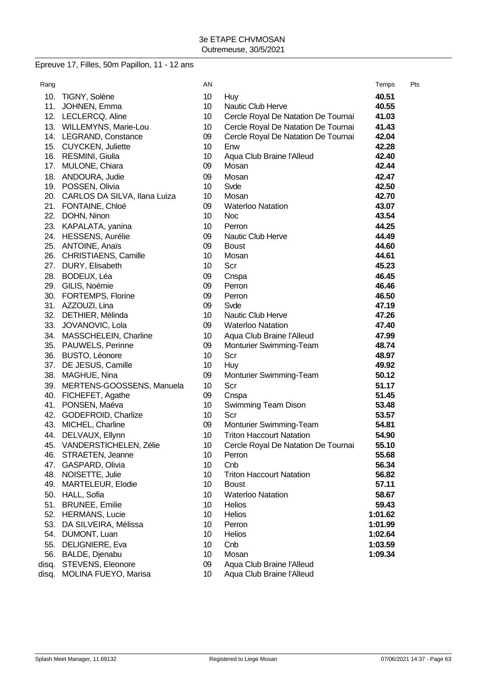# Epreuve 17, Filles, 50m Papillon, 11 - 12 ans

| Rang  |                                             | AN              |                                     | Temps          | Pts |
|-------|---------------------------------------------|-----------------|-------------------------------------|----------------|-----|
|       | 10. TIGNY, Solène                           | 10 <sup>°</sup> | Huy                                 | 40.51          |     |
|       | 11. JOHNEN, Emma                            | 10 <sup>°</sup> | Nautic Club Herve                   | 40.55          |     |
|       | 12. LECLERCQ, Aline                         | 10 <sup>°</sup> | Cercle Royal De Natation De Tournai | 41.03          |     |
|       | 13. WILLEMYNS, Marie-Lou                    | 10 <sup>°</sup> | Cercle Royal De Natation De Tournai | 41.43          |     |
|       | 14. LEGRAND, Constance                      | 09              | Cercle Royal De Natation De Tournai | 42.04          |     |
|       | 15. CUYCKEN, Juliette                       | 10 <sup>°</sup> | Enw                                 | 42.28          |     |
|       | 16. RESMINI, Giulia                         | 10 <sup>°</sup> | Aqua Club Braine l'Alleud           | 42.40          |     |
|       | 17. MULONE, Chiara                          | 09              | Mosan                               | 42.44          |     |
|       | 18. ANDOURA, Judie                          | 09              | Mosan                               | 42.47          |     |
|       | 19. POSSEN, Olivia                          | 10              | Svde                                | 42.50          |     |
|       | 20. CARLOS DA SILVA, Ilana Luiza            | 10 <sup>°</sup> | Mosan                               | 42.70          |     |
|       | 21. FONTAINE, Chloé                         | 09              | <b>Waterloo Natation</b>            | 43.07          |     |
|       | 22. DOHN, Ninon                             | 10 <sup>°</sup> | <b>Noc</b>                          | 43.54          |     |
|       | 23. KAPALATA, yanina                        | 10 <sup>°</sup> | Perron                              | 44.25          |     |
|       | 24. HESSENS, Aurélie                        | 09              | Nautic Club Herve                   | 44.49          |     |
|       | 25. ANTOINE, Anaïs                          | 09              | <b>Boust</b>                        | 44.60          |     |
|       | 26. CHRISTIAENS, Camille                    | 10              | Mosan                               | 44.61          |     |
|       | 27. DURY, Elisabeth                         | 10 <sup>°</sup> | Scr                                 | 45.23          |     |
|       | 28. BODEUX, Léa                             | 09              | Cnspa                               | 46.45          |     |
|       | 29. GILIS, Noémie                           | 09              | Perron                              | 46.46          |     |
|       | 30. FORTEMPS, Florine                       | 09              | Perron                              | 46.50          |     |
|       | 31. AZZOUZI, Lina                           | 09              | Svde                                | 47.19          |     |
|       | 32. DETHIER, Mélinda                        | 10              | Nautic Club Herve                   | 47.26          |     |
|       | 33. JOVANOVIC, Lola                         | 09              | <b>Waterloo Natation</b>            | 47.40          |     |
| 34.   | MASSCHELEIN, Charline                       | 10              | Aqua Club Braine l'Alleud           | 47.99          |     |
|       | 35. PAUWELS, Perinne                        | 09              | Monturier Swimming-Team             | 48.74          |     |
|       | 36. BUSTO, Léonore                          | 10              | Scr                                 | 48.97          |     |
|       | 37. DE JESUS, Camille                       | 10              | Huy                                 | 49.92          |     |
| 38.   | MAGHUE, Nina                                | 09              | Monturier Swimming-Team             | 50.12          |     |
|       | 39. MERTENS-GOOSSENS, Manuela               | 10 <sup>°</sup> | Scr                                 | 51.17          |     |
|       | 40. FICHEFET, Agathe                        | 09              | Cnspa                               | 51.45          |     |
| 41.   | PONSEN, Maéva                               | 10 <sup>°</sup> | Swimming Team Dison                 | 53.48          |     |
|       | 42. GODEFROID, Charlize                     | 10 <sup>°</sup> | Scr                                 | 53.57          |     |
|       | 43. MICHEL, Charline                        | 09              | Monturier Swimming-Team             | 54.81          |     |
| 44.   | DELVAUX, Ellynn                             | 10              | <b>Triton Haccourt Natation</b>     | 54.90          |     |
|       | 45. VANDERSTICHELEN, Zélie                  | 10 <sup>°</sup> | Cercle Royal De Natation De Tournai | 55.10<br>55.68 |     |
|       | 46. STRAETEN, Jeanne<br>47. GASPARD, Olivia | 10<br>10        | Perron<br>Cnb                       | 56.34          |     |
|       | 48. NOISETTE, Julie                         | 10              | <b>Triton Haccourt Natation</b>     | 56.82          |     |
|       | 49. MARTELEUR, Elodie                       | 10              | <b>Boust</b>                        | 57.11          |     |
|       | 50. HALL, Sofia                             | 10 <sup>°</sup> | <b>Waterloo Natation</b>            | 58.67          |     |
|       | 51. BRUNEE, Emilie                          | 10 <sup>°</sup> | <b>Helios</b>                       | 59.43          |     |
|       | 52. HERMANS, Lucie                          | 10              | Helios                              | 1:01.62        |     |
| 53.   | DA SILVEIRA, Mélissa                        | 10              | Perron                              | 1:01.99        |     |
|       | 54. DUMONT, Luan                            | 10              | Helios                              | 1:02.64        |     |
|       | 55. DELIGNIERE, Eva                         | 10              | Cnb                                 | 1:03.59        |     |
|       | 56. BALDE, Djenabu                          | 10 <sup>°</sup> | Mosan                               | 1:09.34        |     |
| disq. | STEVENS, Eleonore                           | 09              | Aqua Club Braine l'Alleud           |                |     |
| disq. | MOLINA FUEYO, Marisa                        | 10 <sup>°</sup> | Aqua Club Braine l'Alleud           |                |     |
|       |                                             |                 |                                     |                |     |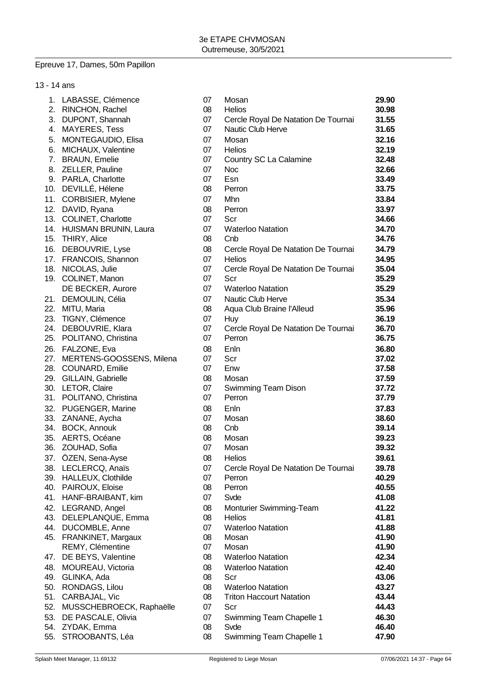# Epreuve 17, Dames, 50m Papillon

| 13 - 14 ans |                              |    |                                     |       |
|-------------|------------------------------|----|-------------------------------------|-------|
|             | 1. LABASSE, Clémence         | 07 | Mosan                               | 29.90 |
|             | 2. RINCHON, Rachel           | 08 | <b>Helios</b>                       | 30.98 |
|             | 3. DUPONT, Shannah           | 07 | Cercle Royal De Natation De Tournai | 31.55 |
|             | 4. MAYERES, Tess             | 07 | Nautic Club Herve                   | 31.65 |
| 5.          | MONTEGAUDIO, Elisa           | 07 | Mosan                               | 32.16 |
|             | 6. MICHAUX, Valentine        | 07 | <b>Helios</b>                       | 32.19 |
|             | 7. BRAUN, Emelie             | 07 | Country SC La Calamine              | 32.48 |
|             | 8. ZELLER, Pauline           | 07 | <b>Noc</b>                          | 32.66 |
|             | 9. PARLA, Charlotte          | 07 | Esn                                 | 33.49 |
|             | 10. DEVILLÉ, Hélene          | 08 | Perron                              | 33.75 |
|             | 11. CORBISIER, Mylene        | 07 | Mhn                                 | 33.84 |
|             | 12. DAVID, Ryana             | 08 | Perron                              | 33.97 |
|             | 13. COLINET, Charlotte       | 07 | Scr                                 | 34.66 |
|             | 14. HUISMAN BRUNIN, Laura    | 07 | <b>Waterloo Natation</b>            | 34.70 |
|             | 15. THIRY, Alice             | 08 | Cnb                                 | 34.76 |
|             | 16. DEBOUVRIE, Lyse          | 08 | Cercle Royal De Natation De Tournai | 34.79 |
|             | 17. FRANCOIS, Shannon        | 07 | <b>Helios</b>                       | 34.95 |
|             | 18. NICOLAS, Julie           | 07 | Cercle Royal De Natation De Tournai | 35.04 |
|             | 19. COLINET, Manon           | 07 | Scr                                 | 35.29 |
|             | DE BECKER, Aurore            | 07 | <b>Waterloo Natation</b>            | 35.29 |
|             | 21. DEMOULIN, Célia          | 07 | Nautic Club Herve                   | 35.34 |
|             | 22. MITU, Maria              | 08 | Aqua Club Braine l'Alleud           | 35.96 |
|             | 23. TIGNY, Clémence          | 07 | Huy                                 | 36.19 |
|             | 24. DEBOUVRIE, Klara         | 07 | Cercle Royal De Natation De Tournai | 36.70 |
|             | 25. POLITANO, Christina      | 07 | Perron                              | 36.75 |
|             | 26. FALZONE, Eva             | 08 | Enln                                | 36.80 |
|             | 27. MERTENS-GOOSSENS, Milena | 07 | Scr                                 | 37.02 |
|             | 28. COUNARD, Emilie          | 07 | Enw                                 | 37.58 |
|             | 29. GILLAIN, Gabrielle       | 08 | Mosan                               | 37.59 |
|             | 30. LETOR, Claire            | 07 | Swimming Team Dison                 | 37.72 |
|             | 31. POLITANO, Christina      | 07 | Perron                              | 37.79 |
| 32.         | PUGENGER, Marine             | 08 | Enln                                | 37.83 |
|             | 33. ZANANE, Aycha            | 07 | Mosan                               | 38.60 |
|             | 34. BOCK, Annouk             | 08 | Cnb                                 | 39.14 |
|             | 35. AERTS, Océane            | 08 | Mosan                               | 39.23 |
|             | 36. ZOUHAD, Sofia            | 07 | Mosan                               | 39.32 |
|             | 37. ÖZEN, Sena-Ayse          | 08 | Helios                              | 39.61 |
|             | 38. LECLERCQ, Anaïs          | 07 | Cercle Royal De Natation De Tournai | 39.78 |
|             | 39. HALLEUX, Clothilde       | 07 | Perron                              | 40.29 |
| 40.         | PAIROUX, Eloise              | 08 | Perron                              | 40.55 |
|             | 41. HANF-BRAIBANT, kim       | 07 | Svde                                | 41.08 |
|             | 42. LEGRAND, Angel           | 08 | Monturier Swimming-Team             | 41.22 |
|             | 43. DELEPLANQUE, Emma        | 08 | <b>Helios</b>                       | 41.81 |
| 44.         | DUCOMBLE, Anne               | 07 | <b>Waterloo Natation</b>            | 41.88 |
| 45.         | FRANKINET, Margaux           | 08 | Mosan                               | 41.90 |
|             | REMY, Clémentine             | 07 | Mosan                               | 41.90 |
| 47.         | DE BEYS, Valentine           | 08 | <b>Waterloo Natation</b>            | 42.34 |
| 48.         | MOUREAU, Victoria            | 08 | <b>Waterloo Natation</b>            | 42.40 |
| 49.         | GLINKA, Ada                  | 08 | Scr                                 | 43.06 |
| 50.         | RONDAGS, Lilou               | 08 | <b>Waterloo Natation</b>            | 43.27 |
| 51.         | CARBAJAL, Vic                | 08 | <b>Triton Haccourt Natation</b>     | 43.44 |
| 52.         | MUSSCHEBROECK, Raphaëlle     | 07 | Scr                                 | 44.43 |
| 53.         | DE PASCALE, Olivia           | 07 | Swimming Team Chapelle 1            | 46.30 |
|             | 54. ZYDAK, Emma              | 08 | Svde                                | 46.40 |
| 55.         | STROOBANTS, Léa              | 08 | Swimming Team Chapelle 1            | 47.90 |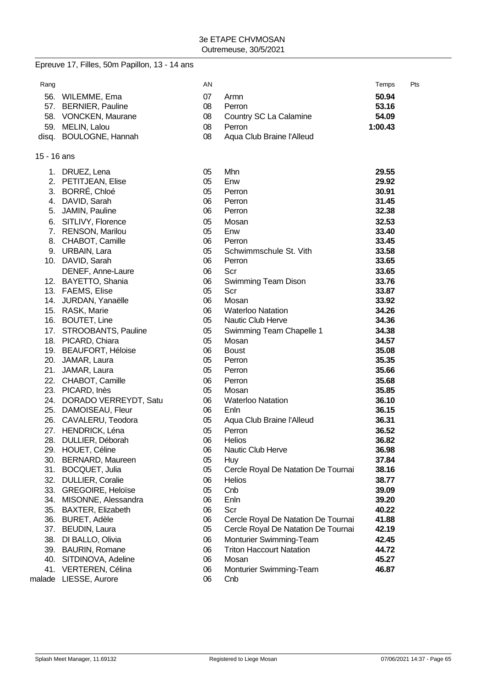## Epreuve 17, Filles, 50m Papillon, 13 - 14 ans

15 - 16 ans

| 1. | DRUEZ, Lena               | 05 | Mhn                                 | 29.55 |
|----|---------------------------|----|-------------------------------------|-------|
|    | 2. PETITJEAN, Elise       | 05 | Enw                                 | 29.92 |
|    | 3. BORRÉ, Chloé           | 05 | Perron                              | 30.91 |
|    | 4. DAVID, Sarah           | 06 | Perron                              | 31.45 |
|    | 5. JAMIN, Pauline         | 06 | Perron                              | 32.38 |
|    | 6. SITLIVY, Florence      | 05 | Mosan                               | 32.53 |
|    | 7. RENSON, Marilou        | 05 | Enw                                 | 33.40 |
| 8. | CHABOT, Camille           | 06 | Perron                              | 33.45 |
|    | 9. URBAIN, Lara           | 05 | Schwimmschule St. Vith              | 33.58 |
|    | 10. DAVID, Sarah          | 06 | Perron                              | 33.65 |
|    | DENEF, Anne-Laure         | 06 | Scr                                 | 33.65 |
|    | 12. BAYETTO, Shania       | 06 | Swimming Team Dison                 | 33.76 |
|    | 13. FAEMS, Elise          | 05 | Scr                                 | 33.87 |
|    | 14. JURDAN, Yanaëlle      | 06 | Mosan                               | 33.92 |
|    | 15. RASK, Marie           | 06 | <b>Waterloo Natation</b>            | 34.26 |
|    | 16. BOUTET, Line          | 05 | Nautic Club Herve                   | 34.36 |
|    | 17. STROOBANTS, Pauline   | 05 | Swimming Team Chapelle 1            | 34.38 |
|    | 18. PICARD, Chiara        | 05 | Mosan                               | 34.57 |
|    | 19. BEAUFORT, Héloise     | 06 | <b>Boust</b>                        | 35.08 |
|    | 20. JAMAR, Laura          | 05 | Perron                              | 35.35 |
|    | 21. JAMAR, Laura          | 05 | Perron                              | 35.66 |
|    | 22. CHABOT, Camille       | 06 | Perron                              | 35.68 |
|    | 23. PICARD, Inès          | 05 | Mosan                               | 35.85 |
|    | 24. DORADO VERREYDT, Satu | 06 | <b>Waterloo Natation</b>            | 36.10 |
|    | 25. DAMOISEAU, Fleur      | 06 | Enln                                | 36.15 |
|    | 26. CAVALERU, Teodora     | 05 | Aqua Club Braine l'Alleud           | 36.31 |
|    | 27. HENDRICK, Léna        | 05 | Perron                              | 36.52 |
|    | 28. DULLIER, Déborah      | 06 | <b>Helios</b>                       | 36.82 |
|    | 29. HOUET, Céline         | 06 | Nautic Club Herve                   | 36.98 |
|    | 30. BERNARD, Maureen      | 05 | Huy                                 | 37.84 |
|    | 31. BOCQUET, Julia        | 05 | Cercle Royal De Natation De Tournai | 38.16 |
|    | 32. DULLIER, Coralie      | 06 | <b>Helios</b>                       | 38.77 |
|    | 33. GREGOIRE, Heloïse     | 05 | Cnb                                 | 39.09 |
|    | 34. MISONNE, Alessandra   | 06 | Enln                                | 39.20 |
|    | 35. BAXTER, Elizabeth     | 06 | Scr                                 | 40.22 |
|    | 36. BURET, Adèle          | 06 | Cercle Royal De Natation De Tournai | 41.88 |
|    | 37. BEUDIN, Laura         | 05 | Cercle Royal De Natation De Tournai | 42.19 |
|    | 38. DI BALLO, Olivia      | 06 | Monturier Swimming-Team             | 42.45 |
|    | 39. BAURIN, Romane        | 06 | <b>Triton Haccourt Natation</b>     | 44.72 |
|    | 40. SITDINOVA, Adeline    | 06 | Mosan                               | 45.27 |
|    | 41. VERTEREN, Célina      | 06 | Monturier Swimming-Team             | 46.87 |
|    | malade LIESSE, Aurore     | 06 | Cnb                                 |       |
|    |                           |    |                                     |       |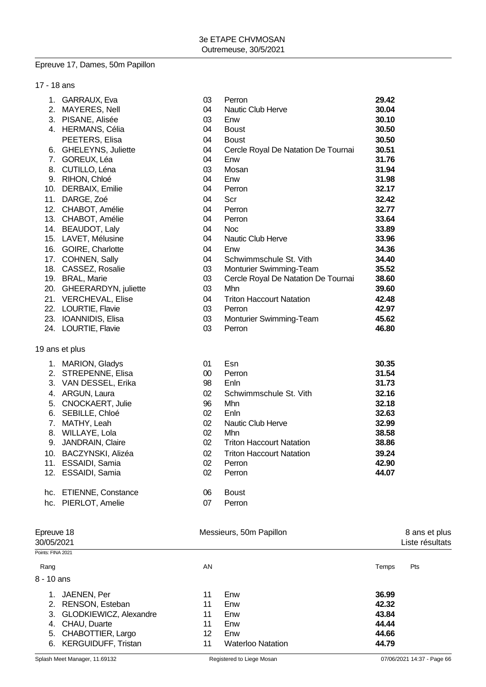#### Epreuve 17, Dames, 50m Papillon

| 17 - 18 ans |                       |    |                                     |       |
|-------------|-----------------------|----|-------------------------------------|-------|
| 1.          | GARRAUX, Eva          | 03 | Perron                              | 29.42 |
| 2.          | MAYERES, Nell         | 04 | Nautic Club Herve                   | 30.04 |
| 3.          | PISANE, Alisée        | 03 | Enw                                 | 30.10 |
| 4.          | <b>HERMANS, Célia</b> | 04 | <b>Boust</b>                        | 30.50 |
|             | PEETERS, Elisa        | 04 | <b>Boust</b>                        | 30.50 |
| 6.          | GHELEYNS, Juliette    | 04 | Cercle Royal De Natation De Tournai | 30.51 |
| 7.          | GOREUX, Léa           | 04 | Enw                                 | 31.76 |
| 8.          | CUTILLO, Léna         | 03 | Mosan                               | 31.94 |
| 9.          | RIHON, Chloé          | 04 | Enw                                 | 31.98 |
| 10.         | DERBAIX, Emilie       | 04 | Perron                              | 32.17 |
| 11.         | DARGE, Zoé            | 04 | Scr                                 | 32.42 |
| 12.         | CHABOT, Amélie        | 04 | Perron                              | 32.77 |
| 13.         | CHABOT, Amélie        | 04 | Perron                              | 33.64 |
| 14.         | <b>BEAUDOT, Laly</b>  | 04 | <b>Noc</b>                          | 33.89 |
|             | 15. LAVET, Mélusine   | 04 | Nautic Club Herve                   | 33.96 |
| 16.         | GOIRE, Charlotte      | 04 | Enw                                 | 34.36 |
| 17.         | <b>COHNEN, Sally</b>  | 04 | Schwimmschule St. Vith              | 34.40 |
| 18.         | CASSEZ, Rosalie       | 03 | Monturier Swimming-Team             | 35.52 |
| 19.         | <b>BRAL, Marie</b>    | 03 | Cercle Royal De Natation De Tournai | 38.60 |
| 20.         | GHEERARDYN, juliette  | 03 | Mhn                                 | 39.60 |
|             | 21. VERCHEVAL, Elise  | 04 | <b>Triton Haccourt Natation</b>     | 42.48 |
| 22.         | LOURTIE, Flavie       | 03 | Perron                              | 42.97 |
| 23.         | IOANNIDIS, Elisa      | 03 | Monturier Swimming-Team             | 45.62 |
| 24.         | LOURTIE, Flavie       | 03 | Perron                              | 46.80 |

## 1. MARION, Gladys 01 Esn **30.35** 2. STREPENNE, Elisa 00 Perron **31.54** 3. VAN DESSEL, Erika 98 Enln **31.73** 4. ARGUN, Laura 02 Schwimmschule St. Vith **32.16** 5. CNOCKAERT, Julie 96 Mhn **32.18** 6. SEBILLE, Chloé 02 Enln **32.63** 7. MATHY, Leah 02 Nautic Club Herve **32.99** 8. WILLAYE, Lola 02 Mhn **38.58** 9. JANDRAIN, Claire 02 Triton Haccourt Natation **38.86** 10. BACZYNSKI, Alizéa 02 Triton Haccourt Natation **39.24** 11. ESSAIDI, Samia 02 Perron **42.90** 12. ESSAIDI, Samia 02 Perron **44.07**

| hc. ETIENNE, Constance | 06 Boust  |
|------------------------|-----------|
| hc. PIERLOT, Amelie    | 07 Perror |

19 ans et plus

| Epreuve 18<br>30/05/2021   |    |                          |                         | 8 ans et plus<br>Liste résultats |
|----------------------------|----|--------------------------|-------------------------|----------------------------------|
| Points: FINA 2021          |    |                          |                         |                                  |
|                            | AN |                          | Temps                   | Pts                              |
| 8 - 10 ans                 |    |                          |                         |                                  |
| JAENEN, Per                | 11 | Enw                      | 36.99                   |                                  |
| RENSON, Esteban<br>2.      | 11 | Enw                      | 42.32                   |                                  |
| 3. GLODKIEWICZ, Alexandre  | 11 | Enw                      | 43.84                   |                                  |
| CHAU, Duarte<br>4.         | 11 | Enw                      | 44.44                   |                                  |
| 5. CHABOTTIER, Largo       | 12 | Enw                      | 44.66                   |                                  |
| <b>KERGUIDUFF, Tristan</b> | 11 | <b>Waterloo Natation</b> | 44.79                   |                                  |
|                            |    |                          | Messieurs, 50m Papillon |                                  |

07 Perron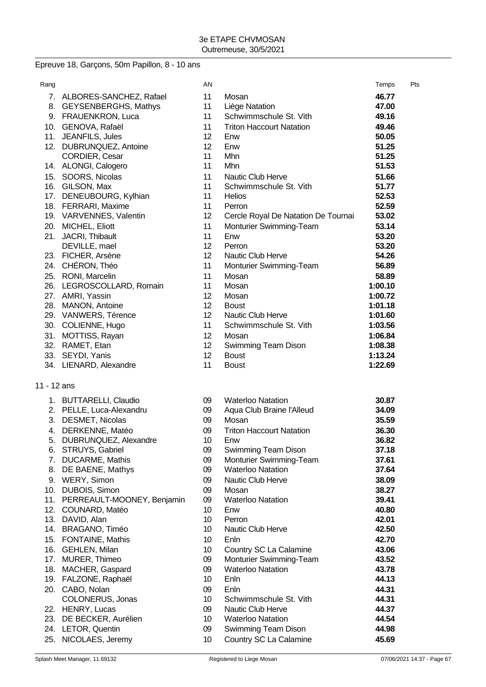# Epreuve 18, Garçons, 50m Papillon, 8 - 10 ans

| Rang        |                            | AN |                                     | Temps   | Pts |
|-------------|----------------------------|----|-------------------------------------|---------|-----|
|             | 7. ALBORES-SANCHEZ, Rafael | 11 | Mosan                               | 46.77   |     |
|             | 8. GEYSENBERGHS, Mathys    | 11 | Liège Natation                      | 47.00   |     |
|             | 9. FRAUENKRON, Luca        | 11 | Schwimmschule St. Vith              | 49.16   |     |
|             | 10. GENOVA, Rafaël         | 11 | <b>Triton Haccourt Natation</b>     | 49.46   |     |
|             | 11. JEANFILS, Jules        | 12 | Enw                                 | 50.05   |     |
|             | 12. DUBRUNQUEZ, Antoine    | 12 | Enw                                 | 51.25   |     |
|             | <b>CORDIER, Cesar</b>      | 11 | Mhn                                 | 51.25   |     |
|             | 14. ALONGI, Calogero       | 11 | Mhn                                 | 51.53   |     |
|             | 15. SOORS, Nicolas         | 11 | <b>Nautic Club Herve</b>            | 51.66   |     |
|             | 16. GILSON, Max            | 11 | Schwimmschule St. Vith              | 51.77   |     |
|             | 17. DENEUBOURG, Kylhian    | 11 | <b>Helios</b>                       | 52.53   |     |
|             | 18. FERRARI, Maxime        | 11 | Perron                              | 52.59   |     |
|             | 19. VARVENNES, Valentin    | 12 | Cercle Royal De Natation De Tournai | 53.02   |     |
|             | 20. MICHEL, Eliott         | 11 | Monturier Swimming-Team             | 53.14   |     |
|             | 21. JACRI, Thibault        | 11 | Enw                                 | 53.20   |     |
|             | DEVILLE, mael              | 12 | Perron                              | 53.20   |     |
|             | 23. FICHER, Arsène         | 12 | Nautic Club Herve                   | 54.26   |     |
|             | 24. CHÉRON, Théo           | 11 | Monturier Swimming-Team             | 56.89   |     |
|             | 25. RONI, Marcelin         | 11 | Mosan                               | 58.89   |     |
|             | 26. LEGROSCOLLARD, Romain  | 11 | Mosan                               | 1:00.10 |     |
|             | 27. AMRI, Yassin           | 12 | Mosan                               | 1:00.72 |     |
|             | 28. MANON, Antoine         | 12 | <b>Boust</b>                        | 1:01.18 |     |
|             | 29. VANWERS, Térence       | 12 | Nautic Club Herve                   | 1:01.60 |     |
|             | 30. COLIENNE, Hugo         | 11 | Schwimmschule St. Vith              | 1:03.56 |     |
|             | 31. MOTTISS, Rayan         | 12 | Mosan                               | 1:06.84 |     |
|             | 32. RAMET, Etan            | 12 | Swimming Team Dison                 | 1:08.38 |     |
|             | 33. SEYDI, Yanis           | 12 | <b>Boust</b>                        | 1:13.24 |     |
|             | 34. LIENARD, Alexandre     | 11 | <b>Boust</b>                        | 1:22.69 |     |
| 11 - 12 ans |                            |    |                                     |         |     |
|             | 1. BUTTARELLI, Claudio     | 09 | <b>Waterloo Natation</b>            | 30.87   |     |
|             | 2. PELLE, Luca-Alexandru   | 09 | Aqua Club Braine l'Alleud           | 34.09   |     |
|             | 3. DESMET, Nicolas         | 09 | Mosan                               | 35.59   |     |
|             | 4. DERKENNE, Matéo         | 09 | <b>Triton Haccourt Natation</b>     | 36.30   |     |
| 5.          | DUBRUNQUEZ, Alexandre      | 10 | Enw                                 | 36.82   |     |
| 6.          | STRUYS, Gabriel            | 09 | Swimming Team Dison                 | 37.18   |     |
|             | 7. DUCARME, Mathis         | 09 | Monturier Swimming-Team             | 37.61   |     |
| 8.          | DE BAENE, Mathys           | 09 | <b>Waterloo Natation</b>            | 37.64   |     |
|             | 9. WERY, Simon             | 09 | <b>Nautic Club Herve</b>            | 38.09   |     |
|             | 10. DUBOIS, Simon          | 09 | Mosan                               | 38.27   |     |
| 11.         | PERREAULT-MOONEY, Benjamin | 09 | <b>Waterloo Natation</b>            | 39.41   |     |
| 12.         | COUNARD, Matéo             | 10 | Enw                                 | 40.80   |     |
| 13.         | DAVID, Alan                | 10 | Perron                              | 42.01   |     |
|             | 14. BRAGANO, Timéo         | 10 | Nautic Club Herve                   | 42.50   |     |
| 15.         | FONTAINE, Mathis           | 10 | Enln                                | 42.70   |     |
| 16.         | GEHLEN, Milan              | 10 | Country SC La Calamine              | 43.06   |     |
| 17.         | MURER, Thimeo              | 09 | Monturier Swimming-Team             | 43.52   |     |
| 18.         | MACHER, Gaspard            | 09 | <b>Waterloo Natation</b>            | 43.78   |     |
| 19.         | FALZONE, Raphaël           | 10 | Enln                                | 44.13   |     |
|             | 20. CABO, Nolan            | 09 | Enln                                | 44.31   |     |
|             | COLONERUS, Jonas           | 10 | Schwimmschule St. Vith              | 44.31   |     |
|             | 22. HENRY, Lucas           | 09 | Nautic Club Herve                   | 44.37   |     |
| 23.         | DE BECKER, Aurélien        | 10 | <b>Waterloo Natation</b>            | 44.54   |     |
| 24.         | LETOR, Quentin             | 09 | <b>Swimming Team Dison</b>          | 44.98   |     |
| 25.         | NICOLAES, Jeremy           | 10 | Country SC La Calamine              | 45.69   |     |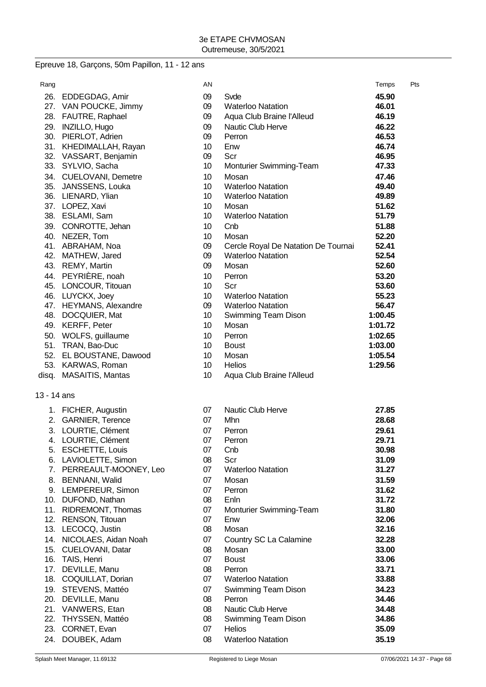# Epreuve 18, Garçons, 50m Papillon, 11 - 12 ans

|                         | AN                                                                                                                                                                                                                                                                                                                                                                                                                                                                                                                                                                                                                                                                                                                                                                                                                                                                                                                                                                                      |                                                                                                                | Temps                                                                                                                                                                                                                                                                                                                                                                                                       | Pts                                                                                                                                                                                                                                    |
|-------------------------|-----------------------------------------------------------------------------------------------------------------------------------------------------------------------------------------------------------------------------------------------------------------------------------------------------------------------------------------------------------------------------------------------------------------------------------------------------------------------------------------------------------------------------------------------------------------------------------------------------------------------------------------------------------------------------------------------------------------------------------------------------------------------------------------------------------------------------------------------------------------------------------------------------------------------------------------------------------------------------------------|----------------------------------------------------------------------------------------------------------------|-------------------------------------------------------------------------------------------------------------------------------------------------------------------------------------------------------------------------------------------------------------------------------------------------------------------------------------------------------------------------------------------------------------|----------------------------------------------------------------------------------------------------------------------------------------------------------------------------------------------------------------------------------------|
|                         | 09                                                                                                                                                                                                                                                                                                                                                                                                                                                                                                                                                                                                                                                                                                                                                                                                                                                                                                                                                                                      | Svde                                                                                                           | 45.90                                                                                                                                                                                                                                                                                                                                                                                                       |                                                                                                                                                                                                                                        |
|                         | 09                                                                                                                                                                                                                                                                                                                                                                                                                                                                                                                                                                                                                                                                                                                                                                                                                                                                                                                                                                                      | <b>Waterloo Natation</b>                                                                                       | 46.01                                                                                                                                                                                                                                                                                                                                                                                                       |                                                                                                                                                                                                                                        |
|                         | 09                                                                                                                                                                                                                                                                                                                                                                                                                                                                                                                                                                                                                                                                                                                                                                                                                                                                                                                                                                                      |                                                                                                                | 46.19                                                                                                                                                                                                                                                                                                                                                                                                       |                                                                                                                                                                                                                                        |
|                         | 09                                                                                                                                                                                                                                                                                                                                                                                                                                                                                                                                                                                                                                                                                                                                                                                                                                                                                                                                                                                      | Nautic Club Herve                                                                                              |                                                                                                                                                                                                                                                                                                                                                                                                             |                                                                                                                                                                                                                                        |
|                         |                                                                                                                                                                                                                                                                                                                                                                                                                                                                                                                                                                                                                                                                                                                                                                                                                                                                                                                                                                                         | Perron                                                                                                         |                                                                                                                                                                                                                                                                                                                                                                                                             |                                                                                                                                                                                                                                        |
|                         |                                                                                                                                                                                                                                                                                                                                                                                                                                                                                                                                                                                                                                                                                                                                                                                                                                                                                                                                                                                         |                                                                                                                |                                                                                                                                                                                                                                                                                                                                                                                                             |                                                                                                                                                                                                                                        |
|                         | 09                                                                                                                                                                                                                                                                                                                                                                                                                                                                                                                                                                                                                                                                                                                                                                                                                                                                                                                                                                                      | Scr                                                                                                            | 46.95                                                                                                                                                                                                                                                                                                                                                                                                       |                                                                                                                                                                                                                                        |
|                         | 10                                                                                                                                                                                                                                                                                                                                                                                                                                                                                                                                                                                                                                                                                                                                                                                                                                                                                                                                                                                      |                                                                                                                | 47.33                                                                                                                                                                                                                                                                                                                                                                                                       |                                                                                                                                                                                                                                        |
|                         | 10                                                                                                                                                                                                                                                                                                                                                                                                                                                                                                                                                                                                                                                                                                                                                                                                                                                                                                                                                                                      | Mosan                                                                                                          |                                                                                                                                                                                                                                                                                                                                                                                                             |                                                                                                                                                                                                                                        |
|                         | 10                                                                                                                                                                                                                                                                                                                                                                                                                                                                                                                                                                                                                                                                                                                                                                                                                                                                                                                                                                                      | <b>Waterloo Natation</b>                                                                                       |                                                                                                                                                                                                                                                                                                                                                                                                             |                                                                                                                                                                                                                                        |
|                         | 10                                                                                                                                                                                                                                                                                                                                                                                                                                                                                                                                                                                                                                                                                                                                                                                                                                                                                                                                                                                      | <b>Waterloo Natation</b>                                                                                       | 49.89                                                                                                                                                                                                                                                                                                                                                                                                       |                                                                                                                                                                                                                                        |
| 37. LOPEZ, Xavi         | 10                                                                                                                                                                                                                                                                                                                                                                                                                                                                                                                                                                                                                                                                                                                                                                                                                                                                                                                                                                                      | Mosan                                                                                                          | 51.62                                                                                                                                                                                                                                                                                                                                                                                                       |                                                                                                                                                                                                                                        |
| 38. ESLAMI, Sam         | 10                                                                                                                                                                                                                                                                                                                                                                                                                                                                                                                                                                                                                                                                                                                                                                                                                                                                                                                                                                                      | <b>Waterloo Natation</b>                                                                                       | 51.79                                                                                                                                                                                                                                                                                                                                                                                                       |                                                                                                                                                                                                                                        |
|                         |                                                                                                                                                                                                                                                                                                                                                                                                                                                                                                                                                                                                                                                                                                                                                                                                                                                                                                                                                                                         |                                                                                                                |                                                                                                                                                                                                                                                                                                                                                                                                             |                                                                                                                                                                                                                                        |
|                         | 10                                                                                                                                                                                                                                                                                                                                                                                                                                                                                                                                                                                                                                                                                                                                                                                                                                                                                                                                                                                      | Mosan                                                                                                          | 52.20                                                                                                                                                                                                                                                                                                                                                                                                       |                                                                                                                                                                                                                                        |
|                         | 09                                                                                                                                                                                                                                                                                                                                                                                                                                                                                                                                                                                                                                                                                                                                                                                                                                                                                                                                                                                      |                                                                                                                | 52.41                                                                                                                                                                                                                                                                                                                                                                                                       |                                                                                                                                                                                                                                        |
| 42. MATHEW, Jared       | 09                                                                                                                                                                                                                                                                                                                                                                                                                                                                                                                                                                                                                                                                                                                                                                                                                                                                                                                                                                                      | <b>Waterloo Natation</b>                                                                                       | 52.54                                                                                                                                                                                                                                                                                                                                                                                                       |                                                                                                                                                                                                                                        |
|                         | 09                                                                                                                                                                                                                                                                                                                                                                                                                                                                                                                                                                                                                                                                                                                                                                                                                                                                                                                                                                                      | Mosan                                                                                                          | 52.60                                                                                                                                                                                                                                                                                                                                                                                                       |                                                                                                                                                                                                                                        |
|                         |                                                                                                                                                                                                                                                                                                                                                                                                                                                                                                                                                                                                                                                                                                                                                                                                                                                                                                                                                                                         |                                                                                                                |                                                                                                                                                                                                                                                                                                                                                                                                             |                                                                                                                                                                                                                                        |
|                         | 10                                                                                                                                                                                                                                                                                                                                                                                                                                                                                                                                                                                                                                                                                                                                                                                                                                                                                                                                                                                      | Scr                                                                                                            |                                                                                                                                                                                                                                                                                                                                                                                                             |                                                                                                                                                                                                                                        |
|                         | 10 <sup>°</sup>                                                                                                                                                                                                                                                                                                                                                                                                                                                                                                                                                                                                                                                                                                                                                                                                                                                                                                                                                                         | <b>Waterloo Natation</b>                                                                                       | 55.23                                                                                                                                                                                                                                                                                                                                                                                                       |                                                                                                                                                                                                                                        |
|                         | 09                                                                                                                                                                                                                                                                                                                                                                                                                                                                                                                                                                                                                                                                                                                                                                                                                                                                                                                                                                                      | <b>Waterloo Natation</b>                                                                                       | 56.47                                                                                                                                                                                                                                                                                                                                                                                                       |                                                                                                                                                                                                                                        |
|                         | 10                                                                                                                                                                                                                                                                                                                                                                                                                                                                                                                                                                                                                                                                                                                                                                                                                                                                                                                                                                                      |                                                                                                                | 1:00.45                                                                                                                                                                                                                                                                                                                                                                                                     |                                                                                                                                                                                                                                        |
| 49. KERFF, Peter        | 10                                                                                                                                                                                                                                                                                                                                                                                                                                                                                                                                                                                                                                                                                                                                                                                                                                                                                                                                                                                      | Mosan                                                                                                          | 1:01.72                                                                                                                                                                                                                                                                                                                                                                                                     |                                                                                                                                                                                                                                        |
|                         | 10                                                                                                                                                                                                                                                                                                                                                                                                                                                                                                                                                                                                                                                                                                                                                                                                                                                                                                                                                                                      | Perron                                                                                                         | 1:02.65                                                                                                                                                                                                                                                                                                                                                                                                     |                                                                                                                                                                                                                                        |
|                         | 10                                                                                                                                                                                                                                                                                                                                                                                                                                                                                                                                                                                                                                                                                                                                                                                                                                                                                                                                                                                      | <b>Boust</b>                                                                                                   | 1:03.00                                                                                                                                                                                                                                                                                                                                                                                                     |                                                                                                                                                                                                                                        |
| 52. EL BOUSTANE, Dawood | 10                                                                                                                                                                                                                                                                                                                                                                                                                                                                                                                                                                                                                                                                                                                                                                                                                                                                                                                                                                                      | Mosan                                                                                                          | 1:05.54                                                                                                                                                                                                                                                                                                                                                                                                     |                                                                                                                                                                                                                                        |
| 53. KARWAS, Roman       | 10                                                                                                                                                                                                                                                                                                                                                                                                                                                                                                                                                                                                                                                                                                                                                                                                                                                                                                                                                                                      | <b>Helios</b>                                                                                                  | 1:29.56                                                                                                                                                                                                                                                                                                                                                                                                     |                                                                                                                                                                                                                                        |
| disq. MASAITIS, Mantas  | 10                                                                                                                                                                                                                                                                                                                                                                                                                                                                                                                                                                                                                                                                                                                                                                                                                                                                                                                                                                                      | Aqua Club Braine l'Alleud                                                                                      |                                                                                                                                                                                                                                                                                                                                                                                                             |                                                                                                                                                                                                                                        |
| 13 - 14 ans             |                                                                                                                                                                                                                                                                                                                                                                                                                                                                                                                                                                                                                                                                                                                                                                                                                                                                                                                                                                                         |                                                                                                                |                                                                                                                                                                                                                                                                                                                                                                                                             |                                                                                                                                                                                                                                        |
|                         |                                                                                                                                                                                                                                                                                                                                                                                                                                                                                                                                                                                                                                                                                                                                                                                                                                                                                                                                                                                         |                                                                                                                |                                                                                                                                                                                                                                                                                                                                                                                                             |                                                                                                                                                                                                                                        |
|                         |                                                                                                                                                                                                                                                                                                                                                                                                                                                                                                                                                                                                                                                                                                                                                                                                                                                                                                                                                                                         |                                                                                                                |                                                                                                                                                                                                                                                                                                                                                                                                             |                                                                                                                                                                                                                                        |
|                         |                                                                                                                                                                                                                                                                                                                                                                                                                                                                                                                                                                                                                                                                                                                                                                                                                                                                                                                                                                                         |                                                                                                                |                                                                                                                                                                                                                                                                                                                                                                                                             |                                                                                                                                                                                                                                        |
|                         |                                                                                                                                                                                                                                                                                                                                                                                                                                                                                                                                                                                                                                                                                                                                                                                                                                                                                                                                                                                         |                                                                                                                |                                                                                                                                                                                                                                                                                                                                                                                                             |                                                                                                                                                                                                                                        |
|                         |                                                                                                                                                                                                                                                                                                                                                                                                                                                                                                                                                                                                                                                                                                                                                                                                                                                                                                                                                                                         |                                                                                                                |                                                                                                                                                                                                                                                                                                                                                                                                             |                                                                                                                                                                                                                                        |
|                         |                                                                                                                                                                                                                                                                                                                                                                                                                                                                                                                                                                                                                                                                                                                                                                                                                                                                                                                                                                                         |                                                                                                                |                                                                                                                                                                                                                                                                                                                                                                                                             |                                                                                                                                                                                                                                        |
|                         |                                                                                                                                                                                                                                                                                                                                                                                                                                                                                                                                                                                                                                                                                                                                                                                                                                                                                                                                                                                         |                                                                                                                |                                                                                                                                                                                                                                                                                                                                                                                                             |                                                                                                                                                                                                                                        |
|                         |                                                                                                                                                                                                                                                                                                                                                                                                                                                                                                                                                                                                                                                                                                                                                                                                                                                                                                                                                                                         |                                                                                                                |                                                                                                                                                                                                                                                                                                                                                                                                             |                                                                                                                                                                                                                                        |
|                         |                                                                                                                                                                                                                                                                                                                                                                                                                                                                                                                                                                                                                                                                                                                                                                                                                                                                                                                                                                                         |                                                                                                                |                                                                                                                                                                                                                                                                                                                                                                                                             |                                                                                                                                                                                                                                        |
|                         |                                                                                                                                                                                                                                                                                                                                                                                                                                                                                                                                                                                                                                                                                                                                                                                                                                                                                                                                                                                         |                                                                                                                |                                                                                                                                                                                                                                                                                                                                                                                                             |                                                                                                                                                                                                                                        |
|                         |                                                                                                                                                                                                                                                                                                                                                                                                                                                                                                                                                                                                                                                                                                                                                                                                                                                                                                                                                                                         |                                                                                                                |                                                                                                                                                                                                                                                                                                                                                                                                             |                                                                                                                                                                                                                                        |
|                         | 07                                                                                                                                                                                                                                                                                                                                                                                                                                                                                                                                                                                                                                                                                                                                                                                                                                                                                                                                                                                      | Enw                                                                                                            |                                                                                                                                                                                                                                                                                                                                                                                                             |                                                                                                                                                                                                                                        |
|                         |                                                                                                                                                                                                                                                                                                                                                                                                                                                                                                                                                                                                                                                                                                                                                                                                                                                                                                                                                                                         |                                                                                                                |                                                                                                                                                                                                                                                                                                                                                                                                             |                                                                                                                                                                                                                                        |
|                         |                                                                                                                                                                                                                                                                                                                                                                                                                                                                                                                                                                                                                                                                                                                                                                                                                                                                                                                                                                                         |                                                                                                                |                                                                                                                                                                                                                                                                                                                                                                                                             |                                                                                                                                                                                                                                        |
|                         | 08                                                                                                                                                                                                                                                                                                                                                                                                                                                                                                                                                                                                                                                                                                                                                                                                                                                                                                                                                                                      |                                                                                                                |                                                                                                                                                                                                                                                                                                                                                                                                             |                                                                                                                                                                                                                                        |
|                         | 07                                                                                                                                                                                                                                                                                                                                                                                                                                                                                                                                                                                                                                                                                                                                                                                                                                                                                                                                                                                      |                                                                                                                |                                                                                                                                                                                                                                                                                                                                                                                                             |                                                                                                                                                                                                                                        |
|                         | 08                                                                                                                                                                                                                                                                                                                                                                                                                                                                                                                                                                                                                                                                                                                                                                                                                                                                                                                                                                                      | Perron                                                                                                         |                                                                                                                                                                                                                                                                                                                                                                                                             |                                                                                                                                                                                                                                        |
| 18. COQUILLAT, Dorian   | 07                                                                                                                                                                                                                                                                                                                                                                                                                                                                                                                                                                                                                                                                                                                                                                                                                                                                                                                                                                                      | <b>Waterloo Natation</b>                                                                                       | 33.88                                                                                                                                                                                                                                                                                                                                                                                                       |                                                                                                                                                                                                                                        |
|                         | 07                                                                                                                                                                                                                                                                                                                                                                                                                                                                                                                                                                                                                                                                                                                                                                                                                                                                                                                                                                                      |                                                                                                                | 34.23                                                                                                                                                                                                                                                                                                                                                                                                       |                                                                                                                                                                                                                                        |
|                         |                                                                                                                                                                                                                                                                                                                                                                                                                                                                                                                                                                                                                                                                                                                                                                                                                                                                                                                                                                                         | Perron                                                                                                         |                                                                                                                                                                                                                                                                                                                                                                                                             |                                                                                                                                                                                                                                        |
|                         | 08                                                                                                                                                                                                                                                                                                                                                                                                                                                                                                                                                                                                                                                                                                                                                                                                                                                                                                                                                                                      | Nautic Club Herve                                                                                              | 34.48                                                                                                                                                                                                                                                                                                                                                                                                       |                                                                                                                                                                                                                                        |
| 22. THYSSEN, Mattéo     | 08                                                                                                                                                                                                                                                                                                                                                                                                                                                                                                                                                                                                                                                                                                                                                                                                                                                                                                                                                                                      |                                                                                                                | 34.86                                                                                                                                                                                                                                                                                                                                                                                                       |                                                                                                                                                                                                                                        |
| 23. CORNET, Evan        | 07                                                                                                                                                                                                                                                                                                                                                                                                                                                                                                                                                                                                                                                                                                                                                                                                                                                                                                                                                                                      | <b>Helios</b>                                                                                                  | 35.09                                                                                                                                                                                                                                                                                                                                                                                                       |                                                                                                                                                                                                                                        |
| DOUBEK, Adam<br>24.     |                                                                                                                                                                                                                                                                                                                                                                                                                                                                                                                                                                                                                                                                                                                                                                                                                                                                                                                                                                                         | <b>Waterloo Natation</b>                                                                                       | 35.19                                                                                                                                                                                                                                                                                                                                                                                                       |                                                                                                                                                                                                                                        |
|                         | 26. EDDEGDAG, Amir<br>27. VAN POUCKE, Jimmy<br>28. FAUTRE, Raphael<br>29. INZILLO, Hugo<br>30. PIERLOT, Adrien<br>31. KHEDIMALLAH, Rayan<br>32. VASSART, Benjamin<br>33. SYLVIO, Sacha<br>34. CUELOVANI, Demetre<br>35. JANSSENS, Louka<br>36. LIENARD, Ylian<br>39. CONROTTE, Jehan<br>40. NEZER, Tom<br>41. ABRAHAM, Noa<br>43. REMY, Martin<br>44. PEYRIÈRE, noah<br>45. LONCOUR, Titouan<br>46. LUYCKX, Joey<br>47. HEYMANS, Alexandre<br>48. DOCQUIER, Mat<br>50. WOLFS, guillaume<br>51. TRAN, Bao-Duc<br>1. FICHER, Augustin<br>2. GARNIER, Terence<br>3. LOURTIE, Clément<br>4. LOURTIE, Clément<br>5. ESCHETTE, Louis<br>6. LAVIOLETTE, Simon<br>7. PERREAULT-MOONEY, Leo<br>8. BENNANI, Walid<br>9. LEMPEREUR, Simon<br>10. DUFOND, Nathan<br>11. RIDREMONT, Thomas<br>12. RENSON, Titouan<br>13. LECOCQ, Justin<br>14. NICOLAES, Aidan Noah<br>15. CUELOVANI, Datar<br>16. TAIS, Henri<br>17. DEVILLE, Manu<br>19. STEVENS, Mattéo<br>20. DEVILLE, Manu<br>21. VANWERS, Etan | 09<br>10<br>10<br>10<br>07<br>07<br>07<br>07<br>07<br>08<br>07<br>07<br>07<br>08<br>07<br>08<br>07<br>08<br>08 | Aqua Club Braine l'Alleud<br>Enw<br>Monturier Swimming-Team<br>Cnb<br>Cercle Royal De Natation De Tournai<br>Perron<br>Swimming Team Dison<br><b>Nautic Club Herve</b><br>Mhn<br>Perron<br>Perron<br>Cnb<br>Scr<br><b>Waterloo Natation</b><br>Mosan<br>Perron<br>Enln<br>Monturier Swimming-Team<br>Mosan<br>Country SC La Calamine<br>Mosan<br><b>Boust</b><br>Swimming Team Dison<br>Swimming Team Dison | 46.22<br>46.53<br>46.74<br>47.46<br>49.40<br>51.88<br>53.20<br>53.60<br>27.85<br>28.68<br>29.61<br>29.71<br>30.98<br>31.09<br>31.27<br>31.59<br>31.62<br>31.72<br>31.80<br>32.06<br>32.16<br>32.28<br>33.00<br>33.06<br>33.71<br>34.46 |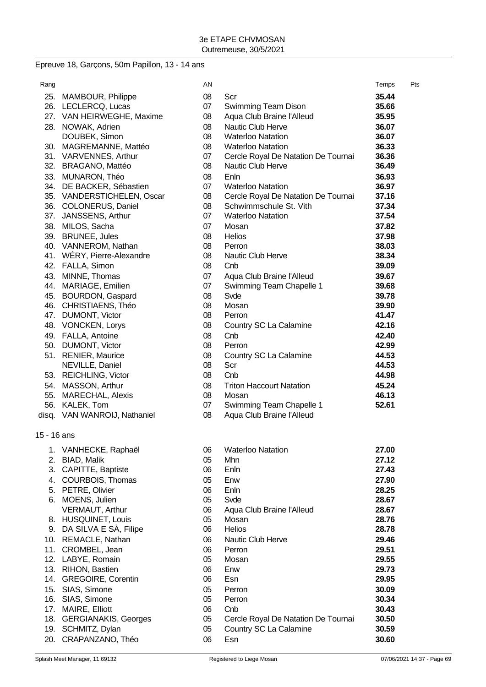# Epreuve 18, Garçons, 50m Papillon, 13 - 14 ans

| Rang        |                              | AN |                                     | Temps | Pts |
|-------------|------------------------------|----|-------------------------------------|-------|-----|
|             | 25. MAMBOUR, Philippe        | 08 | Scr                                 | 35.44 |     |
|             | 26. LECLERCQ, Lucas          | 07 | Swimming Team Dison                 | 35.66 |     |
|             | 27. VAN HEIRWEGHE, Maxime    | 08 | Aqua Club Braine l'Alleud           | 35.95 |     |
|             | 28. NOWAK, Adrien            | 08 | Nautic Club Herve                   | 36.07 |     |
|             | DOUBEK, Simon                | 08 | <b>Waterloo Natation</b>            | 36.07 |     |
|             | 30. MAGREMANNE, Mattéo       | 08 | <b>Waterloo Natation</b>            | 36.33 |     |
|             | 31. VARVENNES, Arthur        | 07 | Cercle Royal De Natation De Tournai | 36.36 |     |
|             | 32. BRAGANO, Mattéo          | 08 | Nautic Club Herve                   | 36.49 |     |
|             | 33. MUNARON, Théo            | 08 | Enln                                | 36.93 |     |
|             | 34. DE BACKER, Sébastien     | 07 | <b>Waterloo Natation</b>            | 36.97 |     |
|             | 35. VANDERSTICHELEN, Oscar   | 08 | Cercle Royal De Natation De Tournai | 37.16 |     |
|             | 36. COLONERUS, Daniel        | 08 | Schwimmschule St. Vith              | 37.34 |     |
|             | 37. JANSSENS, Arthur         | 07 | <b>Waterloo Natation</b>            | 37.54 |     |
|             | 38. MILOS, Sacha             | 07 | Mosan                               | 37.82 |     |
|             | 39. BRUNEE, Jules            | 08 | Helios                              | 37.98 |     |
|             | 40. VANNEROM, Nathan         | 08 | Perron                              | 38.03 |     |
|             | 41. WÉRY, Pierre-Alexandre   | 08 | Nautic Club Herve                   | 38.34 |     |
|             | 42. FALLA, Simon             | 08 | Cnb                                 | 39.09 |     |
|             | 43. MINNE, Thomas            | 07 | Aqua Club Braine l'Alleud           | 39.67 |     |
|             | 44. MARIAGE, Emilien         | 07 | Swimming Team Chapelle 1            | 39.68 |     |
|             | 45. BOURDON, Gaspard         | 08 | Svde                                | 39.78 |     |
|             | 46. CHRISTIAENS, Théo        | 08 | Mosan                               | 39.90 |     |
|             | 47. DUMONT, Victor           | 08 | Perron                              | 41.47 |     |
|             | 48. VONCKEN, Lorys           | 08 | Country SC La Calamine              | 42.16 |     |
|             | 49. FALLA, Antoine           | 08 | Cnb                                 | 42.40 |     |
|             | 50. DUMONT, Victor           | 08 | Perron                              | 42.99 |     |
|             | 51. RENIER, Maurice          | 08 | Country SC La Calamine              | 44.53 |     |
|             | NEVILLE, Daniel              | 08 | Scr                                 | 44.53 |     |
|             | 53. REICHLING, Victor        | 08 | Cnb                                 | 44.98 |     |
|             | 54. MASSON, Arthur           | 08 | <b>Triton Haccourt Natation</b>     | 45.24 |     |
|             | 55. MARECHAL, Alexis         | 08 | Mosan                               | 46.13 |     |
|             | 56. KALEK, Tom               | 07 | Swimming Team Chapelle 1            | 52.61 |     |
|             | disq. VAN WANROIJ, Nathaniel | 08 | Aqua Club Braine l'Alleud           |       |     |
|             |                              |    |                                     |       |     |
| 15 - 16 ans |                              |    |                                     |       |     |
|             | 1. VANHECKE, Raphaël         | 06 | <b>Waterloo Natation</b>            | 27.00 |     |
|             | 2. BIAD, Malik               | 05 | Mhn                                 | 27.12 |     |
| 3.          | CAPITTE, Baptiste            | 06 | Enln                                | 27.43 |     |
|             | 4. COURBOIS, Thomas          | 05 | Enw                                 | 27.90 |     |
|             | 5. PETRE, Olivier            | 06 | Enln                                | 28.25 |     |
|             | 6. MOENS, Julien             | 05 | Svde                                | 28.67 |     |
|             | VERMAUT, Arthur              | 06 | Aqua Club Braine l'Alleud           | 28.67 |     |
|             | 8. HUSQUINET, Louis          | 05 | Mosan                               | 28.76 |     |
|             | 9. DA SILVA E SÀ, Filipe     | 06 | Helios                              | 28.78 |     |
|             | 10. REMACLE, Nathan          | 06 | Nautic Club Herve                   | 29.46 |     |
|             | 11. CROMBEL, Jean            | 06 | Perron                              | 29.51 |     |
|             | 12. LABYE, Romain            | 05 | Mosan                               | 29.55 |     |
|             | 13. RIHON, Bastien           | 06 | Enw                                 | 29.73 |     |
| 14.         | <b>GREGOIRE, Corentin</b>    | 06 | Esn                                 | 29.95 |     |
|             | 15. SIAS, Simone             | 05 | Perron                              | 30.09 |     |
|             | 16. SIAS, Simone             | 05 | Perron                              | 30.34 |     |
| 17.         | MAIRE, Elliott               | 06 | Cnb                                 | 30.43 |     |
| 18.         | <b>GERGIANAKIS, Georges</b>  | 05 | Cercle Royal De Natation De Tournai | 30.50 |     |
|             | 19. SCHMITZ, Dylan           | 05 | Country SC La Calamine              | 30.59 |     |
| 20.         | CRAPANZANO, Théo             | 06 | Esn                                 | 30.60 |     |
|             |                              |    |                                     |       |     |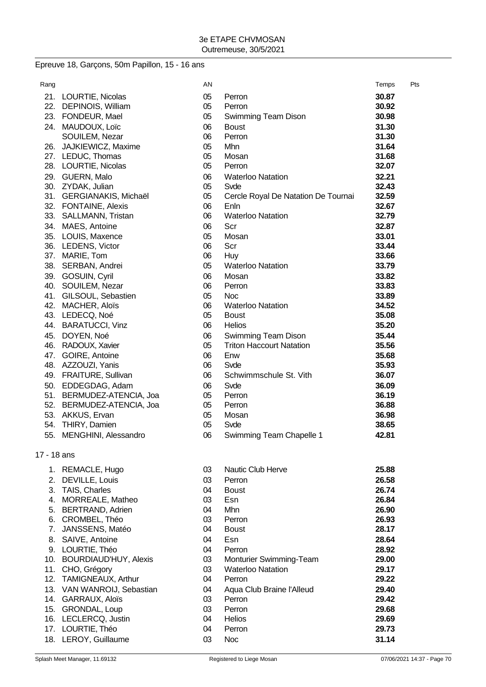# Epreuve 18, Garçons, 50m Papillon, 15 - 16 ans

| Rang        |                                                 | AN       |                                     | Temps          | Pts |
|-------------|-------------------------------------------------|----------|-------------------------------------|----------------|-----|
|             | 21. LOURTIE, Nicolas                            | 05       | Perron                              | 30.87          |     |
|             | 22. DEPINOIS, William                           | 05       | Perron                              | 30.92          |     |
|             | 23. FONDEUR, Mael                               | 05       | Swimming Team Dison                 | 30.98          |     |
|             | 24. MAUDOUX, Loïc                               | 06       | <b>Boust</b>                        | 31.30          |     |
|             | SOUILEM, Nezar                                  | 06       | Perron                              | 31.30          |     |
|             | 26. JAJKIEWICZ, Maxime                          | 05       | Mhn                                 | 31.64          |     |
|             | 27. LEDUC, Thomas                               | 05       | Mosan                               | 31.68          |     |
|             | 28. LOURTIE, Nicolas                            | 05       | Perron                              | 32.07          |     |
|             | 29. GUERN, Malo                                 | 06       | <b>Waterloo Natation</b>            | 32.21          |     |
|             | 30. ZYDAK, Julian                               | 05       | Svde                                | 32.43          |     |
|             | 31. GERGIANAKIS, Michaël                        | 05       | Cercle Royal De Natation De Tournai | 32.59          |     |
|             | 32. FONTAINE, Alexis                            | 06       | Enln                                | 32.67          |     |
|             | 33. SALLMANN, Tristan                           | 06       | <b>Waterloo Natation</b>            | 32.79          |     |
|             | 34. MAES, Antoine                               | 06       | Scr                                 | 32.87          |     |
|             | 35. LOUIS, Maxence                              | 05       | Mosan                               | 33.01          |     |
|             | 36. LEDENS, Victor                              | 06       | Scr                                 | 33.44          |     |
|             | 37. MARIE, Tom                                  | 06       | Huy                                 | 33.66          |     |
|             | 38. SERBAN, Andrei                              | 05       | <b>Waterloo Natation</b>            | 33.79          |     |
|             | 39. GOSUIN, Cyril                               | 06       | Mosan                               | 33.82          |     |
|             | 40. SOUILEM, Nezar                              | 06       | Perron                              | 33.83          |     |
|             | 41. GILSOUL, Sebastien                          | 05       | <b>Noc</b>                          | 33.89          |     |
|             | 42. MACHER, Aloïs                               | 06       | <b>Waterloo Natation</b>            | 34.52          |     |
|             | 43. LEDECQ, Noé                                 | 05       | <b>Boust</b>                        | 35.08          |     |
|             | 44. BARATUCCI, Vinz                             | 06       | <b>Helios</b>                       | 35.20          |     |
|             | 45. DOYEN, Noé                                  | 06       | Swimming Team Dison                 | 35.44          |     |
|             | 46. RADOUX, Xavier                              | 05       | <b>Triton Haccourt Natation</b>     | 35.56          |     |
|             | 47. GOIRE, Antoine                              | 06<br>06 | Enw<br>Svde                         | 35.68<br>35.93 |     |
|             | 48. AZZOUZI, Yanis<br>49. FRAITURE, Sullivan    | 06       | Schwimmschule St. Vith              | 36.07          |     |
|             |                                                 |          |                                     |                |     |
|             | 50. EDDEGDAG, Adam<br>51. BERMUDEZ-ATENCIA, Joa | 06<br>05 | Svde<br>Perron                      | 36.09<br>36.19 |     |
|             | 52. BERMUDEZ-ATENCIA, Joa                       | 05       | Perron                              | 36.88          |     |
|             | 53. AKKUS, Ervan                                | 05       | Mosan                               | 36.98          |     |
|             | 54. THIRY, Damien                               | 05       | Svde                                | 38.65          |     |
|             | 55. MENGHINI, Alessandro                        | 06       | Swimming Team Chapelle 1            | 42.81          |     |
|             |                                                 |          |                                     |                |     |
| 17 - 18 ans |                                                 |          |                                     |                |     |
|             | 1. REMACLE, Hugo                                | 03       | <b>Nautic Club Herve</b>            | 25.88          |     |
|             | 2. DEVILLE, Louis                               | 03       | Perron                              | 26.58          |     |
|             | 3. TAIS, Charles                                | 04       | <b>Boust</b>                        | 26.74          |     |
|             | 4. MORREALE, Matheo                             | 03       | Esn                                 | 26.84          |     |
|             | 5. BERTRAND, Adrien                             | 04       | Mhn                                 | 26.90          |     |
|             | 6. CROMBEL, Théo                                | 03       | Perron                              | 26.93          |     |
|             | 7. JANSSENS, Matéo                              | 04       | <b>Boust</b>                        | 28.17          |     |
|             | 8. SAIVE, Antoine                               | 04       | Esn                                 | 28.64          |     |
|             | 9. LOURTIE, Théo                                | 04       | Perron                              | 28.92          |     |
|             | 10. BOURDIAUD'HUY, Alexis                       | 03       | Monturier Swimming-Team             | 29.00          |     |
|             | 11. CHO, Grégory                                | 03       | <b>Waterloo Natation</b>            | 29.17          |     |
|             | 12. TAMIGNEAUX, Arthur                          | 04       | Perron                              | 29.22          |     |
|             | 13. VAN WANROIJ, Sebastian                      | 04       | Aqua Club Braine l'Alleud           | 29.40          |     |
|             | 14. GARRAUX, Aloïs                              | 03       | Perron                              | 29.42          |     |
|             | 15. GRONDAL, Loup                               | 03       | Perron                              | 29.68          |     |
|             | 16. LECLERCQ, Justin                            | 04       | <b>Helios</b>                       | 29.69          |     |
|             | 17. LOURTIE, Théo                               | 04       | Perron                              | 29.73          |     |
|             | 18. LEROY, Guillaume                            | 03       | <b>Noc</b>                          | 31.14          |     |